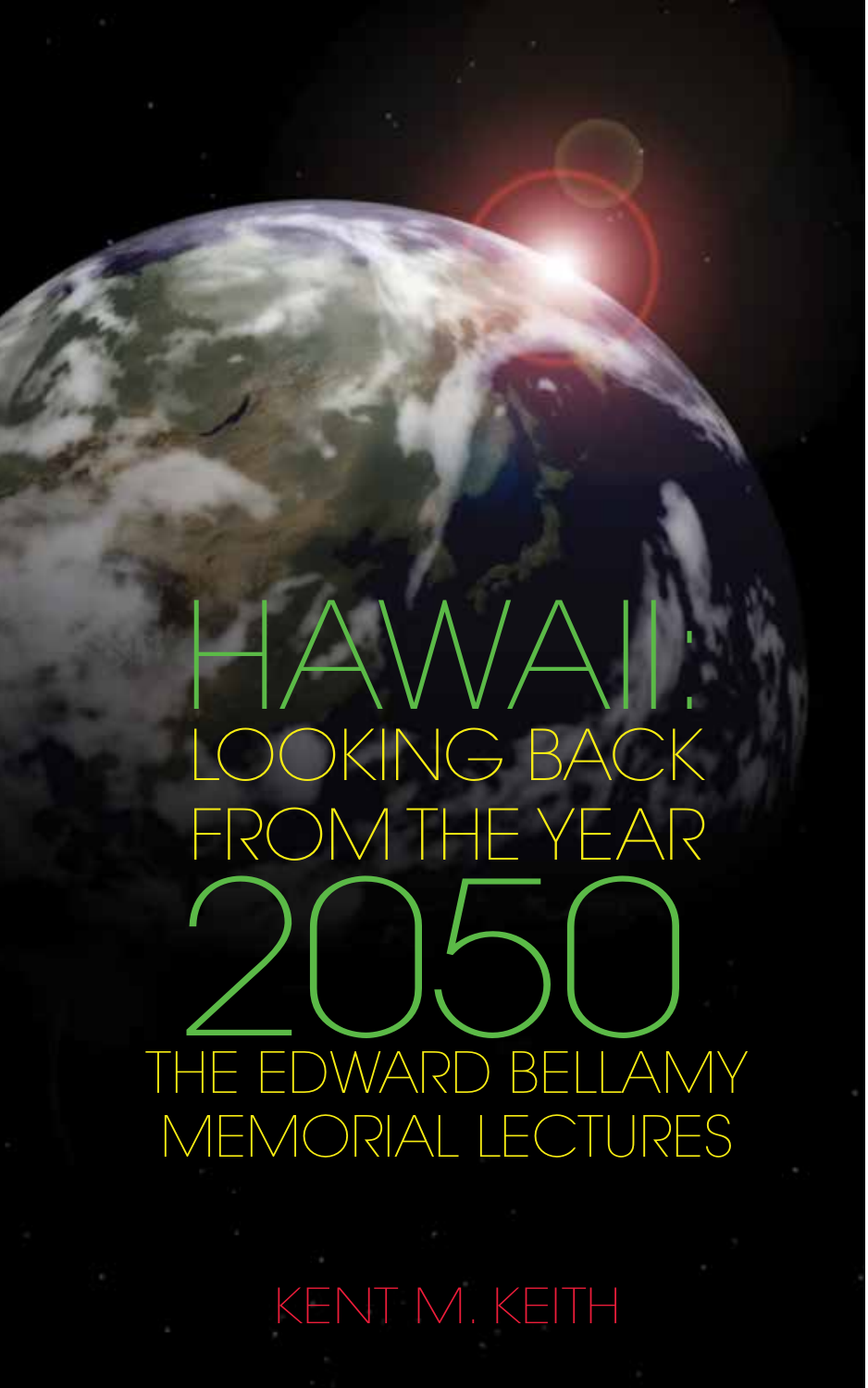# HAWAII: LOOKING BACK FROM THE YEAR THE EDWARD BELLAMY MEMORIAL LECTURES

KENT M. KEITH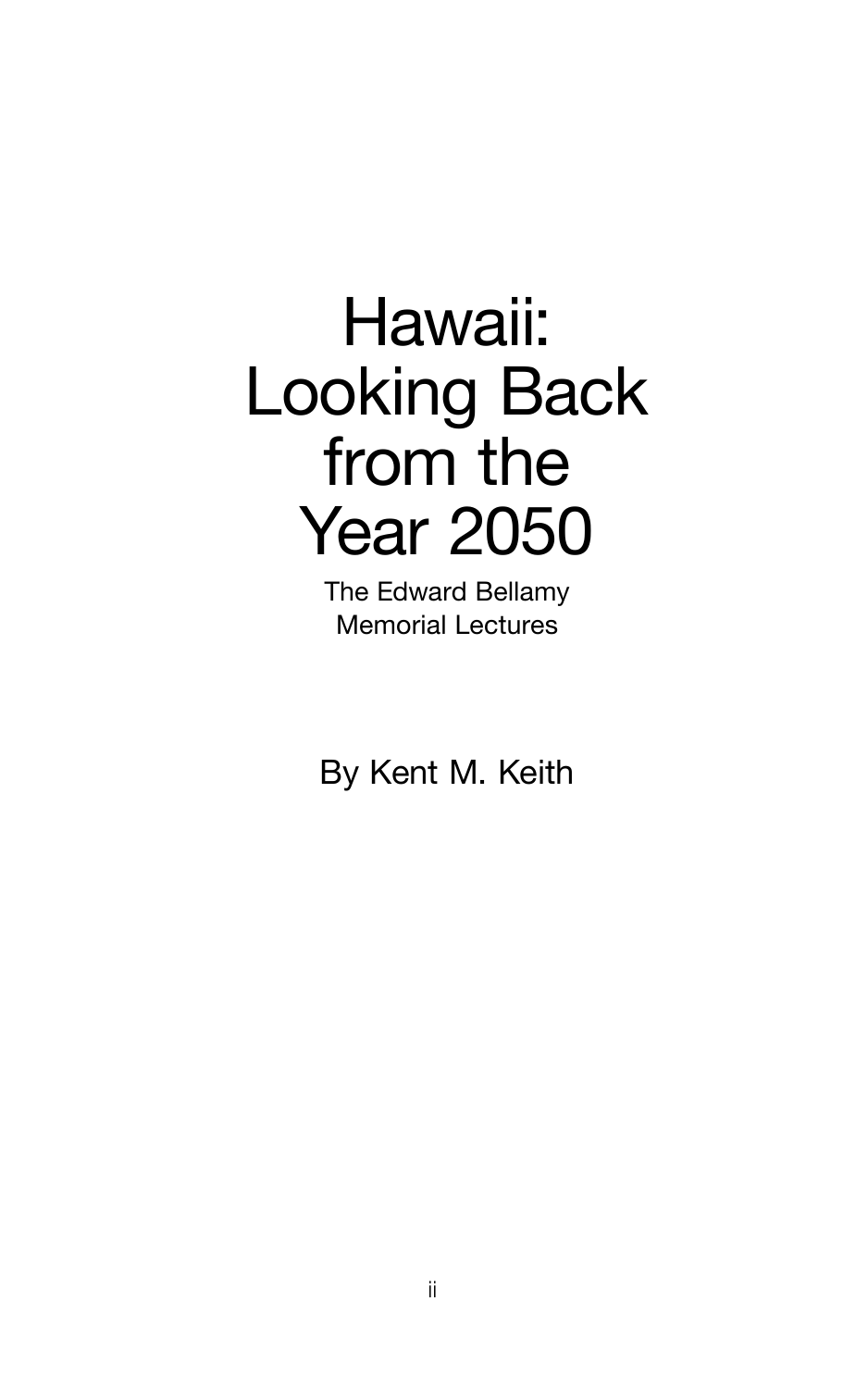## Hawaii: Looking Back from the Year 2050

The Edward Bellamy Memorial Lectures

By Kent M. Keith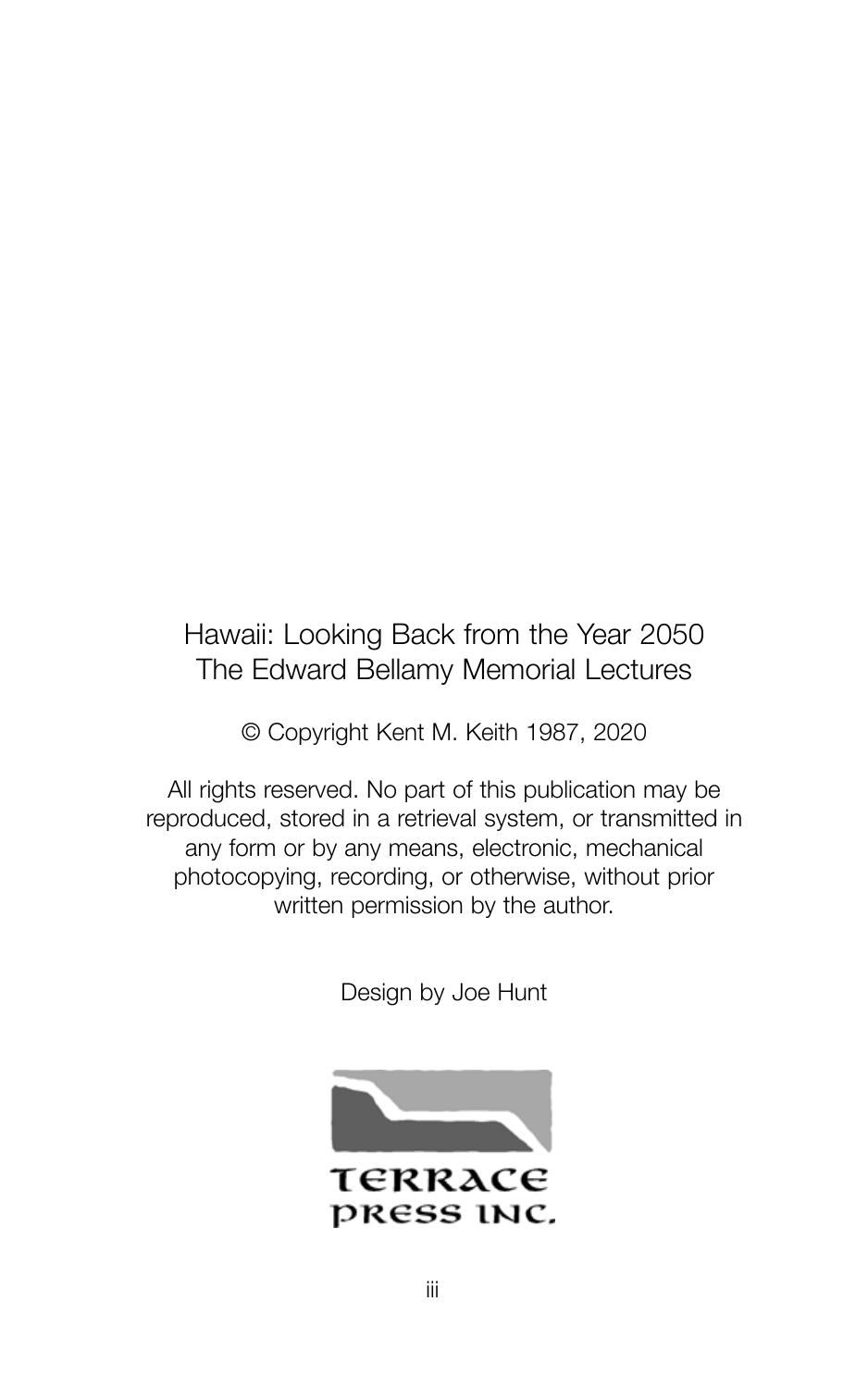#### Hawaii: Looking Back from the Year 2050 The Edward Bellamy Memorial Lectures

© Copyright Kent M. Keith 1987, 2020

All rights reserved. No part of this publication may be reproduced, stored in a retrieval system, or transmitted in any form or by any means, electronic, mechanical photocopying, recording, or otherwise, without prior written permission by the author.

Design by Joe Hunt



PRESS INC.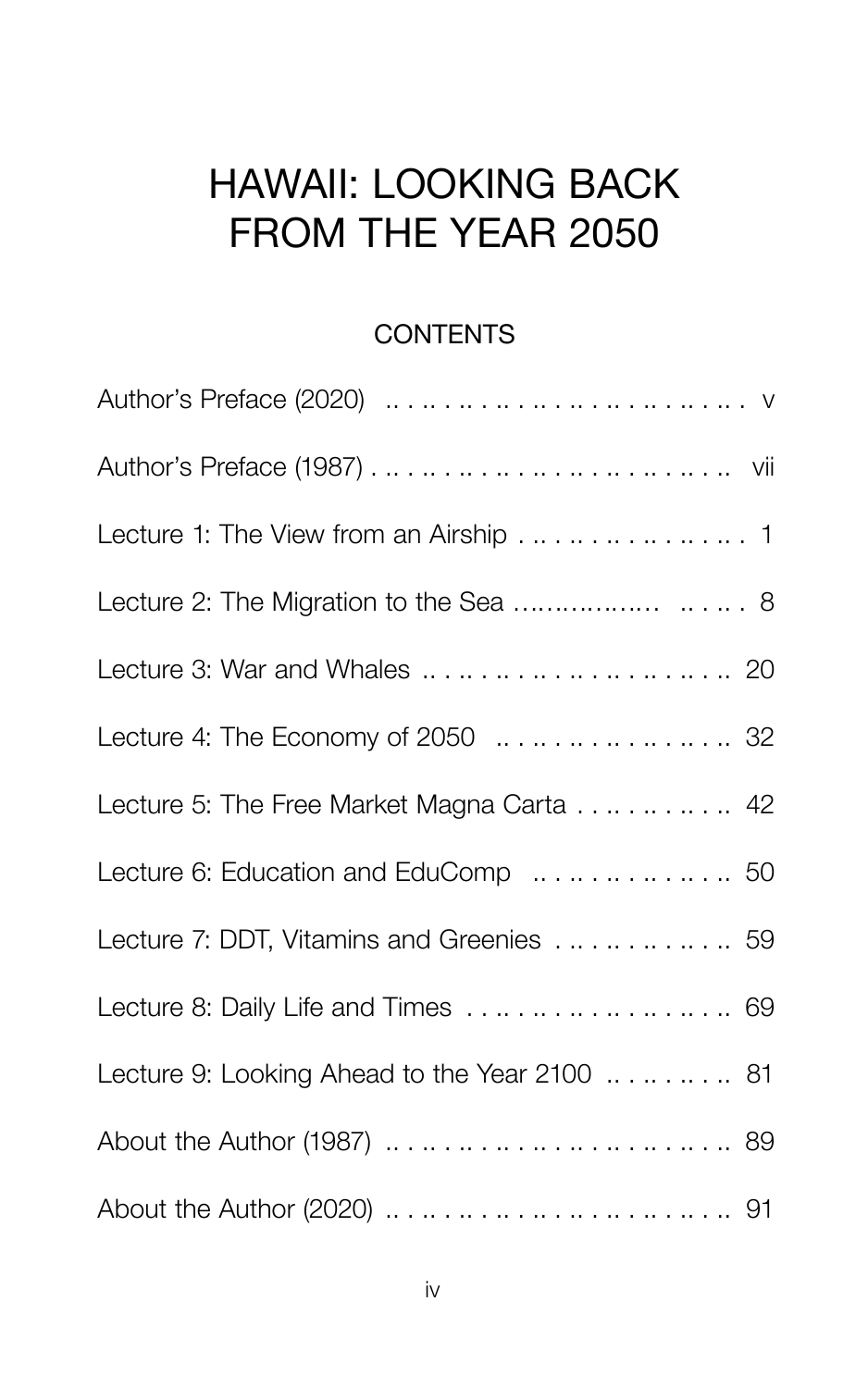### HAWAII: LOOKING BACK FROM THE YEAR 2050

#### **CONTENTS**

| Lecture 1: The View from an Airship 1         |
|-----------------------------------------------|
|                                               |
| Lecture 3: War and Whales  20                 |
| Lecture 4: The Economy of 2050  32            |
| Lecture 5: The Free Market Magna Carta 42     |
| Lecture 6: Education and EduComp  50          |
| Lecture 7: DDT, Vitamins and Greenies 59      |
| Lecture 8: Daily Life and Times  69           |
| Lecture 9: Looking Ahead to the Year 2100  81 |
| About the Author (1987)  89                   |
|                                               |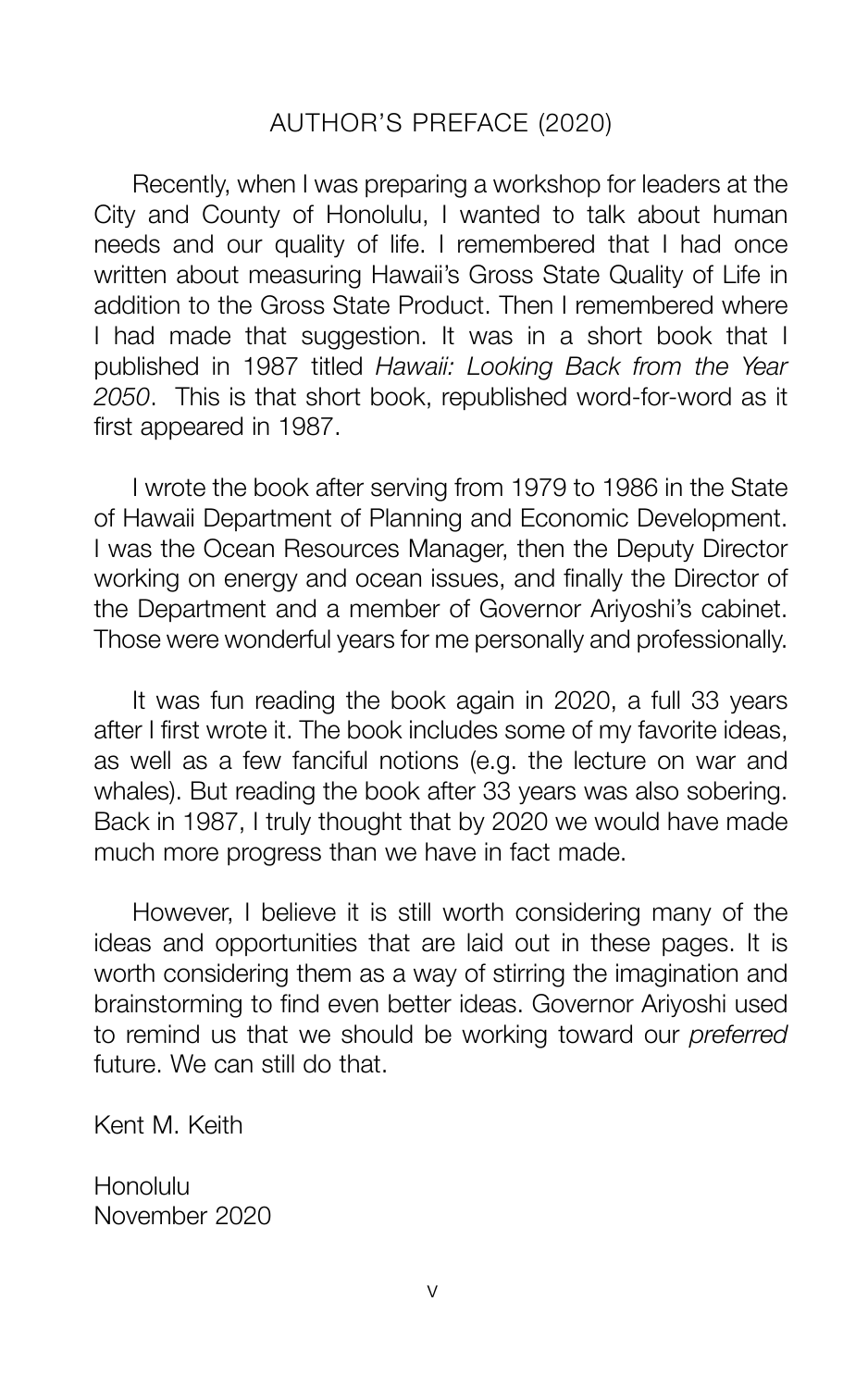#### AUTHOR'S PREFACE (2020)

Recently, when I was preparing a workshop for leaders at the City and County of Honolulu, I wanted to talk about human needs and our quality of life. I remembered that I had once written about measuring Hawaii's Gross State Quality of Life in addition to the Gross State Product. Then I remembered where I had made that suggestion. It was in a short book that I published in 1987 titled *Hawaii: Looking Back from the Year 2050*. This is that short book, republished word-for-word as it first appeared in 1987.

I wrote the book after serving from 1979 to 1986 in the State of Hawaii Department of Planning and Economic Development. I was the Ocean Resources Manager, then the Deputy Director working on energy and ocean issues, and finally the Director of the Department and a member of Governor Ariyoshi's cabinet. Those were wonderful years for me personally and professionally.

It was fun reading the book again in 2020, a full 33 years after I first wrote it. The book includes some of my favorite ideas, as well as a few fanciful notions (e.g. the lecture on war and whales). But reading the book after 33 years was also sobering. Back in 1987, I truly thought that by 2020 we would have made much more progress than we have in fact made.

However, I believe it is still worth considering many of the ideas and opportunities that are laid out in these pages. It is worth considering them as a way of stirring the imagination and brainstorming to find even better ideas. Governor Ariyoshi used to remind us that we should be working toward our *preferred* future. We can still do that.

Kent M. Keith

Honolulu November 2020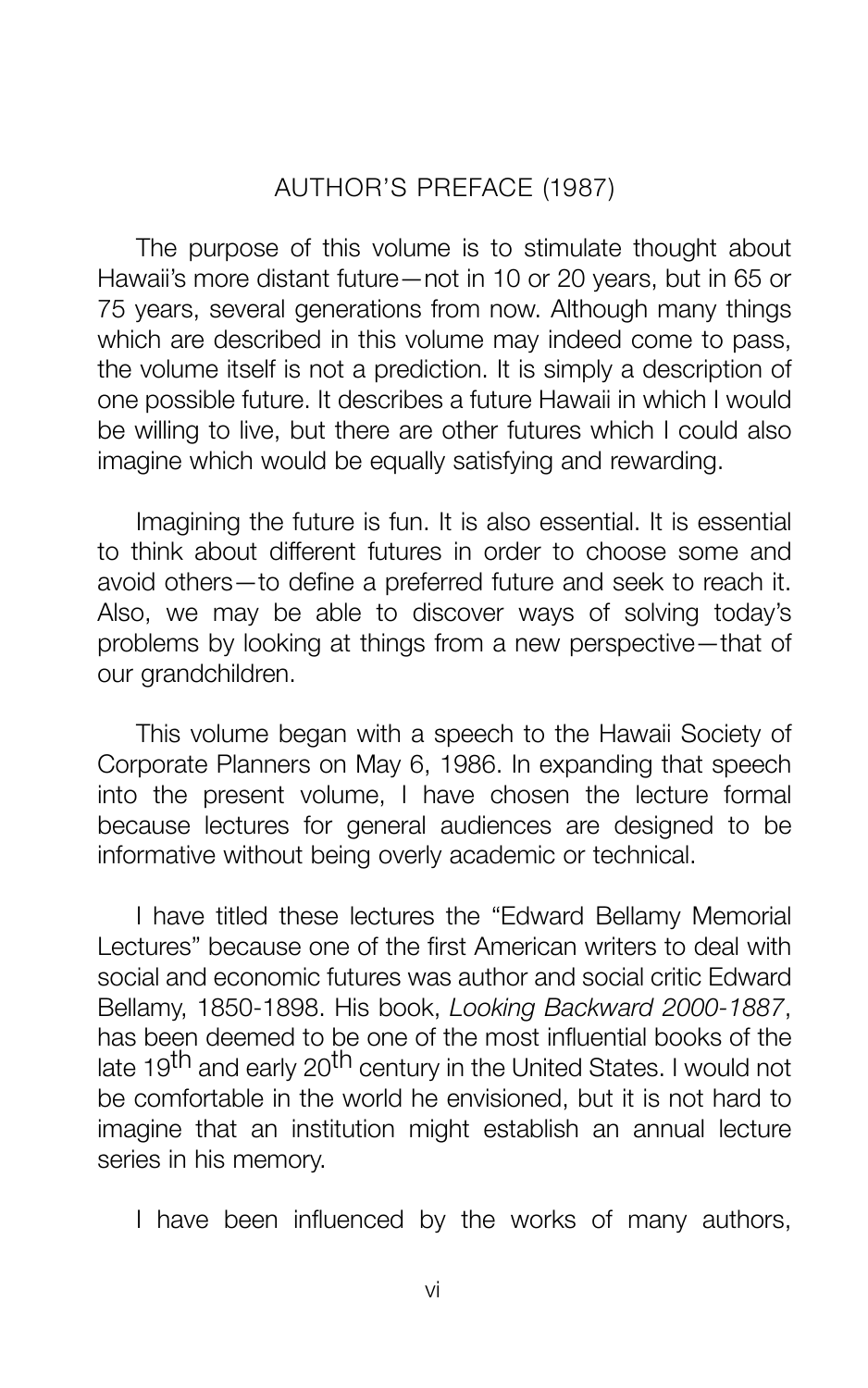#### AUTHOR'S PREFACE (1987)

The purpose of this volume is to stimulate thought about Hawaii's more distant future—not in 10 or 20 years, but in 65 or 75 years, several generations from now. Although many things which are described in this volume may indeed come to pass, the volume itself is not a prediction. It is simply a description of one possible future. It describes a future Hawaii in which I would be willing to live, but there are other futures which I could also imagine which would be equally satisfying and rewarding.

Imagining the future is fun. It is also essential. It is essential to think about different futures in order to choose some and avoid others—to define a preferred future and seek to reach it. Also, we may be able to discover ways of solving today's problems by looking at things from a new perspective—that of our grandchildren.

This volume began with a speech to the Hawaii Society of Corporate Planners on May 6, 1986. In expanding that speech into the present volume, I have chosen the lecture formal because lectures for general audiences are designed to be informative without being overly academic or technical.

I have titled these lectures the "Edward Bellamy Memorial Lectures" because one of the first American writers to deal with social and economic futures was author and social critic Edward Bellamy, 1850-1898. His book, *Looking Backward 2000-1887*, has been deemed to be one of the most influential books of the late 19<sup>th</sup> and early 20<sup>th</sup> century in the United States. I would not be comfortable in the world he envisioned, but it is not hard to imagine that an institution might establish an annual lecture series in his memory.

I have been influenced by the works of many authors,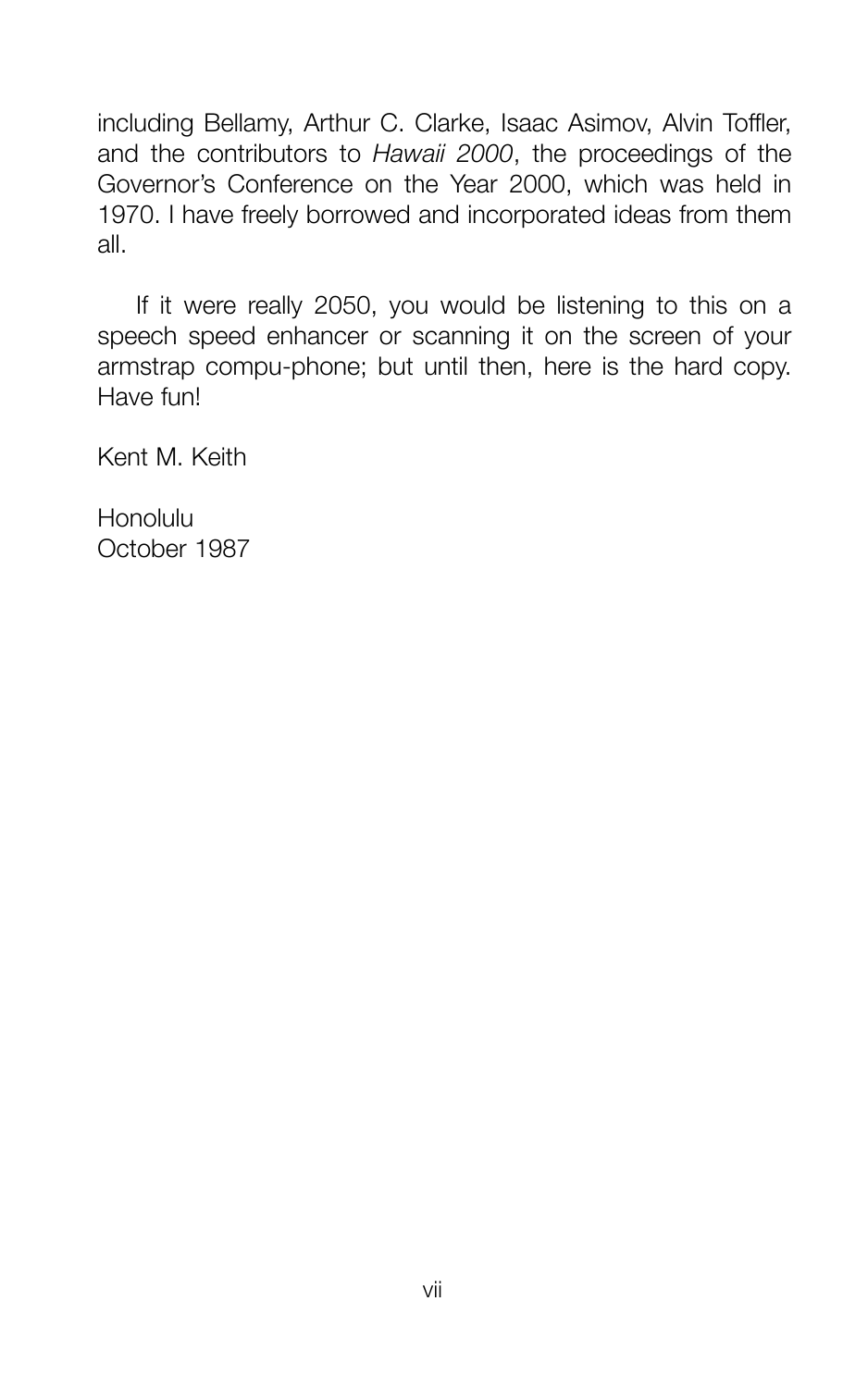including Bellamy, Arthur C. Clarke, Isaac Asimov, Alvin Toffler, and the contributors to *Hawaii 2000*, the proceedings of the Governor's Conference on the Year 2000, which was held in 1970. I have freely borrowed and incorporated ideas from them all.

If it were really 2050, you would be listening to this on a speech speed enhancer or scanning it on the screen of your armstrap compu-phone; but until then, here is the hard copy. Have fun!

Kent M. Keith

Honolulu October 1987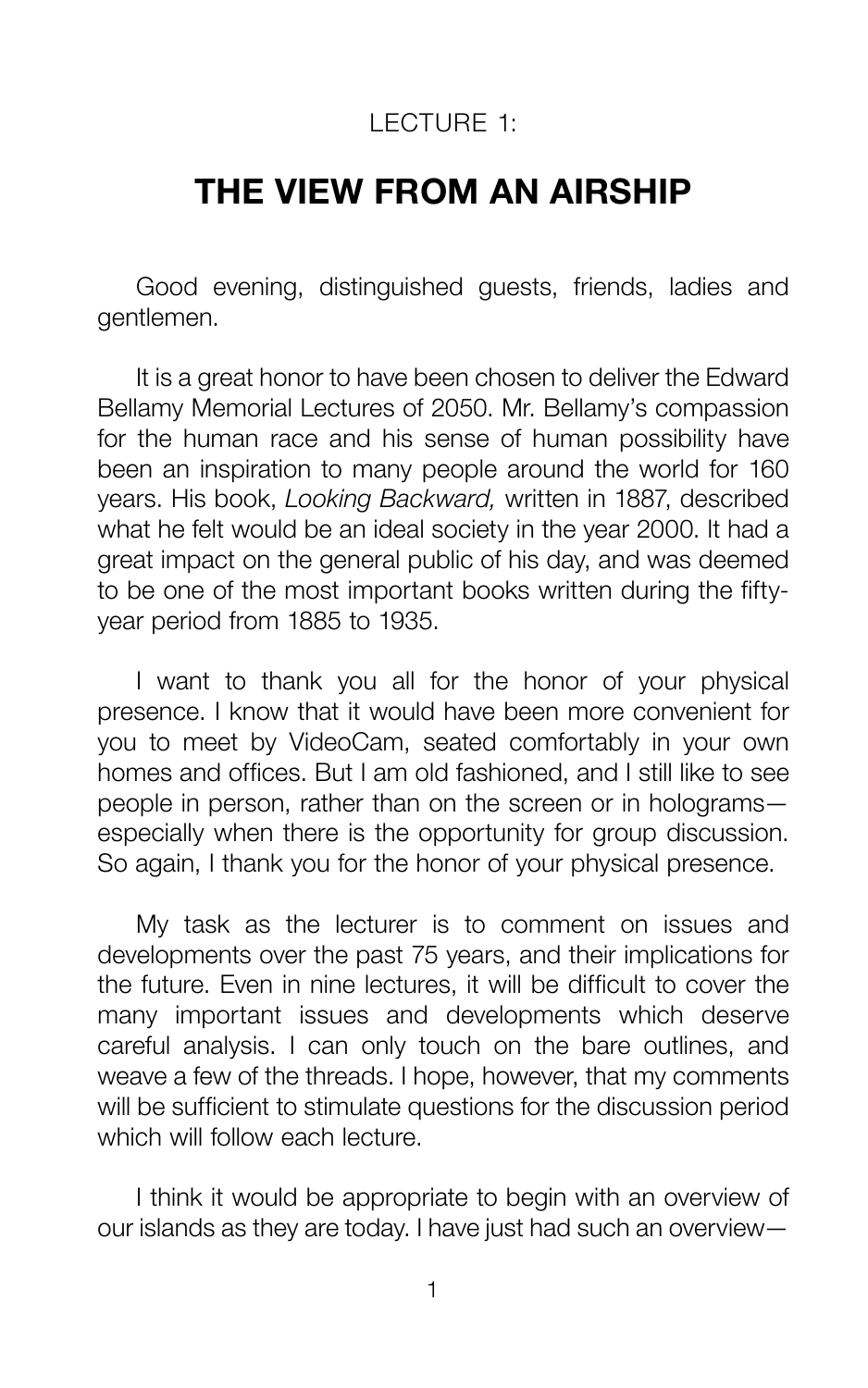#### LECTURE 1:

#### **THE VIEW FROM AN AIRSHIP**

Good evening, distinguished guests, friends, ladies and gentlemen.

It is a great honor to have been chosen to deliver the Edward Bellamy Memorial Lectures of 2050. Mr. Bellamy's compassion for the human race and his sense of human possibility have been an inspiration to many people around the world for 160 years. His book, *Looking Backward,* written in 1887, described what he felt would be an ideal society in the year 2000. It had a great impact on the general public of his day, and was deemed to be one of the most important books written during the fiftyyear period from 1885 to 1935.

I want to thank you all for the honor of your physical presence. I know that it would have been more convenient for you to meet by VideoCam, seated comfortably in your own homes and offices. But I am old fashioned, and I still like to see people in person, rather than on the screen or in holograms especially when there is the opportunity for group discussion. So again, I thank you for the honor of your physical presence.

My task as the lecturer is to comment on issues and developments over the past 75 years, and their implications for the future. Even in nine lectures, it will be difficult to cover the many important issues and developments which deserve careful analysis. I can only touch on the bare outlines, and weave a few of the threads. I hope, however, that my comments will be sufficient to stimulate questions for the discussion period which will follow each lecture.

I think it would be appropriate to begin with an overview of our islands as they are today. I have just had such an overview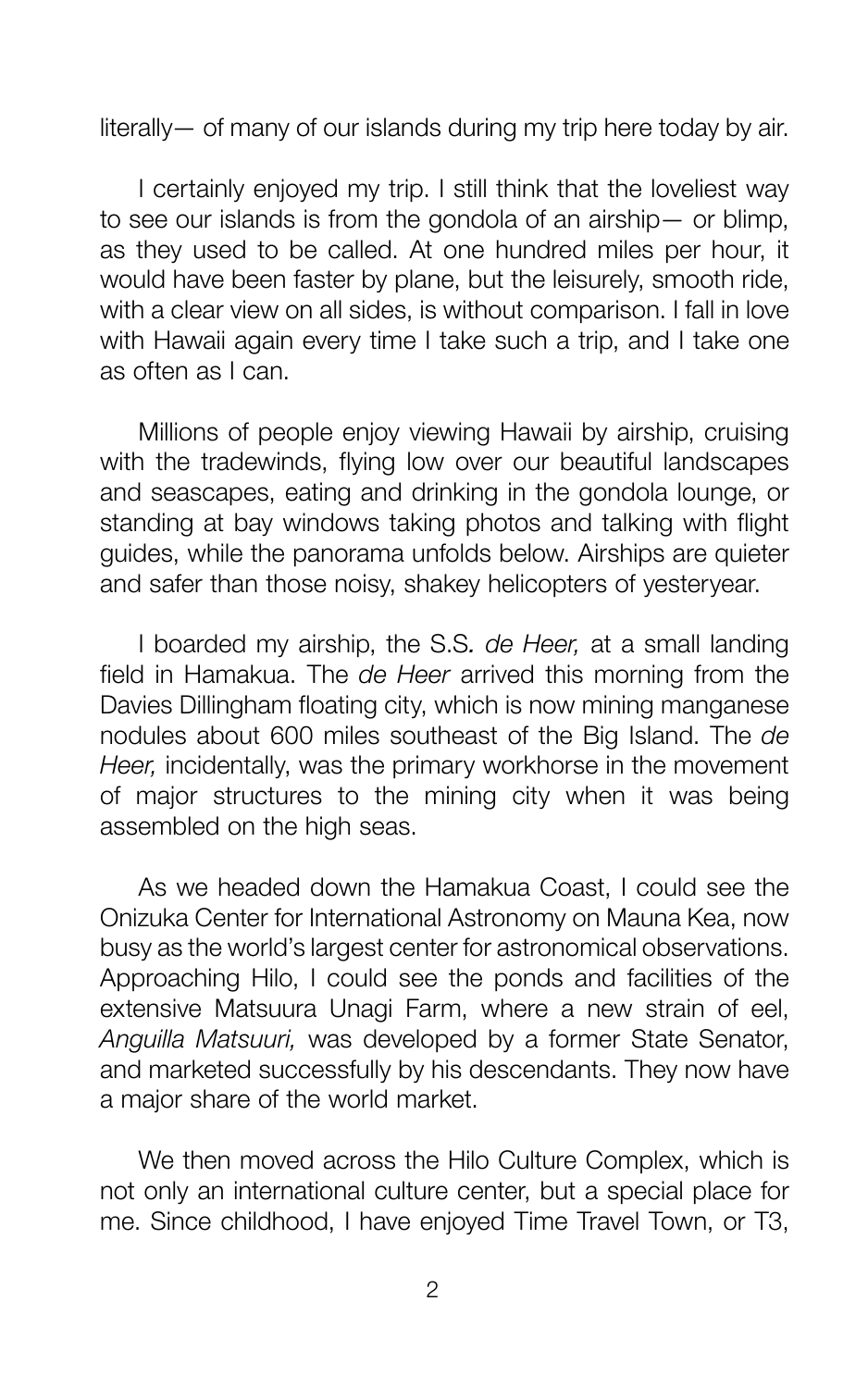literally— of many of our islands during my trip here today by air.

I certainly enjoyed my trip. I still think that the loveliest way to see our islands is from the gondola of an airship— or blimp, as they used to be called. At one hundred miles per hour, it would have been faster by plane, but the leisurely, smooth ride, with a clear view on all sides, is without comparison. I fall in love with Hawaii again every time I take such a trip, and I take one as often as I can.

Millions of people enjoy viewing Hawaii by airship, cruising with the tradewinds, flying low over our beautiful landscapes and seascapes, eating and drinking in the gondola lounge, or standing at bay windows taking photos and talking with flight guides, while the panorama unfolds below. Airships are quieter and safer than those noisy, shakey helicopters of yesteryear.

I boarded my airship, the S.S*. de Heer,* at a small landing field in Hamakua. The *de Heer* arrived this morning from the Davies Dillingham floating city, which is now mining manganese nodules about 600 miles southeast of the Big Island. The *de Heer,* incidentally, was the primary workhorse in the movement of major structures to the mining city when it was being assembled on the high seas.

As we headed down the Hamakua Coast, I could see the Onizuka Center for International Astronomy on Mauna Kea, now busy as the world's largest center for astronomical observations. Approaching Hilo, I could see the ponds and facilities of the extensive Matsuura Unagi Farm, where a new strain of eel, *Anguilla Matsuuri,* was developed by a former State Senator, and marketed successfully by his descendants. They now have a major share of the world market.

We then moved across the Hilo Culture Complex, which is not only an international culture center, but a special place for me. Since childhood, I have enjoyed Time Travel Town, or T3,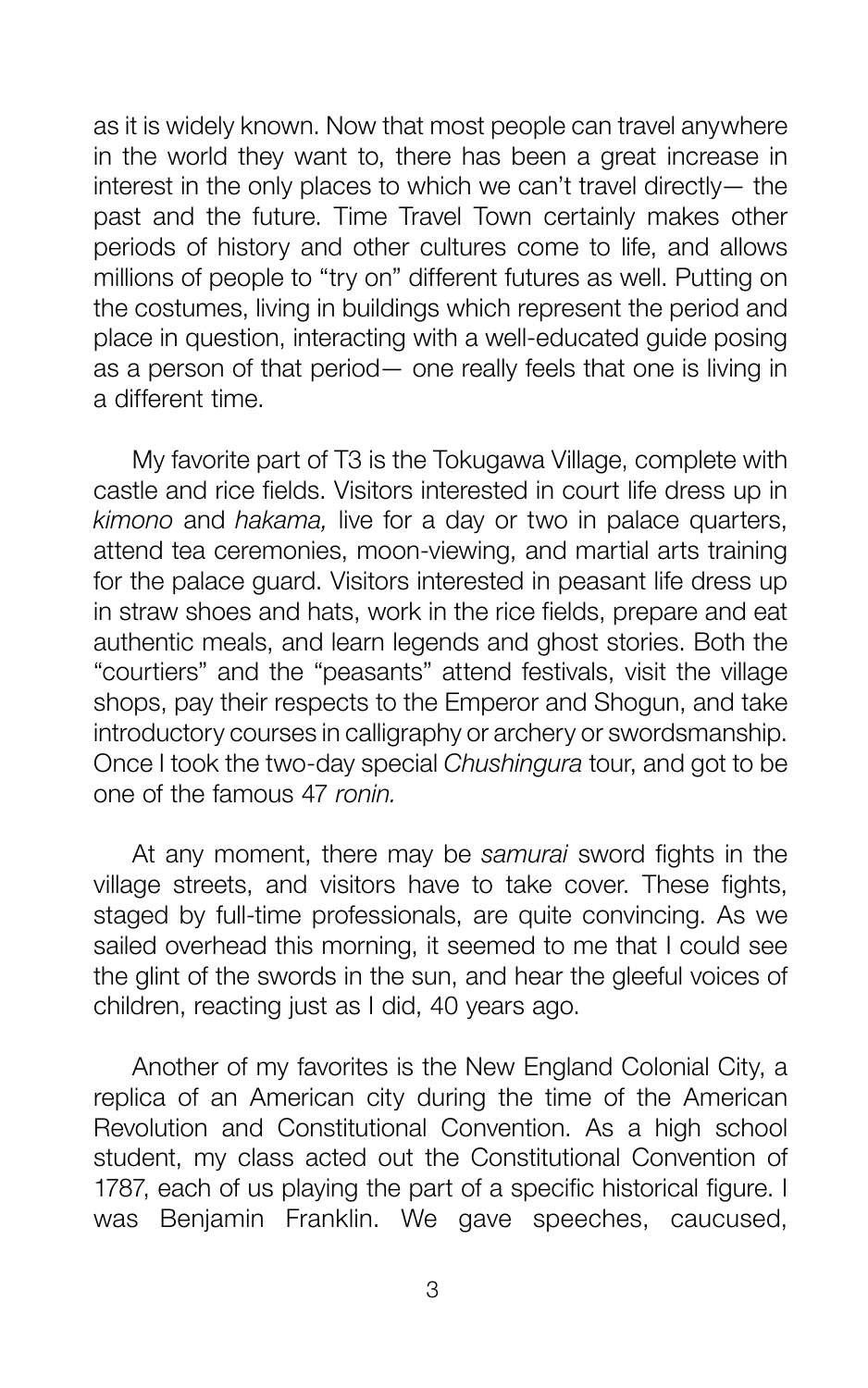as it is widely known. Now that most people can travel anywhere in the world they want to, there has been a great increase in interest in the only places to which we can't travel directly— the past and the future. Time Travel Town certainly makes other periods of history and other cultures come to life, and allows millions of people to "try on" different futures as well. Putting on the costumes, living in buildings which represent the period and place in question, interacting with a well-educated guide posing as a person of that period— one really feels that one is living in a different time.

My favorite part of T3 is the Tokugawa Village, complete with castle and rice fields. Visitors interested in court life dress up in *kimono* and *hakama,* live for a day or two in palace quarters, attend tea ceremonies, moon-viewing, and martial arts training for the palace guard. Visitors interested in peasant life dress up in straw shoes and hats, work in the rice fields, prepare and eat authentic meals, and learn legends and ghost stories. Both the "courtiers" and the "peasants" attend festivals, visit the village shops, pay their respects to the Emperor and Shogun, and take introductory courses in calligraphy or archery or swordsmanship. Once I took the two-day special *Chushingura* tour, and got to be one of the famous 47 *ronin.*

At any moment, there may be *samurai* sword fights in the village streets, and visitors have to take cover. These fights, staged by full-time professionals, are quite convincing. As we sailed overhead this morning, it seemed to me that I could see the glint of the swords in the sun, and hear the gleeful voices of children, reacting just as I did, 40 years ago.

Another of my favorites is the New England Colonial City, a replica of an American city during the time of the American Revolution and Constitutional Convention. As a high school student, my class acted out the Constitutional Convention of 1787, each of us playing the part of a specific historical figure. I was Benjamin Franklin. We gave speeches, caucused,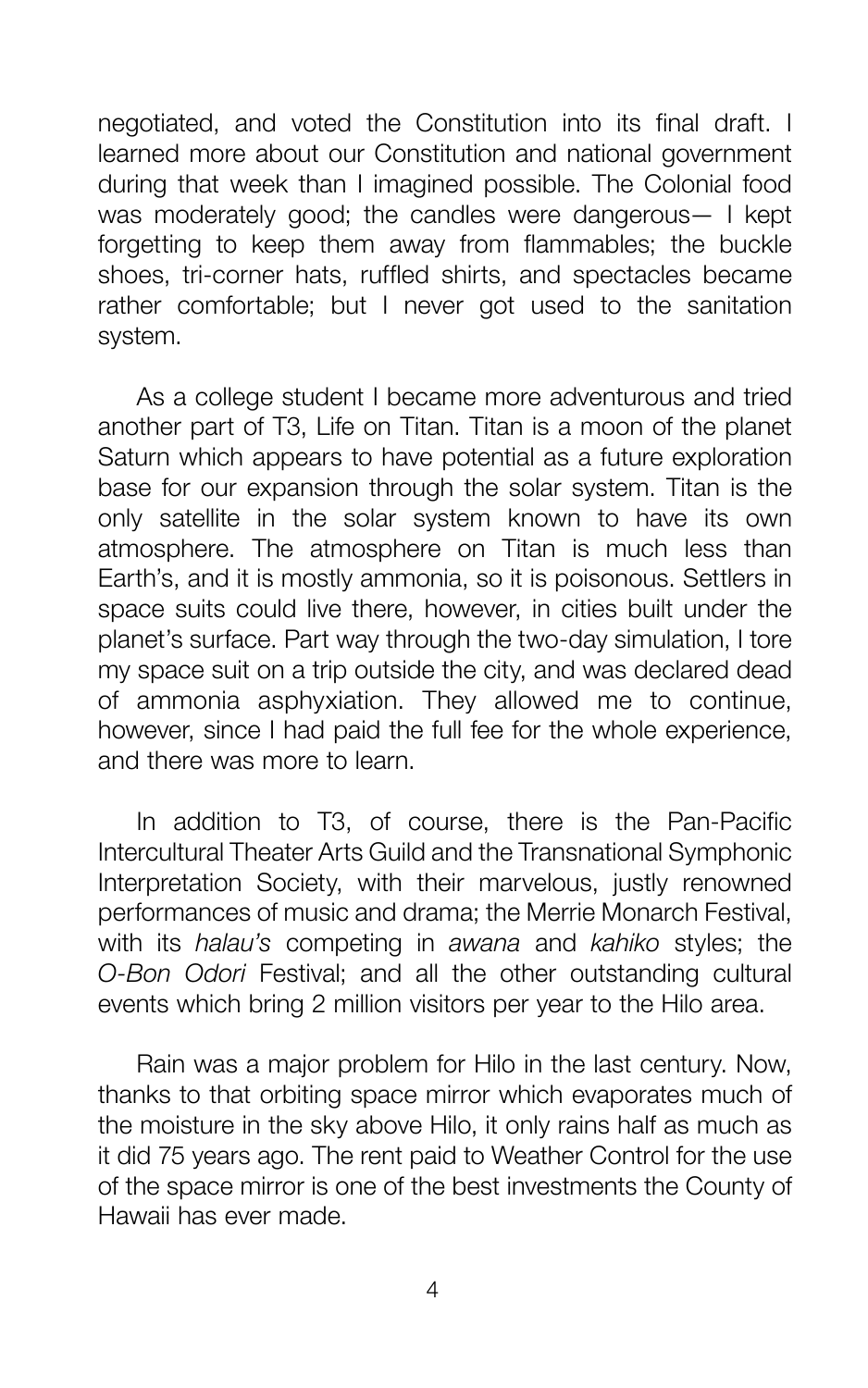negotiated, and voted the Constitution into its final draft. I learned more about our Constitution and national government during that week than I imagined possible. The Colonial food was moderately good; the candles were dangerous— I kept forgetting to keep them away from flammables; the buckle shoes, tri-corner hats, ruffled shirts, and spectacles became rather comfortable; but I never got used to the sanitation system.

As a college student I became more adventurous and tried another part of T3, Life on Titan. Titan is a moon of the planet Saturn which appears to have potential as a future exploration base for our expansion through the solar system. Titan is the only satellite in the solar system known to have its own atmosphere. The atmosphere on Titan is much less than Earth's, and it is mostly ammonia, so it is poisonous. Settlers in space suits could live there, however, in cities built under the planet's surface. Part way through the two-day simulation, I tore my space suit on a trip outside the city, and was declared dead of ammonia asphyxiation. They allowed me to continue, however, since I had paid the full fee for the whole experience, and there was more to learn.

In addition to T3, of course, there is the Pan-Pacific Intercultural Theater Arts Guild and the Transnational Symphonic Interpretation Society, with their marvelous, justly renowned performances of music and drama; the Merrie Monarch Festival, with its *halau's* competing in *awana* and *kahiko* styles; the *O-Bon Odori* Festival; and all the other outstanding cultural events which bring 2 million visitors per year to the Hilo area.

Rain was a major problem for Hilo in the last century. Now, thanks to that orbiting space mirror which evaporates much of the moisture in the sky above Hilo, it only rains half as much as it did 75 years ago. The rent paid to Weather Control for the use of the space mirror is one of the best investments the County of Hawaii has ever made.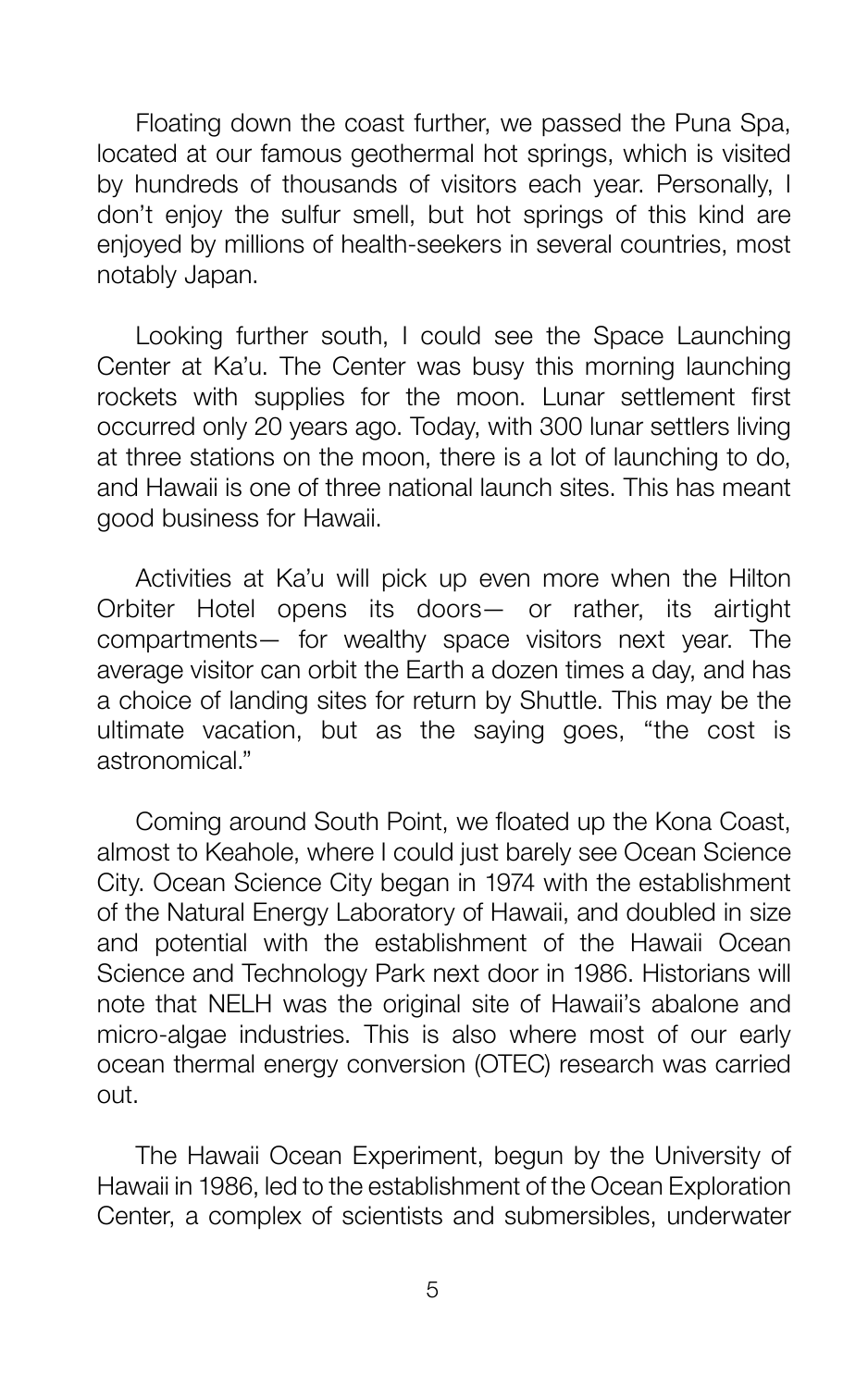Floating down the coast further, we passed the Puna Spa, located at our famous geothermal hot springs, which is visited by hundreds of thousands of visitors each year. Personally, I don't enjoy the sulfur smell, but hot springs of this kind are enjoyed by millions of health-seekers in several countries, most notably Japan.

Looking further south, I could see the Space Launching Center at Ka'u. The Center was busy this morning launching rockets with supplies for the moon. Lunar settlement first occurred only 20 years ago. Today, with 300 lunar settlers living at three stations on the moon, there is a lot of launching to do, and Hawaii is one of three national launch sites. This has meant good business for Hawaii.

Activities at Ka'u will pick up even more when the Hilton Orbiter Hotel opens its doors— or rather, its airtight compartments— for wealthy space visitors next year. The average visitor can orbit the Earth a dozen times a day, and has a choice of landing sites for return by Shuttle. This may be the ultimate vacation, but as the saying goes, "the cost is astronomical."

Coming around South Point, we floated up the Kona Coast, almost to Keahole, where I could just barely see Ocean Science City. Ocean Science City began in 1974 with the establishment of the Natural Energy Laboratory of Hawaii, and doubled in size and potential with the establishment of the Hawaii Ocean Science and Technology Park next door in 1986. Historians will note that NELH was the original site of Hawaii's abalone and micro-algae industries. This is also where most of our early ocean thermal energy conversion (OTEC) research was carried out.

The Hawaii Ocean Experiment, begun by the University of Hawaii in 1986, led to the establishment of the Ocean Exploration Center, a complex of scientists and submersibles, underwater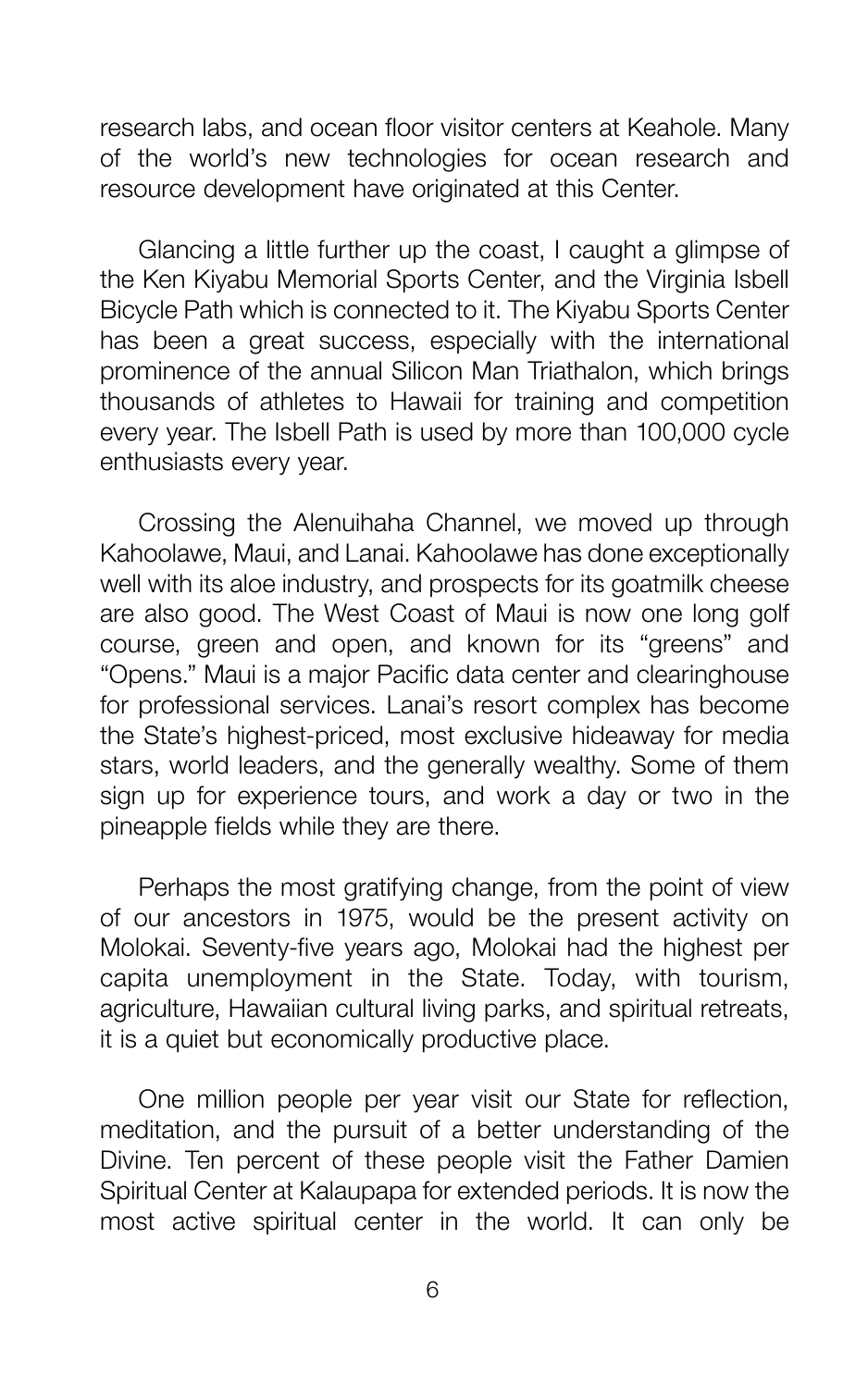research labs, and ocean floor visitor centers at Keahole. Many of the world's new technologies for ocean research and resource development have originated at this Center.

Glancing a little further up the coast, I caught a glimpse of the Ken Kiyabu Memorial Sports Center, and the Virginia Isbell Bicycle Path which is connected to it. The Kiyabu Sports Center has been a great success, especially with the international prominence of the annual Silicon Man Triathalon, which brings thousands of athletes to Hawaii for training and competition every year. The Isbell Path is used by more than 100,000 cycle enthusiasts every year.

Crossing the Alenuihaha Channel, we moved up through Kahoolawe, Maui, and Lanai. Kahoolawe has done exceptionally well with its aloe industry, and prospects for its goatmilk cheese are also good. The West Coast of Maui is now one long golf course, green and open, and known for its "greens" and "Opens." Maui is a major Pacific data center and clearinghouse for professional services. Lanai's resort complex has become the State's highest-priced, most exclusive hideaway for media stars, world leaders, and the generally wealthy. Some of them sign up for experience tours, and work a day or two in the pineapple fields while they are there.

Perhaps the most gratifying change, from the point of view of our ancestors in 1975, would be the present activity on Molokai. Seventy-five years ago, Molokai had the highest per capita unemployment in the State. Today, with tourism, agriculture, Hawaiian cultural living parks, and spiritual retreats, it is a quiet but economically productive place.

One million people per year visit our State for reflection, meditation, and the pursuit of a better understanding of the Divine. Ten percent of these people visit the Father Damien Spiritual Center at Kalaupapa for extended periods. It is now the most active spiritual center in the world. It can only be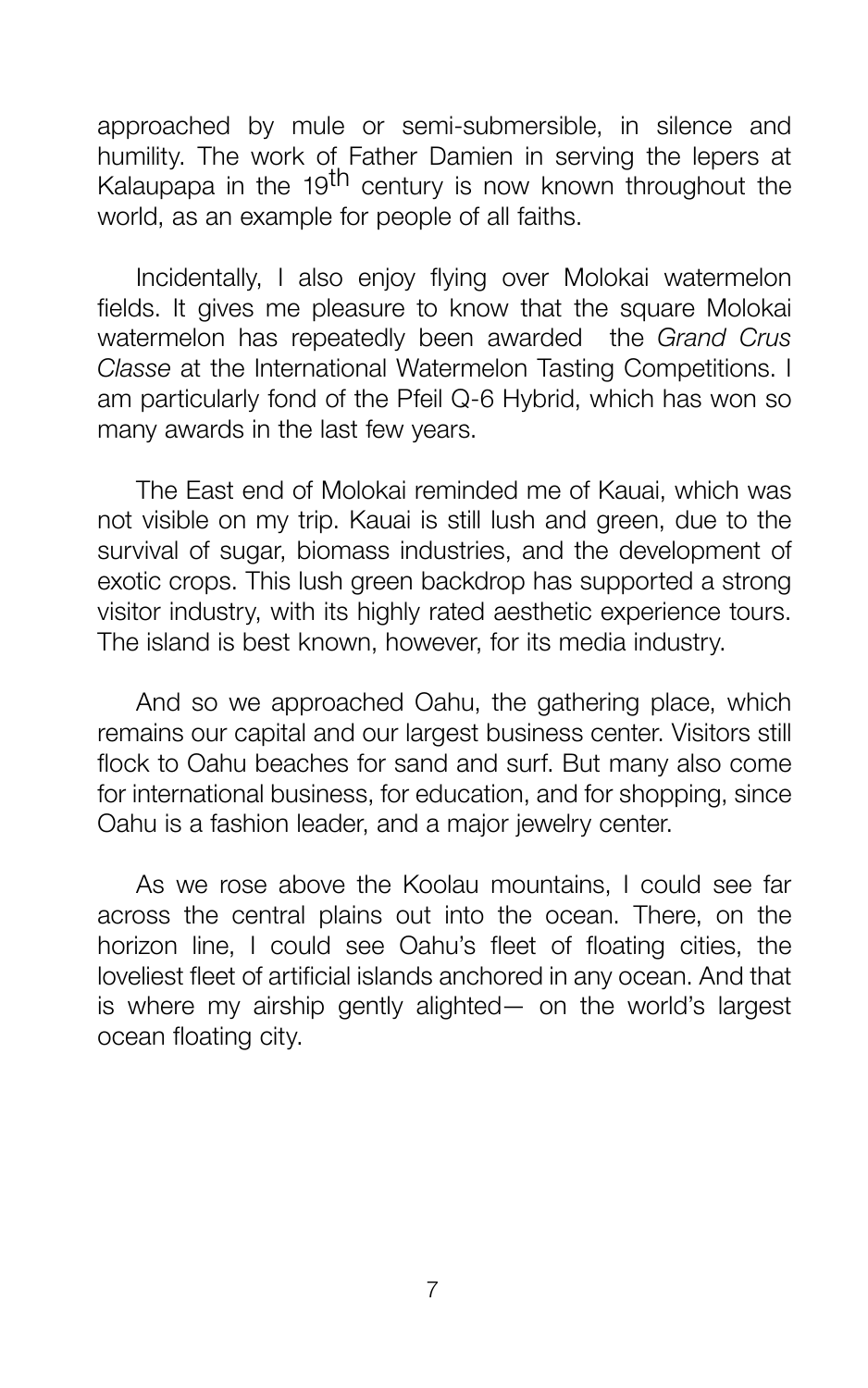approached by mule or semi-submersible, in silence and humility. The work of Father Damien in serving the lepers at Kalaupapa in the 19<sup>th</sup> century is now known throughout the world, as an example for people of all faiths.

Incidentally, I also enjoy flying over Molokai watermelon fields. It gives me pleasure to know that the square Molokai watermelon has repeatedly been awarded the *Grand Crus Classe* at the International Watermelon Tasting Competitions. I am particularly fond of the Pfeil Q-6 Hybrid, which has won so many awards in the last few years.

The East end of Molokai reminded me of Kauai, which was not visible on my trip. Kauai is still lush and green, due to the survival of sugar, biomass industries, and the development of exotic crops. This lush green backdrop has supported a strong visitor industry, with its highly rated aesthetic experience tours. The island is best known, however, for its media industry.

And so we approached Oahu, the gathering place, which remains our capital and our largest business center. Visitors still flock to Oahu beaches for sand and surf. But many also come for international business, for education, and for shopping, since Oahu is a fashion leader, and a major jewelry center.

As we rose above the Koolau mountains, I could see far across the central plains out into the ocean. There, on the horizon line, I could see Oahu's fleet of floating cities, the loveliest fleet of artificial islands anchored in any ocean. And that is where my airship gently alighted— on the world's largest ocean floating city.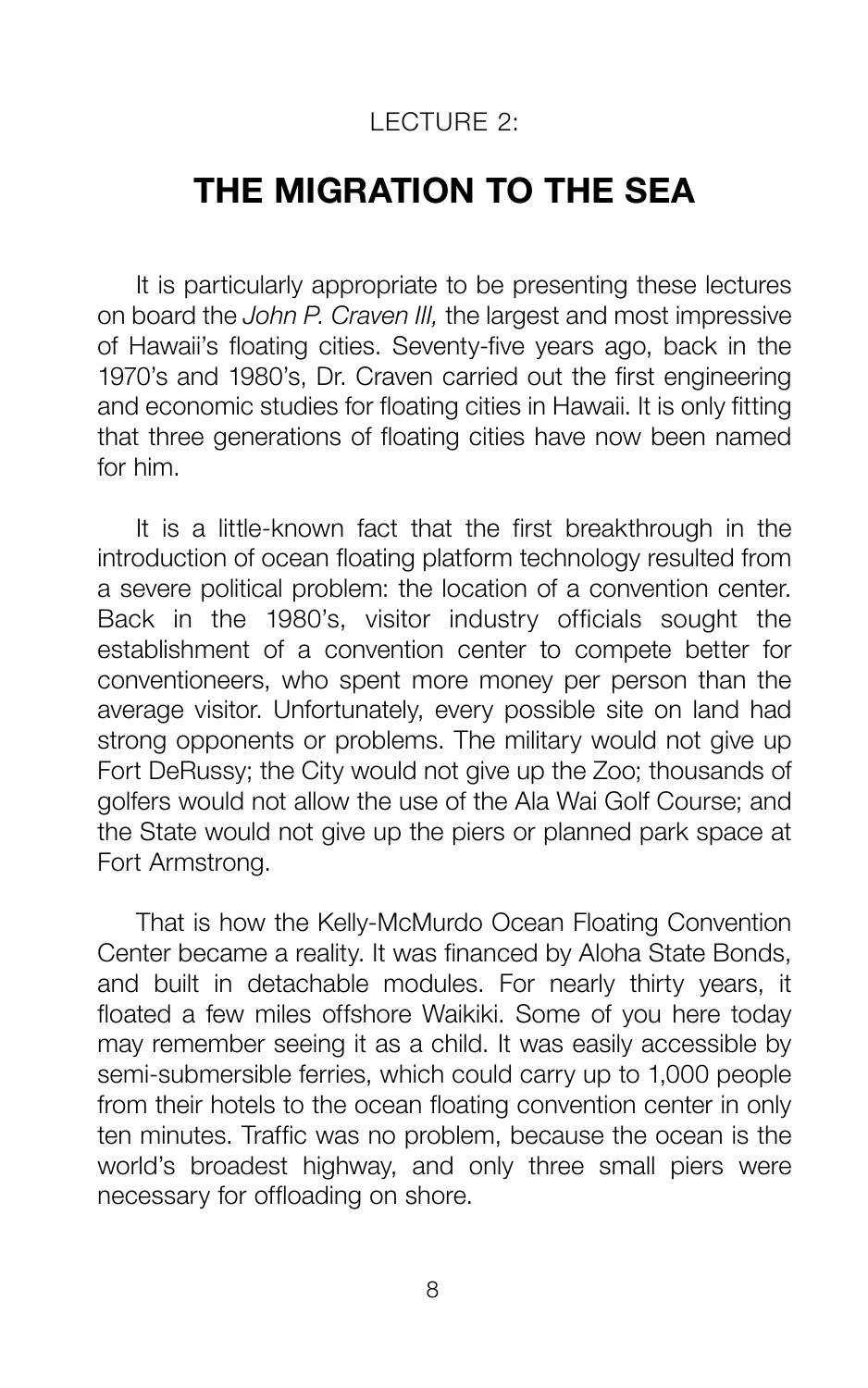#### LECTURE 2:

#### **THE MIGRATION TO THE SEA**

It is particularly appropriate to be presenting these lectures on board the *John P. Craven III,* the largest and most impressive of Hawaii's floating cities. Seventy-five years ago, back in the 1970's and 1980's, Dr. Craven carried out the first engineering and economic studies for floating cities in Hawaii. It is only fitting that three generations of floating cities have now been named for him.

It is a little-known fact that the first breakthrough in the introduction of ocean floating platform technology resulted from a severe political problem: the location of a convention center. Back in the 1980's, visitor industry officials sought the establishment of a convention center to compete better for conventioneers, who spent more money per person than the average visitor. Unfortunately, every possible site on land had strong opponents or problems. The military would not give up Fort DeRussy; the City would not give up the Zoo; thousands of golfers would not allow the use of the Ala Wai Golf Course; and the State would not give up the piers or planned park space at Fort Armstrong.

That is how the Kelly-McMurdo Ocean Floating Convention Center became a reality. It was financed by Aloha State Bonds, and built in detachable modules. For nearly thirty years, it floated a few miles offshore Waikiki. Some of you here today may remember seeing it as a child. It was easily accessible by semi-submersible ferries, which could carry up to 1,000 people from their hotels to the ocean floating convention center in only ten minutes. Traffic was no problem, because the ocean is the world's broadest highway, and only three small piers were necessary for offloading on shore.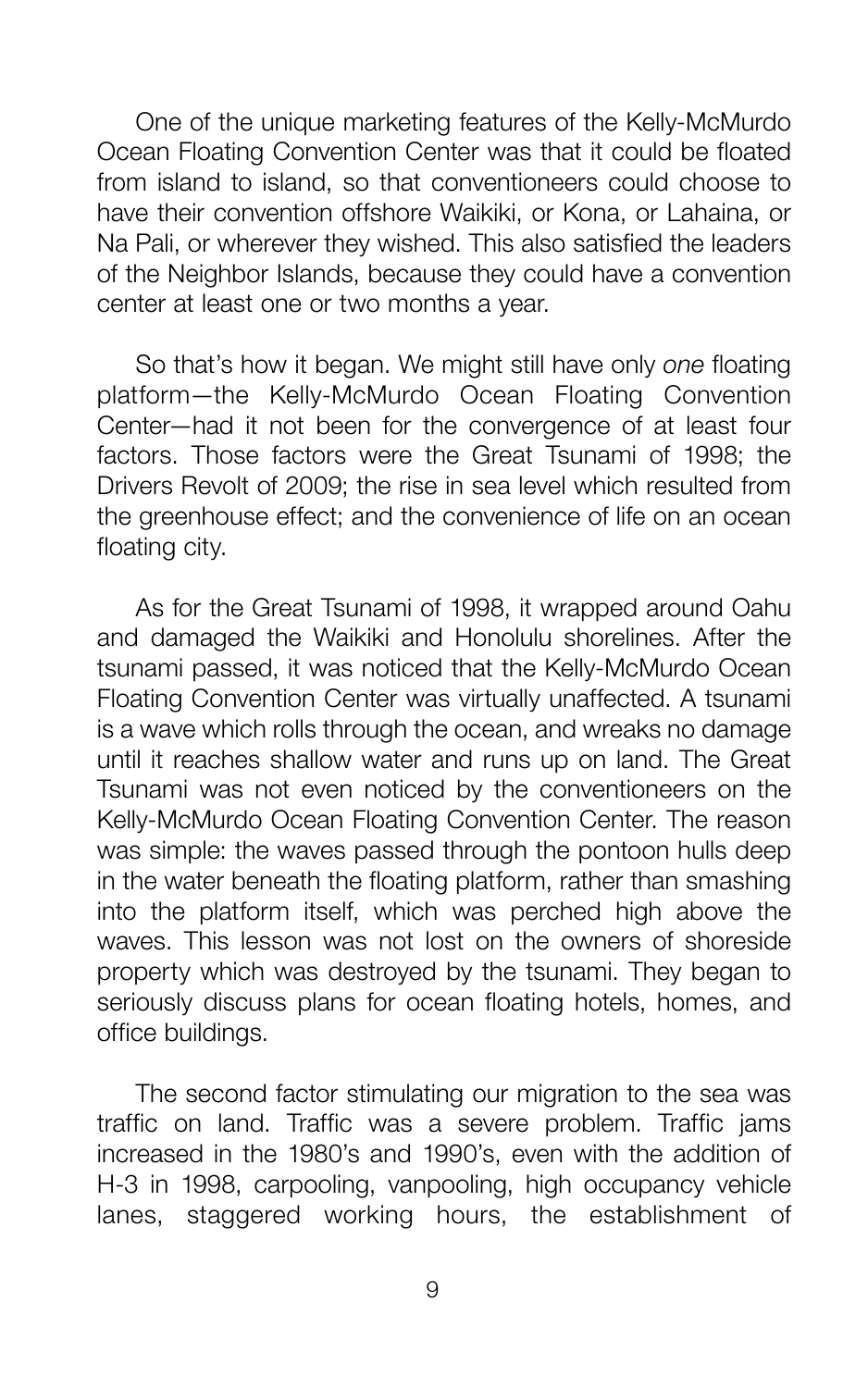One of the unique marketing features of the Kelly-McMurdo Ocean Floating Convention Center was that it could be floated from island to island, so that conventioneers could choose to have their convention offshore Waikiki, or Kona, or Lahaina, or Na Pali, or wherever they wished. This also satisfied the leaders of the Neighbor Islands, because they could have a convention center at least one or two months a year.

So that's how it began. We might still have only *one* floating platform—the Kelly-McMurdo Ocean Floating Convention Center—had it not been for the convergence of at least four factors. Those factors were the Great Tsunami of 1998; the Drivers Revolt of 2009; the rise in sea level which resulted from the greenhouse effect; and the convenience of life on an ocean floating city.

As for the Great Tsunami of 1998, it wrapped around Oahu and damaged the Waikiki and Honolulu shorelines. After the tsunami passed, it was noticed that the Kelly-McMurdo Ocean Floating Convention Center was virtually unaffected. A tsunami is a wave which rolls through the ocean, and wreaks no damage until it reaches shallow water and runs up on land. The Great Tsunami was not even noticed by the conventioneers on the Kelly-McMurdo Ocean Floating Convention Center. The reason was simple: the waves passed through the pontoon hulls deep in the water beneath the floating platform, rather than smashing into the platform itself, which was perched high above the waves. This lesson was not lost on the owners of shoreside property which was destroyed by the tsunami. They began to seriously discuss plans for ocean floating hotels, homes, and office buildings.

The second factor stimulating our migration to the sea was traffic on land. Traffic was a severe problem. Traffic jams increased in the 1980's and 1990's, even with the addition of H-3 in 1998, carpooling, vanpooling, high occupancy vehicle lanes, staggered working hours, the establishment of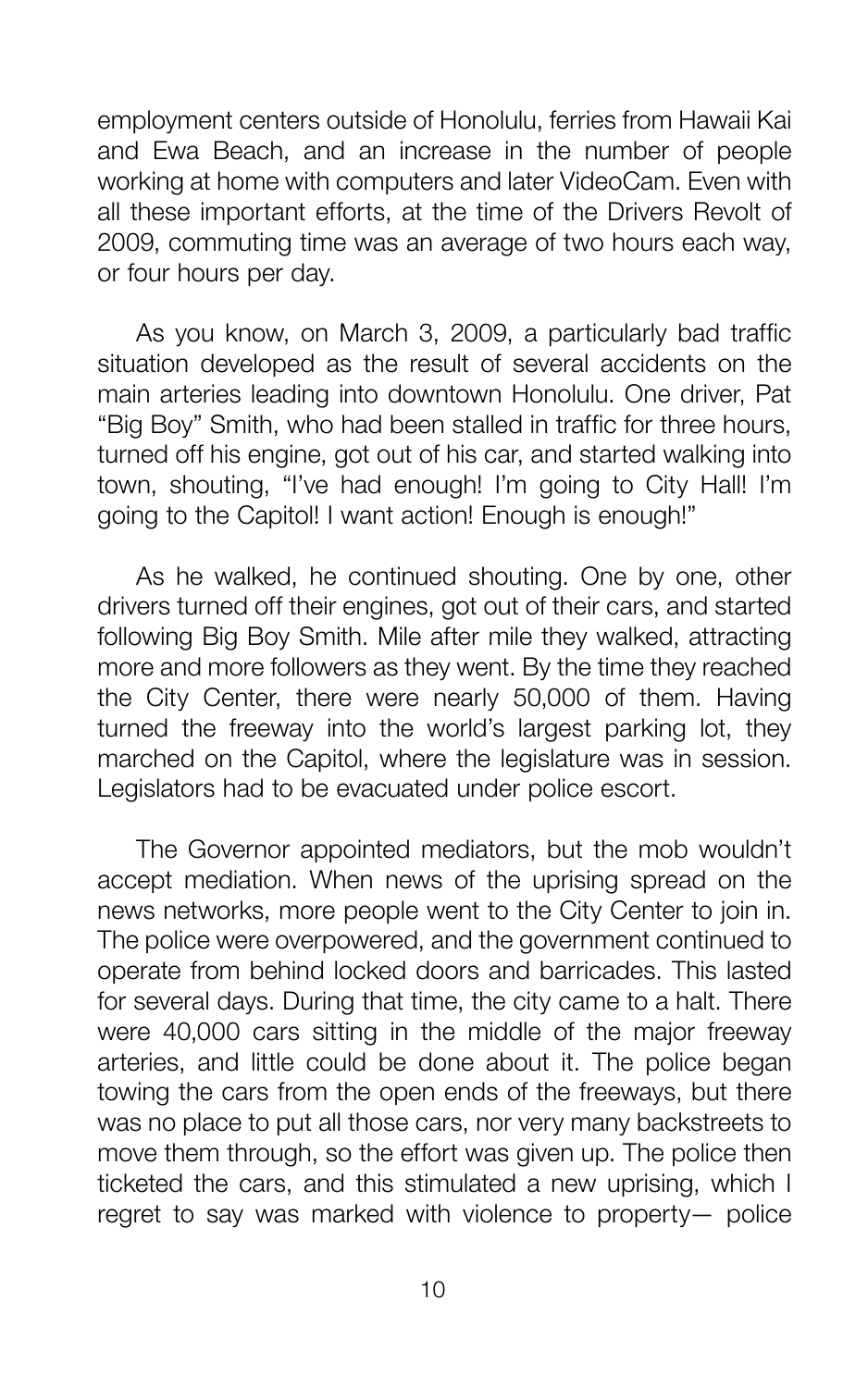employment centers outside of Honolulu, ferries from Hawaii Kai and Ewa Beach, and an increase in the number of people working at home with computers and later VideoCam. Even with all these important efforts, at the time of the Drivers Revolt of 2009, commuting time was an average of two hours each way, or four hours per day.

As you know, on March 3, 2009, a particularly bad traffic situation developed as the result of several accidents on the main arteries leading into downtown Honolulu. One driver, Pat "Big Boy" Smith, who had been stalled in traffic for three hours, turned off his engine, got out of his car, and started walking into town, shouting, "I've had enough! I'm going to City Hall! I'm going to the Capitol! I want action! Enough is enough!"

As he walked, he continued shouting. One by one, other drivers turned off their engines, got out of their cars, and started following Big Boy Smith. Mile after mile they walked, attracting more and more followers as they went. By the time they reached the City Center, there were nearly 50,000 of them. Having turned the freeway into the world's largest parking lot, they marched on the Capitol, where the legislature was in session. Legislators had to be evacuated under police escort.

The Governor appointed mediators, but the mob wouldn't accept mediation. When news of the uprising spread on the news networks, more people went to the City Center to join in. The police were overpowered, and the government continued to operate from behind locked doors and barricades. This lasted for several days. During that time, the city came to a halt. There were 40,000 cars sitting in the middle of the major freeway arteries, and little could be done about it. The police began towing the cars from the open ends of the freeways, but there was no place to put all those cars, nor very many backstreets to move them through, so the effort was given up. The police then ticketed the cars, and this stimulated a new uprising, which I regret to say was marked with violence to property— police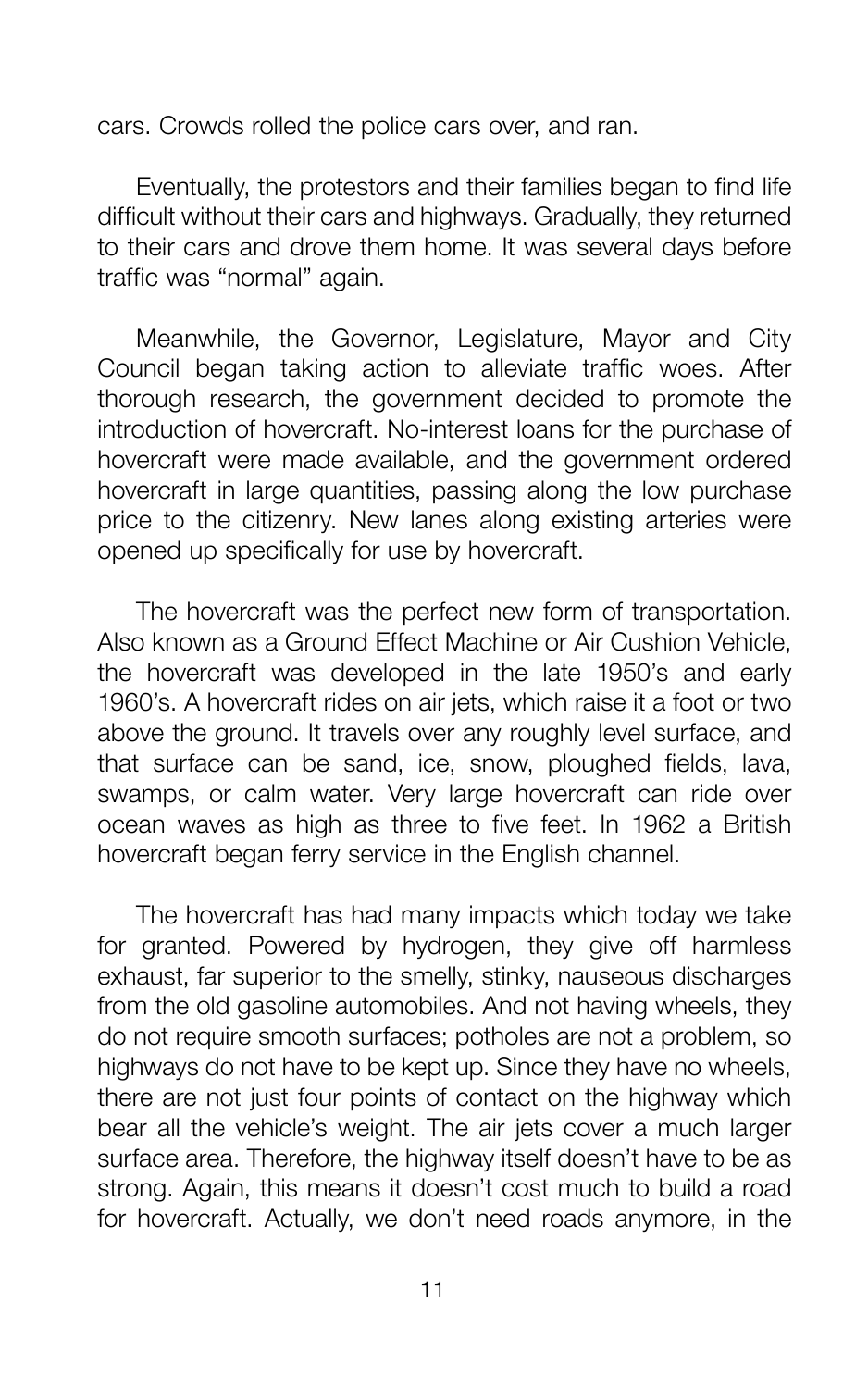cars. Crowds rolled the police cars over, and ran.

Eventually, the protestors and their families began to find life difficult without their cars and highways. Gradually, they returned to their cars and drove them home. It was several days before traffic was "normal" again.

Meanwhile, the Governor, Legislature, Mayor and City Council began taking action to alleviate traffic woes. After thorough research, the government decided to promote the introduction of hovercraft. No-interest loans for the purchase of hovercraft were made available, and the government ordered hovercraft in large quantities, passing along the low purchase price to the citizenry. New lanes along existing arteries were opened up specifically for use by hovercraft.

The hovercraft was the perfect new form of transportation. Also known as a Ground Effect Machine or Air Cushion Vehicle, the hovercraft was developed in the late 1950's and early 1960's. A hovercraft rides on air jets, which raise it a foot or two above the ground. It travels over any roughly level surface, and that surface can be sand, ice, snow, ploughed fields, lava, swamps, or calm water. Very large hovercraft can ride over ocean waves as high as three to five feet. In 1962 a British hovercraft began ferry service in the English channel.

The hovercraft has had many impacts which today we take for granted. Powered by hydrogen, they give off harmless exhaust, far superior to the smelly, stinky, nauseous discharges from the old gasoline automobiles. And not having wheels, they do not require smooth surfaces; potholes are not a problem, so highways do not have to be kept up. Since they have no wheels, there are not just four points of contact on the highway which bear all the vehicle's weight. The air jets cover a much larger surface area. Therefore, the highway itself doesn't have to be as strong. Again, this means it doesn't cost much to build a road for hovercraft. Actually, we don't need roads anymore, in the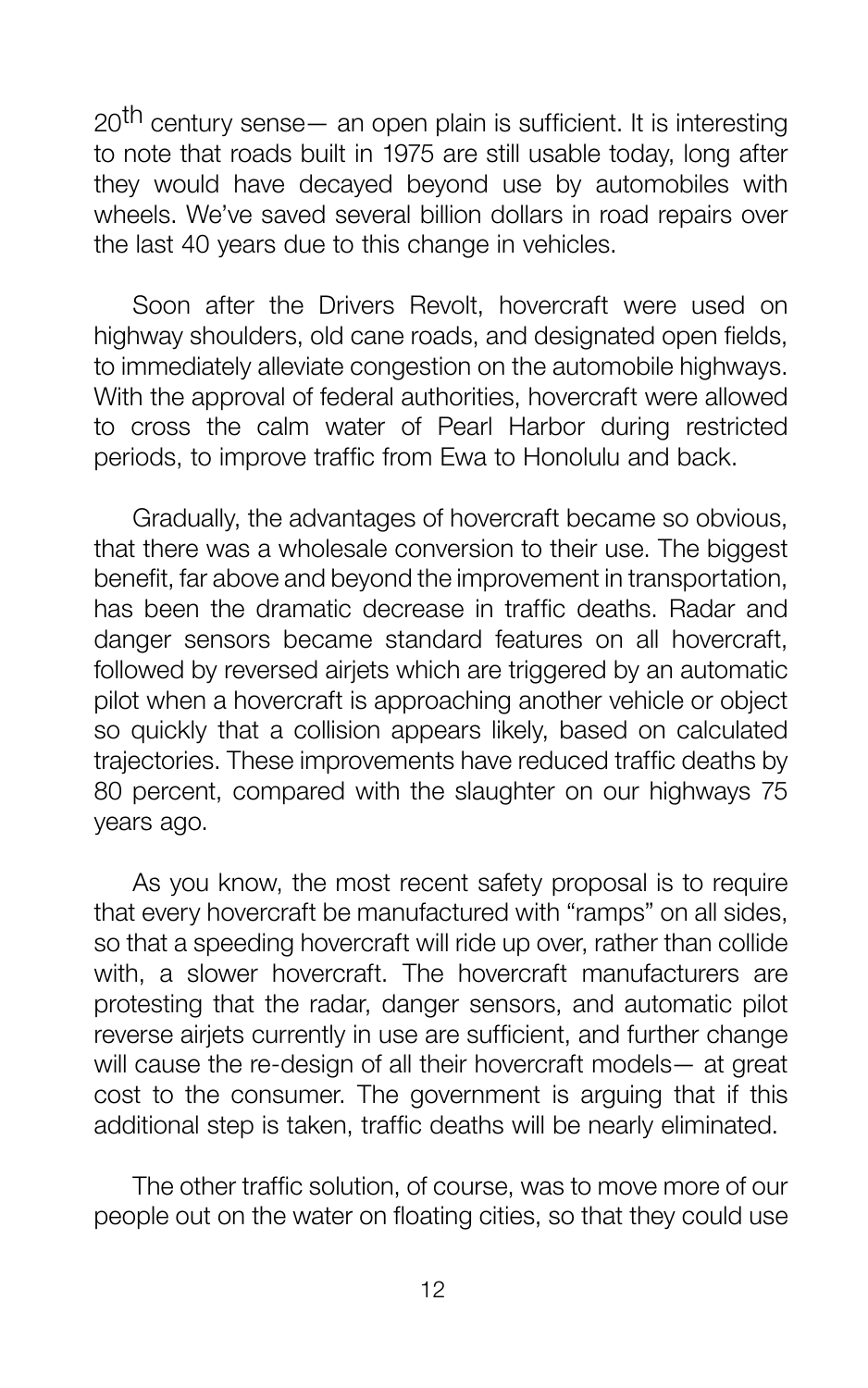$20<sup>th</sup>$  century sense— an open plain is sufficient. It is interesting to note that roads built in 1975 are still usable today, long after they would have decayed beyond use by automobiles with wheels. We've saved several billion dollars in road repairs over the last 40 years due to this change in vehicles.

Soon after the Drivers Revolt, hovercraft were used on highway shoulders, old cane roads, and designated open fields, to immediately alleviate congestion on the automobile highways. With the approval of federal authorities, hovercraft were allowed to cross the calm water of Pearl Harbor during restricted periods, to improve traffic from Ewa to Honolulu and back.

Gradually, the advantages of hovercraft became so obvious, that there was a wholesale conversion to their use. The biggest benefit, far above and beyond the improvement in transportation, has been the dramatic decrease in traffic deaths. Radar and danger sensors became standard features on all hovercraft, followed by reversed airjets which are triggered by an automatic pilot when a hovercraft is approaching another vehicle or object so quickly that a collision appears likely, based on calculated trajectories. These improvements have reduced traffic deaths by 80 percent, compared with the slaughter on our highways 75 years ago.

As you know, the most recent safety proposal is to require that every hovercraft be manufactured with "ramps" on all sides, so that a speeding hovercraft will ride up over, rather than collide with, a slower hovercraft. The hovercraft manufacturers are protesting that the radar, danger sensors, and automatic pilot reverse airjets currently in use are sufficient, and further change will cause the re-design of all their hovercraft models— at great cost to the consumer. The government is arguing that if this additional step is taken, traffic deaths will be nearly eliminated.

The other traffic solution, of course, was to move more of our people out on the water on floating cities, so that they could use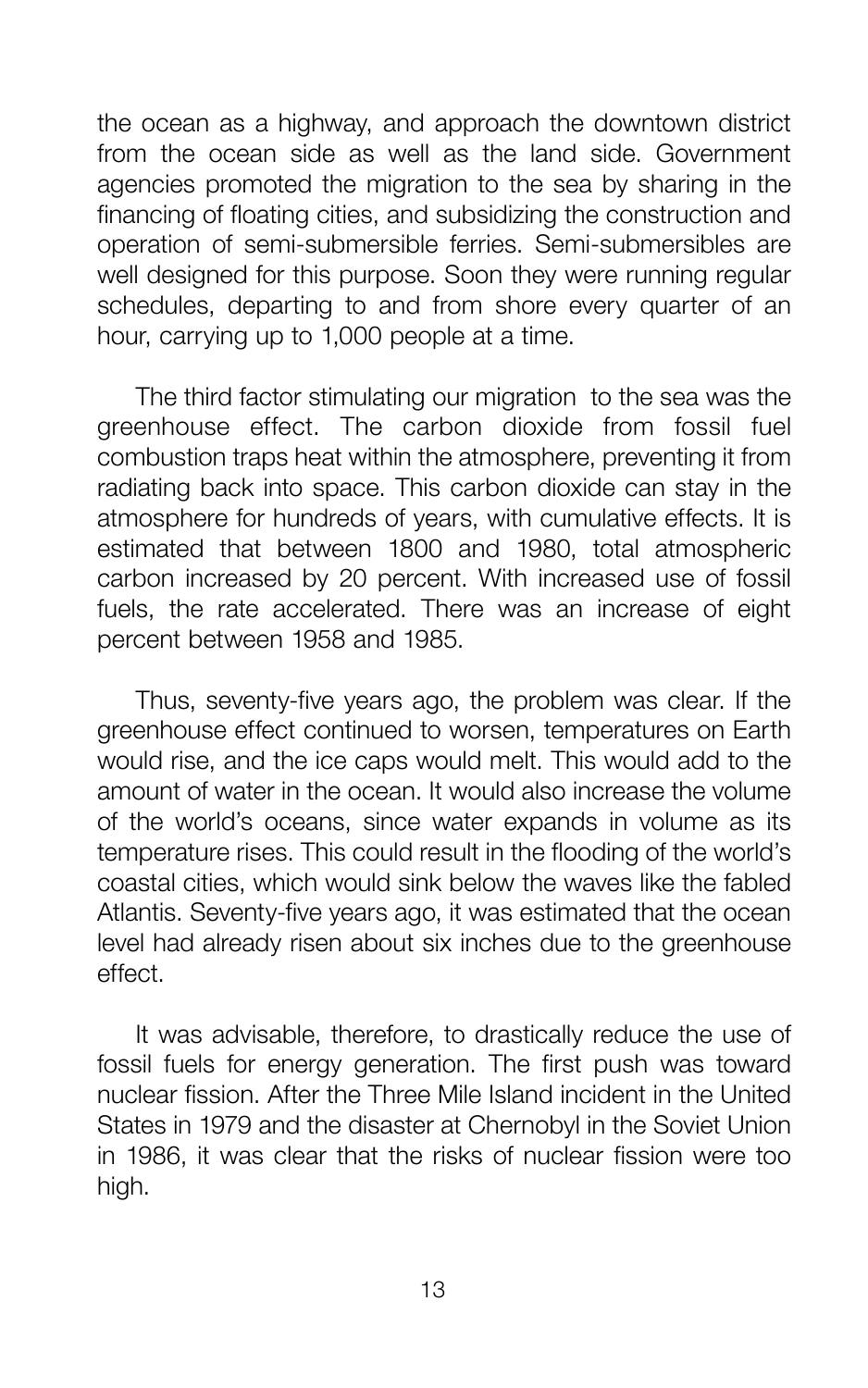the ocean as a highway, and approach the downtown district from the ocean side as well as the land side. Government agencies promoted the migration to the sea by sharing in the financing of floating cities, and subsidizing the construction and operation of semi-submersible ferries. Semi-submersibles are well designed for this purpose. Soon they were running regular schedules, departing to and from shore every quarter of an hour, carrying up to 1,000 people at a time.

The third factor stimulating our migration to the sea was the greenhouse effect. The carbon dioxide from fossil fuel combustion traps heat within the atmosphere, preventing it from radiating back into space. This carbon dioxide can stay in the atmosphere for hundreds of years, with cumulative effects. It is estimated that between 1800 and 1980, total atmospheric carbon increased by 20 percent. With increased use of fossil fuels, the rate accelerated. There was an increase of eight percent between 1958 and 1985.

Thus, seventy-five years ago, the problem was clear. If the greenhouse effect continued to worsen, temperatures on Earth would rise, and the ice caps would melt. This would add to the amount of water in the ocean. It would also increase the volume of the world's oceans, since water expands in volume as its temperature rises. This could result in the flooding of the world's coastal cities, which would sink below the waves like the fabled Atlantis. Seventy-five years ago, it was estimated that the ocean level had already risen about six inches due to the greenhouse effect.

It was advisable, therefore, to drastically reduce the use of fossil fuels for energy generation. The first push was toward nuclear fission. After the Three Mile Island incident in the United States in 1979 and the disaster at Chernobyl in the Soviet Union in 1986, it was clear that the risks of nuclear fission were too high.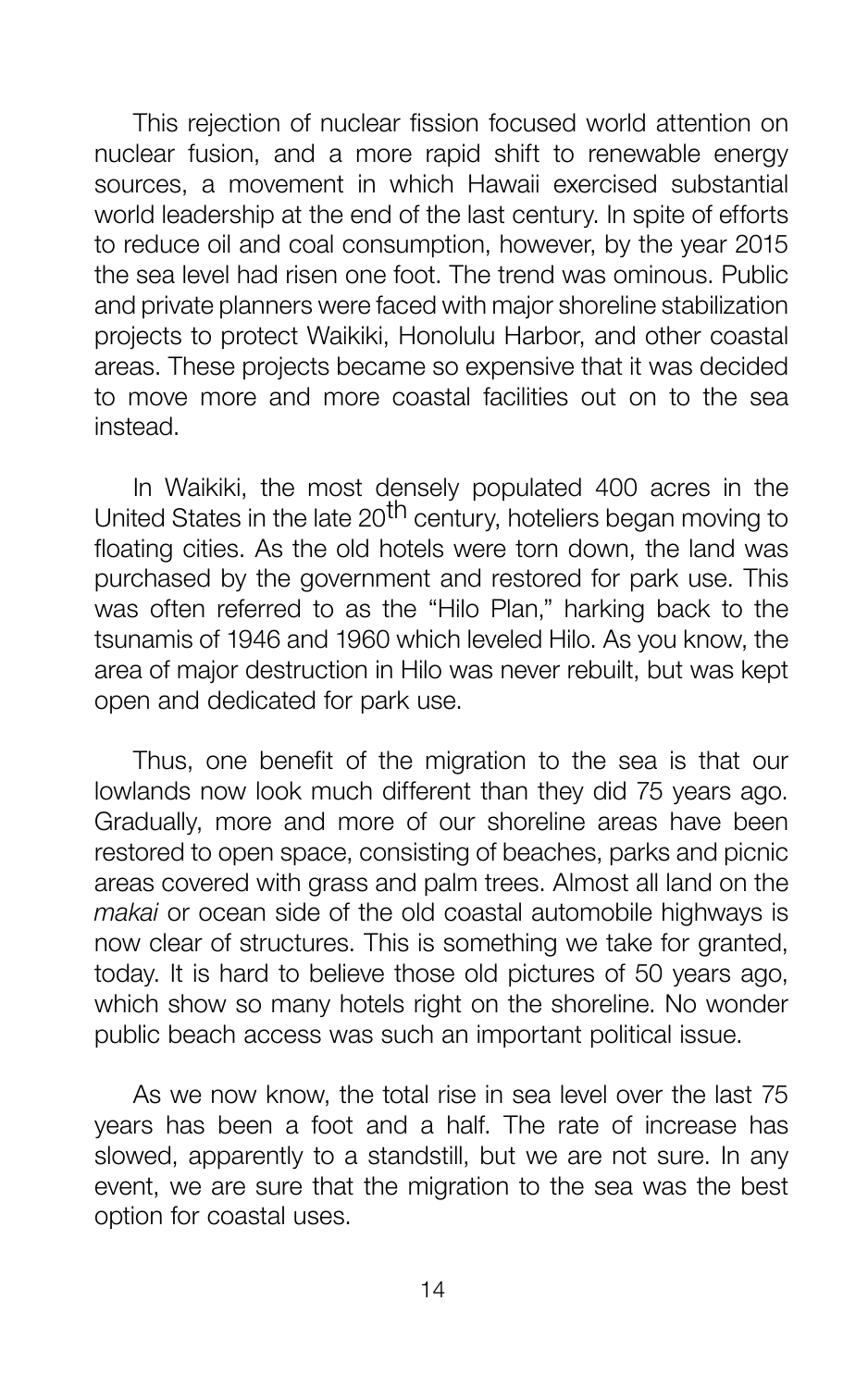This rejection of nuclear fission focused world attention on nuclear fusion, and a more rapid shift to renewable energy sources, a movement in which Hawaii exercised substantial world leadership at the end of the last century. In spite of efforts to reduce oil and coal consumption, however, by the year 2015 the sea level had risen one foot. The trend was ominous. Public and private planners were faced with major shoreline stabilization projects to protect Waikiki, Honolulu Harbor, and other coastal areas. These projects became so expensive that it was decided to move more and more coastal facilities out on to the sea instead.

In Waikiki, the most densely populated 400 acres in the United States in the late 20<sup>th</sup> century, hoteliers began moving to floating cities. As the old hotels were torn down, the land was purchased by the government and restored for park use. This was often referred to as the "Hilo Plan," harking back to the tsunamis of 1946 and 1960 which leveled Hilo. As you know, the area of major destruction in Hilo was never rebuilt, but was kept open and dedicated for park use.

Thus, one benefit of the migration to the sea is that our lowlands now look much different than they did 75 years ago. Gradually, more and more of our shoreline areas have been restored to open space, consisting of beaches, parks and picnic areas covered with grass and palm trees. Almost all land on the *makai* or ocean side of the old coastal automobile highways is now clear of structures. This is something we take for granted, today. It is hard to believe those old pictures of 50 years ago, which show so many hotels right on the shoreline. No wonder public beach access was such an important political issue.

As we now know, the total rise in sea level over the last 75 years has been a foot and a half. The rate of increase has slowed, apparently to a standstill, but we are not sure. In any event, we are sure that the migration to the sea was the best option for coastal uses.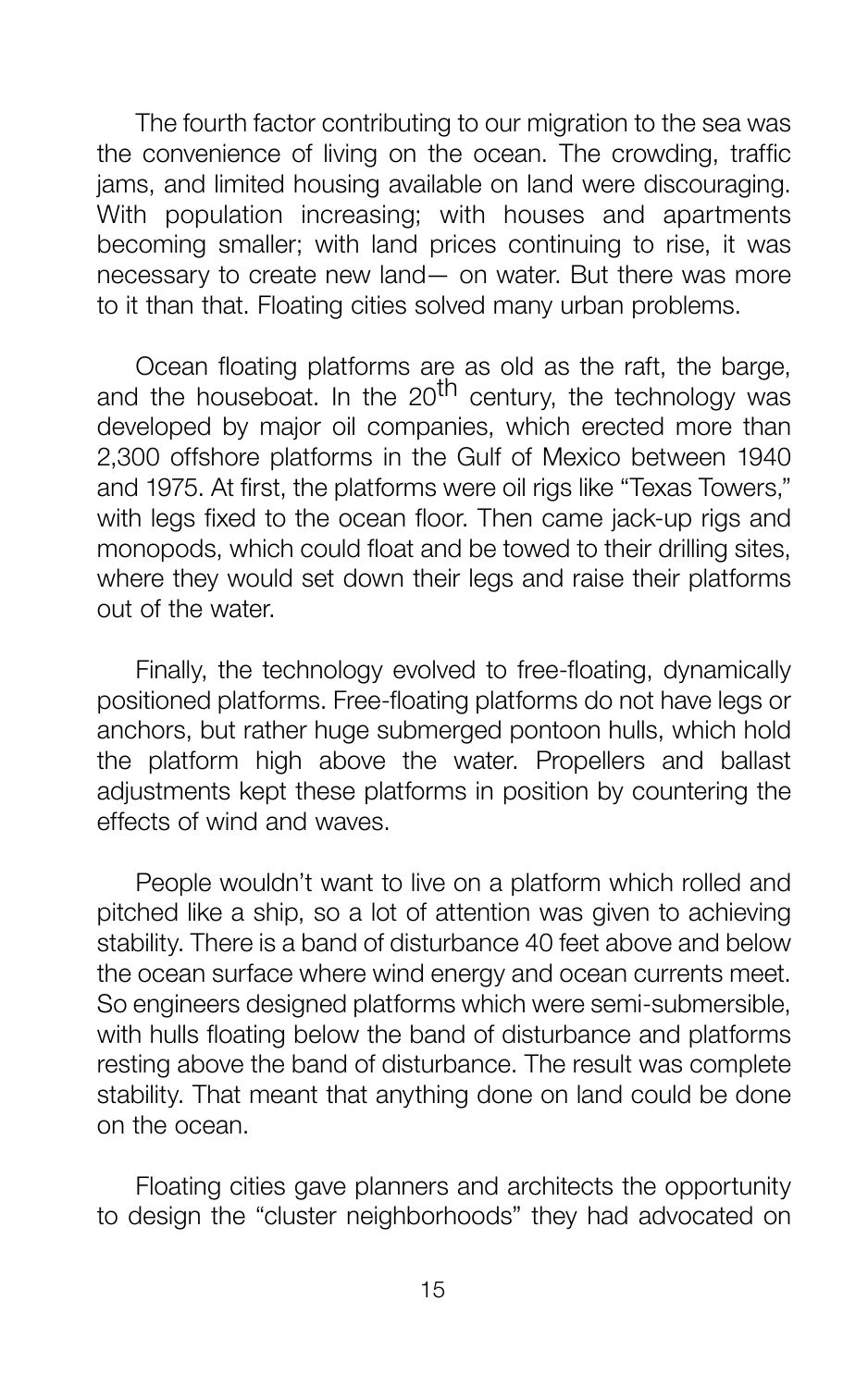The fourth factor contributing to our migration to the sea was the convenience of living on the ocean. The crowding, traffic jams, and limited housing available on land were discouraging. With population increasing; with houses and apartments becoming smaller; with land prices continuing to rise, it was necessary to create new land— on water. But there was more to it than that. Floating cities solved many urban problems.

Ocean floating platforms are as old as the raft, the barge. and the houseboat. In the 20<sup>th</sup> century, the technology was developed by major oil companies, which erected more than 2,300 offshore platforms in the Gulf of Mexico between 1940 and 1975. At first, the platforms were oil rigs like "Texas Towers," with legs fixed to the ocean floor. Then came jack-up rigs and monopods, which could float and be towed to their drilling sites, where they would set down their legs and raise their platforms out of the water.

Finally, the technology evolved to free-floating, dynamically positioned platforms. Free-floating platforms do not have legs or anchors, but rather huge submerged pontoon hulls, which hold the platform high above the water. Propellers and ballast adjustments kept these platforms in position by countering the effects of wind and waves.

People wouldn't want to live on a platform which rolled and pitched like a ship, so a lot of attention was given to achieving stability. There is a band of disturbance 40 feet above and below the ocean surface where wind energy and ocean currents meet. So engineers designed platforms which were semi-submersible, with hulls floating below the band of disturbance and platforms resting above the band of disturbance. The result was complete stability. That meant that anything done on land could be done on the ocean.

Floating cities gave planners and architects the opportunity to design the "cluster neighborhoods" they had advocated on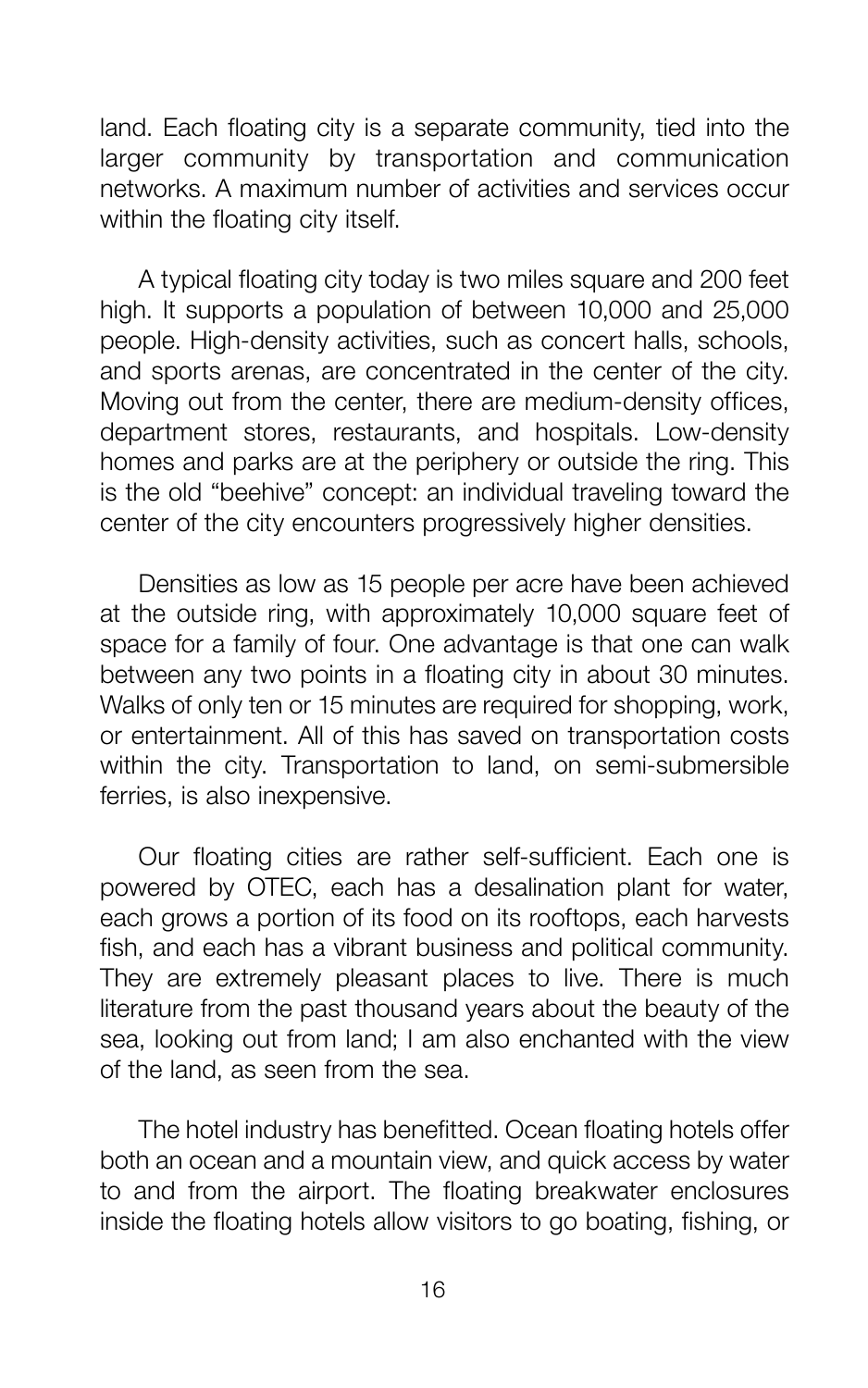land. Each floating city is a separate community, tied into the larger community by transportation and communication networks. A maximum number of activities and services occur within the floating city itself.

A typical floating city today is two miles square and 200 feet high. It supports a population of between 10,000 and 25,000 people. High-density activities, such as concert halls, schools, and sports arenas, are concentrated in the center of the city. Moving out from the center, there are medium-density offices, department stores, restaurants, and hospitals. Low-density homes and parks are at the periphery or outside the ring. This is the old "beehive" concept: an individual traveling toward the center of the city encounters progressively higher densities.

Densities as low as 15 people per acre have been achieved at the outside ring, with approximately 10,000 square feet of space for a family of four. One advantage is that one can walk between any two points in a floating city in about 30 minutes. Walks of only ten or 15 minutes are required for shopping, work, or entertainment. All of this has saved on transportation costs within the city. Transportation to land, on semi-submersible ferries, is also inexpensive.

Our floating cities are rather self-sufficient. Each one is powered by OTEC, each has a desalination plant for water, each grows a portion of its food on its rooftops, each harvests fish, and each has a vibrant business and political community. They are extremely pleasant places to live. There is much literature from the past thousand years about the beauty of the sea, looking out from land; I am also enchanted with the view of the land, as seen from the sea.

The hotel industry has benefitted. Ocean floating hotels offer both an ocean and a mountain view, and quick access by water to and from the airport. The floating breakwater enclosures inside the floating hotels allow visitors to go boating, fishing, or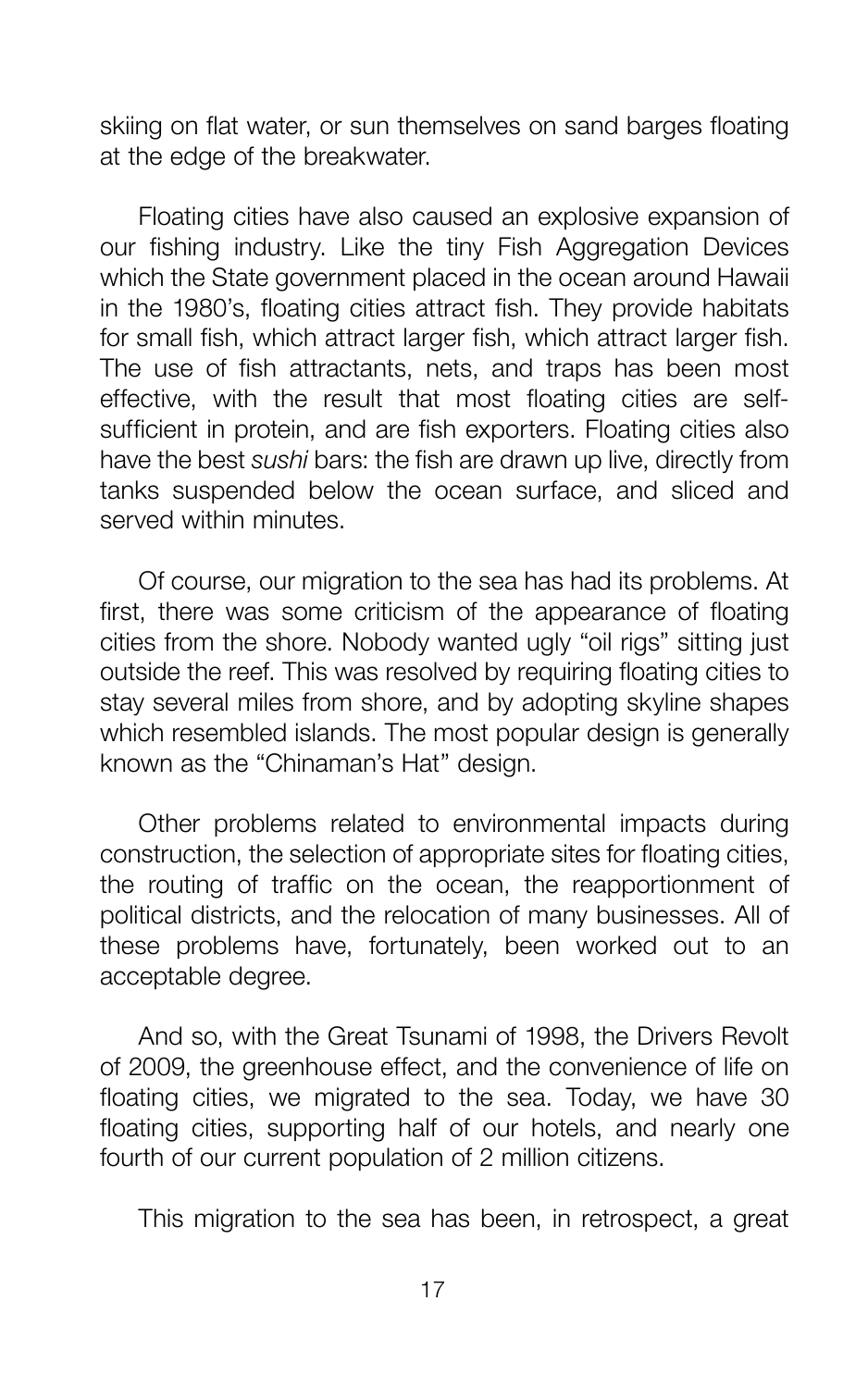skiing on flat water, or sun themselves on sand barges floating at the edge of the breakwater.

Floating cities have also caused an explosive expansion of our fishing industry. Like the tiny Fish Aggregation Devices which the State government placed in the ocean around Hawaii in the 1980's, floating cities attract fish. They provide habitats for small fish, which attract larger fish, which attract larger fish. The use of fish attractants, nets, and traps has been most effective, with the result that most floating cities are selfsufficient in protein, and are fish exporters. Floating cities also have the best *sushi* bars: the fish are drawn up live, directly from tanks suspended below the ocean surface, and sliced and served within minutes.

Of course, our migration to the sea has had its problems. At first, there was some criticism of the appearance of floating cities from the shore. Nobody wanted ugly "oil rigs" sitting just outside the reef. This was resolved by requiring floating cities to stay several miles from shore, and by adopting skyline shapes which resembled islands. The most popular design is generally known as the "Chinaman's Hat" design.

Other problems related to environmental impacts during construction, the selection of appropriate sites for floating cities, the routing of traffic on the ocean, the reapportionment of political districts, and the relocation of many businesses. All of these problems have, fortunately, been worked out to an acceptable degree.

And so, with the Great Tsunami of 1998, the Drivers Revolt of 2009, the greenhouse effect, and the convenience of life on floating cities, we migrated to the sea. Today, we have 30 floating cities, supporting half of our hotels, and nearly one fourth of our current population of 2 million citizens.

This migration to the sea has been, in retrospect, a great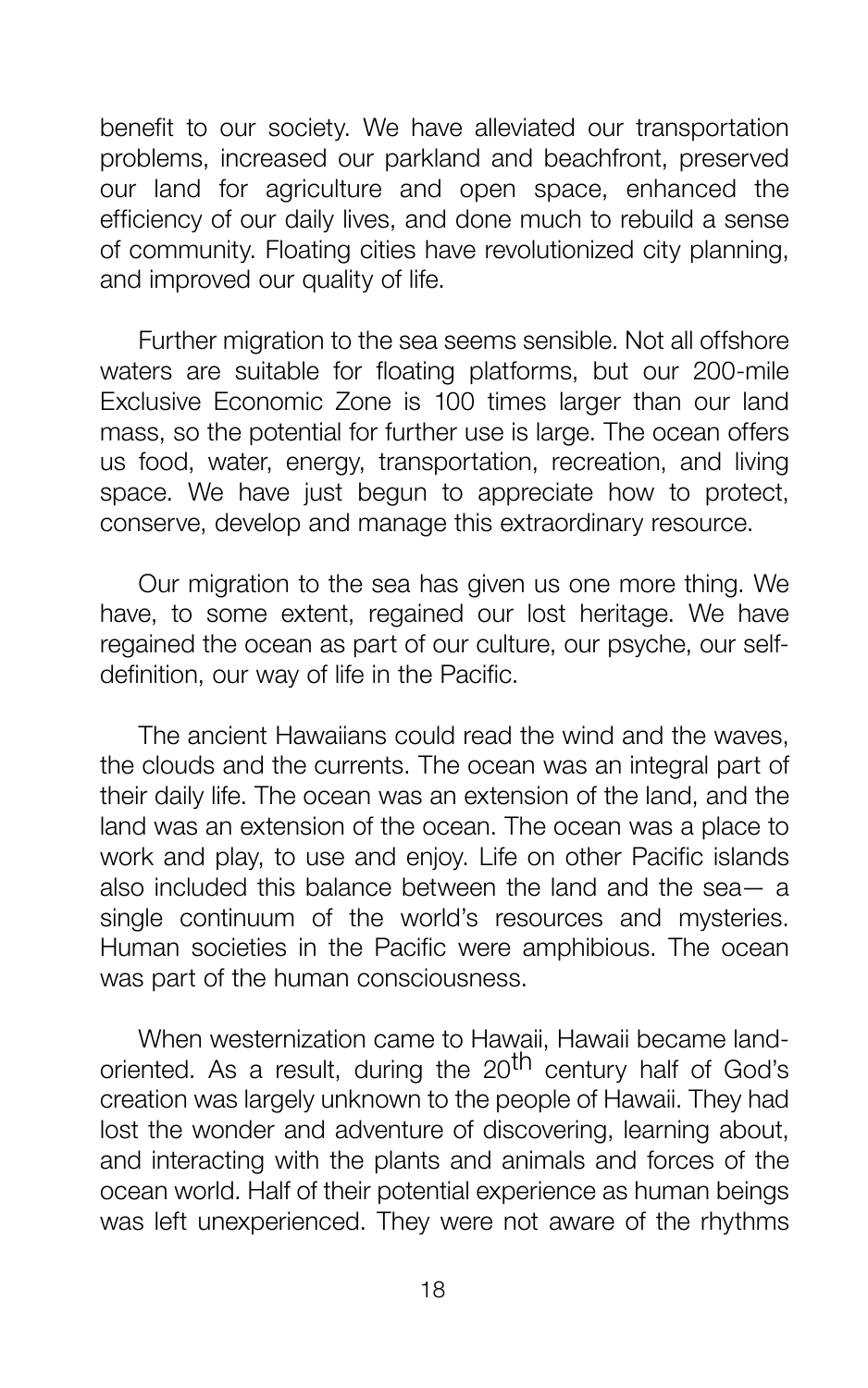benefit to our society. We have alleviated our transportation problems, increased our parkland and beachfront, preserved our land for agriculture and open space, enhanced the efficiency of our daily lives, and done much to rebuild a sense of community. Floating cities have revolutionized city planning, and improved our quality of life.

Further migration to the sea seems sensible. Not all offshore waters are suitable for floating platforms, but our 200-mile Exclusive Economic Zone is 100 times larger than our land mass, so the potential for further use is large. The ocean offers us food, water, energy, transportation, recreation, and living space. We have just begun to appreciate how to protect, conserve, develop and manage this extraordinary resource.

Our migration to the sea has given us one more thing. We have, to some extent, regained our lost heritage. We have regained the ocean as part of our culture, our psyche, our selfdefinition, our way of life in the Pacific.

The ancient Hawaiians could read the wind and the waves, the clouds and the currents. The ocean was an integral part of their daily life. The ocean was an extension of the land, and the land was an extension of the ocean. The ocean was a place to work and play, to use and enjoy. Life on other Pacific islands also included this balance between the land and the sea— a single continuum of the world's resources and mysteries. Human societies in the Pacific were amphibious. The ocean was part of the human consciousness.

When westernization came to Hawaii, Hawaii became landoriented. As a result, during the 20<sup>th</sup> century half of God's creation was largely unknown to the people of Hawaii. They had lost the wonder and adventure of discovering, learning about, and interacting with the plants and animals and forces of the ocean world. Half of their potential experience as human beings was left unexperienced. They were not aware of the rhythms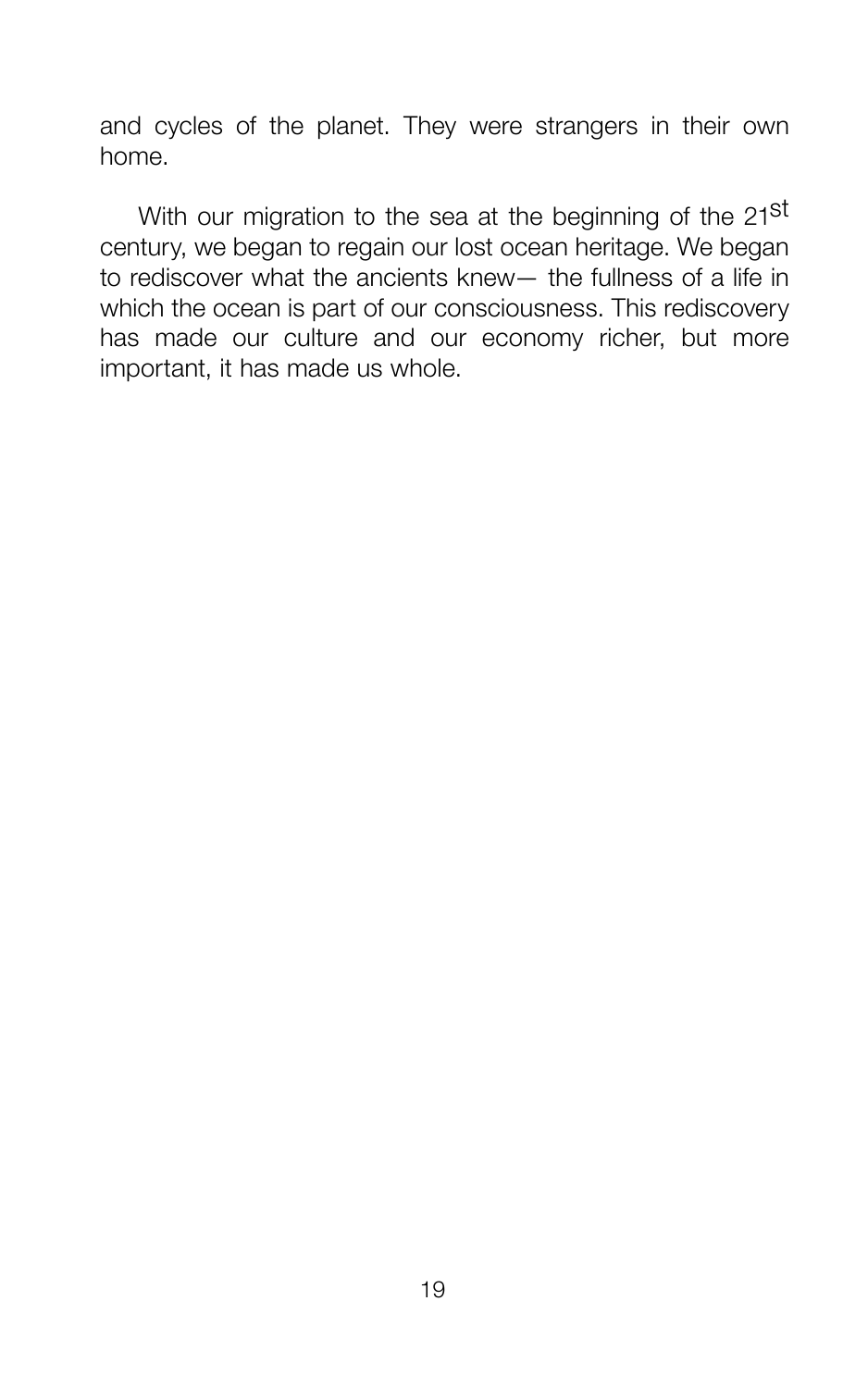and cycles of the planet. They were strangers in their own home.

With our migration to the sea at the beginning of the 21<sup>st</sup> century, we began to regain our lost ocean heritage. We began to rediscover what the ancients knew— the fullness of a life in which the ocean is part of our consciousness. This rediscovery has made our culture and our economy richer, but more important, it has made us whole.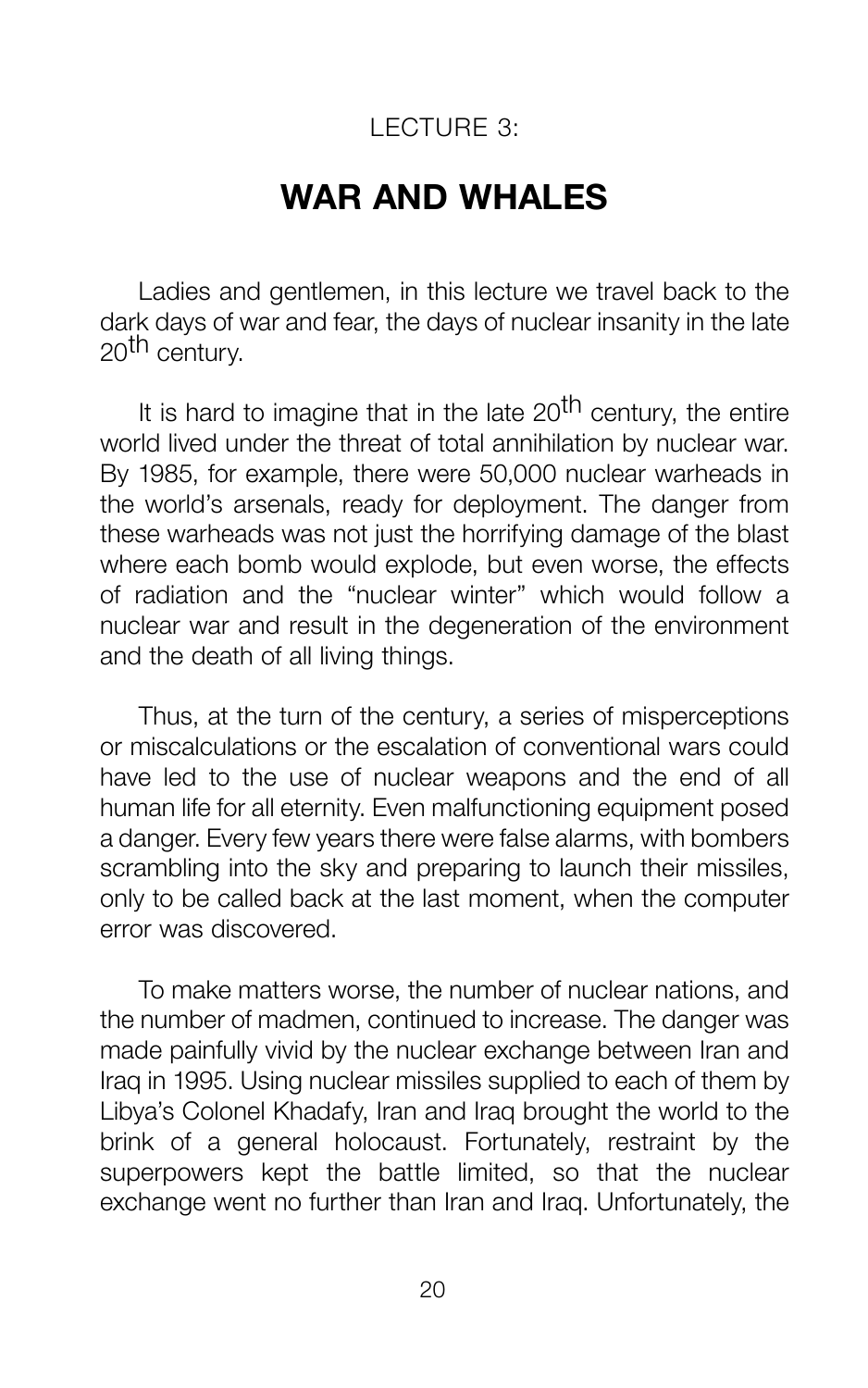#### LECTURE 3:

#### **WAR AND WHALES**

Ladies and gentlemen, in this lecture we travel back to the dark days of war and fear, the days of nuclear insanity in the late 20<sup>th</sup> century.

It is hard to imagine that in the late 20<sup>th</sup> century, the entire world lived under the threat of total annihilation by nuclear war. By 1985, for example, there were 50,000 nuclear warheads in the world's arsenals, ready for deployment. The danger from these warheads was not just the horrifying damage of the blast where each bomb would explode, but even worse, the effects of radiation and the "nuclear winter" which would follow a nuclear war and result in the degeneration of the environment and the death of all living things.

Thus, at the turn of the century, a series of misperceptions or miscalculations or the escalation of conventional wars could have led to the use of nuclear weapons and the end of all human life for all eternity. Even malfunctioning equipment posed a danger. Every few years there were false alarms, with bombers scrambling into the sky and preparing to launch their missiles, only to be called back at the last moment, when the computer error was discovered.

To make matters worse, the number of nuclear nations, and the number of madmen, continued to increase. The danger was made painfully vivid by the nuclear exchange between Iran and Iraq in 1995. Using nuclear missiles supplied to each of them by Libya's Colonel Khadafy, Iran and Iraq brought the world to the brink of a general holocaust. Fortunately, restraint by the superpowers kept the battle limited, so that the nuclear exchange went no further than Iran and Iraq. Unfortunately, the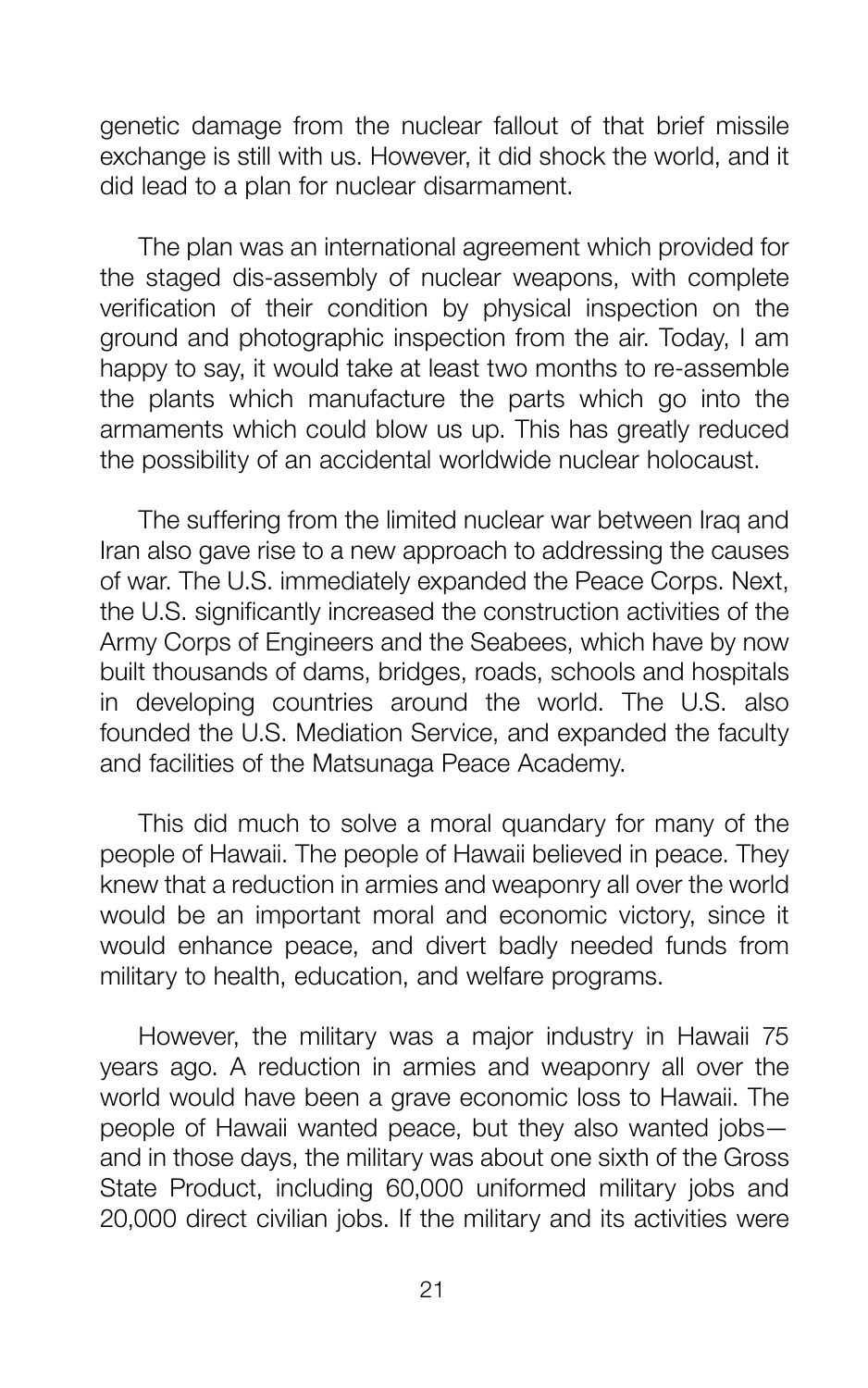genetic damage from the nuclear fallout of that brief missile exchange is still with us. However, it did shock the world, and it did lead to a plan for nuclear disarmament.

The plan was an international agreement which provided for the staged dis-assembly of nuclear weapons, with complete verification of their condition by physical inspection on the ground and photographic inspection from the air. Today, I am happy to say, it would take at least two months to re-assemble the plants which manufacture the parts which go into the armaments which could blow us up. This has greatly reduced the possibility of an accidental worldwide nuclear holocaust.

The suffering from the limited nuclear war between Iraq and Iran also gave rise to a new approach to addressing the causes of war. The U.S. immediately expanded the Peace Corps. Next, the U.S. significantly increased the construction activities of the Army Corps of Engineers and the Seabees, which have by now built thousands of dams, bridges, roads, schools and hospitals in developing countries around the world. The U.S. also founded the U.S. Mediation Service, and expanded the faculty and facilities of the Matsunaga Peace Academy.

This did much to solve a moral quandary for many of the people of Hawaii. The people of Hawaii believed in peace. They knew that a reduction in armies and weaponry all over the world would be an important moral and economic victory, since it would enhance peace, and divert badly needed funds from military to health, education, and welfare programs.

However, the military was a major industry in Hawaii 75 years ago. A reduction in armies and weaponry all over the world would have been a grave economic loss to Hawaii. The people of Hawaii wanted peace, but they also wanted jobs and in those days, the military was about one sixth of the Gross State Product, including 60,000 uniformed military jobs and 20,000 direct civilian jobs. If the military and its activities were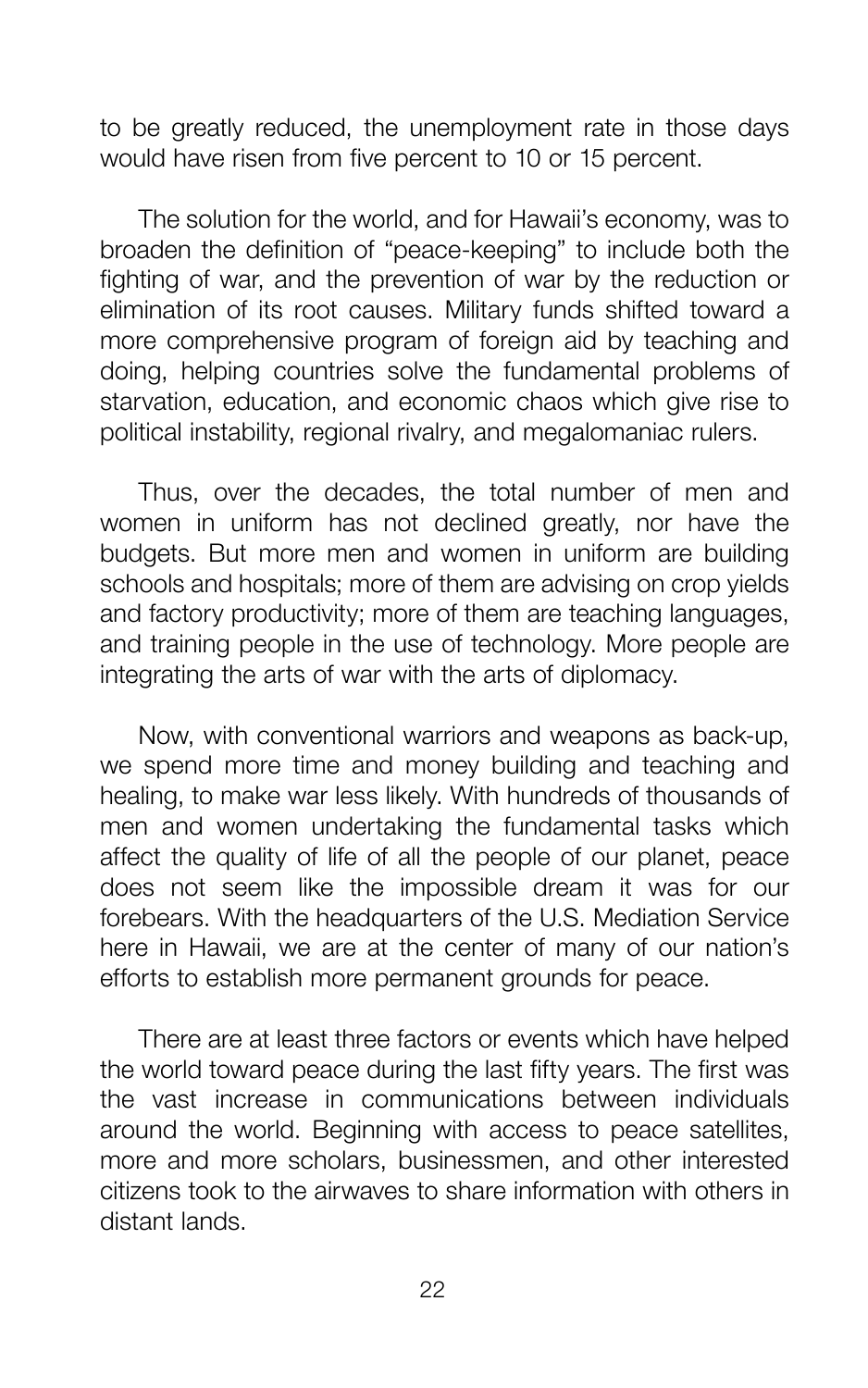to be greatly reduced, the unemployment rate in those days would have risen from five percent to 10 or 15 percent.

The solution for the world, and for Hawaii's economy, was to broaden the definition of "peace-keeping" to include both the fighting of war, and the prevention of war by the reduction or elimination of its root causes. Military funds shifted toward a more comprehensive program of foreign aid by teaching and doing, helping countries solve the fundamental problems of starvation, education, and economic chaos which give rise to political instability, regional rivalry, and megalomaniac rulers.

Thus, over the decades, the total number of men and women in uniform has not declined greatly, nor have the budgets. But more men and women in uniform are building schools and hospitals; more of them are advising on crop yields and factory productivity; more of them are teaching languages, and training people in the use of technology. More people are integrating the arts of war with the arts of diplomacy.

Now, with conventional warriors and weapons as back-up, we spend more time and money building and teaching and healing, to make war less likely. With hundreds of thousands of men and women undertaking the fundamental tasks which affect the quality of life of all the people of our planet, peace does not seem like the impossible dream it was for our forebears. With the headquarters of the U.S. Mediation Service here in Hawaii, we are at the center of many of our nation's efforts to establish more permanent grounds for peace.

There are at least three factors or events which have helped the world toward peace during the last fifty years. The first was the vast increase in communications between individuals around the world. Beginning with access to peace satellites, more and more scholars, businessmen, and other interested citizens took to the airwaves to share information with others in distant lands.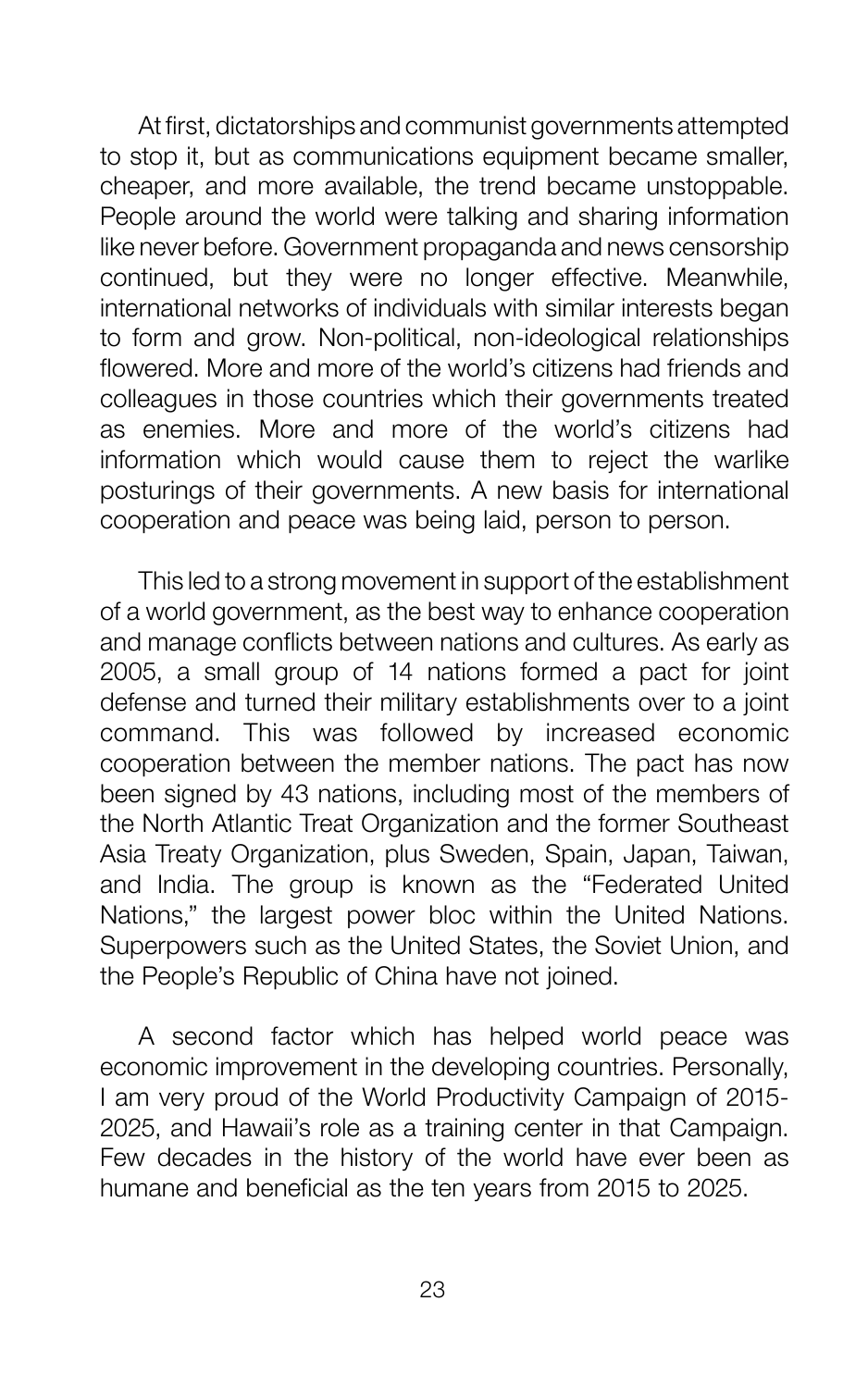At first, dictatorships and communist governments attempted to stop it, but as communications equipment became smaller, cheaper, and more available, the trend became unstoppable. People around the world were talking and sharing information like never before. Government propaganda and news censorship continued, but they were no longer effective. Meanwhile, international networks of individuals with similar interests began to form and grow. Non-political, non-ideological relationships flowered. More and more of the world's citizens had friends and colleagues in those countries which their governments treated as enemies. More and more of the world's citizens had information which would cause them to reject the warlike posturings of their governments. A new basis for international cooperation and peace was being laid, person to person.

This led to a strong movement in support of the establishment of a world government, as the best way to enhance cooperation and manage conflicts between nations and cultures. As early as 2005, a small group of 14 nations formed a pact for joint defense and turned their military establishments over to a joint command. This was followed by increased economic cooperation between the member nations. The pact has now been signed by 43 nations, including most of the members of the North Atlantic Treat Organization and the former Southeast Asia Treaty Organization, plus Sweden, Spain, Japan, Taiwan, and India. The group is known as the "Federated United Nations," the largest power bloc within the United Nations. Superpowers such as the United States, the Soviet Union, and the People's Republic of China have not joined.

A second factor which has helped world peace was economic improvement in the developing countries. Personally, I am very proud of the World Productivity Campaign of 2015- 2025, and Hawaii's role as a training center in that Campaign. Few decades in the history of the world have ever been as humane and beneficial as the ten years from 2015 to 2025.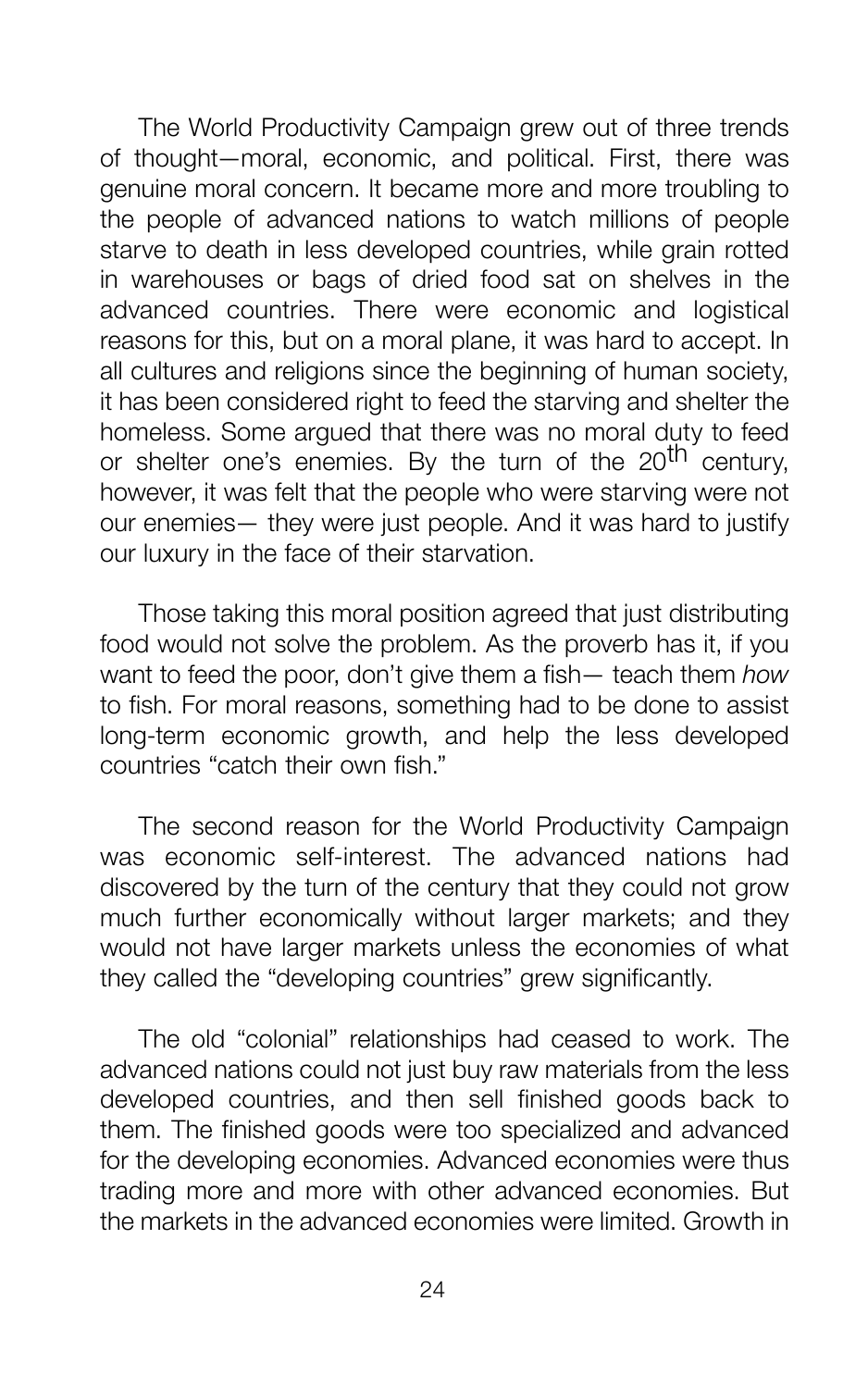The World Productivity Campaign grew out of three trends of thought—moral, economic, and political. First, there was genuine moral concern. It became more and more troubling to the people of advanced nations to watch millions of people starve to death in less developed countries, while grain rotted in warehouses or bags of dried food sat on shelves in the advanced countries. There were economic and logistical reasons for this, but on a moral plane, it was hard to accept. In all cultures and religions since the beginning of human society, it has been considered right to feed the starving and shelter the homeless. Some argued that there was no moral duty to feed or shelter one's enemies. By the turn of the  $20^{\text{th}}$  century. however, it was felt that the people who were starving were not our enemies— they were just people. And it was hard to justify our luxury in the face of their starvation.

Those taking this moral position agreed that just distributing food would not solve the problem. As the proverb has it, if you want to feed the poor, don't give them a fish— teach them *how*  to fish. For moral reasons, something had to be done to assist long-term economic growth, and help the less developed countries "catch their own fish."

The second reason for the World Productivity Campaign was economic self-interest. The advanced nations had discovered by the turn of the century that they could not grow much further economically without larger markets; and they would not have larger markets unless the economies of what they called the "developing countries" grew significantly.

The old "colonial" relationships had ceased to work. The advanced nations could not just buy raw materials from the less developed countries, and then sell finished goods back to them. The finished goods were too specialized and advanced for the developing economies. Advanced economies were thus trading more and more with other advanced economies. But the markets in the advanced economies were limited. Growth in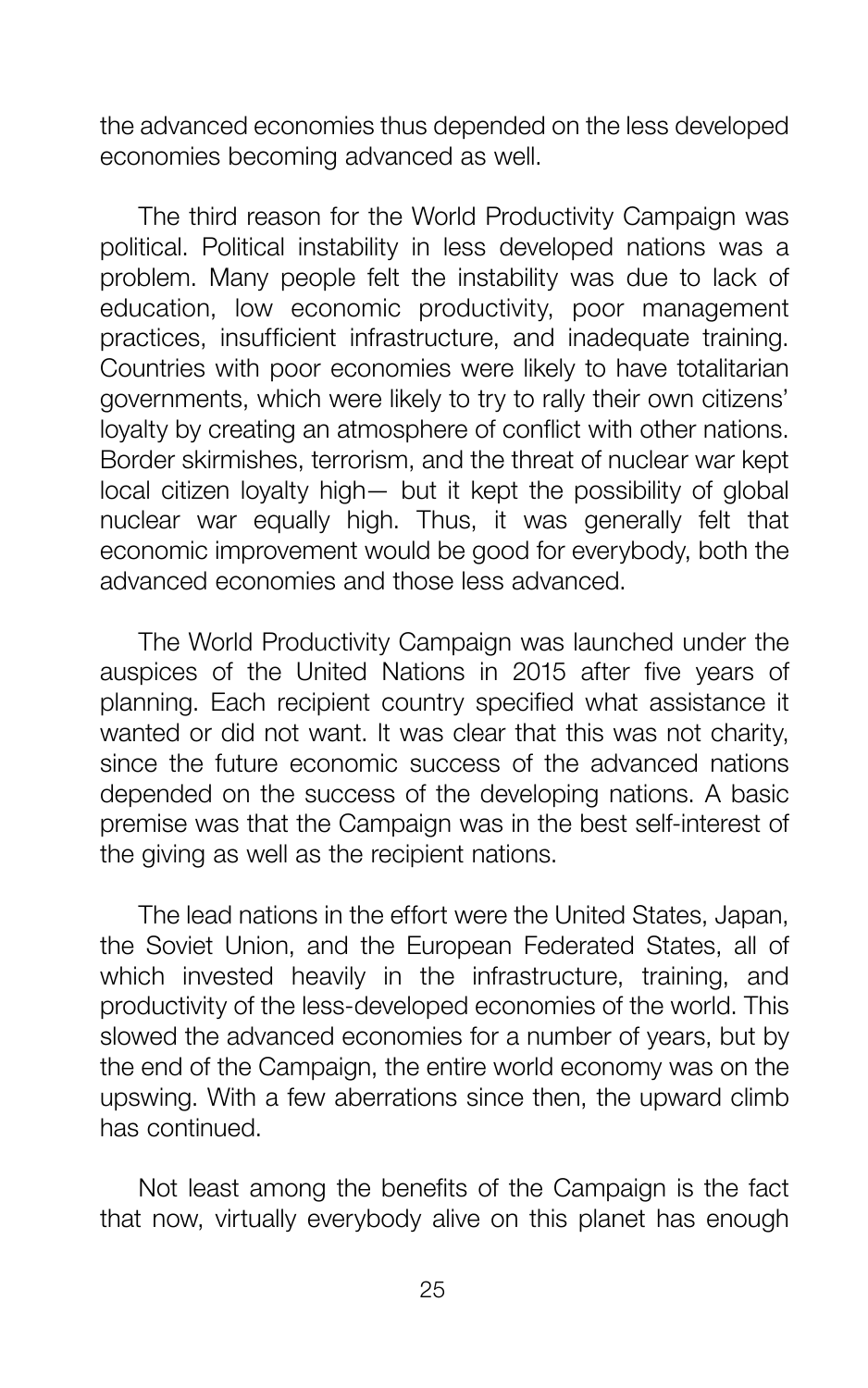the advanced economies thus depended on the less developed economies becoming advanced as well.

The third reason for the World Productivity Campaign was political. Political instability in less developed nations was a problem. Many people felt the instability was due to lack of education, low economic productivity, poor management practices, insufficient infrastructure, and inadequate training. Countries with poor economies were likely to have totalitarian governments, which were likely to try to rally their own citizens' loyalty by creating an atmosphere of conflict with other nations. Border skirmishes, terrorism, and the threat of nuclear war kept local citizen loyalty high— but it kept the possibility of global nuclear war equally high. Thus, it was generally felt that economic improvement would be good for everybody, both the advanced economies and those less advanced.

The World Productivity Campaign was launched under the auspices of the United Nations in 2015 after five years of planning. Each recipient country specified what assistance it wanted or did not want. It was clear that this was not charity, since the future economic success of the advanced nations depended on the success of the developing nations. A basic premise was that the Campaign was in the best self-interest of the giving as well as the recipient nations.

The lead nations in the effort were the United States, Japan, the Soviet Union, and the European Federated States, all of which invested heavily in the infrastructure, training, and productivity of the less-developed economies of the world. This slowed the advanced economies for a number of years, but by the end of the Campaign, the entire world economy was on the upswing. With a few aberrations since then, the upward climb has continued.

Not least among the benefits of the Campaign is the fact that now, virtually everybody alive on this planet has enough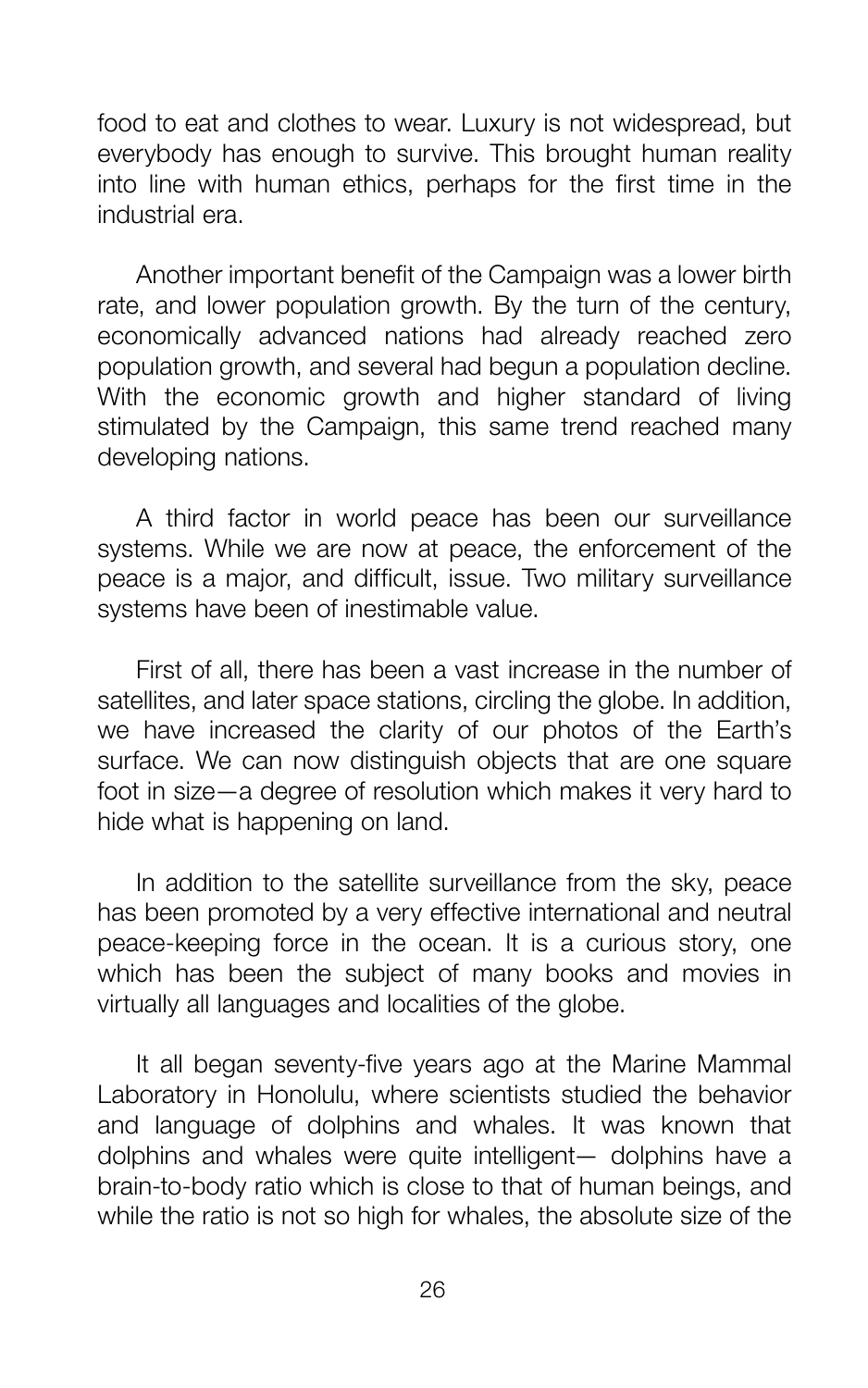food to eat and clothes to wear. Luxury is not widespread, but everybody has enough to survive. This brought human reality into line with human ethics, perhaps for the first time in the industrial era.

Another important benefit of the Campaign was a lower birth rate, and lower population growth. By the turn of the century, economically advanced nations had already reached zero population growth, and several had begun a population decline. With the economic growth and higher standard of living stimulated by the Campaign, this same trend reached many developing nations.

A third factor in world peace has been our surveillance systems. While we are now at peace, the enforcement of the peace is a major, and difficult, issue. Two military surveillance systems have been of inestimable value.

First of all, there has been a vast increase in the number of satellites, and later space stations, circling the globe. In addition, we have increased the clarity of our photos of the Earth's surface. We can now distinguish objects that are one square foot in size—a degree of resolution which makes it very hard to hide what is happening on land.

In addition to the satellite surveillance from the sky, peace has been promoted by a very effective international and neutral peace-keeping force in the ocean. It is a curious story, one which has been the subject of many books and movies in virtually all languages and localities of the globe.

It all began seventy-five years ago at the Marine Mammal Laboratory in Honolulu, where scientists studied the behavior and language of dolphins and whales. It was known that dolphins and whales were quite intelligent— dolphins have a brain-to-body ratio which is close to that of human beings, and while the ratio is not so high for whales, the absolute size of the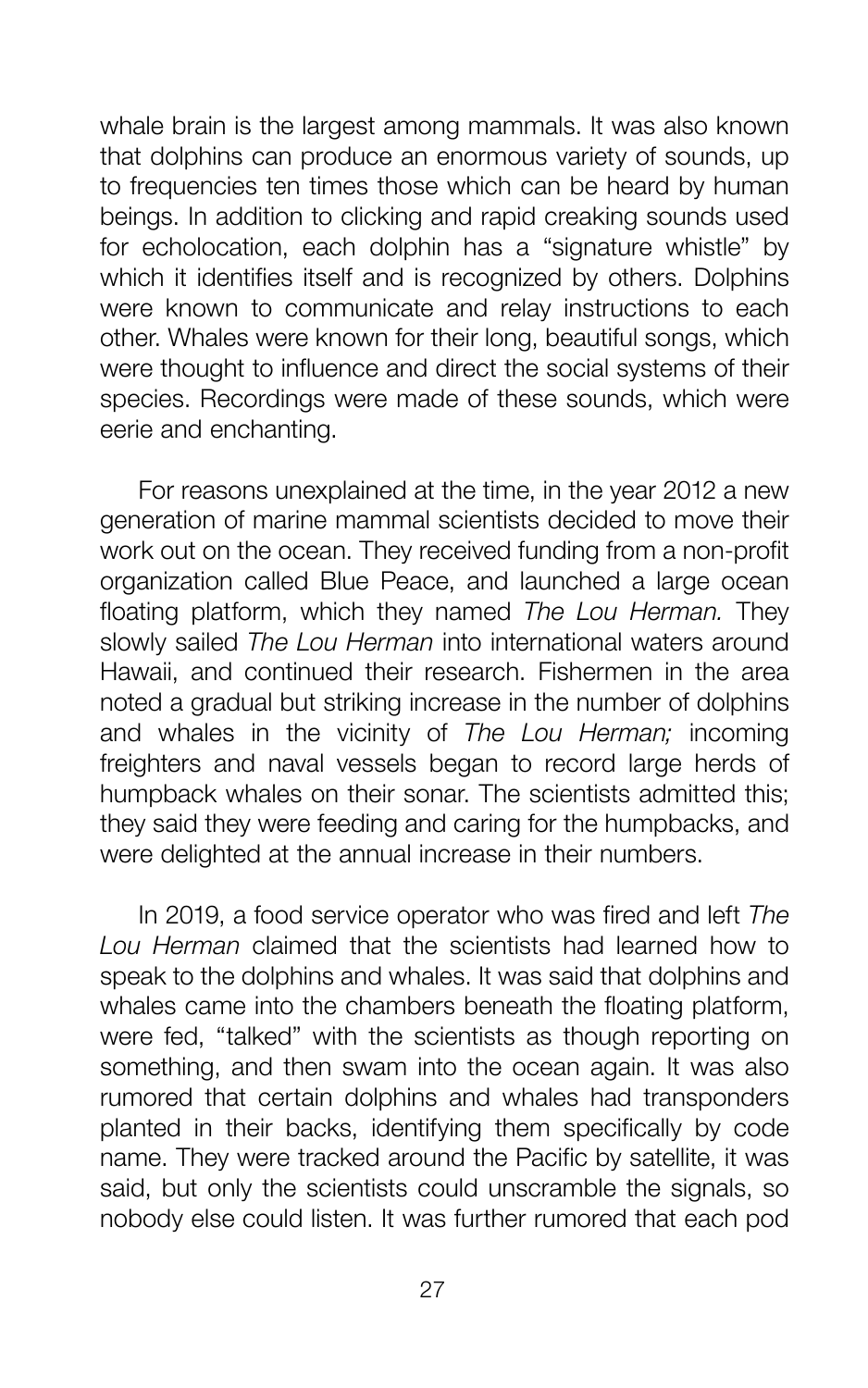whale brain is the largest among mammals. It was also known that dolphins can produce an enormous variety of sounds, up to frequencies ten times those which can be heard by human beings. In addition to clicking and rapid creaking sounds used for echolocation, each dolphin has a "signature whistle" by which it identifies itself and is recognized by others. Dolphins were known to communicate and relay instructions to each other. Whales were known for their long, beautiful songs, which were thought to influence and direct the social systems of their species. Recordings were made of these sounds, which were eerie and enchanting.

For reasons unexplained at the time, in the year 2012 a new generation of marine mammal scientists decided to move their work out on the ocean. They received funding from a non-profit organization called Blue Peace, and launched a large ocean floating platform, which they named *The Lou Herman.* They slowly sailed *The Lou Herman* into international waters around Hawaii, and continued their research. Fishermen in the area noted a gradual but striking increase in the number of dolphins and whales in the vicinity of *The Lou Herman;* incoming freighters and naval vessels began to record large herds of humpback whales on their sonar. The scientists admitted this; they said they were feeding and caring for the humpbacks, and were delighted at the annual increase in their numbers.

In 2019, a food service operator who was fired and left *The Lou Herman* claimed that the scientists had learned how to speak to the dolphins and whales. It was said that dolphins and whales came into the chambers beneath the floating platform, were fed, "talked" with the scientists as though reporting on something, and then swam into the ocean again. It was also rumored that certain dolphins and whales had transponders planted in their backs, identifying them specifically by code name. They were tracked around the Pacific by satellite, it was said, but only the scientists could unscramble the signals, so nobody else could listen. It was further rumored that each pod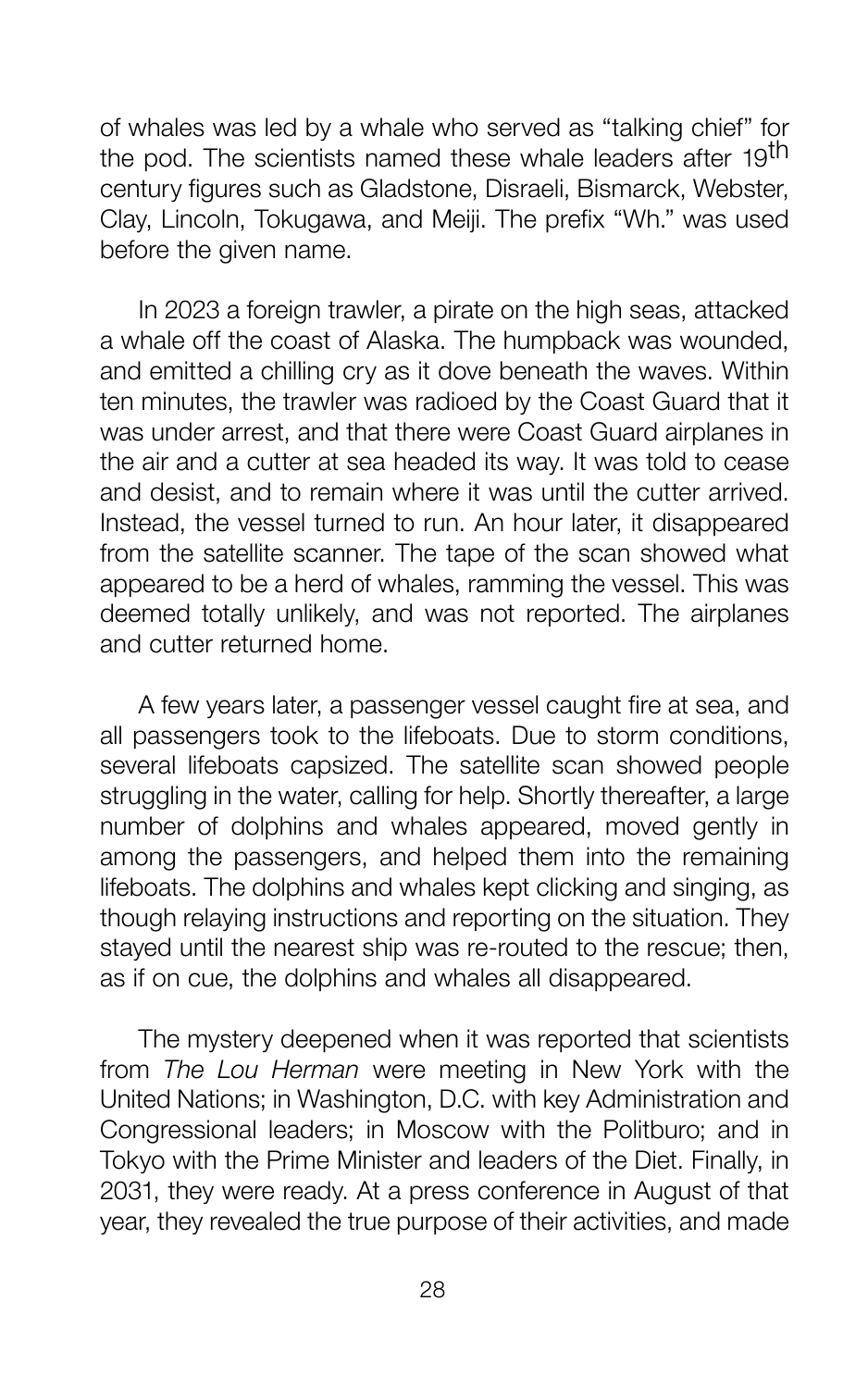of whales was led by a whale who served as "talking chief" for the pod. The scientists named these whale leaders after 19<sup>th</sup> century figures such as Gladstone, Disraeli, Bismarck, Webster, Clay, Lincoln, Tokugawa, and Meiji. The prefix "Wh." was used before the given name.

In 2023 a foreign trawler, a pirate on the high seas, attacked a whale off the coast of Alaska. The humpback was wounded, and emitted a chilling cry as it dove beneath the waves. Within ten minutes, the trawler was radioed by the Coast Guard that it was under arrest, and that there were Coast Guard airplanes in the air and a cutter at sea headed its way. It was told to cease and desist, and to remain where it was until the cutter arrived. Instead, the vessel turned to run. An hour later, it disappeared from the satellite scanner. The tape of the scan showed what appeared to be a herd of whales, ramming the vessel. This was deemed totally unlikely, and was not reported. The airplanes and cutter returned home.

A few years later, a passenger vessel caught fire at sea, and all passengers took to the lifeboats. Due to storm conditions, several lifeboats capsized. The satellite scan showed people struggling in the water, calling for help. Shortly thereafter, a large number of dolphins and whales appeared, moved gently in among the passengers, and helped them into the remaining lifeboats. The dolphins and whales kept clicking and singing, as though relaying instructions and reporting on the situation. They stayed until the nearest ship was re-routed to the rescue; then, as if on cue, the dolphins and whales all disappeared.

The mystery deepened when it was reported that scientists from *The Lou Herman* were meeting in New York with the United Nations; in Washington, D.C. with key Administration and Congressional leaders; in Moscow with the Politburo; and in Tokyo with the Prime Minister and leaders of the Diet. Finally, in 2031, they were ready. At a press conference in August of that year, they revealed the true purpose of their activities, and made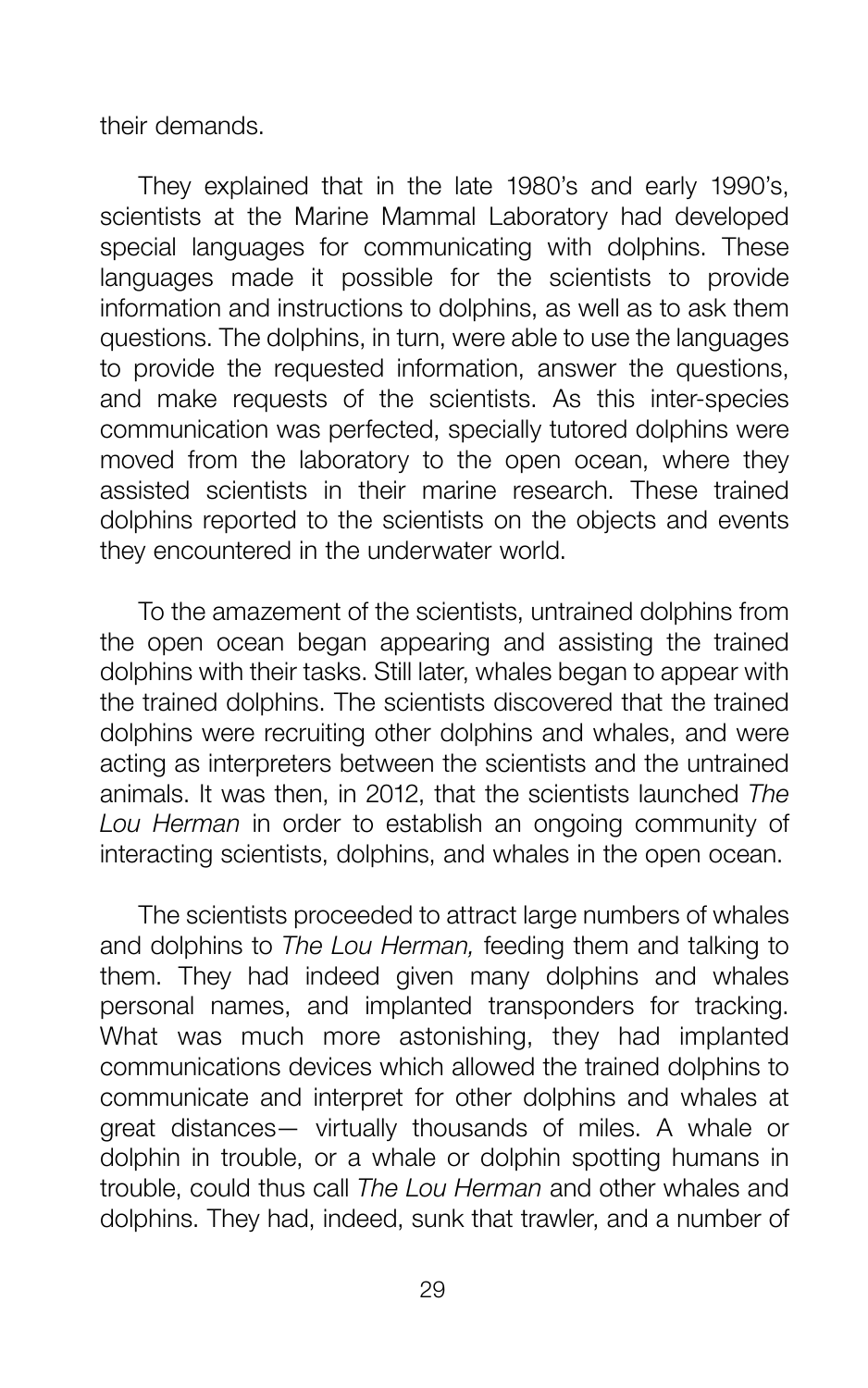their demands.

They explained that in the late 1980's and early 1990's, scientists at the Marine Mammal Laboratory had developed special languages for communicating with dolphins. These languages made it possible for the scientists to provide information and instructions to dolphins, as well as to ask them questions. The dolphins, in turn, were able to use the languages to provide the requested information, answer the questions, and make requests of the scientists. As this inter-species communication was perfected, specially tutored dolphins were moved from the laboratory to the open ocean, where they assisted scientists in their marine research. These trained dolphins reported to the scientists on the objects and events they encountered in the underwater world.

To the amazement of the scientists, untrained dolphins from the open ocean began appearing and assisting the trained dolphins with their tasks. Still later, whales began to appear with the trained dolphins. The scientists discovered that the trained dolphins were recruiting other dolphins and whales, and were acting as interpreters between the scientists and the untrained animals. It was then, in 2012, that the scientists launched *The Lou Herman* in order to establish an ongoing community of interacting scientists, dolphins, and whales in the open ocean.

The scientists proceeded to attract large numbers of whales and dolphins to *The Lou Herman,* feeding them and talking to them. They had indeed given many dolphins and whales personal names, and implanted transponders for tracking. What was much more astonishing, they had implanted communications devices which allowed the trained dolphins to communicate and interpret for other dolphins and whales at great distances— virtually thousands of miles. A whale or dolphin in trouble, or a whale or dolphin spotting humans in trouble, could thus call *The Lou Herman* and other whales and dolphins. They had, indeed, sunk that trawler, and a number of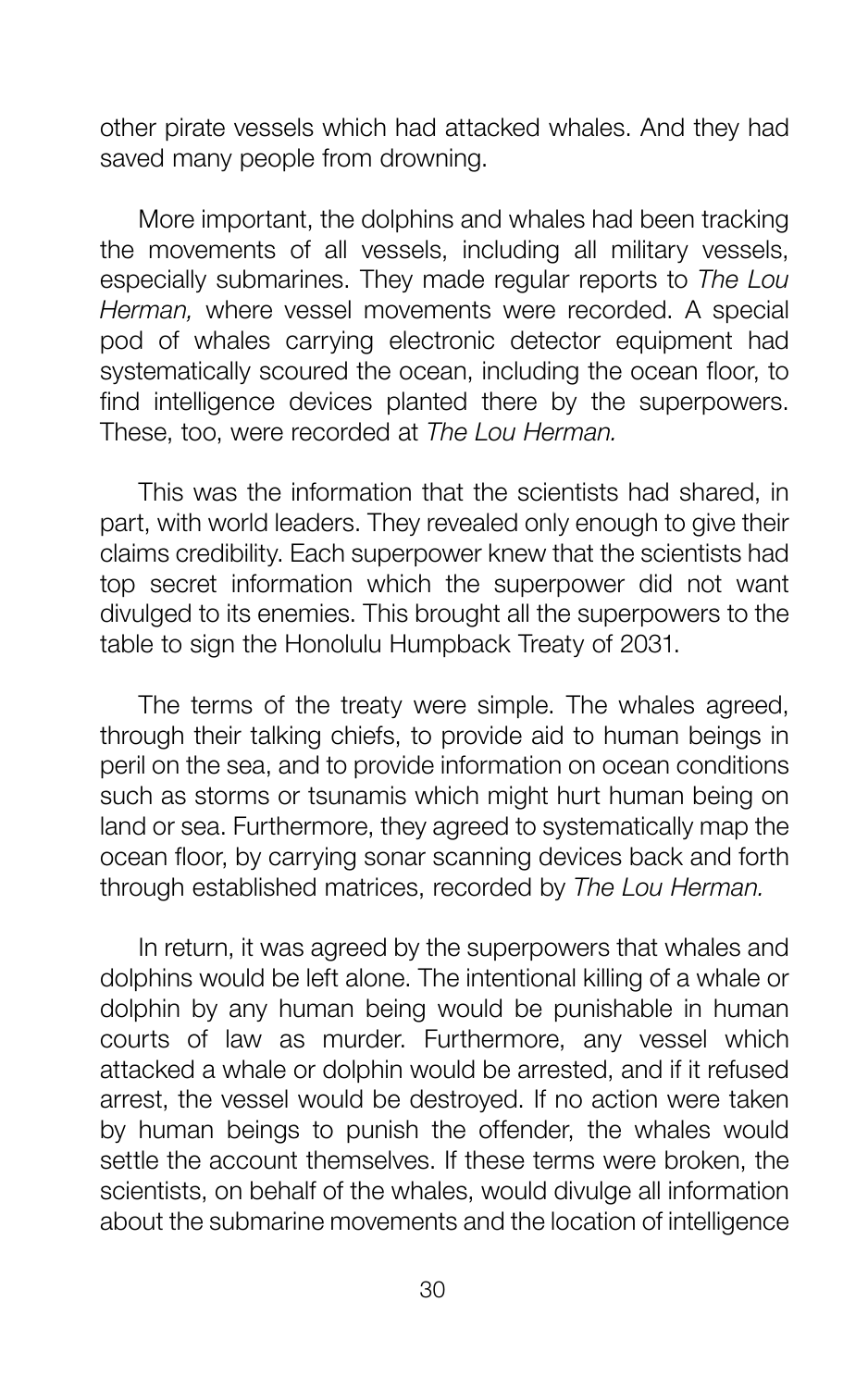other pirate vessels which had attacked whales. And they had saved many people from drowning.

More important, the dolphins and whales had been tracking the movements of all vessels, including all military vessels, especially submarines. They made regular reports to *The Lou Herman,* where vessel movements were recorded. A special pod of whales carrying electronic detector equipment had systematically scoured the ocean, including the ocean floor, to find intelligence devices planted there by the superpowers. These, too, were recorded at *The Lou Herman.*

This was the information that the scientists had shared, in part, with world leaders. They revealed only enough to give their claims credibility. Each superpower knew that the scientists had top secret information which the superpower did not want divulged to its enemies. This brought all the superpowers to the table to sign the Honolulu Humpback Treaty of 2031.

The terms of the treaty were simple. The whales agreed, through their talking chiefs, to provide aid to human beings in peril on the sea, and to provide information on ocean conditions such as storms or tsunamis which might hurt human being on land or sea. Furthermore, they agreed to systematically map the ocean floor, by carrying sonar scanning devices back and forth through established matrices, recorded by *The Lou Herman.* 

In return, it was agreed by the superpowers that whales and dolphins would be left alone. The intentional killing of a whale or dolphin by any human being would be punishable in human courts of law as murder. Furthermore, any vessel which attacked a whale or dolphin would be arrested, and if it refused arrest, the vessel would be destroyed. If no action were taken by human beings to punish the offender, the whales would settle the account themselves. If these terms were broken, the scientists, on behalf of the whales, would divulge all information about the submarine movements and the location of intelligence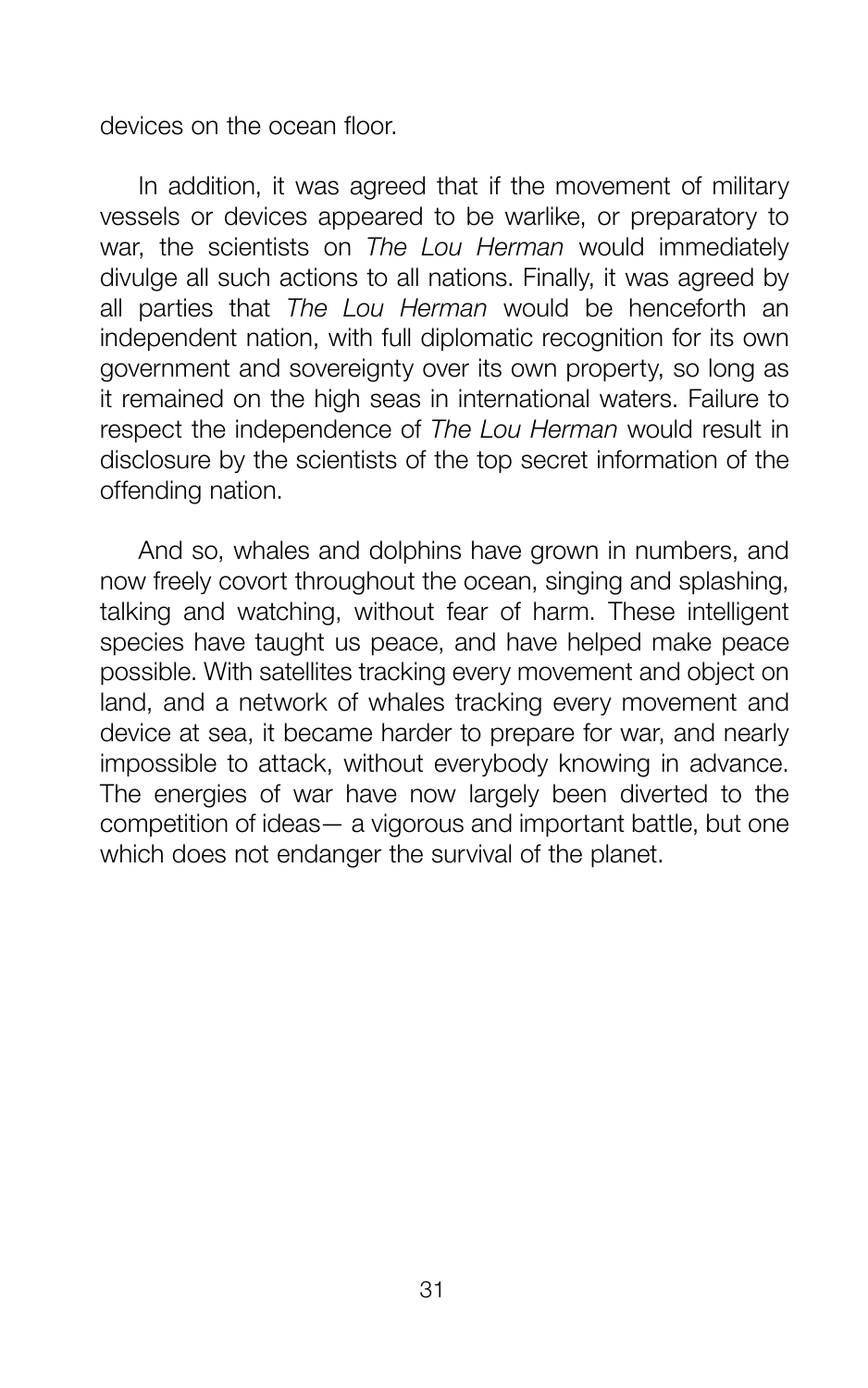devices on the ocean floor.

In addition, it was agreed that if the movement of military vessels or devices appeared to be warlike, or preparatory to war, the scientists on *The Lou Herman* would immediately divulge all such actions to all nations. Finally, it was agreed by all parties that *The Lou Herman* would be henceforth an independent nation, with full diplomatic recognition for its own government and sovereignty over its own property, so long as it remained on the high seas in international waters. Failure to respect the independence of *The Lou Herman* would result in disclosure by the scientists of the top secret information of the offending nation.

And so, whales and dolphins have grown in numbers, and now freely covort throughout the ocean, singing and splashing, talking and watching, without fear of harm. These intelligent species have taught us peace, and have helped make peace possible. With satellites tracking every movement and object on land, and a network of whales tracking every movement and device at sea, it became harder to prepare for war, and nearly impossible to attack, without everybody knowing in advance. The energies of war have now largely been diverted to the competition of ideas— a vigorous and important battle, but one which does not endanger the survival of the planet.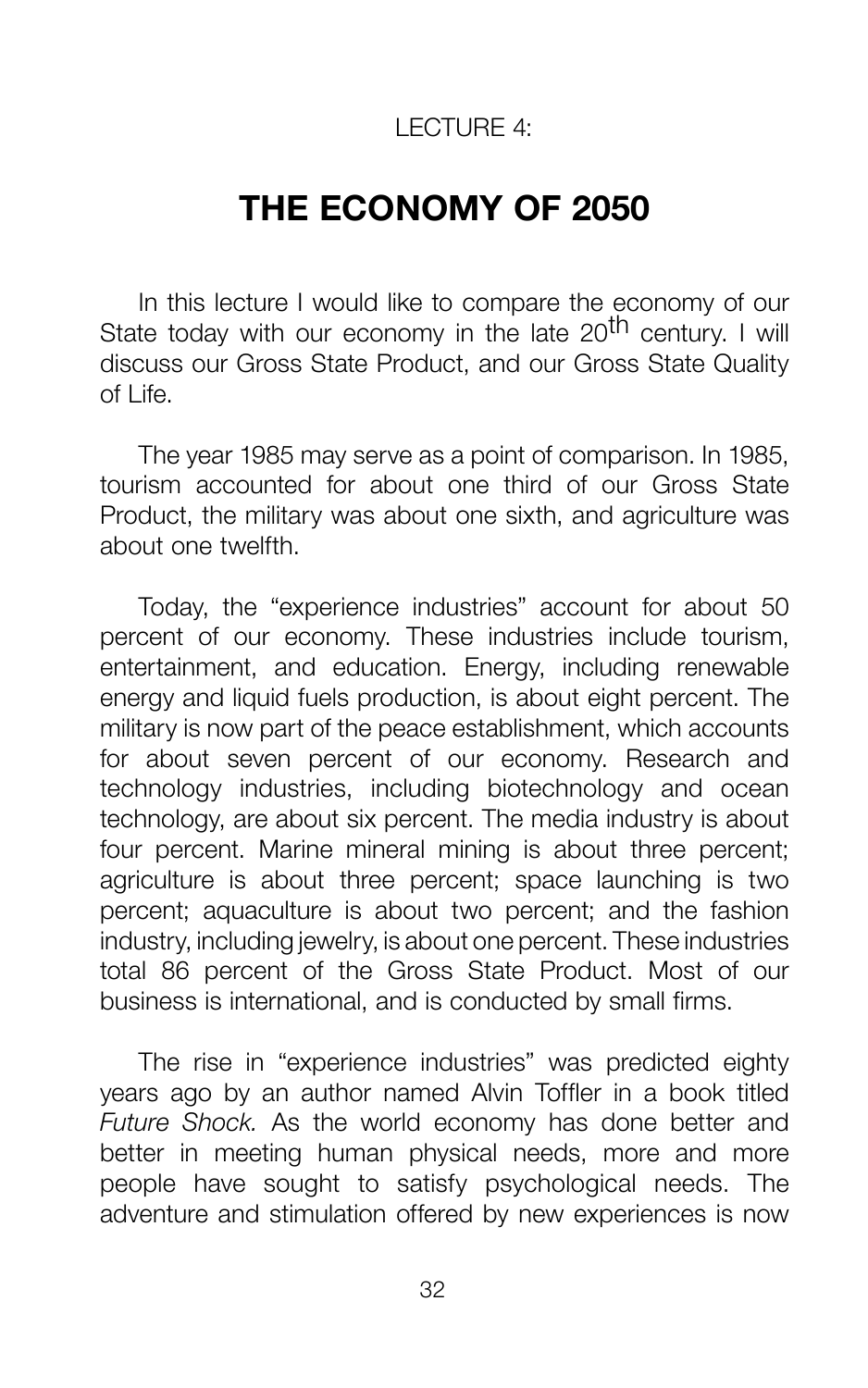#### LECTURE 4:

# **THE ECONOMY OF 2050**

In this lecture I would like to compare the economy of our State today with our economy in the late 20<sup>th</sup> century. I will discuss our Gross State Product, and our Gross State Quality of Life.

The year 1985 may serve as a point of comparison. In 1985, tourism accounted for about one third of our Gross State Product, the military was about one sixth, and agriculture was about one twelfth.

Today, the "experience industries" account for about 50 percent of our economy. These industries include tourism, entertainment, and education. Energy, including renewable energy and liquid fuels production, is about eight percent. The military is now part of the peace establishment, which accounts for about seven percent of our economy. Research and technology industries, including biotechnology and ocean technology, are about six percent. The media industry is about four percent. Marine mineral mining is about three percent; agriculture is about three percent; space launching is two percent; aquaculture is about two percent; and the fashion industry, including jewelry, is about one percent. These industries total 86 percent of the Gross State Product. Most of our business is international, and is conducted by small firms.

The rise in "experience industries" was predicted eighty years ago by an author named Alvin Toffler in a book titled *Future Shock.* As the world economy has done better and better in meeting human physical needs, more and more people have sought to satisfy psychological needs. The adventure and stimulation offered by new experiences is now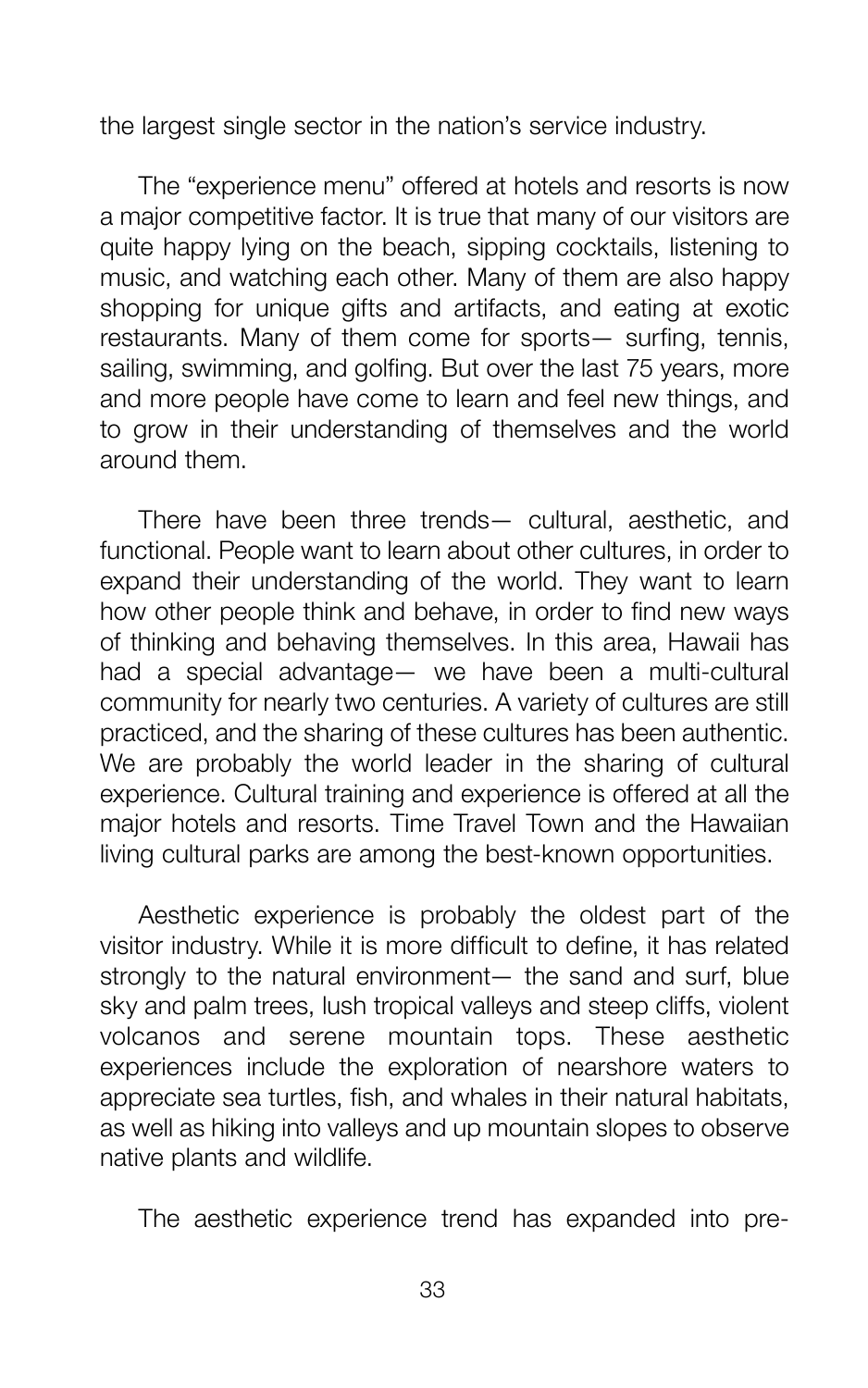the largest single sector in the nation's service industry.

The "experience menu" offered at hotels and resorts is now a major competitive factor. It is true that many of our visitors are quite happy lying on the beach, sipping cocktails, listening to music, and watching each other. Many of them are also happy shopping for unique gifts and artifacts, and eating at exotic restaurants. Many of them come for sports— surfing, tennis, sailing, swimming, and golfing. But over the last 75 years, more and more people have come to learn and feel new things, and to grow in their understanding of themselves and the world around them.

There have been three trends— cultural, aesthetic, and functional. People want to learn about other cultures, in order to expand their understanding of the world. They want to learn how other people think and behave, in order to find new ways of thinking and behaving themselves. In this area, Hawaii has had a special advantage— we have been a multi-cultural community for nearly two centuries. A variety of cultures are still practiced, and the sharing of these cultures has been authentic. We are probably the world leader in the sharing of cultural experience. Cultural training and experience is offered at all the major hotels and resorts. Time Travel Town and the Hawaiian living cultural parks are among the best-known opportunities.

Aesthetic experience is probably the oldest part of the visitor industry. While it is more difficult to define, it has related strongly to the natural environment— the sand and surf, blue sky and palm trees, lush tropical valleys and steep cliffs, violent volcanos and serene mountain tops. These aesthetic experiences include the exploration of nearshore waters to appreciate sea turtles, fish, and whales in their natural habitats, as well as hiking into valleys and up mountain slopes to observe native plants and wildlife.

The aesthetic experience trend has expanded into pre-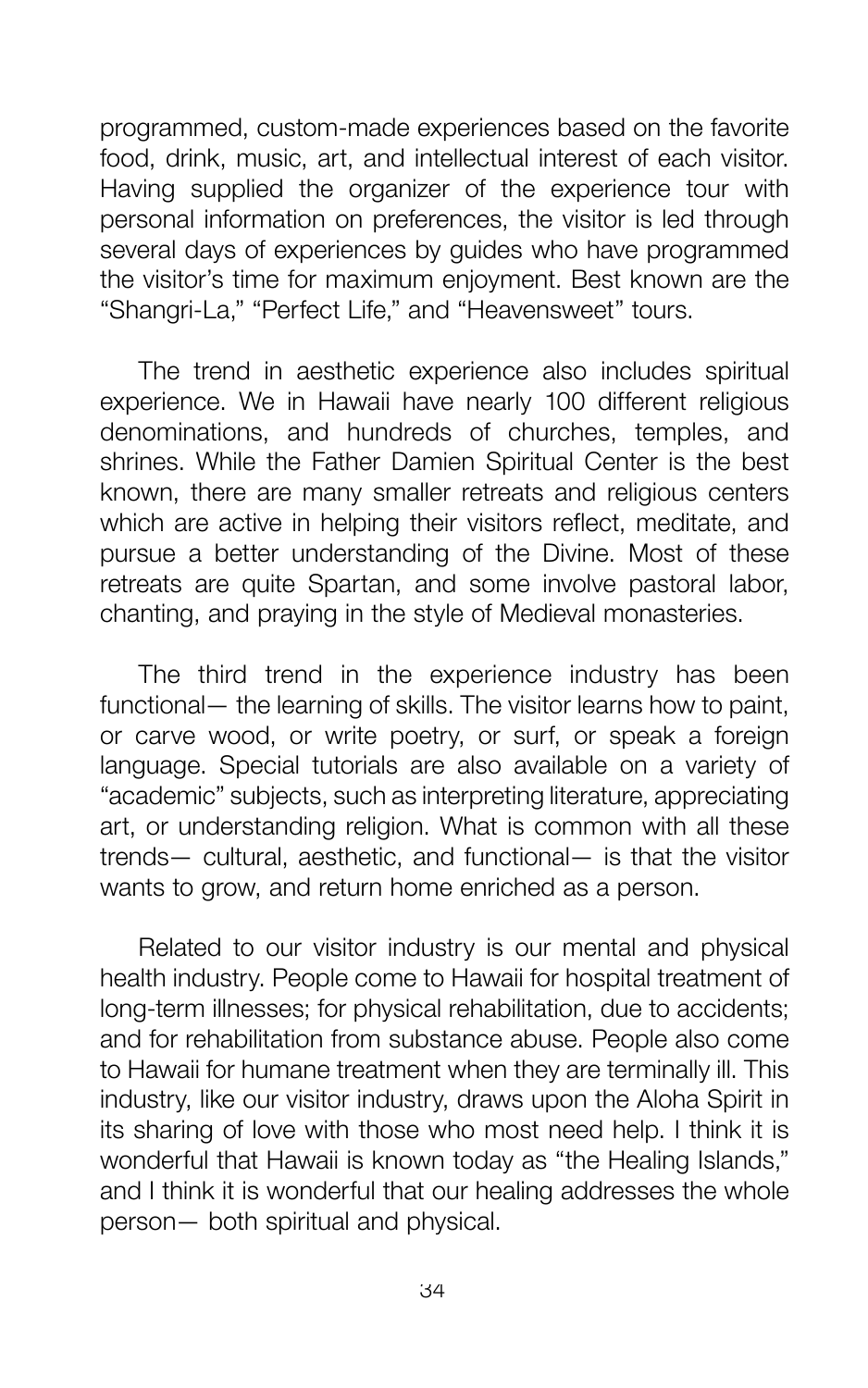programmed, custom-made experiences based on the favorite food, drink, music, art, and intellectual interest of each visitor. Having supplied the organizer of the experience tour with personal information on preferences, the visitor is led through several days of experiences by guides who have programmed the visitor's time for maximum enjoyment. Best known are the "Shangri-La," "Perfect Life," and "Heavensweet" tours.

The trend in aesthetic experience also includes spiritual experience. We in Hawaii have nearly 100 different religious denominations, and hundreds of churches, temples, and shrines. While the Father Damien Spiritual Center is the best known, there are many smaller retreats and religious centers which are active in helping their visitors reflect, meditate, and pursue a better understanding of the Divine. Most of these retreats are quite Spartan, and some involve pastoral labor, chanting, and praying in the style of Medieval monasteries.

The third trend in the experience industry has been functional— the learning of skills. The visitor learns how to paint, or carve wood, or write poetry, or surf, or speak a foreign language. Special tutorials are also available on a variety of "academic" subjects, such as interpreting literature, appreciating art, or understanding religion. What is common with all these trends— cultural, aesthetic, and functional— is that the visitor wants to grow, and return home enriched as a person.

Related to our visitor industry is our mental and physical health industry. People come to Hawaii for hospital treatment of long-term illnesses; for physical rehabilitation, due to accidents; and for rehabilitation from substance abuse. People also come to Hawaii for humane treatment when they are terminally ill. This industry, like our visitor industry, draws upon the Aloha Spirit in its sharing of love with those who most need help. I think it is wonderful that Hawaii is known today as "the Healing Islands," and I think it is wonderful that our healing addresses the whole person— both spiritual and physical.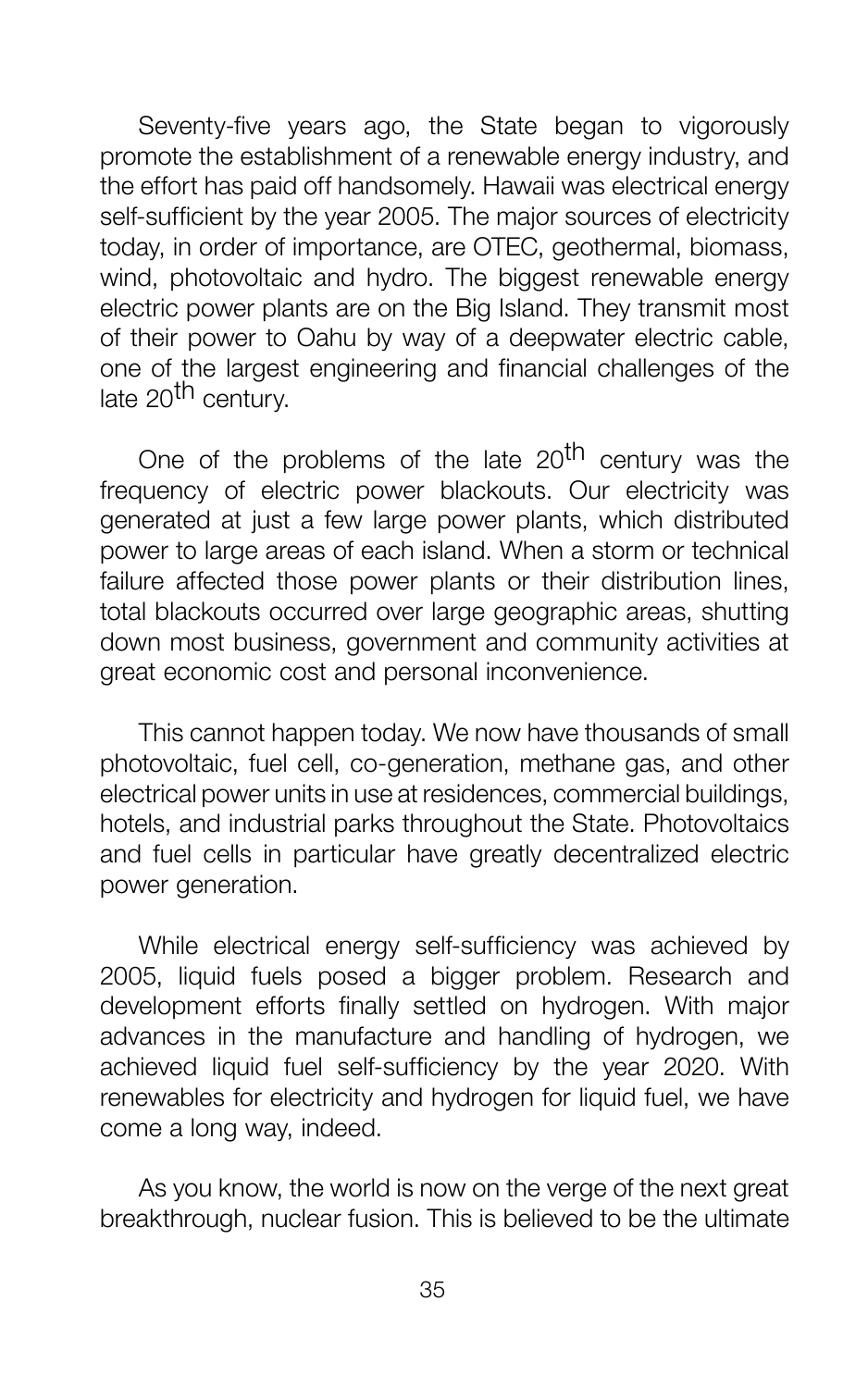Seventy-five years ago, the State began to vigorously promote the establishment of a renewable energy industry, and the effort has paid off handsomely. Hawaii was electrical energy self-sufficient by the year 2005. The major sources of electricity today, in order of importance, are OTEC, geothermal, biomass, wind, photovoltaic and hydro. The biggest renewable energy electric power plants are on the Big Island. They transmit most of their power to Oahu by way of a deepwater electric cable, one of the largest engineering and financial challenges of the late 20<sup>th</sup> century.

One of the problems of the late 20<sup>th</sup> century was the frequency of electric power blackouts. Our electricity was generated at just a few large power plants, which distributed power to large areas of each island. When a storm or technical failure affected those power plants or their distribution lines, total blackouts occurred over large geographic areas, shutting down most business, government and community activities at great economic cost and personal inconvenience.

This cannot happen today. We now have thousands of small photovoltaic, fuel cell, co-generation, methane gas, and other electrical power units in use at residences, commercial buildings, hotels, and industrial parks throughout the State. Photovoltaics and fuel cells in particular have greatly decentralized electric power generation.

While electrical energy self-sufficiency was achieved by 2005, liquid fuels posed a bigger problem. Research and development efforts finally settled on hydrogen. With major advances in the manufacture and handling of hydrogen, we achieved liquid fuel self-sufficiency by the year 2020. With renewables for electricity and hydrogen for liquid fuel, we have come a long way, indeed.

As you know, the world is now on the verge of the next great breakthrough, nuclear fusion. This is believed to be the ultimate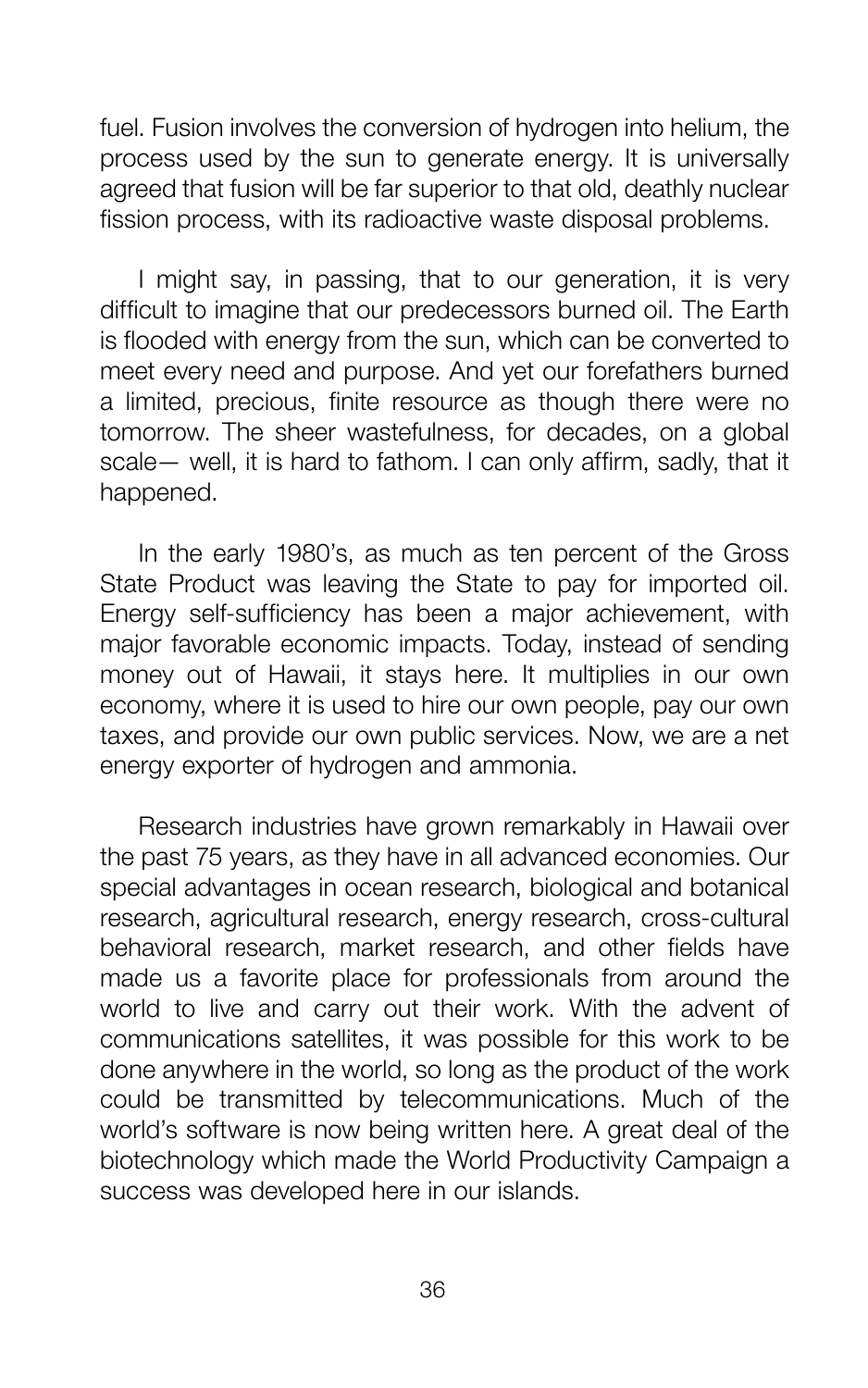fuel. Fusion involves the conversion of hydrogen into helium, the process used by the sun to generate energy. It is universally agreed that fusion will be far superior to that old, deathly nuclear fission process, with its radioactive waste disposal problems.

I might say, in passing, that to our generation, it is very difficult to imagine that our predecessors burned oil. The Earth is flooded with energy from the sun, which can be converted to meet every need and purpose. And yet our forefathers burned a limited, precious, finite resource as though there were no tomorrow. The sheer wastefulness, for decades, on a global scale— well, it is hard to fathom. I can only affirm, sadly, that it happened.

In the early 1980's, as much as ten percent of the Gross State Product was leaving the State to pay for imported oil. Energy self-sufficiency has been a major achievement, with major favorable economic impacts. Today, instead of sending money out of Hawaii, it stays here. It multiplies in our own economy, where it is used to hire our own people, pay our own taxes, and provide our own public services. Now, we are a net energy exporter of hydrogen and ammonia.

Research industries have grown remarkably in Hawaii over the past 75 years, as they have in all advanced economies. Our special advantages in ocean research, biological and botanical research, agricultural research, energy research, cross-cultural behavioral research, market research, and other fields have made us a favorite place for professionals from around the world to live and carry out their work. With the advent of communications satellites, it was possible for this work to be done anywhere in the world, so long as the product of the work could be transmitted by telecommunications. Much of the world's software is now being written here. A great deal of the biotechnology which made the World Productivity Campaign a success was developed here in our islands.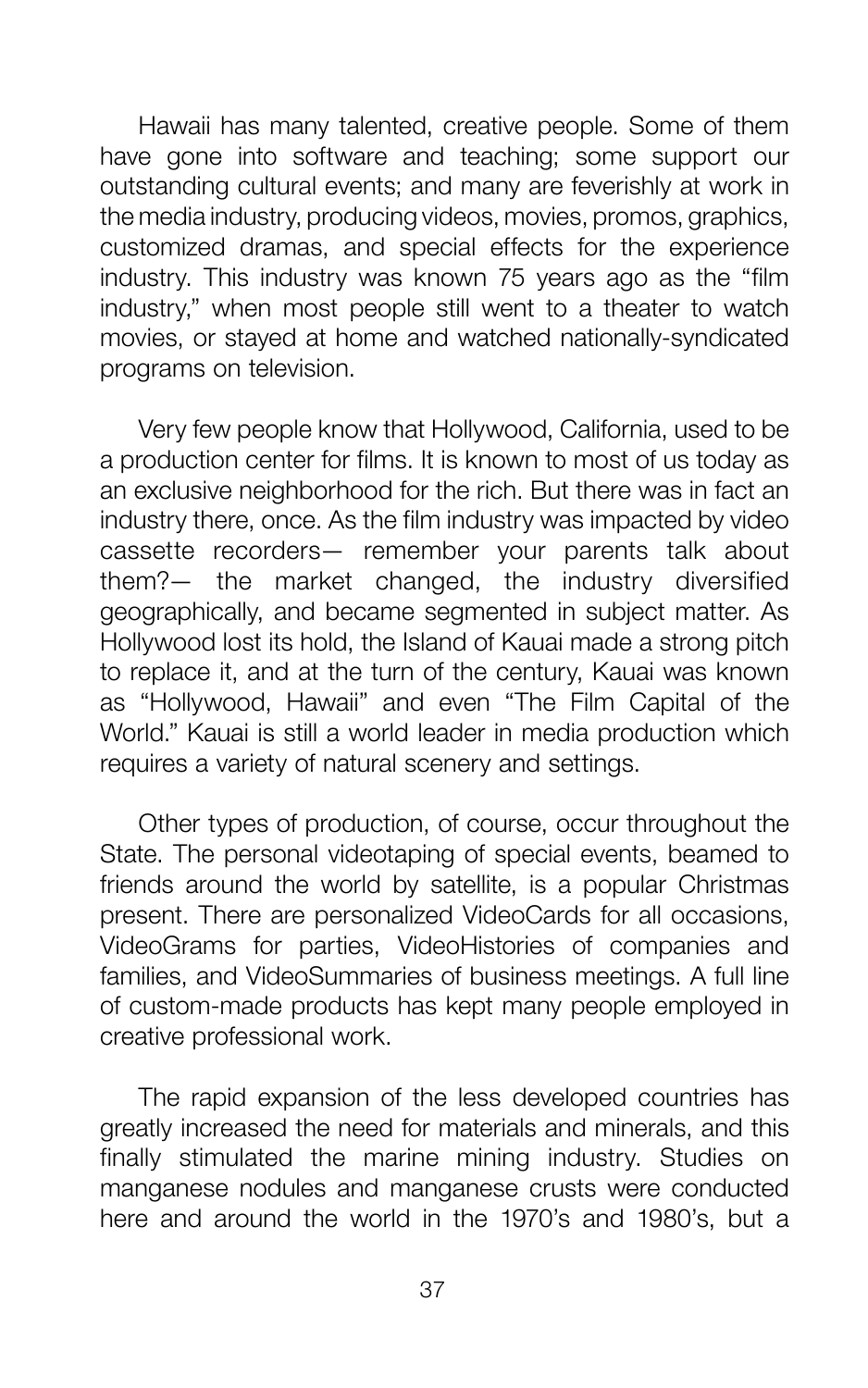Hawaii has many talented, creative people. Some of them have gone into software and teaching; some support our outstanding cultural events; and many are feverishly at work in the media industry, producing videos, movies, promos, graphics, customized dramas, and special effects for the experience industry. This industry was known 75 years ago as the "film industry," when most people still went to a theater to watch movies, or stayed at home and watched nationally-syndicated programs on television.

Very few people know that Hollywood, California, used to be a production center for films. It is known to most of us today as an exclusive neighborhood for the rich. But there was in fact an industry there, once. As the film industry was impacted by video cassette recorders— remember your parents talk about them?— the market changed, the industry diversified geographically, and became segmented in subject matter. As Hollywood lost its hold, the Island of Kauai made a strong pitch to replace it, and at the turn of the century, Kauai was known as "Hollywood, Hawaii" and even "The Film Capital of the World." Kauai is still a world leader in media production which requires a variety of natural scenery and settings.

Other types of production, of course, occur throughout the State. The personal videotaping of special events, beamed to friends around the world by satellite, is a popular Christmas present. There are personalized VideoCards for all occasions, VideoGrams for parties, VideoHistories of companies and families, and VideoSummaries of business meetings. A full line of custom-made products has kept many people employed in creative professional work.

The rapid expansion of the less developed countries has greatly increased the need for materials and minerals, and this finally stimulated the marine mining industry. Studies on manganese nodules and manganese crusts were conducted here and around the world in the 1970's and 1980's, but a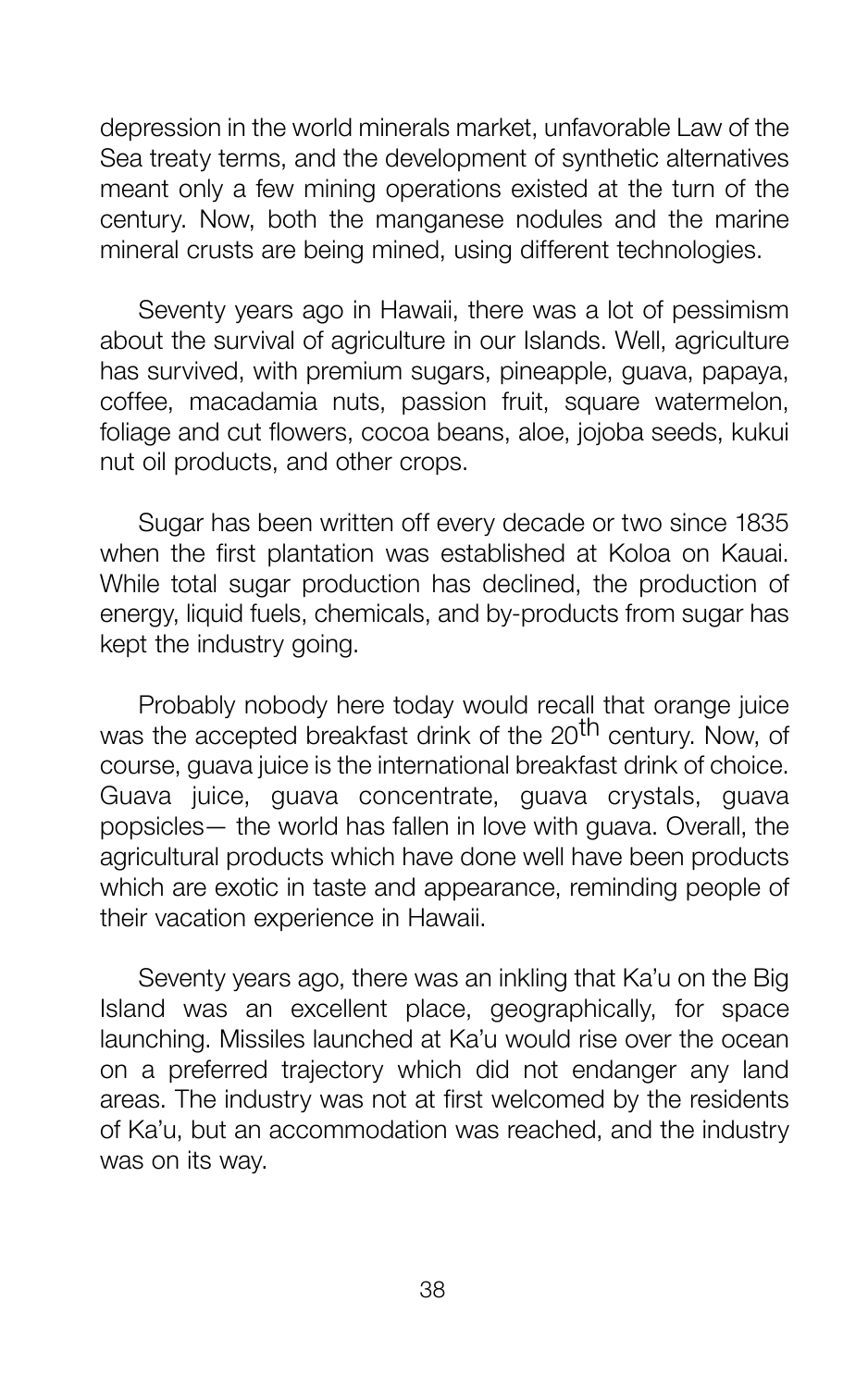depression in the world minerals market, unfavorable Law of the Sea treaty terms, and the development of synthetic alternatives meant only a few mining operations existed at the turn of the century. Now, both the manganese nodules and the marine mineral crusts are being mined, using different technologies.

Seventy years ago in Hawaii, there was a lot of pessimism about the survival of agriculture in our Islands. Well, agriculture has survived, with premium sugars, pineapple, guava, papaya, coffee, macadamia nuts, passion fruit, square watermelon, foliage and cut flowers, cocoa beans, aloe, jojoba seeds, kukui nut oil products, and other crops.

Sugar has been written off every decade or two since 1835 when the first plantation was established at Koloa on Kauai. While total sugar production has declined, the production of energy, liquid fuels, chemicals, and by-products from sugar has kept the industry going.

Probably nobody here today would recall that orange juice was the accepted breakfast drink of the 20<sup>th</sup> century. Now, of course, guava juice is the international breakfast drink of choice. Guava juice, guava concentrate, guava crystals, guava popsicles— the world has fallen in love with guava. Overall, the agricultural products which have done well have been products which are exotic in taste and appearance, reminding people of their vacation experience in Hawaii.

Seventy years ago, there was an inkling that Ka'u on the Big Island was an excellent place, geographically, for space launching. Missiles launched at Ka'u would rise over the ocean on a preferred trajectory which did not endanger any land areas. The industry was not at first welcomed by the residents of Ka'u, but an accommodation was reached, and the industry was on its way.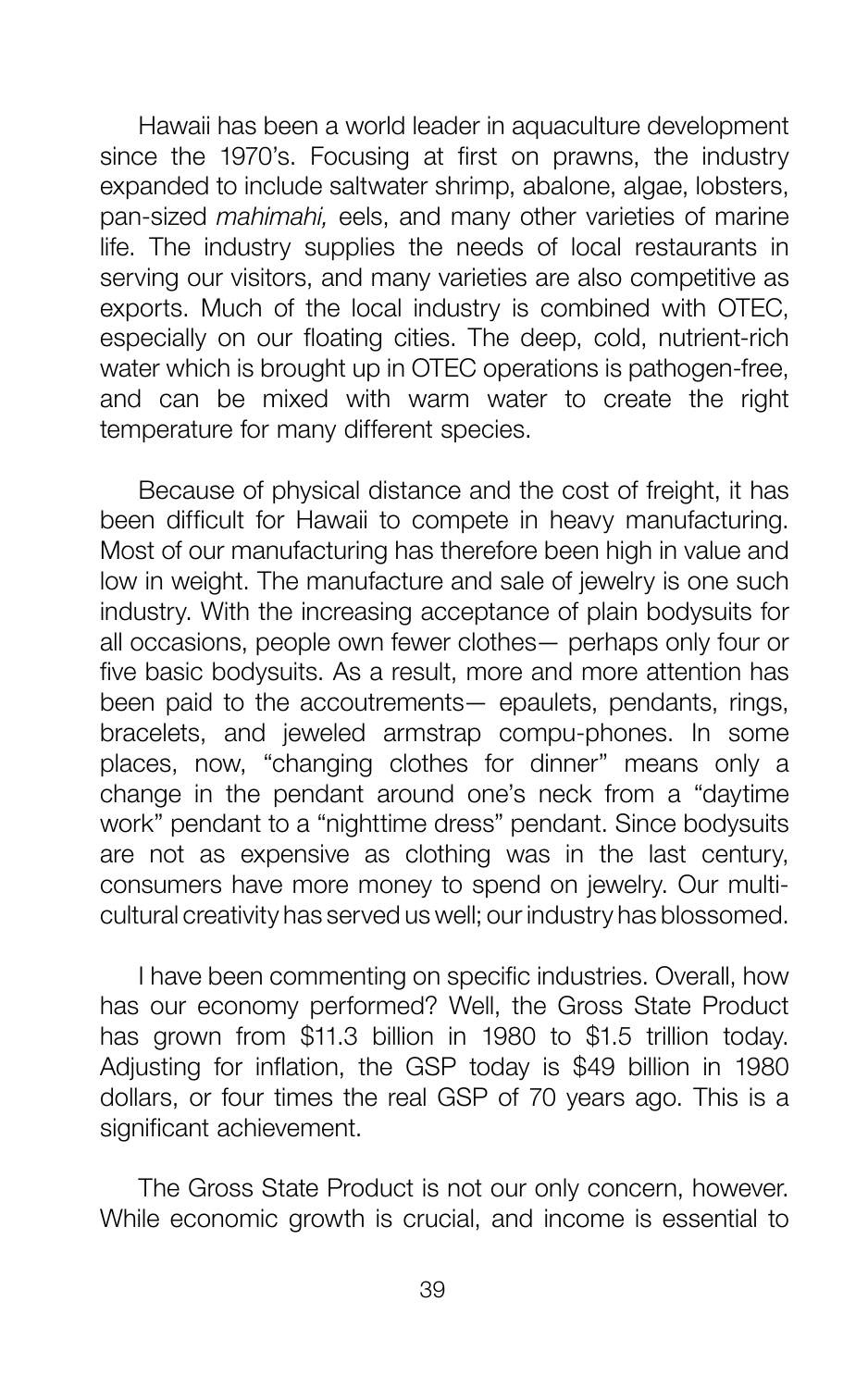Hawaii has been a world leader in aquaculture development since the 1970's. Focusing at first on prawns, the industry expanded to include saltwater shrimp, abalone, algae, lobsters, pan-sized *mahimahi,* eels, and many other varieties of marine life. The industry supplies the needs of local restaurants in serving our visitors, and many varieties are also competitive as exports. Much of the local industry is combined with OTEC, especially on our floating cities. The deep, cold, nutrient-rich water which is brought up in OTEC operations is pathogen-free, and can be mixed with warm water to create the right temperature for many different species.

Because of physical distance and the cost of freight, it has been difficult for Hawaii to compete in heavy manufacturing. Most of our manufacturing has therefore been high in value and low in weight. The manufacture and sale of jewelry is one such industry. With the increasing acceptance of plain bodysuits for all occasions, people own fewer clothes— perhaps only four or five basic bodysuits. As a result, more and more attention has been paid to the accoutrements— epaulets, pendants, rings, bracelets, and jeweled armstrap compu-phones. In some places, now, "changing clothes for dinner" means only a change in the pendant around one's neck from a "daytime work" pendant to a "nighttime dress" pendant. Since bodysuits are not as expensive as clothing was in the last century, consumers have more money to spend on jewelry. Our multicultural creativity has served us well; our industry has blossomed.

I have been commenting on specific industries. Overall, how has our economy performed? Well, the Gross State Product has grown from \$11.3 billion in 1980 to \$1.5 trillion today. Adjusting for inflation, the GSP today is \$49 billion in 1980 dollars, or four times the real GSP of 70 years ago. This is a significant achievement.

The Gross State Product is not our only concern, however. While economic growth is crucial, and income is essential to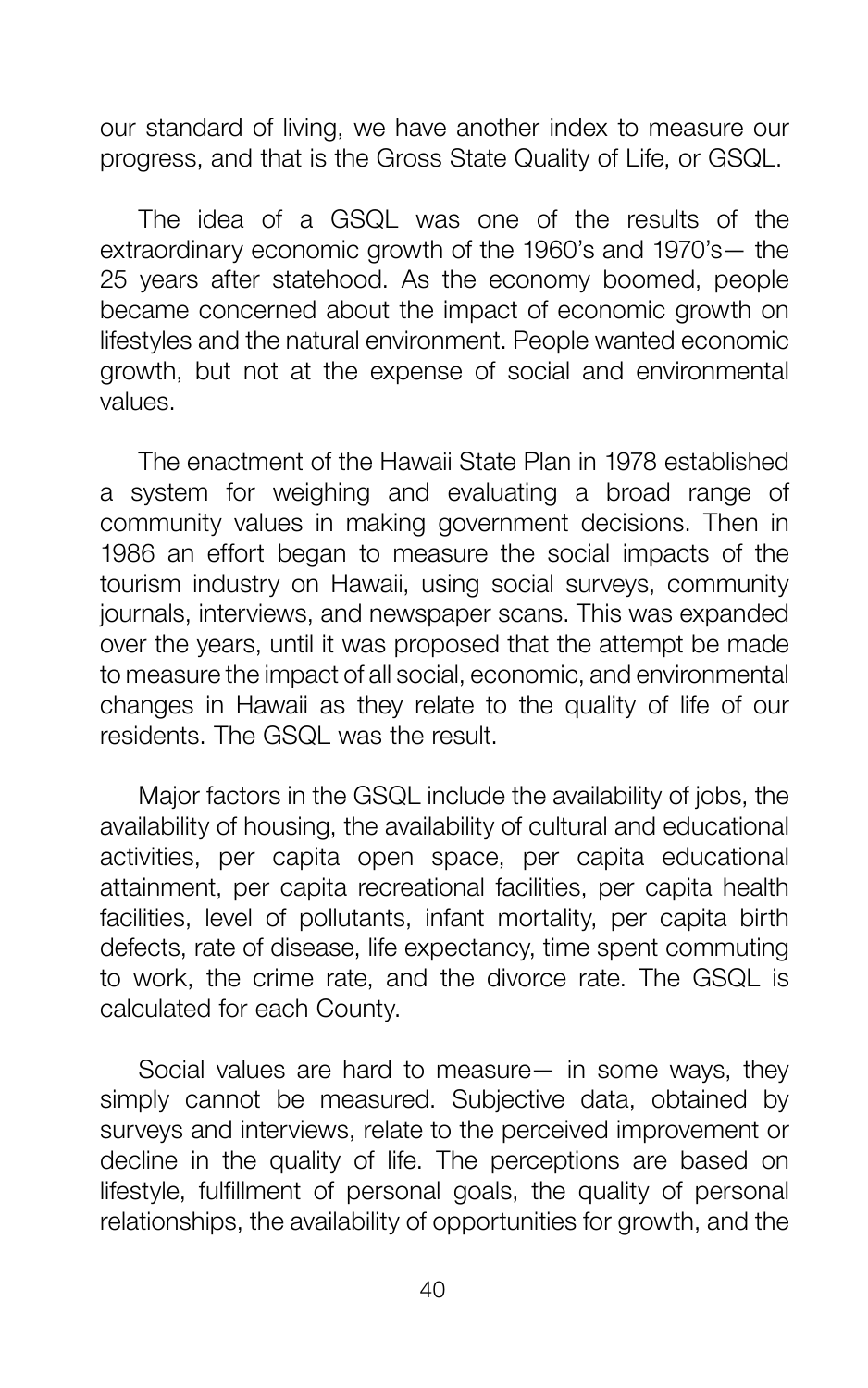our standard of living, we have another index to measure our progress, and that is the Gross State Quality of Life, or GSQL.

The idea of a GSQL was one of the results of the extraordinary economic growth of the 1960's and 1970's— the 25 years after statehood. As the economy boomed, people became concerned about the impact of economic growth on lifestyles and the natural environment. People wanted economic growth, but not at the expense of social and environmental values.

The enactment of the Hawaii State Plan in 1978 established a system for weighing and evaluating a broad range of community values in making government decisions. Then in 1986 an effort began to measure the social impacts of the tourism industry on Hawaii, using social surveys, community journals, interviews, and newspaper scans. This was expanded over the years, until it was proposed that the attempt be made to measure the impact of all social, economic, and environmental changes in Hawaii as they relate to the quality of life of our residents. The GSQL was the result.

Major factors in the GSQL include the availability of jobs, the availability of housing, the availability of cultural and educational activities, per capita open space, per capita educational attainment, per capita recreational facilities, per capita health facilities, level of pollutants, infant mortality, per capita birth defects, rate of disease, life expectancy, time spent commuting to work, the crime rate, and the divorce rate. The GSQL is calculated for each County.

Social values are hard to measure— in some ways, they simply cannot be measured. Subjective data, obtained by surveys and interviews, relate to the perceived improvement or decline in the quality of life. The perceptions are based on lifestyle, fulfillment of personal goals, the quality of personal relationships, the availability of opportunities for growth, and the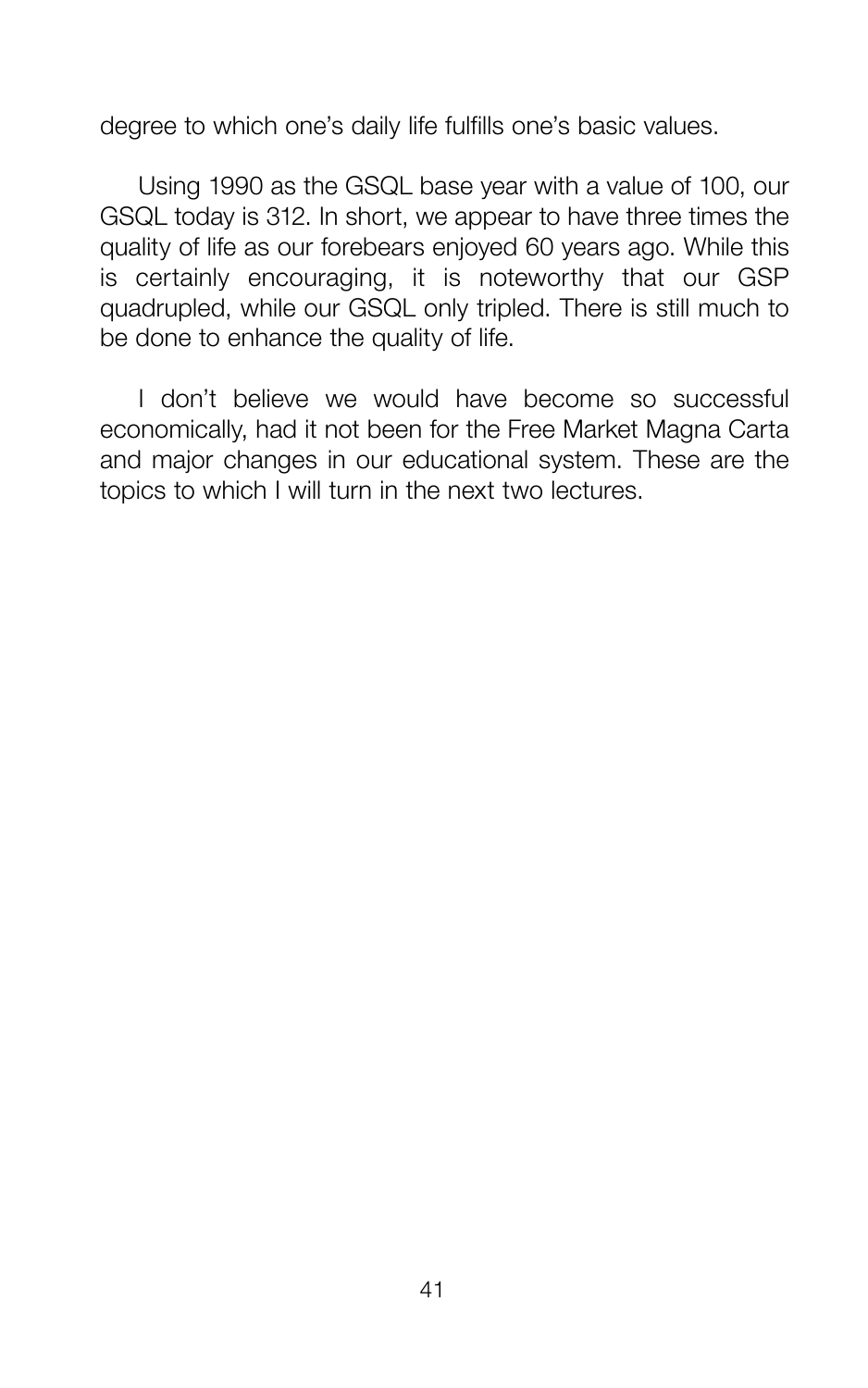degree to which one's daily life fulfills one's basic values.

Using 1990 as the GSQL base year with a value of 100, our GSQL today is 312. In short, we appear to have three times the quality of life as our forebears enjoyed 60 years ago. While this is certainly encouraging, it is noteworthy that our GSP quadrupled, while our GSQL only tripled. There is still much to be done to enhance the quality of life.

I don't believe we would have become so successful economically, had it not been for the Free Market Magna Carta and major changes in our educational system. These are the topics to which I will turn in the next two lectures.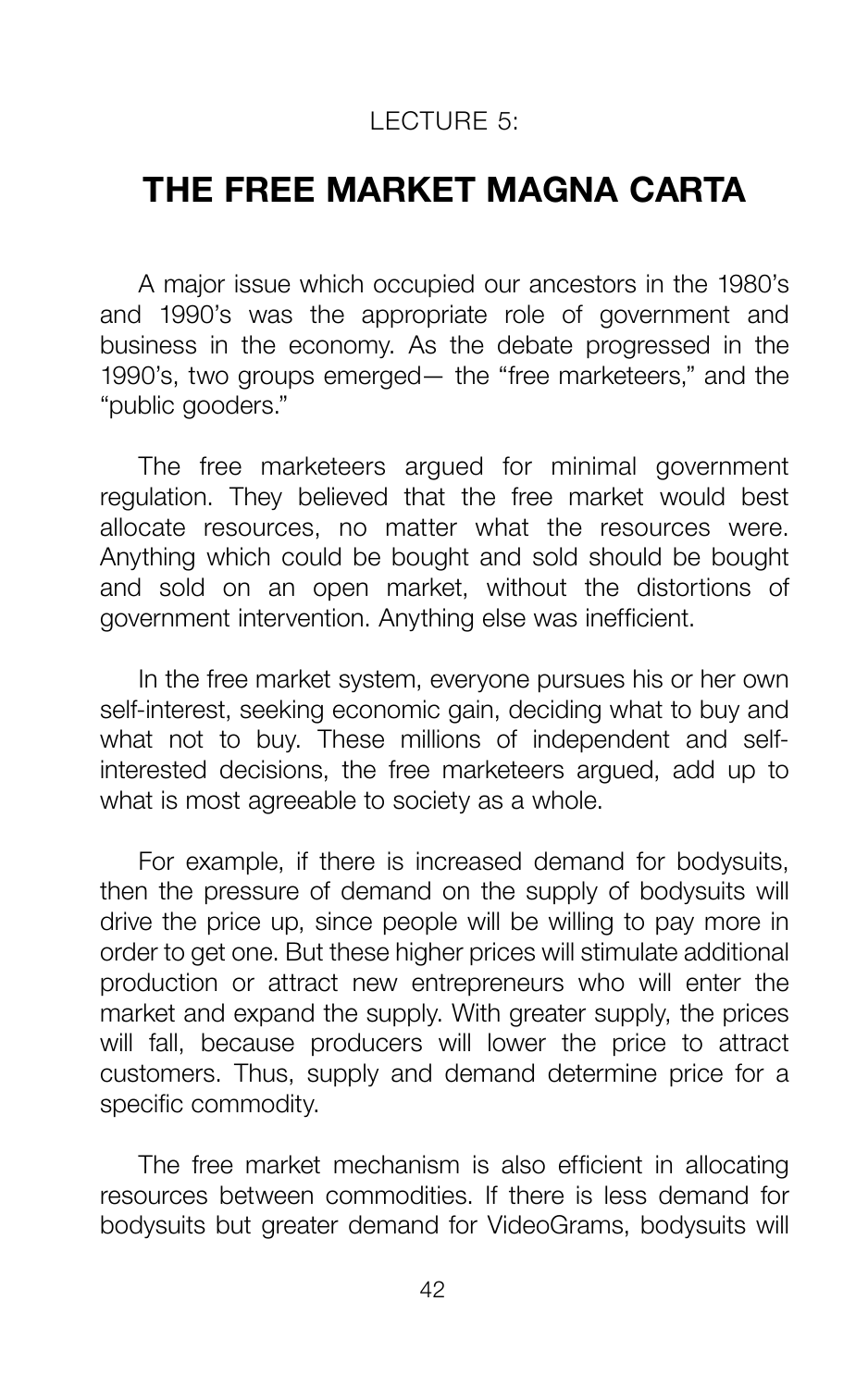#### LECTURE 5:

## **THE FREE MARKET MAGNA CARTA**

A major issue which occupied our ancestors in the 1980's and 1990's was the appropriate role of government and business in the economy. As the debate progressed in the 1990's, two groups emerged— the "free marketeers," and the "public gooders."

The free marketeers argued for minimal government regulation. They believed that the free market would best allocate resources, no matter what the resources were. Anything which could be bought and sold should be bought and sold on an open market, without the distortions of government intervention. Anything else was inefficient.

In the free market system, everyone pursues his or her own self-interest, seeking economic gain, deciding what to buy and what not to buy. These millions of independent and selfinterested decisions, the free marketeers argued, add up to what is most agreeable to society as a whole.

For example, if there is increased demand for bodysuits, then the pressure of demand on the supply of bodysuits will drive the price up, since people will be willing to pay more in order to get one. But these higher prices will stimulate additional production or attract new entrepreneurs who will enter the market and expand the supply. With greater supply, the prices will fall, because producers will lower the price to attract customers. Thus, supply and demand determine price for a specific commodity.

The free market mechanism is also efficient in allocating resources between commodities. If there is less demand for bodysuits but greater demand for VideoGrams, bodysuits will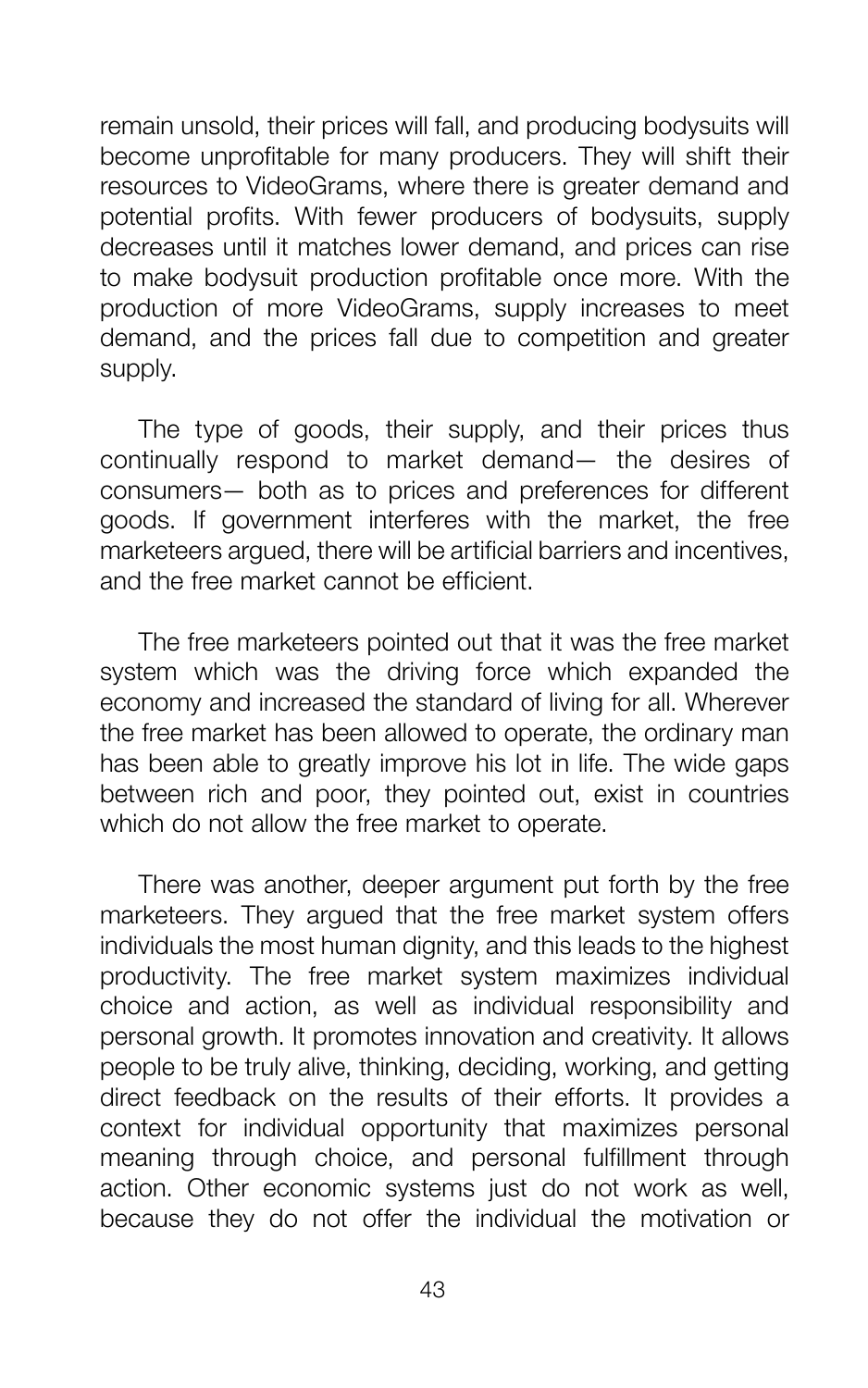remain unsold, their prices will fall, and producing bodysuits will become unprofitable for many producers. They will shift their resources to VideoGrams, where there is greater demand and potential profits. With fewer producers of bodysuits, supply decreases until it matches lower demand, and prices can rise to make bodysuit production profitable once more. With the production of more VideoGrams, supply increases to meet demand, and the prices fall due to competition and greater supply.

The type of goods, their supply, and their prices thus continually respond to market demand— the desires of consumers— both as to prices and preferences for different goods. If government interferes with the market, the free marketeers argued, there will be artificial barriers and incentives, and the free market cannot be efficient.

The free marketeers pointed out that it was the free market system which was the driving force which expanded the economy and increased the standard of living for all. Wherever the free market has been allowed to operate, the ordinary man has been able to greatly improve his lot in life. The wide gaps between rich and poor, they pointed out, exist in countries which do not allow the free market to operate.

There was another, deeper argument put forth by the free marketeers. They argued that the free market system offers individuals the most human dignity, and this leads to the highest productivity. The free market system maximizes individual choice and action, as well as individual responsibility and personal growth. It promotes innovation and creativity. It allows people to be truly alive, thinking, deciding, working, and getting direct feedback on the results of their efforts. It provides a context for individual opportunity that maximizes personal meaning through choice, and personal fulfillment through action. Other economic systems just do not work as well, because they do not offer the individual the motivation or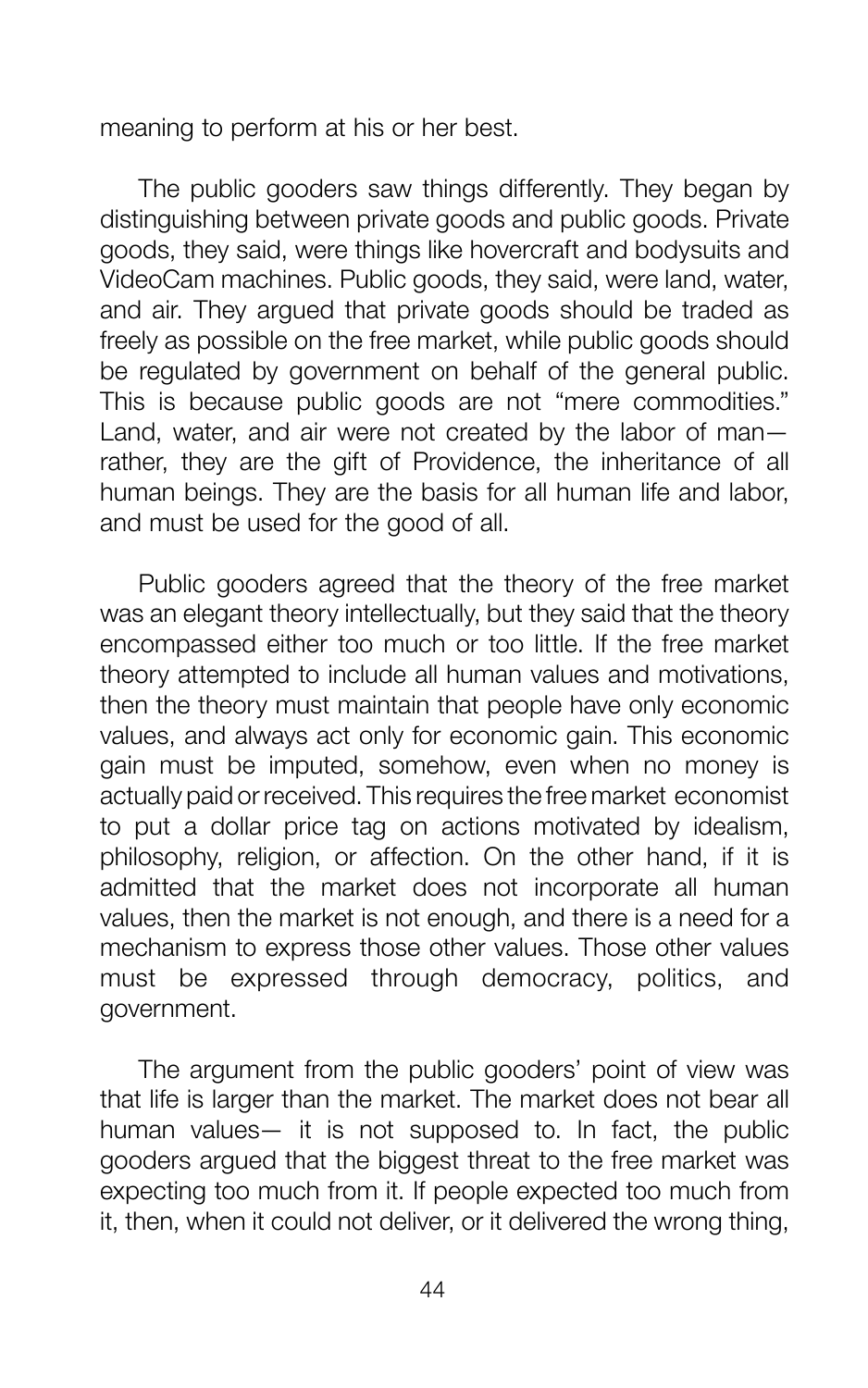meaning to perform at his or her best.

The public gooders saw things differently. They began by distinguishing between private goods and public goods. Private goods, they said, were things like hovercraft and bodysuits and VideoCam machines. Public goods, they said, were land, water, and air. They argued that private goods should be traded as freely as possible on the free market, while public goods should be regulated by government on behalf of the general public. This is because public goods are not "mere commodities." Land, water, and air were not created by the labor of man rather, they are the gift of Providence, the inheritance of all human beings. They are the basis for all human life and labor, and must be used for the good of all.

Public gooders agreed that the theory of the free market was an elegant theory intellectually, but they said that the theory encompassed either too much or too little. If the free market theory attempted to include all human values and motivations, then the theory must maintain that people have only economic values, and always act only for economic gain. This economic gain must be imputed, somehow, even when no money is actually paid or received. This requires the free market economist to put a dollar price tag on actions motivated by idealism, philosophy, religion, or affection. On the other hand, if it is admitted that the market does not incorporate all human values, then the market is not enough, and there is a need for a mechanism to express those other values. Those other values must be expressed through democracy, politics, and government.

The argument from the public gooders' point of view was that life is larger than the market. The market does not bear all human values— it is not supposed to. In fact, the public gooders argued that the biggest threat to the free market was expecting too much from it. If people expected too much from it, then, when it could not deliver, or it delivered the wrong thing,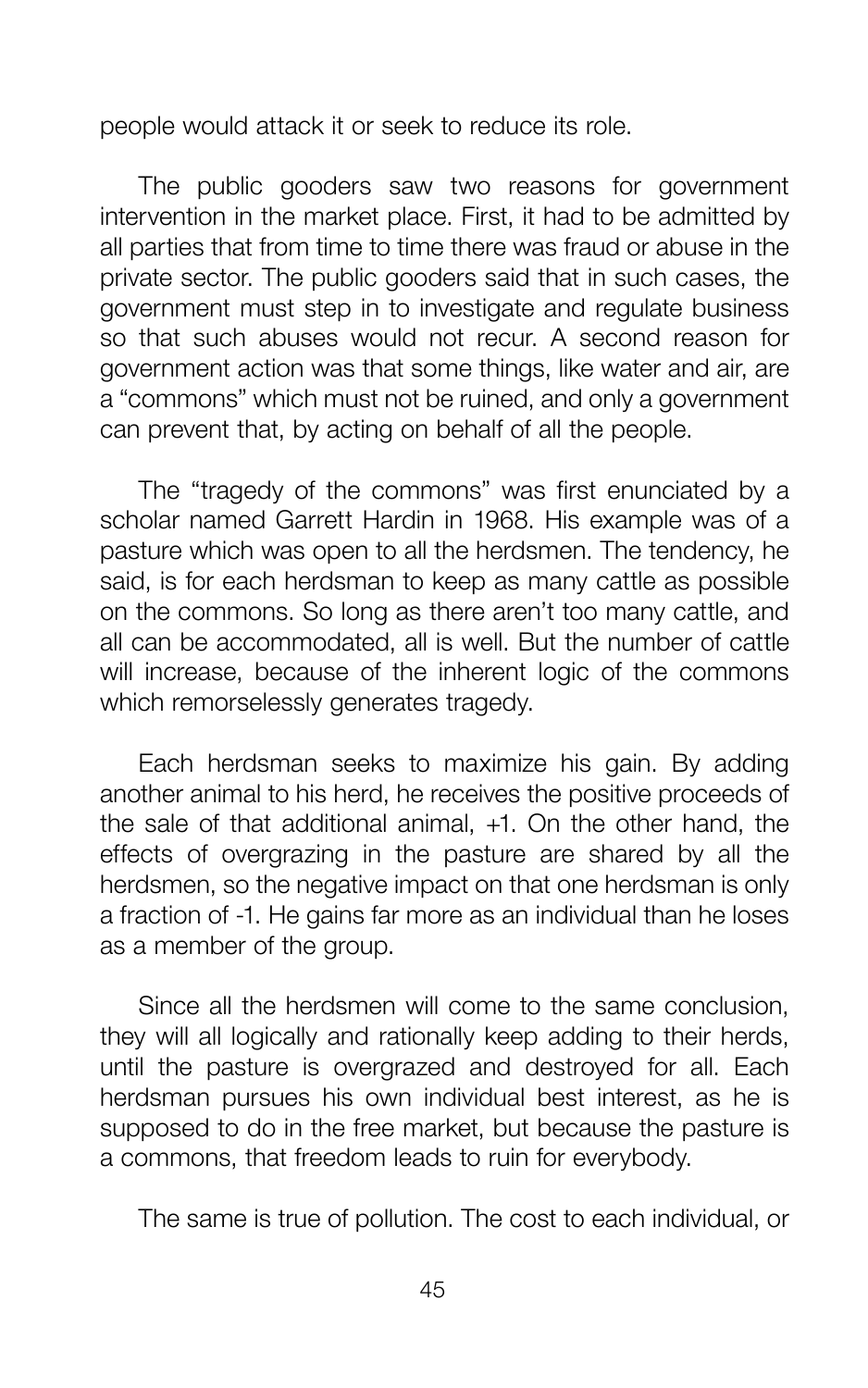people would attack it or seek to reduce its role.

The public gooders saw two reasons for government intervention in the market place. First, it had to be admitted by all parties that from time to time there was fraud or abuse in the private sector. The public gooders said that in such cases, the government must step in to investigate and regulate business so that such abuses would not recur. A second reason for government action was that some things, like water and air, are a "commons" which must not be ruined, and only a government can prevent that, by acting on behalf of all the people.

The "tragedy of the commons" was first enunciated by a scholar named Garrett Hardin in 1968. His example was of a pasture which was open to all the herdsmen. The tendency, he said, is for each herdsman to keep as many cattle as possible on the commons. So long as there aren't too many cattle, and all can be accommodated, all is well. But the number of cattle will increase, because of the inherent logic of the commons which remorselessly generates tragedy.

Each herdsman seeks to maximize his gain. By adding another animal to his herd, he receives the positive proceeds of the sale of that additional animal, +1. On the other hand, the effects of overgrazing in the pasture are shared by all the herdsmen, so the negative impact on that one herdsman is only a fraction of -1. He gains far more as an individual than he loses as a member of the group.

Since all the herdsmen will come to the same conclusion, they will all logically and rationally keep adding to their herds, until the pasture is overgrazed and destroyed for all. Each herdsman pursues his own individual best interest, as he is supposed to do in the free market, but because the pasture is a commons, that freedom leads to ruin for everybody.

The same is true of pollution. The cost to each individual, or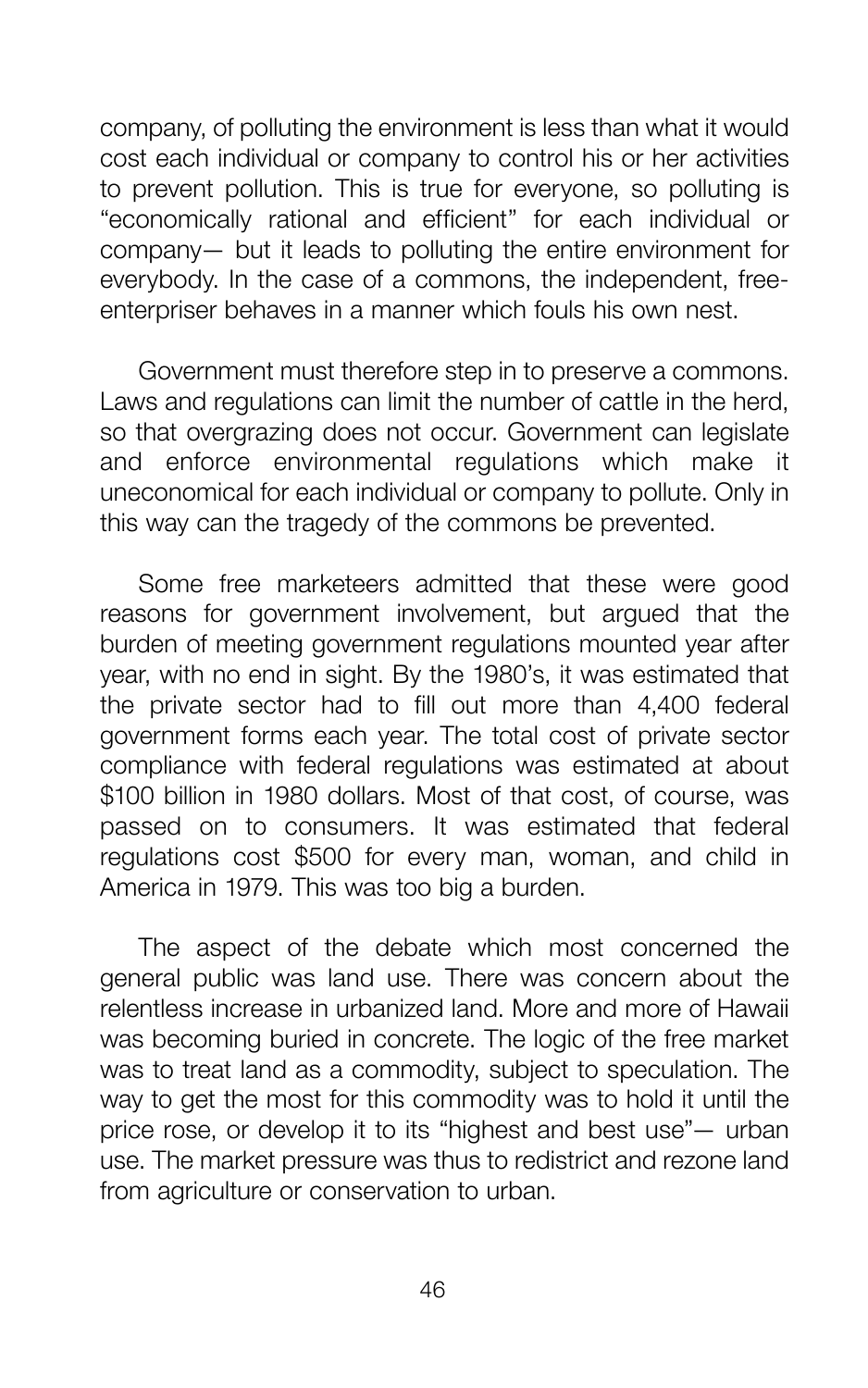company, of polluting the environment is less than what it would cost each individual or company to control his or her activities to prevent pollution. This is true for everyone, so polluting is "economically rational and efficient" for each individual or company— but it leads to polluting the entire environment for everybody. In the case of a commons, the independent, freeenterpriser behaves in a manner which fouls his own nest.

Government must therefore step in to preserve a commons. Laws and regulations can limit the number of cattle in the herd, so that overgrazing does not occur. Government can legislate and enforce environmental regulations which make it uneconomical for each individual or company to pollute. Only in this way can the tragedy of the commons be prevented.

Some free marketeers admitted that these were good reasons for government involvement, but argued that the burden of meeting government regulations mounted year after year, with no end in sight. By the 1980's, it was estimated that the private sector had to fill out more than 4,400 federal government forms each year. The total cost of private sector compliance with federal regulations was estimated at about \$100 billion in 1980 dollars. Most of that cost, of course, was passed on to consumers. It was estimated that federal regulations cost \$500 for every man, woman, and child in America in 1979. This was too big a burden.

The aspect of the debate which most concerned the general public was land use. There was concern about the relentless increase in urbanized land. More and more of Hawaii was becoming buried in concrete. The logic of the free market was to treat land as a commodity, subject to speculation. The way to get the most for this commodity was to hold it until the price rose, or develop it to its "highest and best use"— urban use. The market pressure was thus to redistrict and rezone land from agriculture or conservation to urban.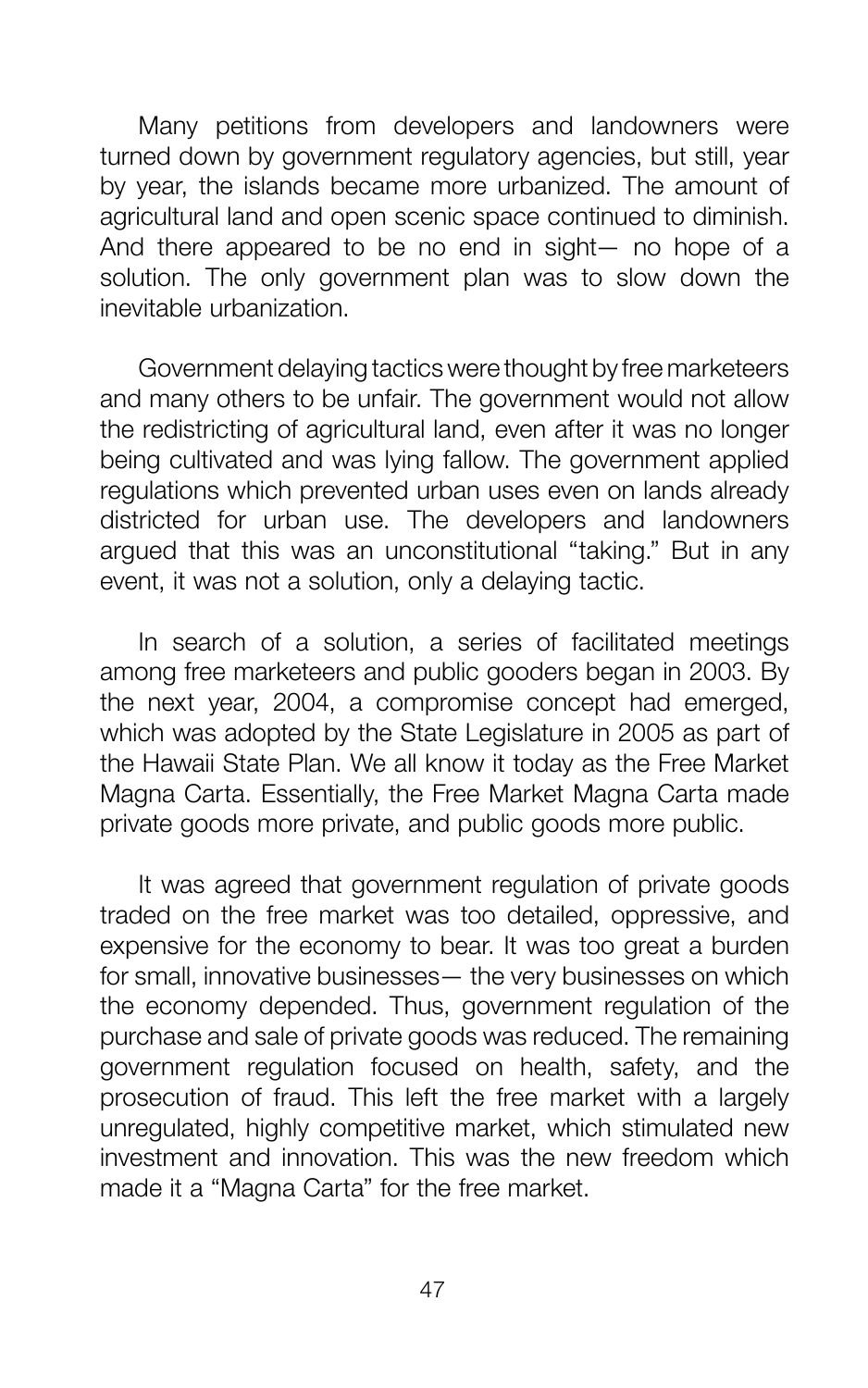Many petitions from developers and landowners were turned down by government regulatory agencies, but still, year by year, the islands became more urbanized. The amount of agricultural land and open scenic space continued to diminish. And there appeared to be no end in sight— no hope of a solution. The only government plan was to slow down the inevitable urbanization.

Government delaying tactics were thought by free marketeers and many others to be unfair. The government would not allow the redistricting of agricultural land, even after it was no longer being cultivated and was lying fallow. The government applied regulations which prevented urban uses even on lands already districted for urban use. The developers and landowners argued that this was an unconstitutional "taking." But in any event, it was not a solution, only a delaying tactic.

In search of a solution, a series of facilitated meetings among free marketeers and public gooders began in 2003. By the next year, 2004, a compromise concept had emerged, which was adopted by the State Legislature in 2005 as part of the Hawaii State Plan. We all know it today as the Free Market Magna Carta. Essentially, the Free Market Magna Carta made private goods more private, and public goods more public.

It was agreed that government regulation of private goods traded on the free market was too detailed, oppressive, and expensive for the economy to bear. It was too great a burden for small, innovative businesses— the very businesses on which the economy depended. Thus, government regulation of the purchase and sale of private goods was reduced. The remaining government regulation focused on health, safety, and the prosecution of fraud. This left the free market with a largely unregulated, highly competitive market, which stimulated new investment and innovation. This was the new freedom which made it a "Magna Carta" for the free market.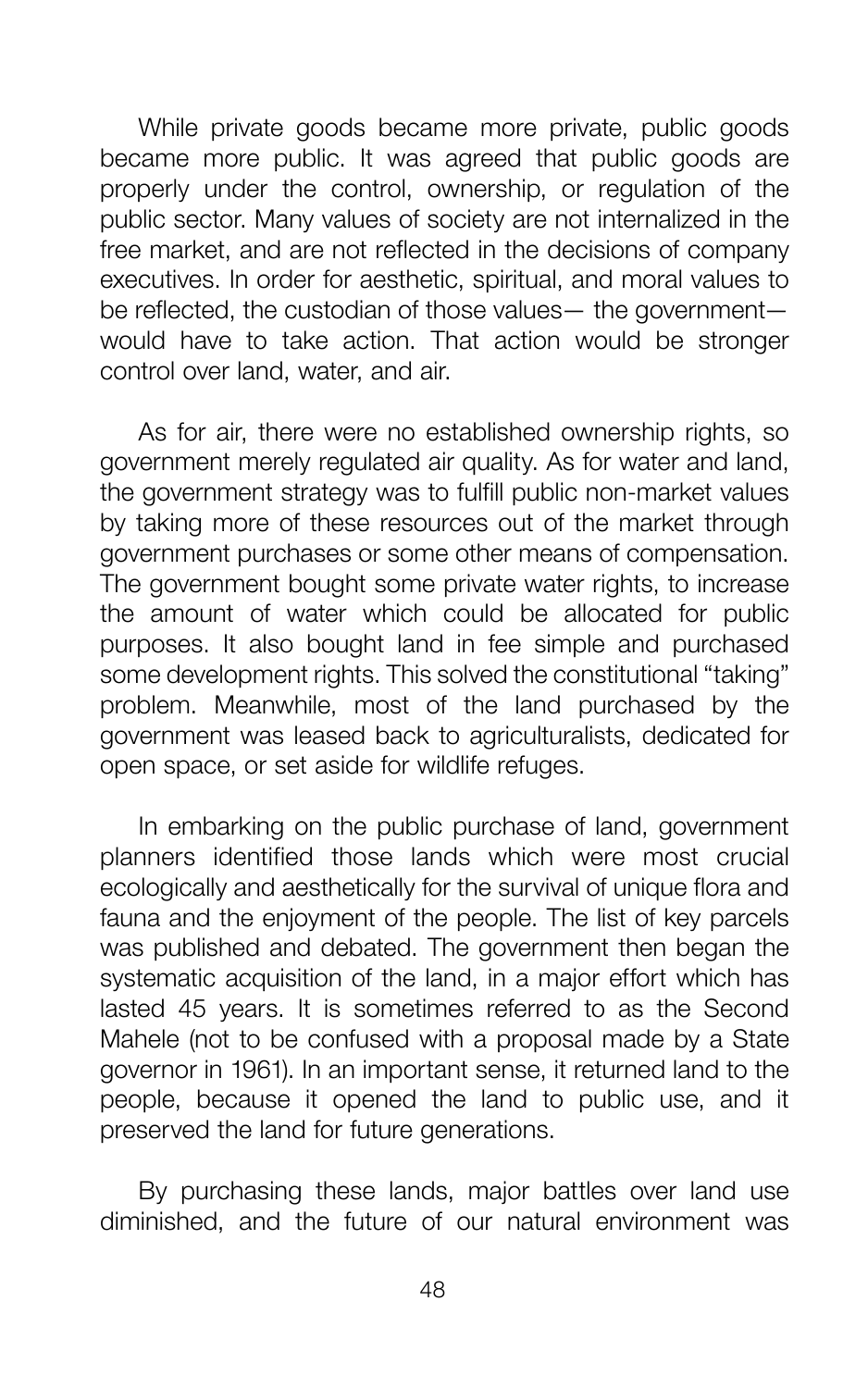While private goods became more private, public goods became more public. It was agreed that public goods are properly under the control, ownership, or regulation of the public sector. Many values of society are not internalized in the free market, and are not reflected in the decisions of company executives. In order for aesthetic, spiritual, and moral values to be reflected, the custodian of those values— the government would have to take action. That action would be stronger control over land, water, and air.

As for air, there were no established ownership rights, so government merely regulated air quality. As for water and land, the government strategy was to fulfill public non-market values by taking more of these resources out of the market through government purchases or some other means of compensation. The government bought some private water rights, to increase the amount of water which could be allocated for public purposes. It also bought land in fee simple and purchased some development rights. This solved the constitutional "taking" problem. Meanwhile, most of the land purchased by the government was leased back to agriculturalists, dedicated for open space, or set aside for wildlife refuges.

In embarking on the public purchase of land, government planners identified those lands which were most crucial ecologically and aesthetically for the survival of unique flora and fauna and the enjoyment of the people. The list of key parcels was published and debated. The government then began the systematic acquisition of the land, in a major effort which has lasted 45 years. It is sometimes referred to as the Second Mahele (not to be confused with a proposal made by a State governor in 1961). In an important sense, it returned land to the people, because it opened the land to public use, and it preserved the land for future generations.

By purchasing these lands, major battles over land use diminished, and the future of our natural environment was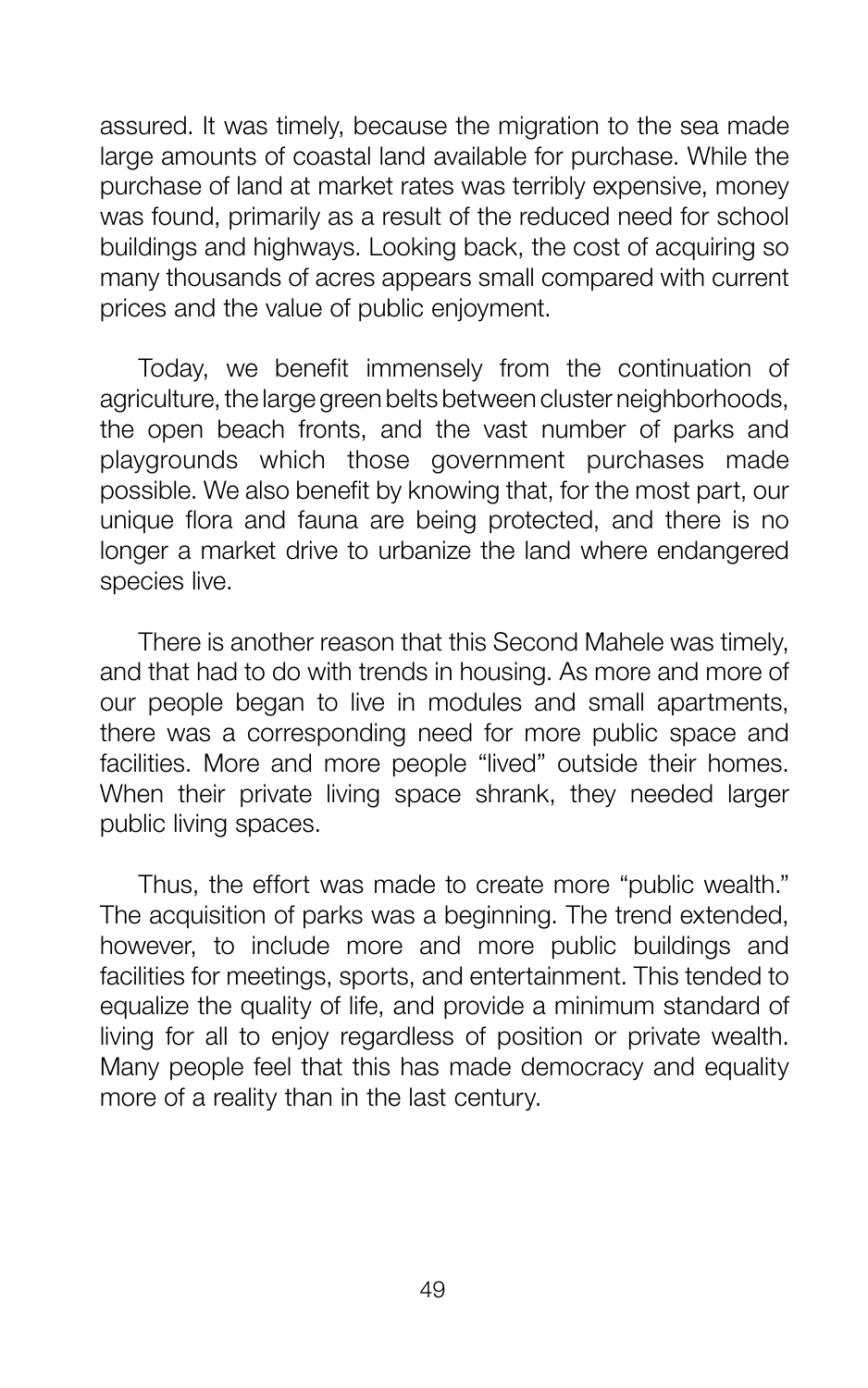assured. It was timely, because the migration to the sea made large amounts of coastal land available for purchase. While the purchase of land at market rates was terribly expensive, money was found, primarily as a result of the reduced need for school buildings and highways. Looking back, the cost of acquiring so many thousands of acres appears small compared with current prices and the value of public enjoyment.

Today, we benefit immensely from the continuation of agriculture, the large green belts between cluster neighborhoods, the open beach fronts, and the vast number of parks and playgrounds which those government purchases made possible. We also benefit by knowing that, for the most part, our unique flora and fauna are being protected, and there is no longer a market drive to urbanize the land where endangered species live.

There is another reason that this Second Mahele was timely, and that had to do with trends in housing. As more and more of our people began to live in modules and small apartments, there was a corresponding need for more public space and facilities. More and more people "lived" outside their homes. When their private living space shrank, they needed larger public living spaces.

Thus, the effort was made to create more "public wealth." The acquisition of parks was a beginning. The trend extended, however, to include more and more public buildings and facilities for meetings, sports, and entertainment. This tended to equalize the quality of life, and provide a minimum standard of living for all to enjoy regardless of position or private wealth. Many people feel that this has made democracy and equality more of a reality than in the last century.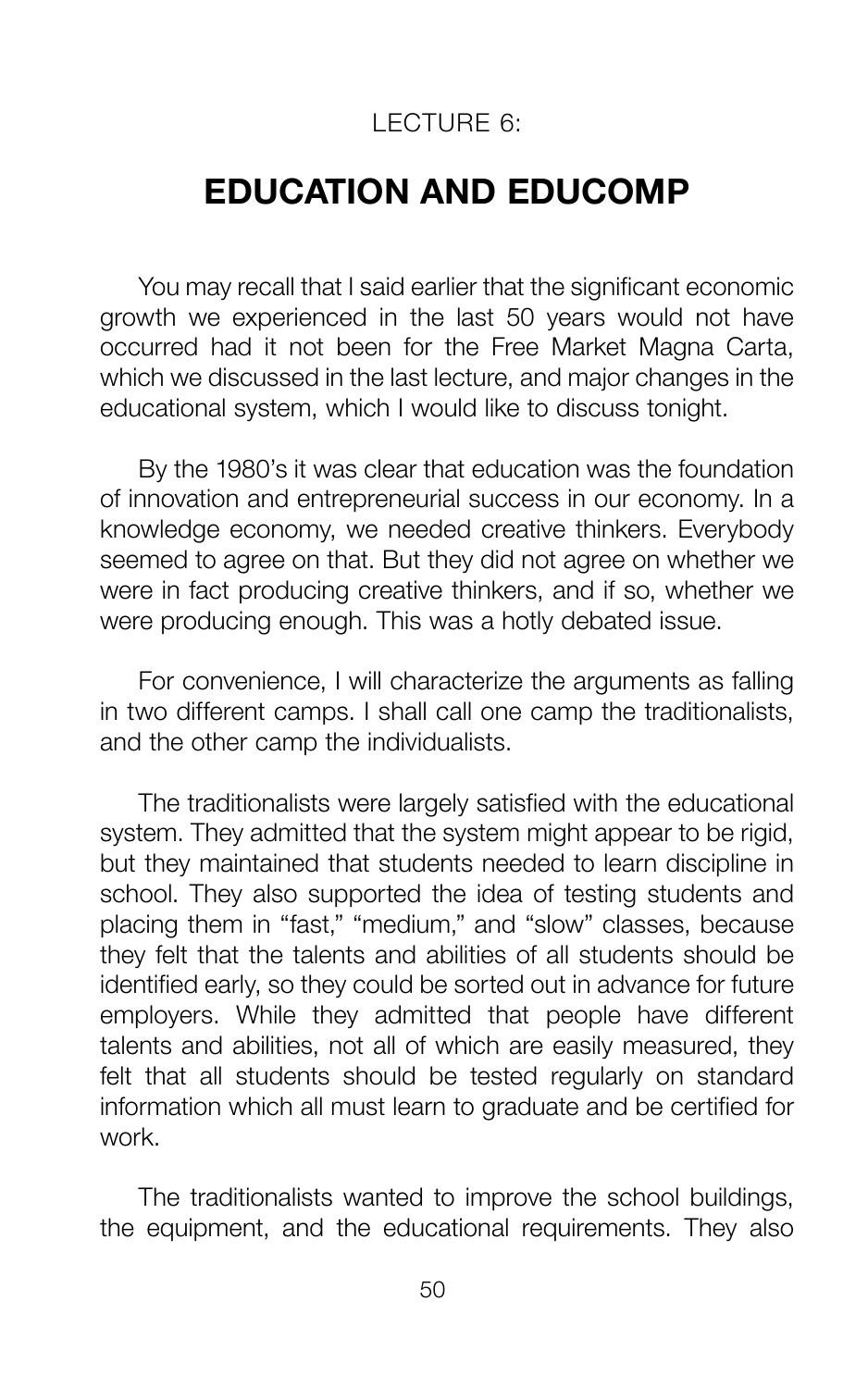### LECTURE 6:

## **EDUCATION AND EDUCOMP**

You may recall that I said earlier that the significant economic growth we experienced in the last 50 years would not have occurred had it not been for the Free Market Magna Carta, which we discussed in the last lecture, and major changes in the educational system, which I would like to discuss tonight.

By the 1980's it was clear that education was the foundation of innovation and entrepreneurial success in our economy. In a knowledge economy, we needed creative thinkers. Everybody seemed to agree on that. But they did not agree on whether we were in fact producing creative thinkers, and if so, whether we were producing enough. This was a hotly debated issue.

For convenience, I will characterize the arguments as falling in two different camps. I shall call one camp the traditionalists, and the other camp the individualists.

The traditionalists were largely satisfied with the educational system. They admitted that the system might appear to be rigid, but they maintained that students needed to learn discipline in school. They also supported the idea of testing students and placing them in "fast," "medium," and "slow" classes, because they felt that the talents and abilities of all students should be identified early, so they could be sorted out in advance for future employers. While they admitted that people have different talents and abilities, not all of which are easily measured, they felt that all students should be tested regularly on standard information which all must learn to graduate and be certified for work.

The traditionalists wanted to improve the school buildings, the equipment, and the educational requirements. They also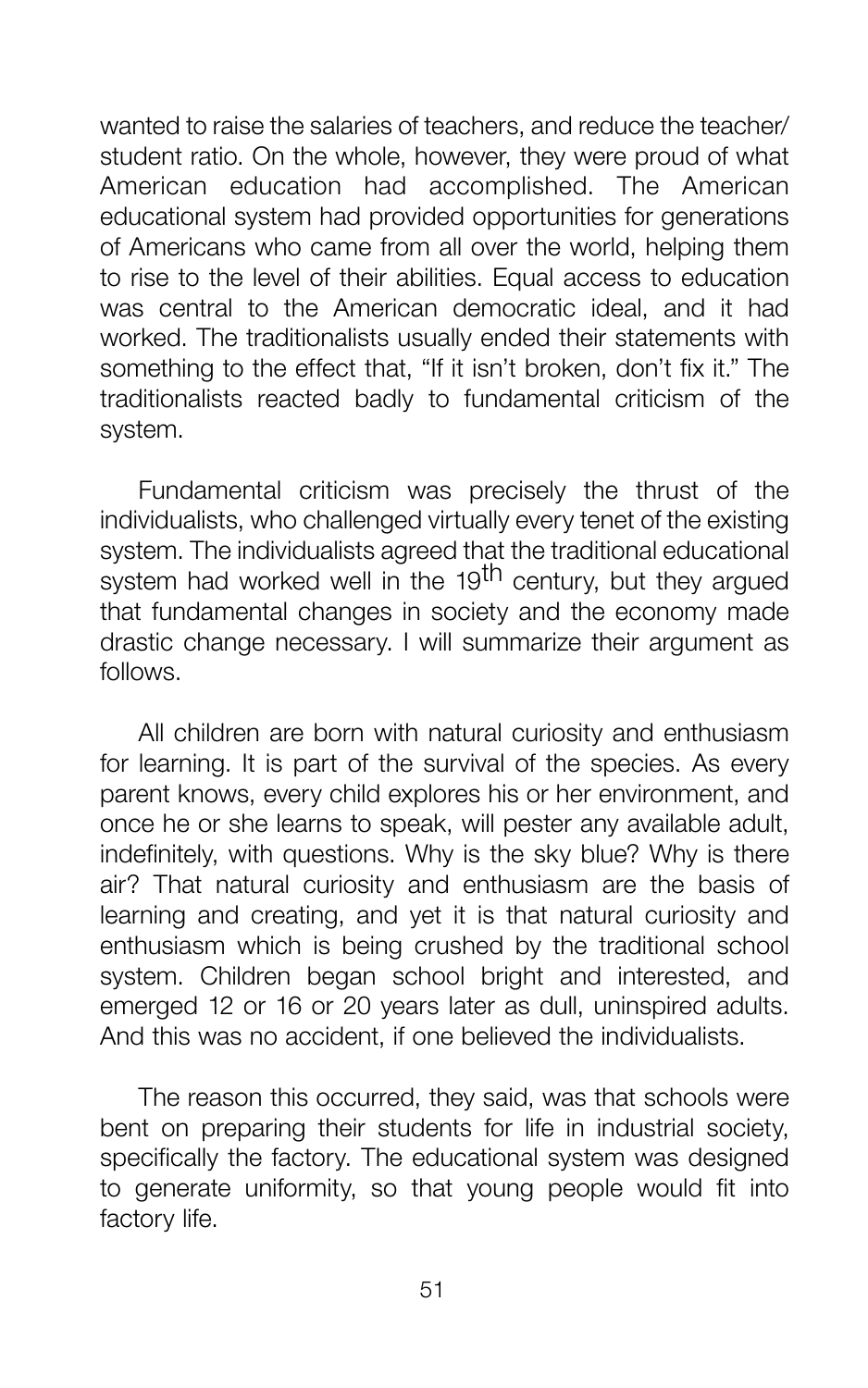wanted to raise the salaries of teachers, and reduce the teacher/ student ratio. On the whole, however, they were proud of what American education had accomplished. The American educational system had provided opportunities for generations of Americans who came from all over the world, helping them to rise to the level of their abilities. Equal access to education was central to the American democratic ideal, and it had worked. The traditionalists usually ended their statements with something to the effect that, "If it isn't broken, don't fix it." The traditionalists reacted badly to fundamental criticism of the system.

Fundamental criticism was precisely the thrust of the individualists, who challenged virtually every tenet of the existing system. The individualists agreed that the traditional educational system had worked well in the 19<sup>th</sup> century, but they argued that fundamental changes in society and the economy made drastic change necessary. I will summarize their argument as follows.

All children are born with natural curiosity and enthusiasm for learning. It is part of the survival of the species. As every parent knows, every child explores his or her environment, and once he or she learns to speak, will pester any available adult, indefinitely, with questions. Why is the sky blue? Why is there air? That natural curiosity and enthusiasm are the basis of learning and creating, and yet it is that natural curiosity and enthusiasm which is being crushed by the traditional school system. Children began school bright and interested, and emerged 12 or 16 or 20 years later as dull, uninspired adults. And this was no accident, if one believed the individualists.

The reason this occurred, they said, was that schools were bent on preparing their students for life in industrial society, specifically the factory. The educational system was designed to generate uniformity, so that young people would fit into factory life.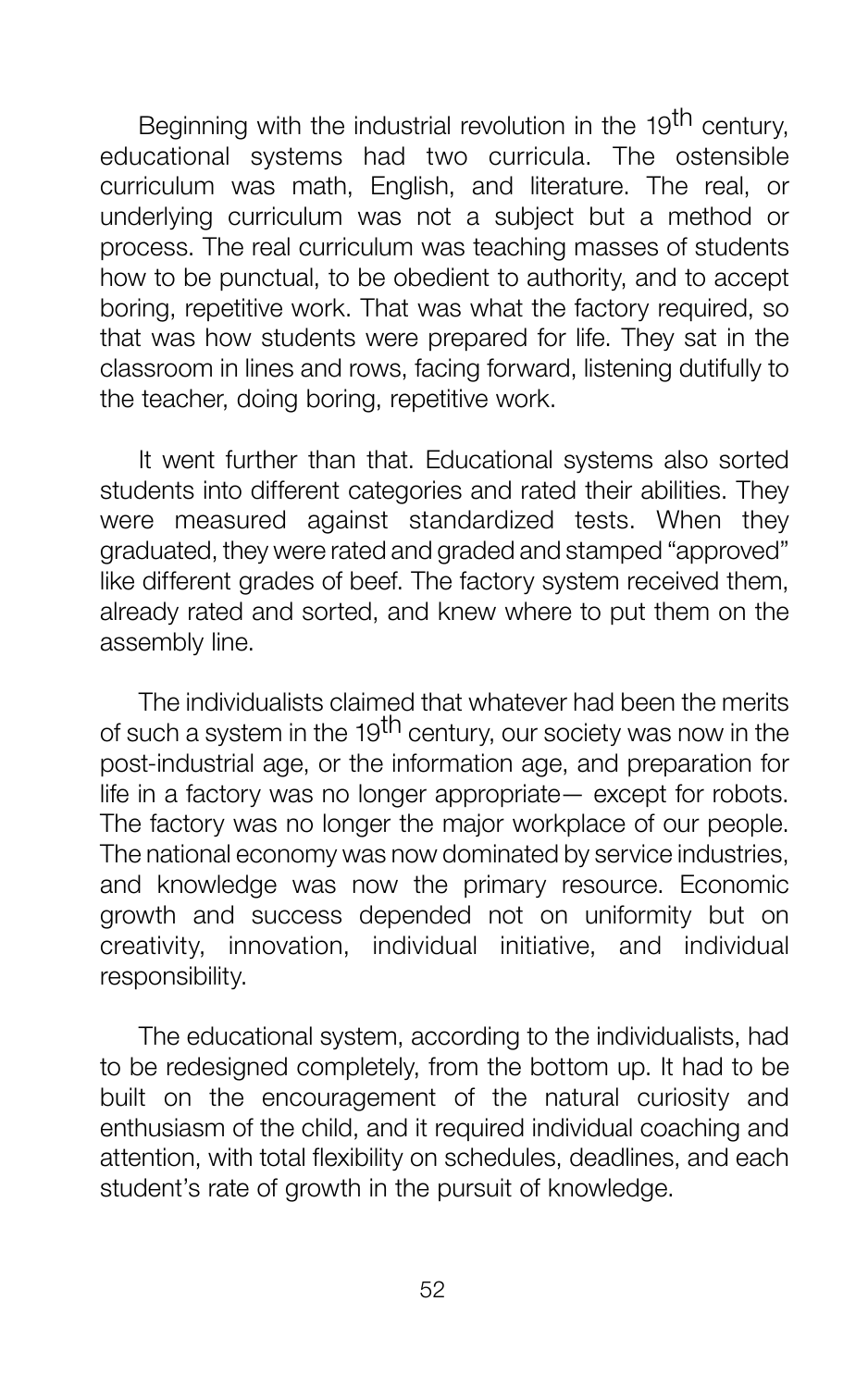Beginning with the industrial revolution in the 19<sup>th</sup> century, educational systems had two curricula. The ostensible curriculum was math, English, and literature. The real, or underlying curriculum was not a subject but a method or process. The real curriculum was teaching masses of students how to be punctual, to be obedient to authority, and to accept boring, repetitive work. That was what the factory required, so that was how students were prepared for life. They sat in the classroom in lines and rows, facing forward, listening dutifully to the teacher, doing boring, repetitive work.

It went further than that. Educational systems also sorted students into different categories and rated their abilities. They were measured against standardized tests. When they graduated, they were rated and graded and stamped "approved" like different grades of beef. The factory system received them, already rated and sorted, and knew where to put them on the assembly line.

The individualists claimed that whatever had been the merits of such a system in the 19<sup>th</sup> century, our society was now in the post-industrial age, or the information age, and preparation for life in a factory was no longer appropriate— except for robots. The factory was no longer the major workplace of our people. The national economy was now dominated by service industries, and knowledge was now the primary resource. Economic growth and success depended not on uniformity but on creativity, innovation, individual initiative, and individual responsibility.

The educational system, according to the individualists, had to be redesigned completely, from the bottom up. It had to be built on the encouragement of the natural curiosity and enthusiasm of the child, and it required individual coaching and attention, with total flexibility on schedules, deadlines, and each student's rate of growth in the pursuit of knowledge.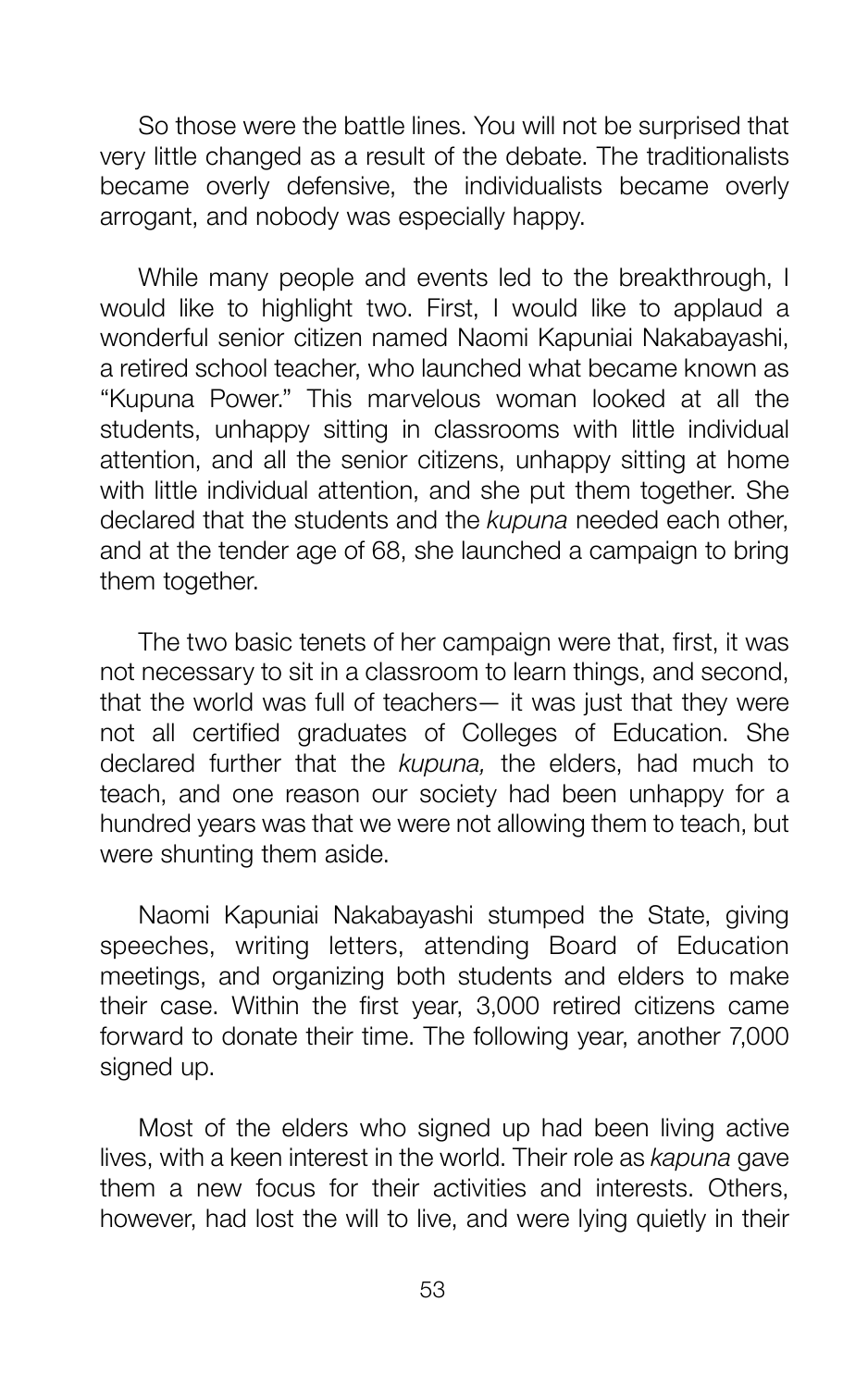So those were the battle lines. You will not be surprised that very little changed as a result of the debate. The traditionalists became overly defensive, the individualists became overly arrogant, and nobody was especially happy.

While many people and events led to the breakthrough, I would like to highlight two. First, I would like to applaud a wonderful senior citizen named Naomi Kapuniai Nakabayashi, a retired school teacher, who launched what became known as "Kupuna Power." This marvelous woman looked at all the students, unhappy sitting in classrooms with little individual attention, and all the senior citizens, unhappy sitting at home with little individual attention, and she put them together. She declared that the students and the *kupuna* needed each other, and at the tender age of 68, she launched a campaign to bring them together.

The two basic tenets of her campaign were that, first, it was not necessary to sit in a classroom to learn things, and second, that the world was full of teachers— it was just that they were not all certified graduates of Colleges of Education. She declared further that the *kupuna,* the elders, had much to teach, and one reason our society had been unhappy for a hundred years was that we were not allowing them to teach, but were shunting them aside.

Naomi Kapuniai Nakabayashi stumped the State, giving speeches, writing letters, attending Board of Education meetings, and organizing both students and elders to make their case. Within the first year, 3,000 retired citizens came forward to donate their time. The following year, another 7,000 signed up.

Most of the elders who signed up had been living active lives, with a keen interest in the world. Their role as *kapuna* gave them a new focus for their activities and interests. Others, however, had lost the will to live, and were lying quietly in their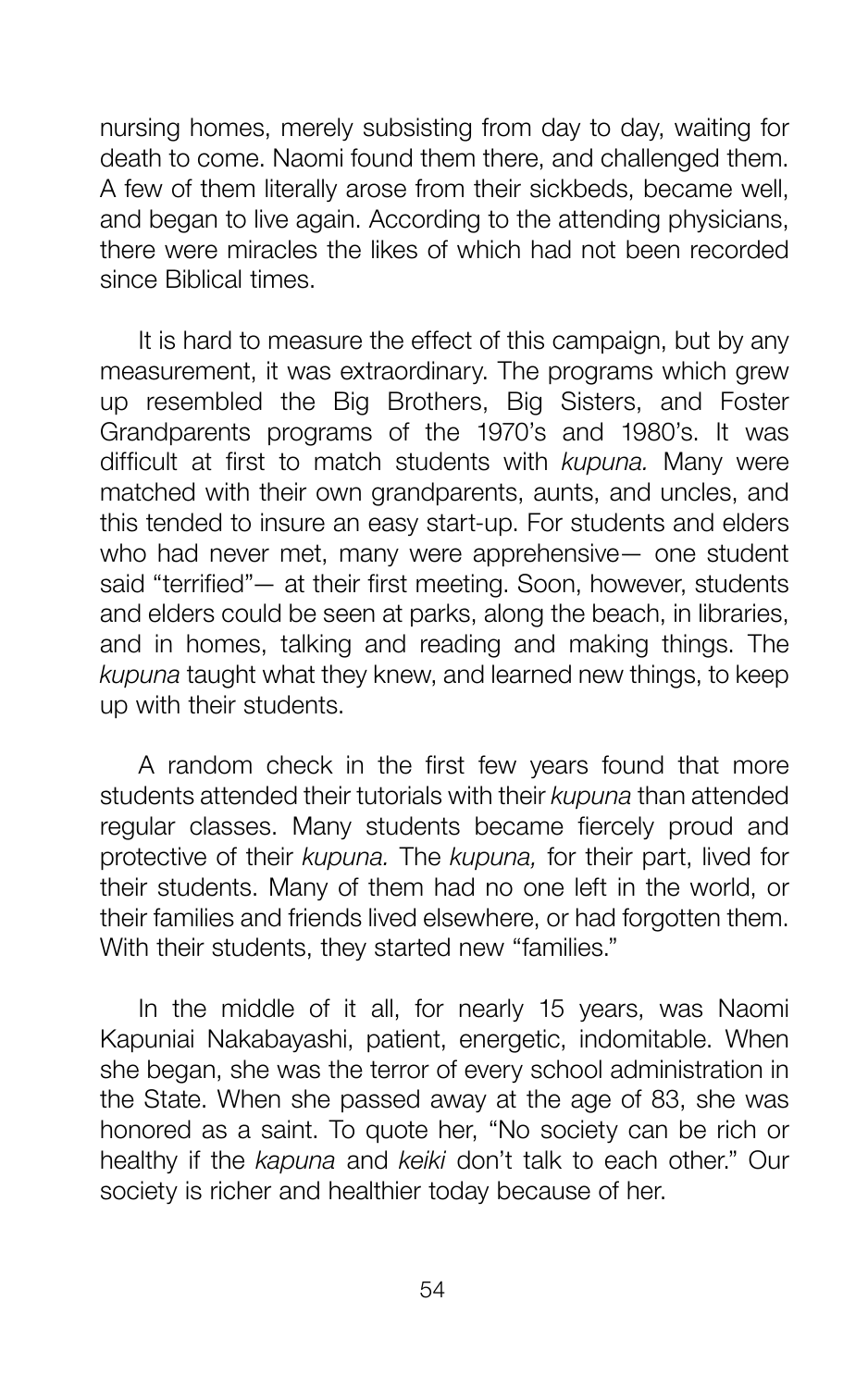nursing homes, merely subsisting from day to day, waiting for death to come. Naomi found them there, and challenged them. A few of them literally arose from their sickbeds, became well, and began to live again. According to the attending physicians, there were miracles the likes of which had not been recorded since Biblical times.

It is hard to measure the effect of this campaign, but by any measurement, it was extraordinary. The programs which grew up resembled the Big Brothers, Big Sisters, and Foster Grandparents programs of the 1970's and 1980's. It was difficult at first to match students with *kupuna.* Many were matched with their own grandparents, aunts, and uncles, and this tended to insure an easy start-up. For students and elders who had never met, many were apprehensive— one student said "terrified"— at their first meeting. Soon, however, students and elders could be seen at parks, along the beach, in libraries, and in homes, talking and reading and making things. The *kupuna* taught what they knew, and learned new things, to keep up with their students.

A random check in the first few years found that more students attended their tutorials with their *kupuna* than attended regular classes. Many students became fiercely proud and protective of their *kupuna.* The *kupuna,* for their part, lived for their students. Many of them had no one left in the world, or their families and friends lived elsewhere, or had forgotten them. With their students, they started new "families."

In the middle of it all, for nearly 15 years, was Naomi Kapuniai Nakabayashi, patient, energetic, indomitable. When she began, she was the terror of every school administration in the State. When she passed away at the age of 83, she was honored as a saint. To quote her, "No society can be rich or healthy if the *kapuna* and *keiki* don't talk to each other." Our society is richer and healthier today because of her.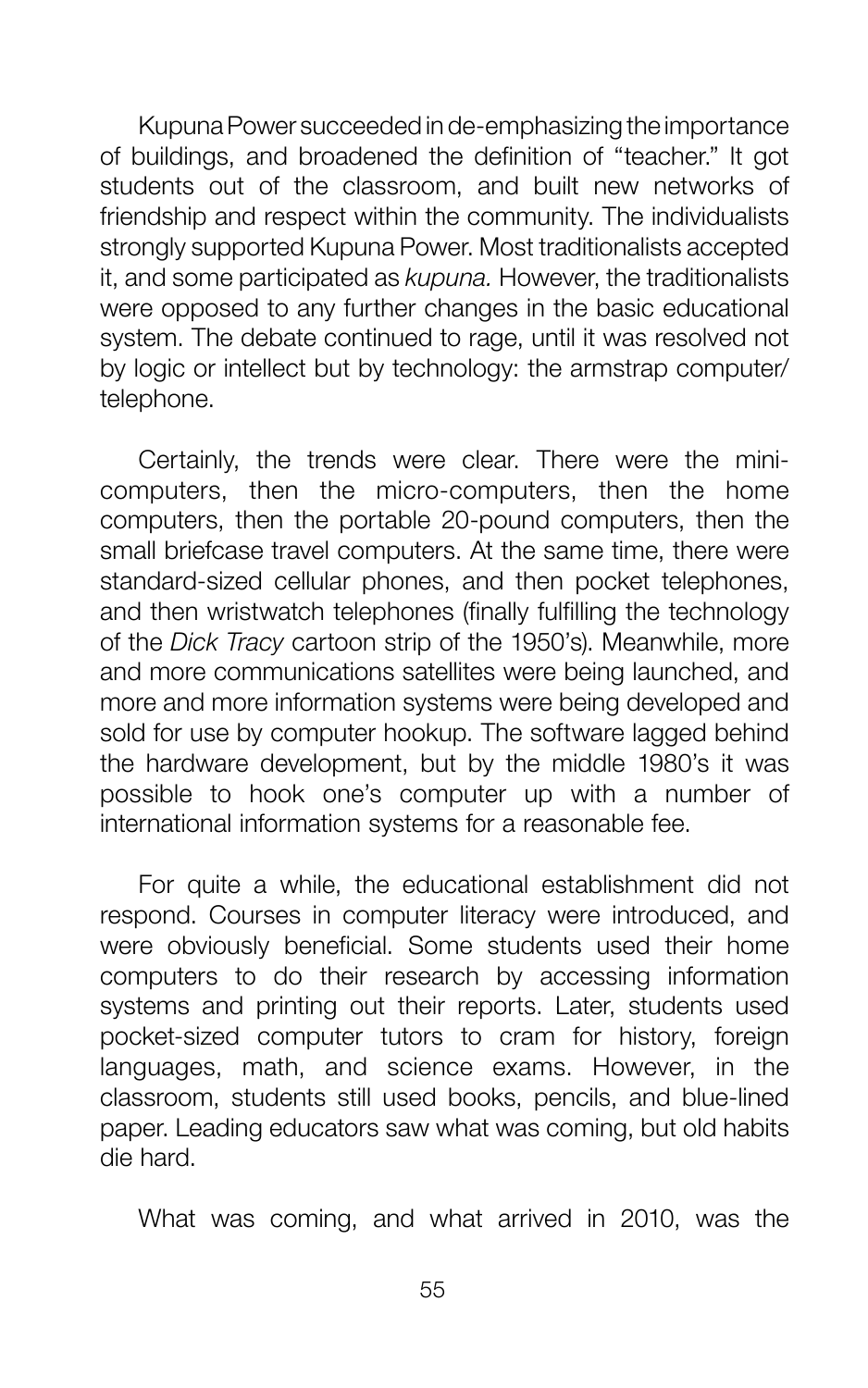Kupuna Power succeeded in de-emphasizing the importance of buildings, and broadened the definition of "teacher." It got students out of the classroom, and built new networks of friendship and respect within the community. The individualists strongly supported Kupuna Power. Most traditionalists accepted it, and some participated as *kupuna.* However, the traditionalists were opposed to any further changes in the basic educational system. The debate continued to rage, until it was resolved not by logic or intellect but by technology: the armstrap computer/ telephone.

Certainly, the trends were clear. There were the minicomputers, then the micro-computers, then the home computers, then the portable 20-pound computers, then the small briefcase travel computers. At the same time, there were standard-sized cellular phones, and then pocket telephones, and then wristwatch telephones (finally fulfilling the technology of the *Dick Tracy* cartoon strip of the 1950's). Meanwhile, more and more communications satellites were being launched, and more and more information systems were being developed and sold for use by computer hookup. The software lagged behind the hardware development, but by the middle 1980's it was possible to hook one's computer up with a number of international information systems for a reasonable fee.

For quite a while, the educational establishment did not respond. Courses in computer literacy were introduced, and were obviously beneficial. Some students used their home computers to do their research by accessing information systems and printing out their reports. Later, students used pocket-sized computer tutors to cram for history, foreign languages, math, and science exams. However, in the classroom, students still used books, pencils, and blue-lined paper. Leading educators saw what was coming, but old habits die hard.

What was coming, and what arrived in 2010, was the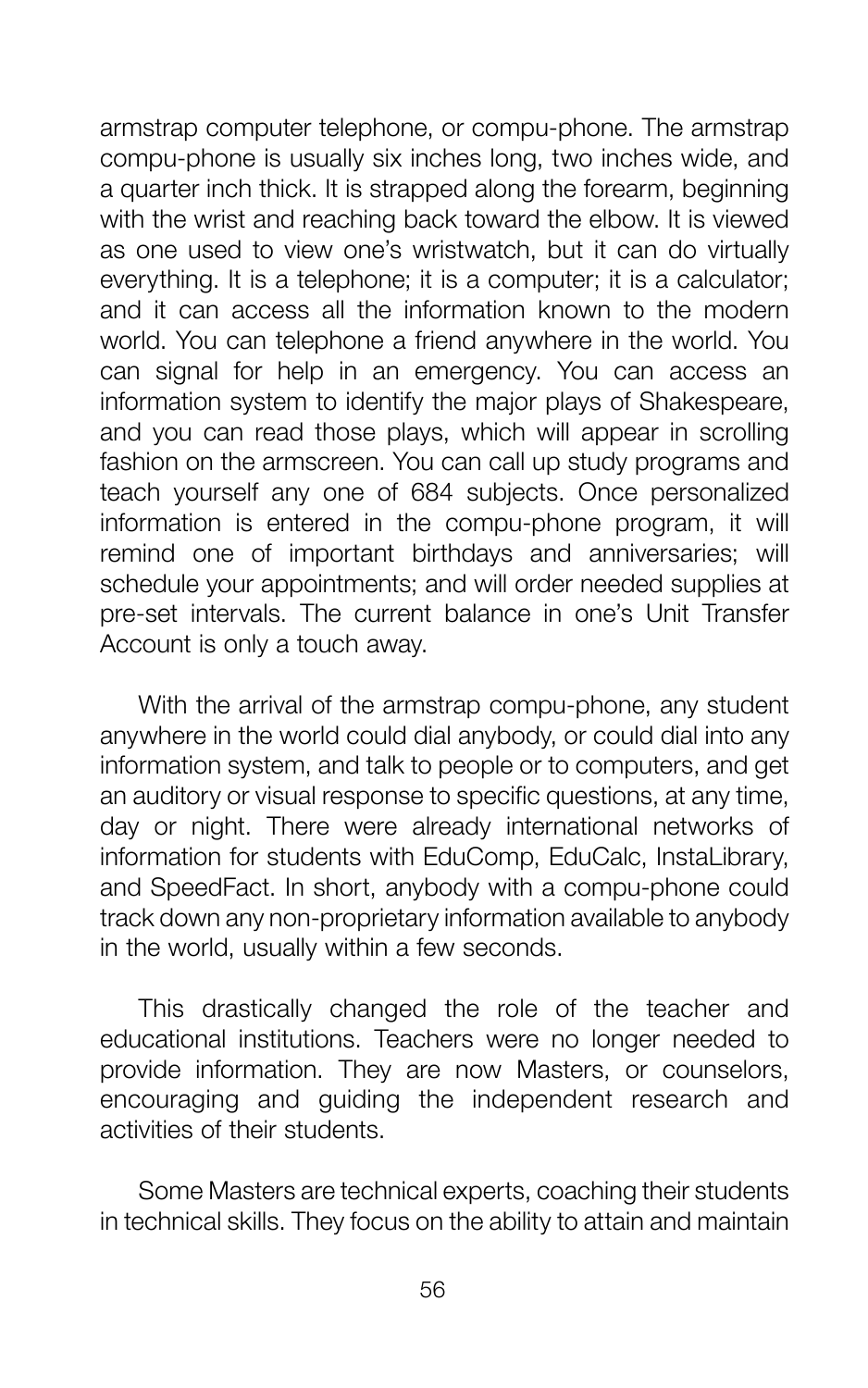armstrap computer telephone, or compu-phone. The armstrap compu-phone is usually six inches long, two inches wide, and a quarter inch thick. It is strapped along the forearm, beginning with the wrist and reaching back toward the elbow. It is viewed as one used to view one's wristwatch, but it can do virtually everything. It is a telephone; it is a computer; it is a calculator; and it can access all the information known to the modern world. You can telephone a friend anywhere in the world. You can signal for help in an emergency. You can access an information system to identify the major plays of Shakespeare, and you can read those plays, which will appear in scrolling fashion on the armscreen. You can call up study programs and teach yourself any one of 684 subjects. Once personalized information is entered in the compu-phone program, it will remind one of important birthdays and anniversaries; will schedule your appointments; and will order needed supplies at pre-set intervals. The current balance in one's Unit Transfer Account is only a touch away.

With the arrival of the armstrap compu-phone, any student anywhere in the world could dial anybody, or could dial into any information system, and talk to people or to computers, and get an auditory or visual response to specific questions, at any time, day or night. There were already international networks of information for students with EduComp, EduCalc, InstaLibrary, and SpeedFact. In short, anybody with a compu-phone could track down any non-proprietary information available to anybody in the world, usually within a few seconds.

This drastically changed the role of the teacher and educational institutions. Teachers were no longer needed to provide information. They are now Masters, or counselors, encouraging and guiding the independent research and activities of their students.

Some Masters are technical experts, coaching their students in technical skills. They focus on the ability to attain and maintain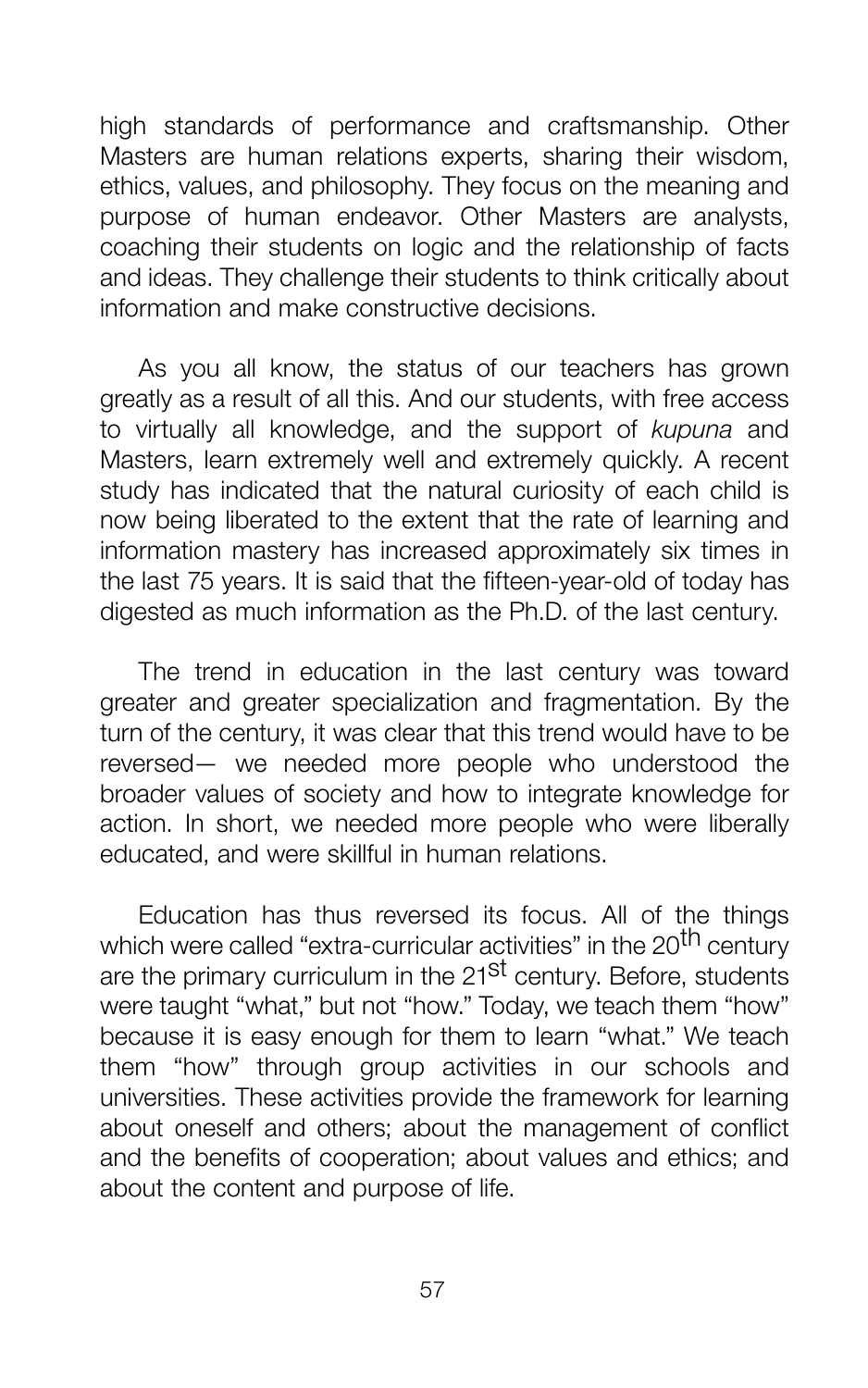high standards of performance and craftsmanship. Other Masters are human relations experts, sharing their wisdom, ethics, values, and philosophy. They focus on the meaning and purpose of human endeavor. Other Masters are analysts, coaching their students on logic and the relationship of facts and ideas. They challenge their students to think critically about information and make constructive decisions.

As you all know, the status of our teachers has grown greatly as a result of all this. And our students, with free access to virtually all knowledge, and the support of *kupuna* and Masters, learn extremely well and extremely quickly. A recent study has indicated that the natural curiosity of each child is now being liberated to the extent that the rate of learning and information mastery has increased approximately six times in the last 75 years. It is said that the fifteen-year-old of today has digested as much information as the Ph.D. of the last century.

The trend in education in the last century was toward greater and greater specialization and fragmentation. By the turn of the century, it was clear that this trend would have to be reversed— we needed more people who understood the broader values of society and how to integrate knowledge for action. In short, we needed more people who were liberally educated, and were skillful in human relations.

Education has thus reversed its focus. All of the things which were called "extra-curricular activities" in the 20<sup>th</sup> century are the primary curriculum in the 21<sup>St</sup> century. Before, students were taught "what," but not "how." Today, we teach them "how" because it is easy enough for them to learn "what." We teach them "how" through group activities in our schools and universities. These activities provide the framework for learning about oneself and others; about the management of conflict and the benefits of cooperation; about values and ethics; and about the content and purpose of life.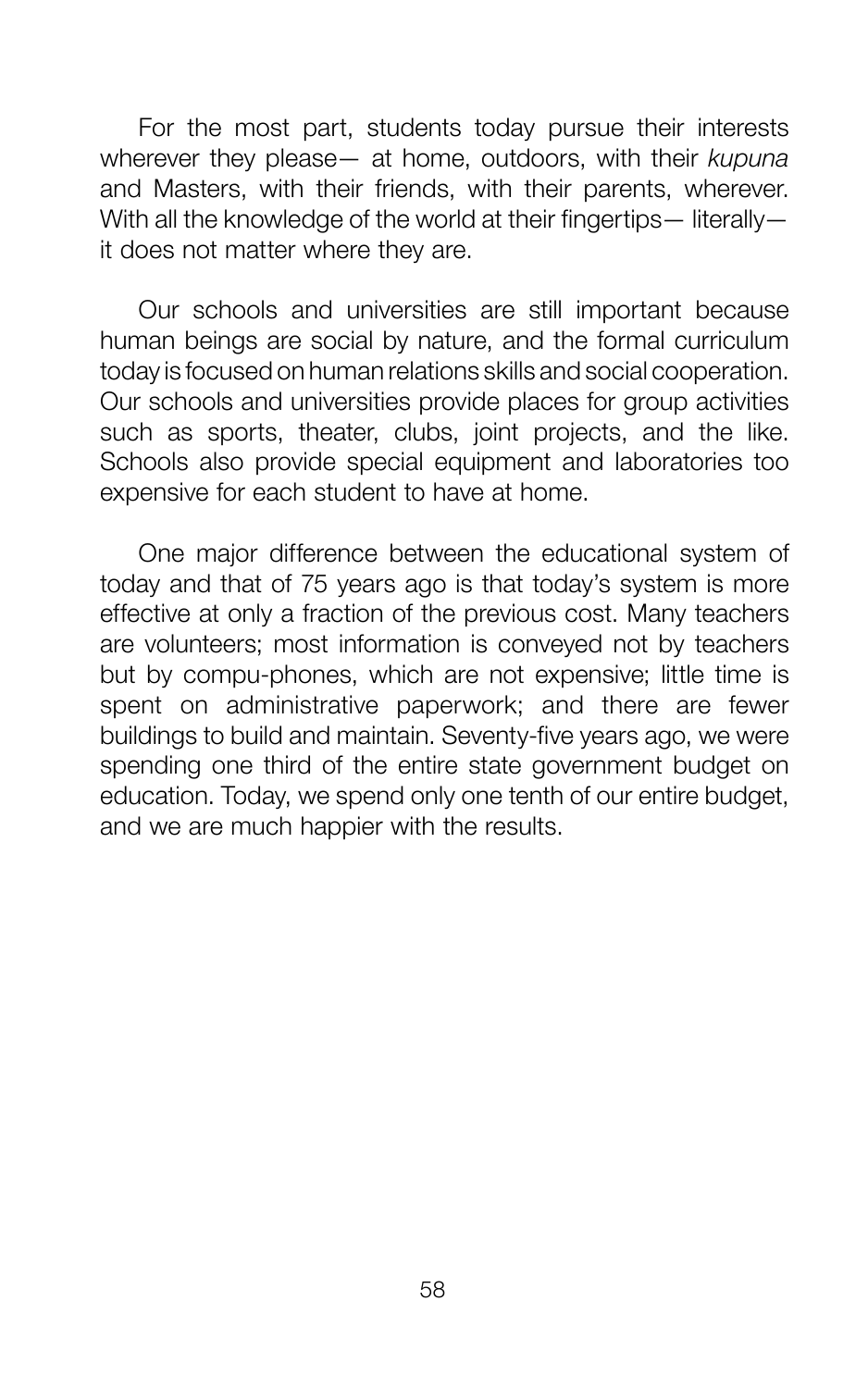For the most part, students today pursue their interests wherever they please— at home, outdoors, with their *kupuna*  and Masters, with their friends, with their parents, wherever. With all the knowledge of the world at their fingertips— literally it does not matter where they are.

Our schools and universities are still important because human beings are social by nature, and the formal curriculum today is focused on human relations skills and social cooperation. Our schools and universities provide places for group activities such as sports, theater, clubs, joint projects, and the like. Schools also provide special equipment and laboratories too expensive for each student to have at home.

One major difference between the educational system of today and that of 75 years ago is that today's system is more effective at only a fraction of the previous cost. Many teachers are volunteers; most information is conveyed not by teachers but by compu-phones, which are not expensive; little time is spent on administrative paperwork; and there are fewer buildings to build and maintain. Seventy-five years ago, we were spending one third of the entire state government budget on education. Today, we spend only one tenth of our entire budget, and we are much happier with the results.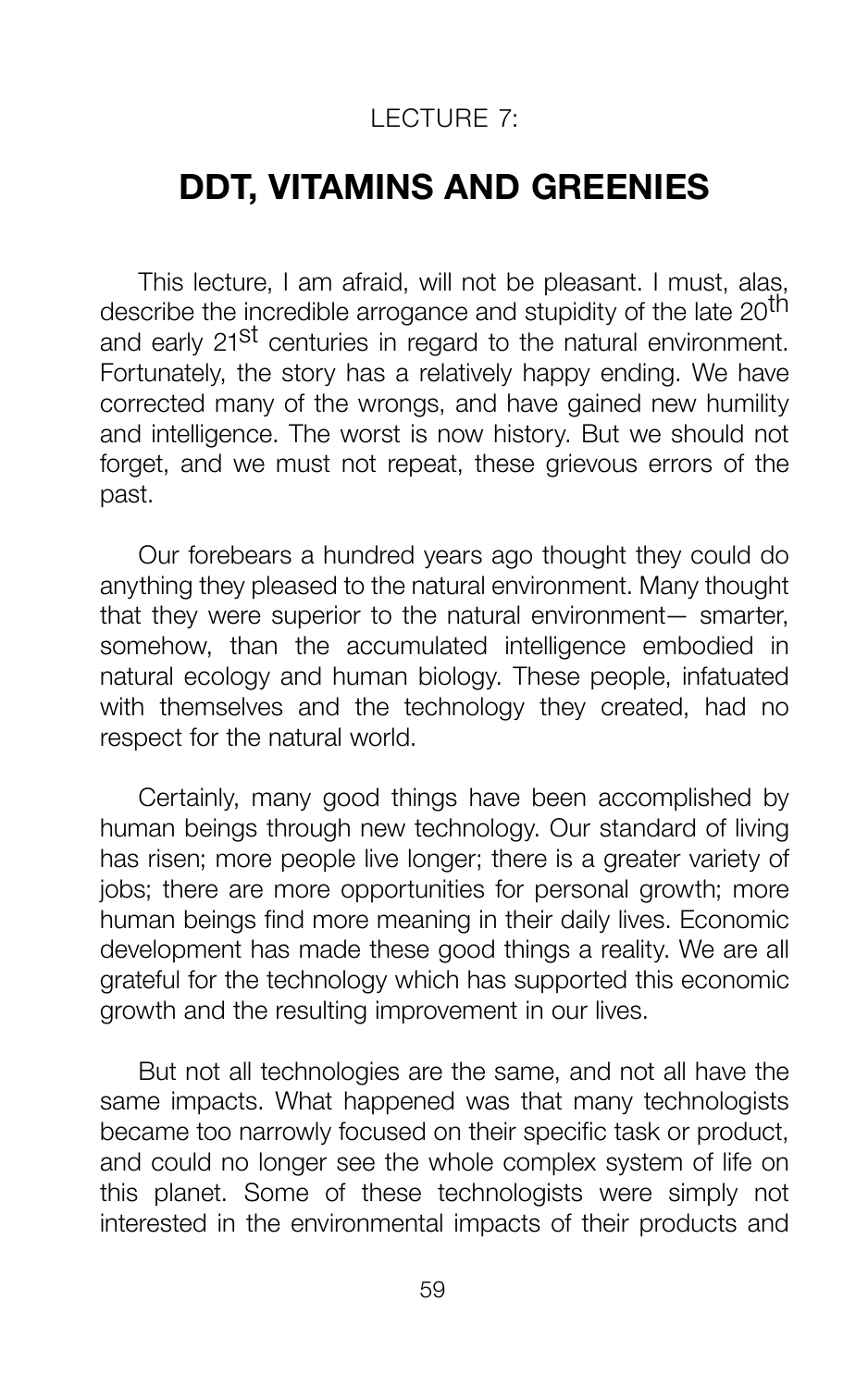### LECTURE 7:

## **DDT, VITAMINS AND GREENIES**

This lecture, I am afraid, will not be pleasant. I must, alas, describe the incredible arrogance and stupidity of the late 20<sup>th</sup> and early 21<sup>st</sup> centuries in regard to the natural environment. Fortunately, the story has a relatively happy ending. We have corrected many of the wrongs, and have gained new humility and intelligence. The worst is now history. But we should not forget, and we must not repeat, these grievous errors of the past.

Our forebears a hundred years ago thought they could do anything they pleased to the natural environment. Many thought that they were superior to the natural environment— smarter, somehow, than the accumulated intelligence embodied in natural ecology and human biology. These people, infatuated with themselves and the technology they created, had no respect for the natural world.

Certainly, many good things have been accomplished by human beings through new technology. Our standard of living has risen; more people live longer; there is a greater variety of jobs; there are more opportunities for personal growth; more human beings find more meaning in their daily lives. Economic development has made these good things a reality. We are all grateful for the technology which has supported this economic growth and the resulting improvement in our lives.

But not all technologies are the same, and not all have the same impacts. What happened was that many technologists became too narrowly focused on their specific task or product, and could no longer see the whole complex system of life on this planet. Some of these technologists were simply not interested in the environmental impacts of their products and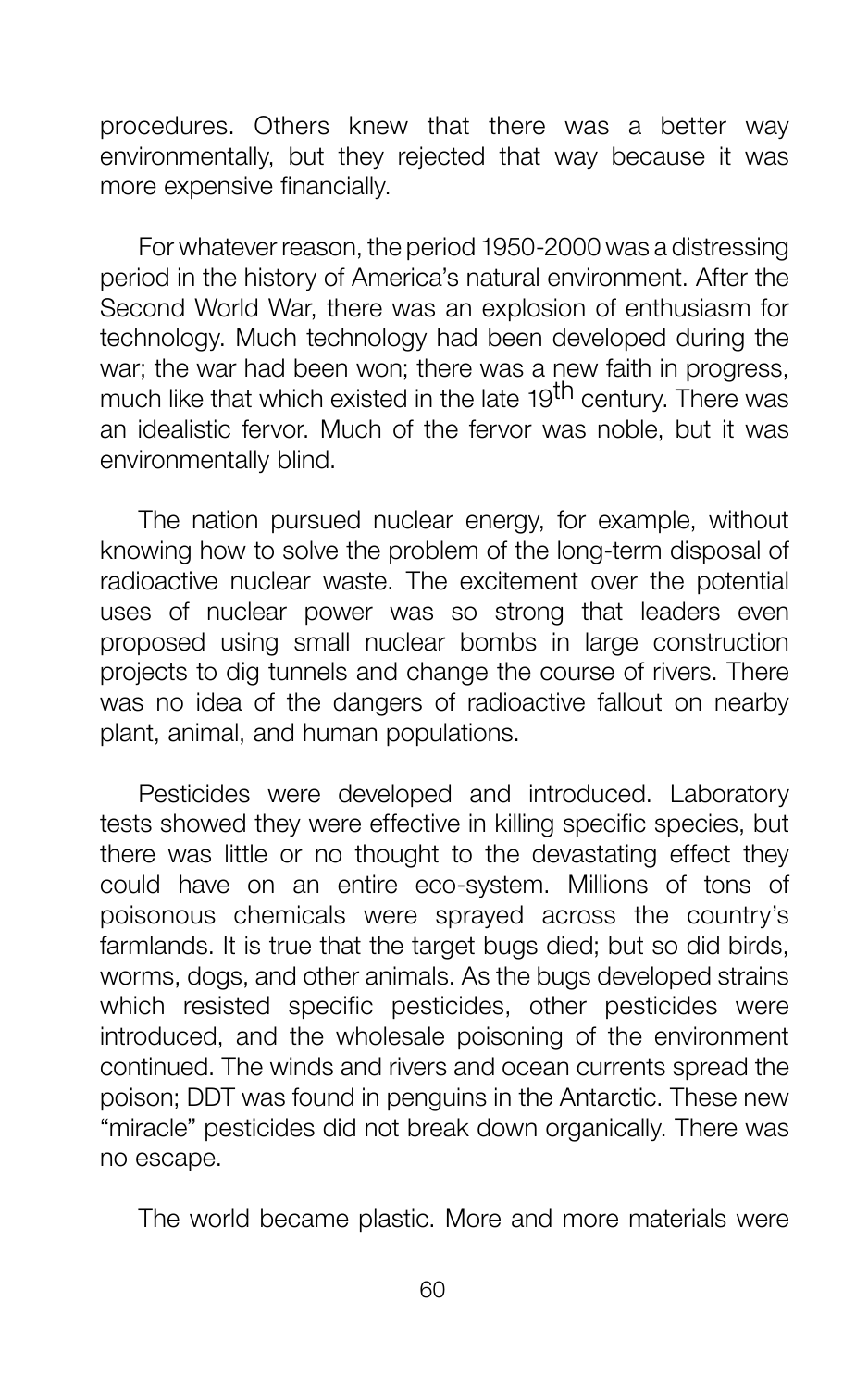procedures. Others knew that there was a better way environmentally, but they rejected that way because it was more expensive financially.

For whatever reason, the period 1950-2000 was a distressing period in the history of America's natural environment. After the Second World War, there was an explosion of enthusiasm for technology. Much technology had been developed during the war; the war had been won; there was a new faith in progress, much like that which existed in the late 19<sup>th</sup> century. There was an idealistic fervor. Much of the fervor was noble, but it was environmentally blind.

The nation pursued nuclear energy, for example, without knowing how to solve the problem of the long-term disposal of radioactive nuclear waste. The excitement over the potential uses of nuclear power was so strong that leaders even proposed using small nuclear bombs in large construction projects to dig tunnels and change the course of rivers. There was no idea of the dangers of radioactive fallout on nearby plant, animal, and human populations.

Pesticides were developed and introduced. Laboratory tests showed they were effective in killing specific species, but there was little or no thought to the devastating effect they could have on an entire eco-system. Millions of tons of poisonous chemicals were sprayed across the country's farmlands. It is true that the target bugs died; but so did birds, worms, dogs, and other animals. As the bugs developed strains which resisted specific pesticides, other pesticides were introduced, and the wholesale poisoning of the environment continued. The winds and rivers and ocean currents spread the poison; DDT was found in penguins in the Antarctic. These new "miracle" pesticides did not break down organically. There was no escape.

The world became plastic. More and more materials were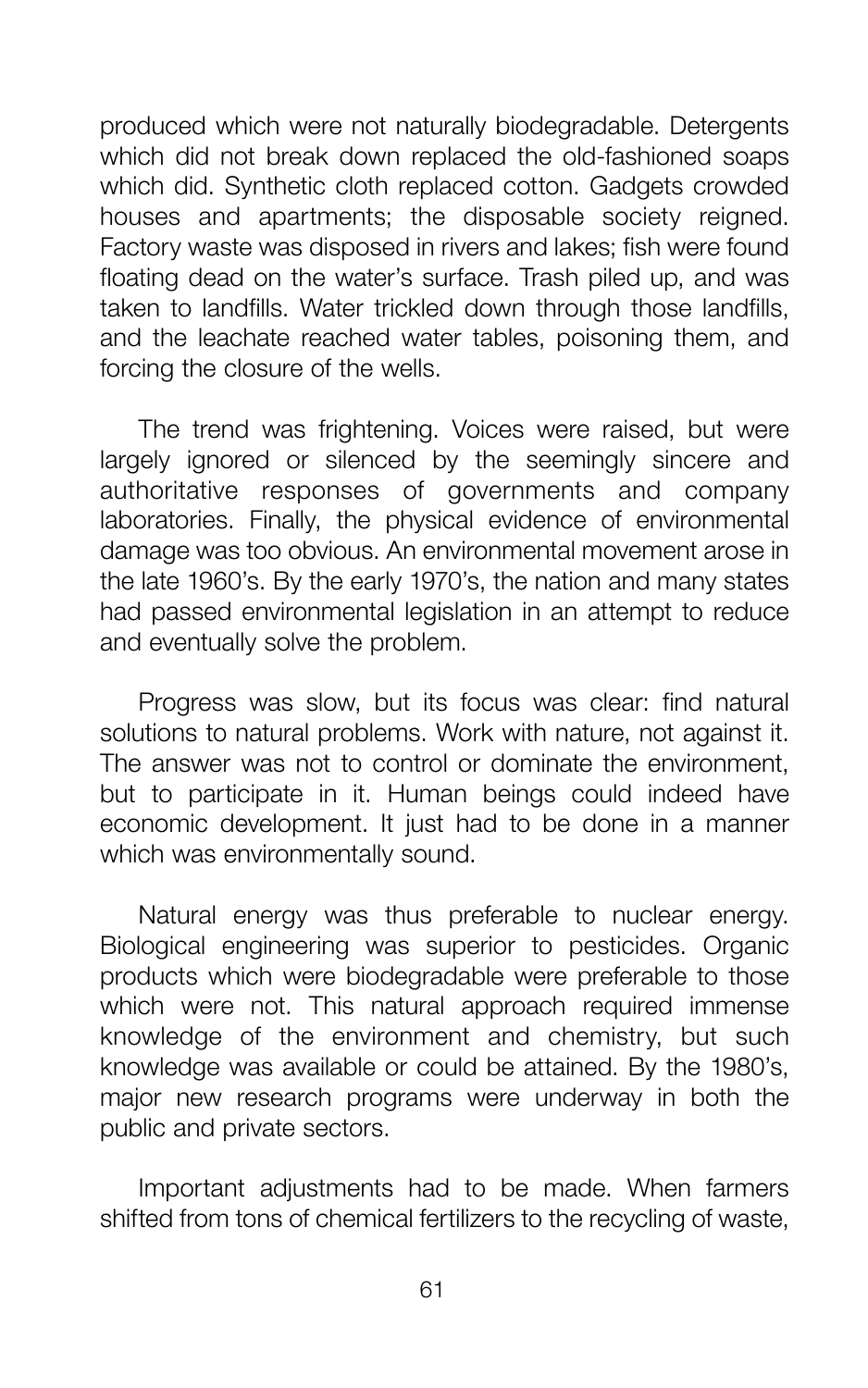produced which were not naturally biodegradable. Detergents which did not break down replaced the old-fashioned soaps which did. Synthetic cloth replaced cotton. Gadgets crowded houses and apartments; the disposable society reigned. Factory waste was disposed in rivers and lakes; fish were found floating dead on the water's surface. Trash piled up, and was taken to landfills. Water trickled down through those landfills, and the leachate reached water tables, poisoning them, and forcing the closure of the wells.

The trend was frightening. Voices were raised, but were largely ignored or silenced by the seemingly sincere and authoritative responses of governments and company laboratories. Finally, the physical evidence of environmental damage was too obvious. An environmental movement arose in the late 1960's. By the early 1970's, the nation and many states had passed environmental legislation in an attempt to reduce and eventually solve the problem.

Progress was slow, but its focus was clear: find natural solutions to natural problems. Work with nature, not against it. The answer was not to control or dominate the environment, but to participate in it. Human beings could indeed have economic development. It just had to be done in a manner which was environmentally sound.

Natural energy was thus preferable to nuclear energy. Biological engineering was superior to pesticides. Organic products which were biodegradable were preferable to those which were not. This natural approach required immense knowledge of the environment and chemistry, but such knowledge was available or could be attained. By the 1980's, major new research programs were underway in both the public and private sectors.

Important adjustments had to be made. When farmers shifted from tons of chemical fertilizers to the recycling of waste,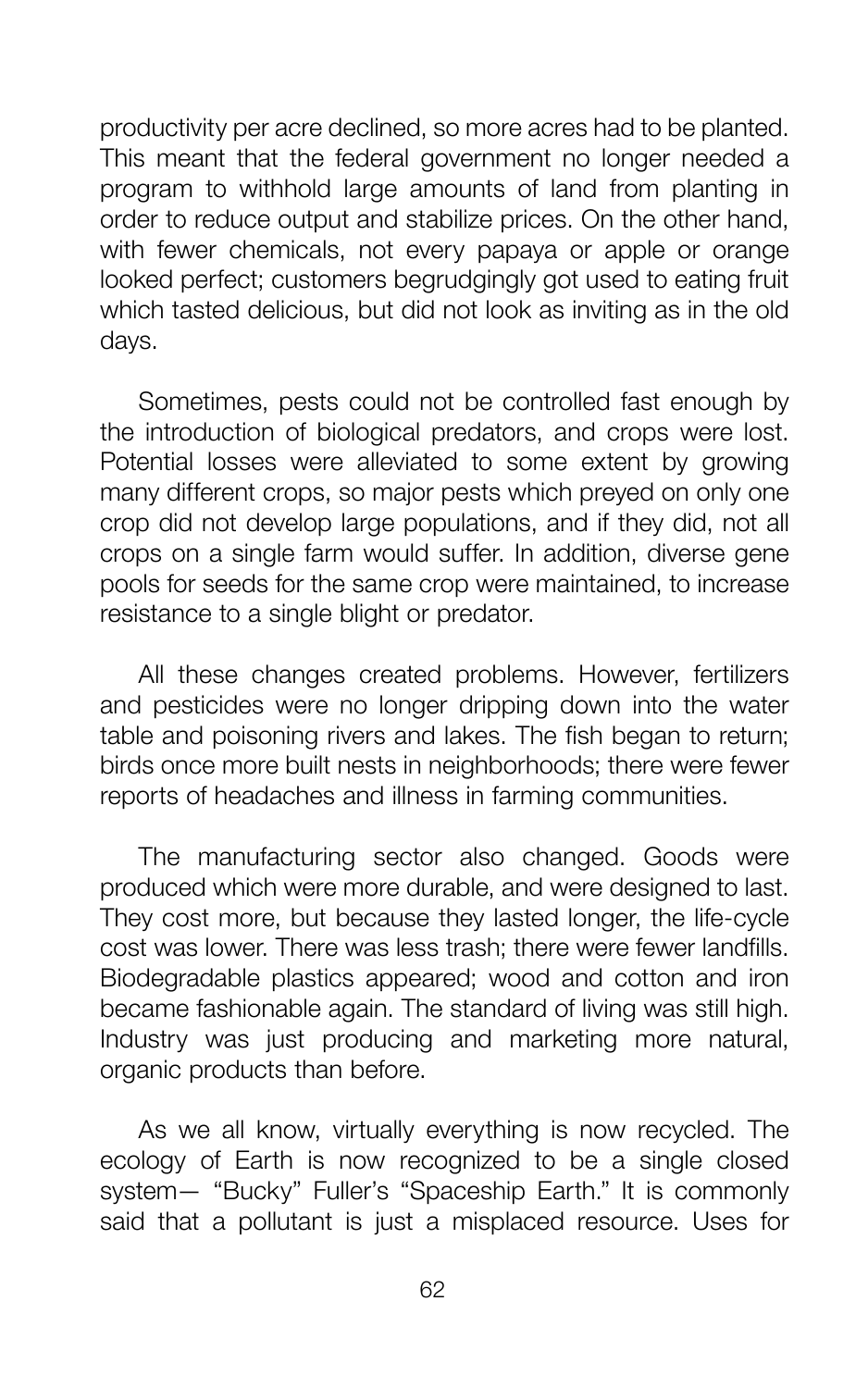productivity per acre declined, so more acres had to be planted. This meant that the federal government no longer needed a program to withhold large amounts of land from planting in order to reduce output and stabilize prices. On the other hand, with fewer chemicals, not every papaya or apple or orange looked perfect; customers begrudgingly got used to eating fruit which tasted delicious, but did not look as inviting as in the old days.

Sometimes, pests could not be controlled fast enough by the introduction of biological predators, and crops were lost. Potential losses were alleviated to some extent by growing many different crops, so major pests which preyed on only one crop did not develop large populations, and if they did, not all crops on a single farm would suffer. In addition, diverse gene pools for seeds for the same crop were maintained, to increase resistance to a single blight or predator.

All these changes created problems. However, fertilizers and pesticides were no longer dripping down into the water table and poisoning rivers and lakes. The fish began to return; birds once more built nests in neighborhoods; there were fewer reports of headaches and illness in farming communities.

The manufacturing sector also changed. Goods were produced which were more durable, and were designed to last. They cost more, but because they lasted longer, the life-cycle cost was lower. There was less trash; there were fewer landfills. Biodegradable plastics appeared; wood and cotton and iron became fashionable again. The standard of living was still high. Industry was just producing and marketing more natural, organic products than before.

As we all know, virtually everything is now recycled. The ecology of Earth is now recognized to be a single closed system— "Bucky" Fuller's "Spaceship Earth." It is commonly said that a pollutant is just a misplaced resource. Uses for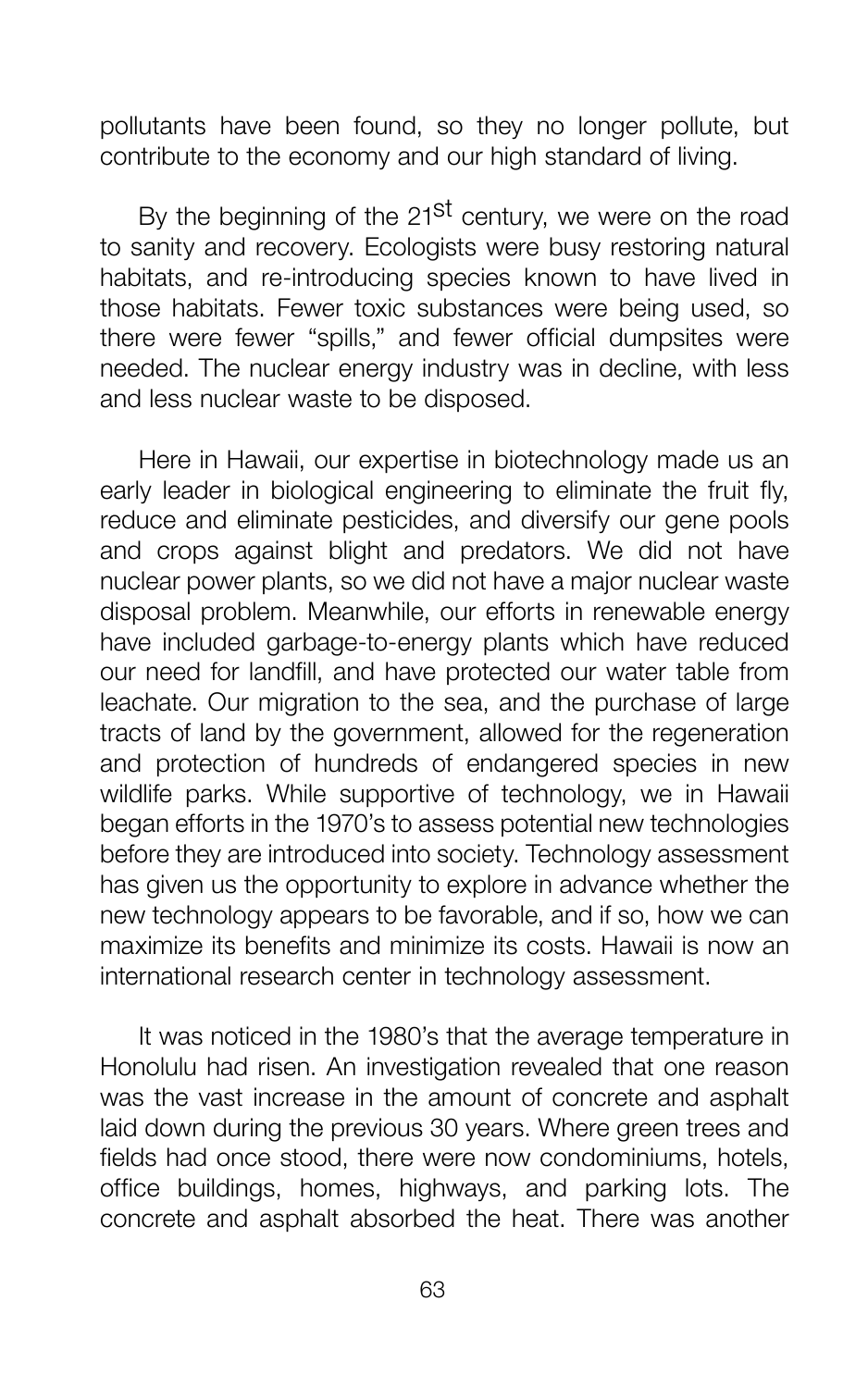pollutants have been found, so they no longer pollute, but contribute to the economy and our high standard of living.

By the beginning of the  $21^{st}$  century, we were on the road to sanity and recovery. Ecologists were busy restoring natural habitats, and re-introducing species known to have lived in those habitats. Fewer toxic substances were being used, so there were fewer "spills," and fewer official dumpsites were needed. The nuclear energy industry was in decline, with less and less nuclear waste to be disposed.

Here in Hawaii, our expertise in biotechnology made us an early leader in biological engineering to eliminate the fruit fly, reduce and eliminate pesticides, and diversify our gene pools and crops against blight and predators. We did not have nuclear power plants, so we did not have a major nuclear waste disposal problem. Meanwhile, our efforts in renewable energy have included garbage-to-energy plants which have reduced our need for landfill, and have protected our water table from leachate. Our migration to the sea, and the purchase of large tracts of land by the government, allowed for the regeneration and protection of hundreds of endangered species in new wildlife parks. While supportive of technology, we in Hawaii began efforts in the 1970's to assess potential new technologies before they are introduced into society. Technology assessment has given us the opportunity to explore in advance whether the new technology appears to be favorable, and if so, how we can maximize its benefits and minimize its costs. Hawaii is now an international research center in technology assessment.

It was noticed in the 1980's that the average temperature in Honolulu had risen. An investigation revealed that one reason was the vast increase in the amount of concrete and asphalt laid down during the previous 30 years. Where green trees and fields had once stood, there were now condominiums, hotels, office buildings, homes, highways, and parking lots. The concrete and asphalt absorbed the heat. There was another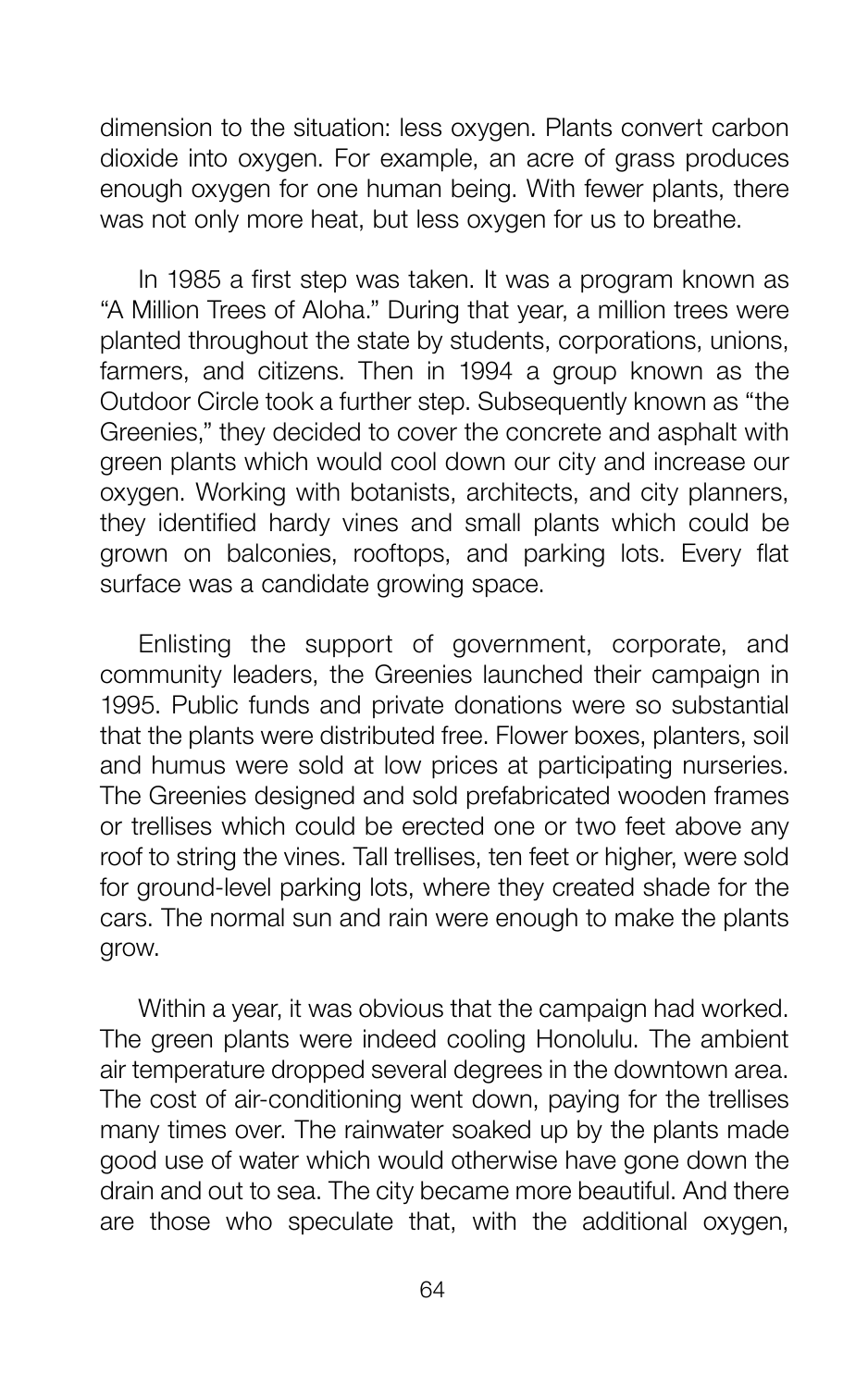dimension to the situation: less oxygen. Plants convert carbon dioxide into oxygen. For example, an acre of grass produces enough oxygen for one human being. With fewer plants, there was not only more heat, but less oxygen for us to breathe.

In 1985 a first step was taken. It was a program known as "A Million Trees of Aloha." During that year, a million trees were planted throughout the state by students, corporations, unions, farmers, and citizens. Then in 1994 a group known as the Outdoor Circle took a further step. Subsequently known as "the Greenies," they decided to cover the concrete and asphalt with green plants which would cool down our city and increase our oxygen. Working with botanists, architects, and city planners, they identified hardy vines and small plants which could be grown on balconies, rooftops, and parking lots. Every flat surface was a candidate growing space.

Enlisting the support of government, corporate, and community leaders, the Greenies launched their campaign in 1995. Public funds and private donations were so substantial that the plants were distributed free. Flower boxes, planters, soil and humus were sold at low prices at participating nurseries. The Greenies designed and sold prefabricated wooden frames or trellises which could be erected one or two feet above any roof to string the vines. Tall trellises, ten feet or higher, were sold for ground-level parking lots, where they created shade for the cars. The normal sun and rain were enough to make the plants grow.

Within a year, it was obvious that the campaign had worked. The green plants were indeed cooling Honolulu. The ambient air temperature dropped several degrees in the downtown area. The cost of air-conditioning went down, paying for the trellises many times over. The rainwater soaked up by the plants made good use of water which would otherwise have gone down the drain and out to sea. The city became more beautiful. And there are those who speculate that, with the additional oxygen,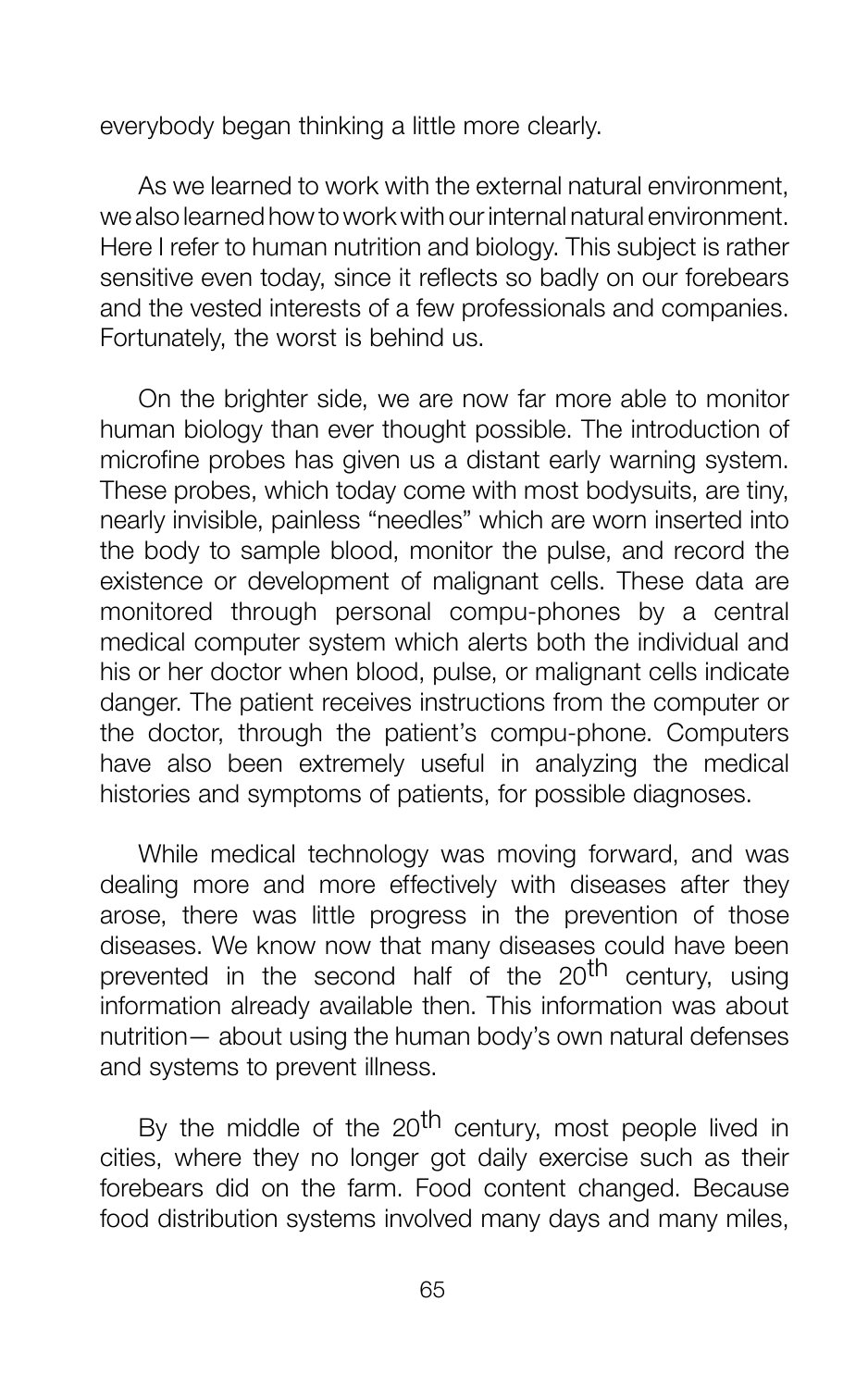everybody began thinking a little more clearly.

As we learned to work with the external natural environment, we also learned how to work with our internal natural environment. Here I refer to human nutrition and biology. This subject is rather sensitive even today, since it reflects so badly on our forebears and the vested interests of a few professionals and companies. Fortunately, the worst is behind us.

On the brighter side, we are now far more able to monitor human biology than ever thought possible. The introduction of microfine probes has given us a distant early warning system. These probes, which today come with most bodysuits, are tiny, nearly invisible, painless "needles" which are worn inserted into the body to sample blood, monitor the pulse, and record the existence or development of malignant cells. These data are monitored through personal compu-phones by a central medical computer system which alerts both the individual and his or her doctor when blood, pulse, or malignant cells indicate danger. The patient receives instructions from the computer or the doctor, through the patient's compu-phone. Computers have also been extremely useful in analyzing the medical histories and symptoms of patients, for possible diagnoses.

While medical technology was moving forward, and was dealing more and more effectively with diseases after they arose, there was little progress in the prevention of those diseases. We know now that many diseases could have been prevented in the second half of the 20<sup>th</sup> century, using information already available then. This information was about nutrition— about using the human body's own natural defenses and systems to prevent illness.

By the middle of the 20<sup>th</sup> century, most people lived in cities, where they no longer got daily exercise such as their forebears did on the farm. Food content changed. Because food distribution systems involved many days and many miles,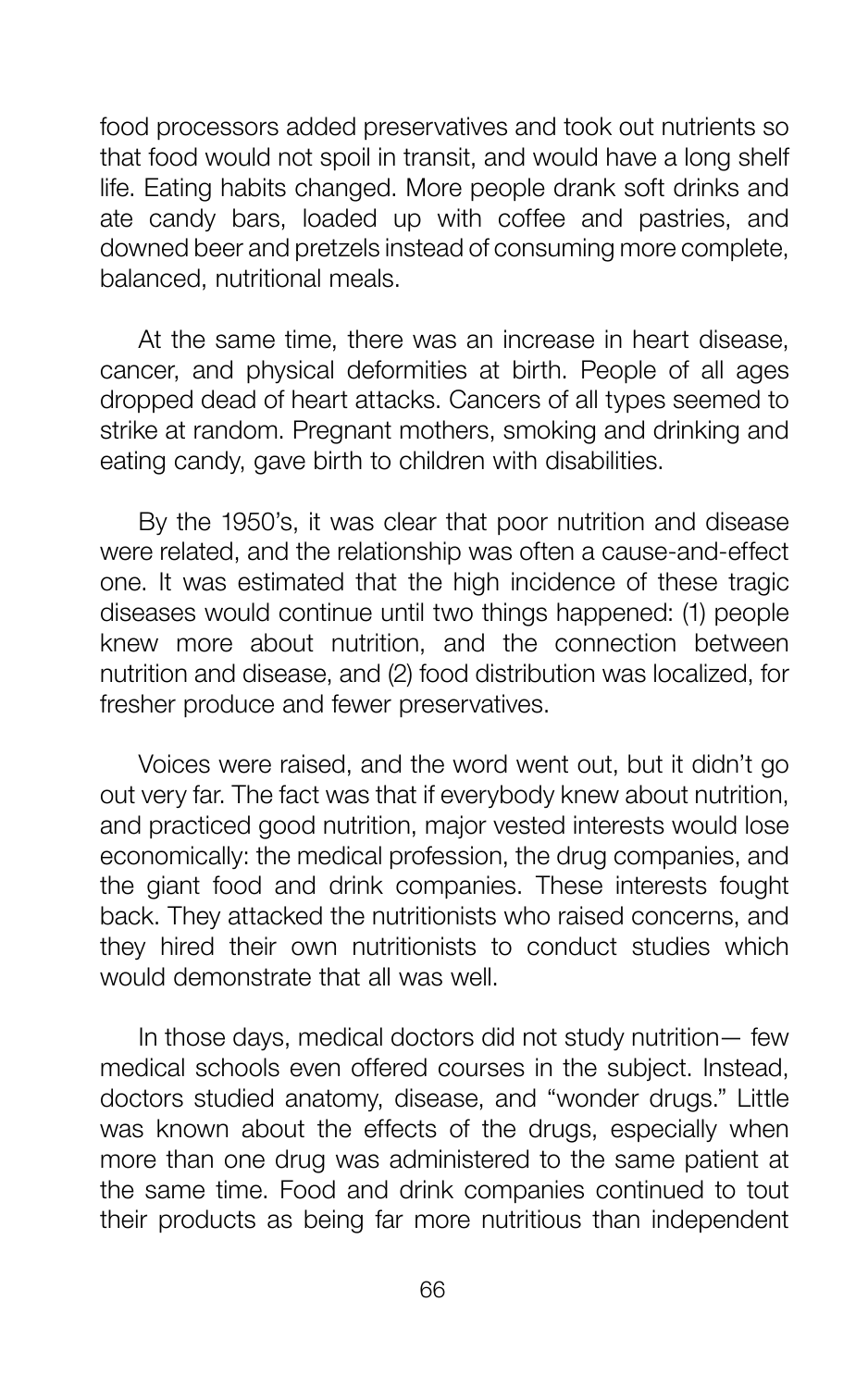food processors added preservatives and took out nutrients so that food would not spoil in transit, and would have a long shelf life. Eating habits changed. More people drank soft drinks and ate candy bars, loaded up with coffee and pastries, and downed beer and pretzels instead of consuming more complete, balanced, nutritional meals.

At the same time, there was an increase in heart disease, cancer, and physical deformities at birth. People of all ages dropped dead of heart attacks. Cancers of all types seemed to strike at random. Pregnant mothers, smoking and drinking and eating candy, gave birth to children with disabilities.

By the 1950's, it was clear that poor nutrition and disease were related, and the relationship was often a cause-and-effect one. It was estimated that the high incidence of these tragic diseases would continue until two things happened: (1) people knew more about nutrition, and the connection between nutrition and disease, and (2) food distribution was localized, for fresher produce and fewer preservatives.

Voices were raised, and the word went out, but it didn't go out very far. The fact was that if everybody knew about nutrition, and practiced good nutrition, major vested interests would lose economically: the medical profession, the drug companies, and the giant food and drink companies. These interests fought back. They attacked the nutritionists who raised concerns, and they hired their own nutritionists to conduct studies which would demonstrate that all was well.

In those days, medical doctors did not study nutrition— few medical schools even offered courses in the subject. Instead, doctors studied anatomy, disease, and "wonder drugs." Little was known about the effects of the drugs, especially when more than one drug was administered to the same patient at the same time. Food and drink companies continued to tout their products as being far more nutritious than independent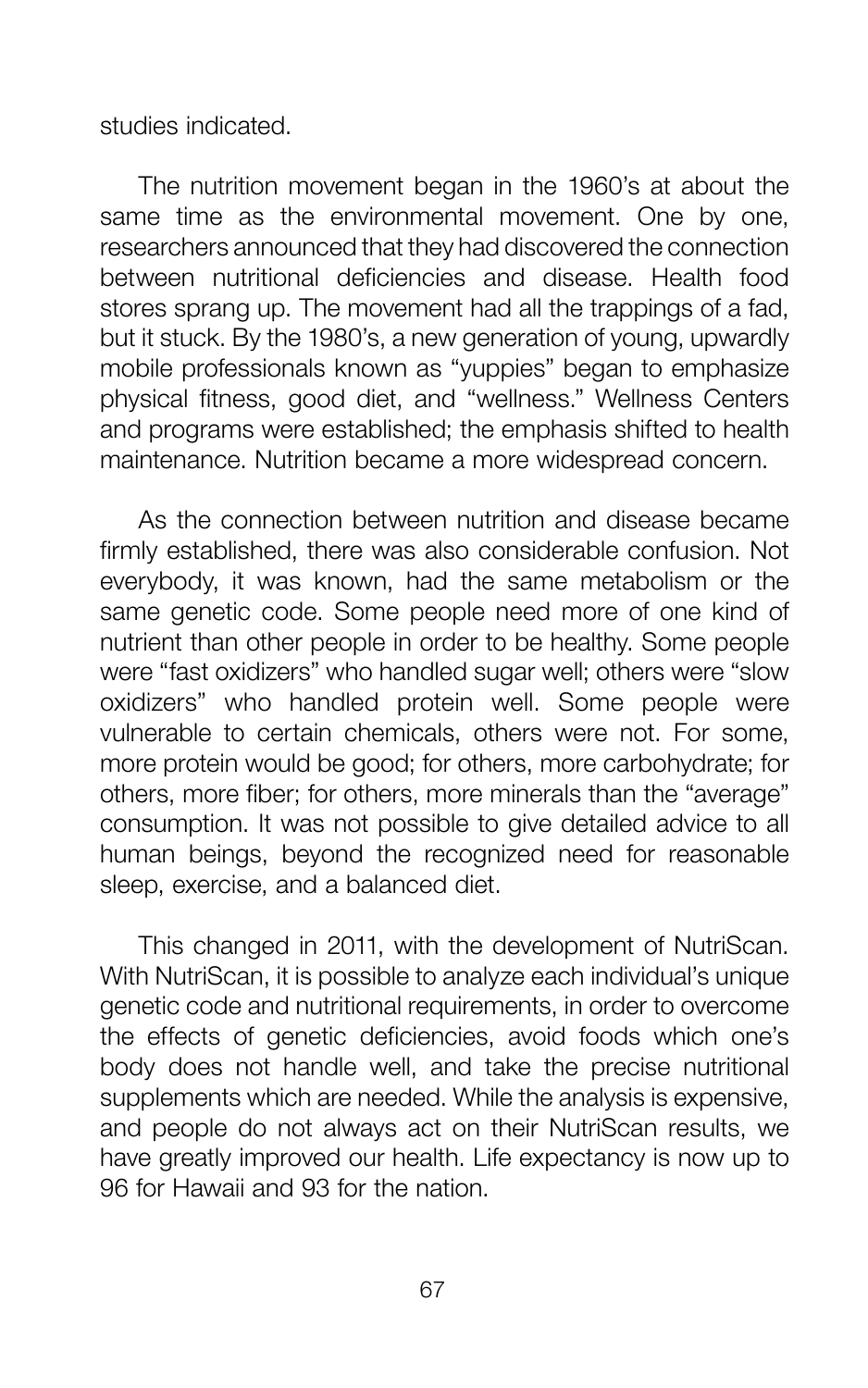studies indicated.

The nutrition movement began in the 1960's at about the same time as the environmental movement. One by one, researchers announced that they had discovered the connection between nutritional deficiencies and disease. Health food stores sprang up. The movement had all the trappings of a fad, but it stuck. By the 1980's, a new generation of young, upwardly mobile professionals known as "yuppies" began to emphasize physical fitness, good diet, and "wellness." Wellness Centers and programs were established; the emphasis shifted to health maintenance. Nutrition became a more widespread concern.

As the connection between nutrition and disease became firmly established, there was also considerable confusion. Not everybody, it was known, had the same metabolism or the same genetic code. Some people need more of one kind of nutrient than other people in order to be healthy. Some people were "fast oxidizers" who handled sugar well; others were "slow oxidizers" who handled protein well. Some people were vulnerable to certain chemicals, others were not. For some, more protein would be good; for others, more carbohydrate; for others, more fiber; for others, more minerals than the "average" consumption. It was not possible to give detailed advice to all human beings, beyond the recognized need for reasonable sleep, exercise, and a balanced diet.

This changed in 2011, with the development of NutriScan. With NutriScan, it is possible to analyze each individual's unique genetic code and nutritional requirements, in order to overcome the effects of genetic deficiencies, avoid foods which one's body does not handle well, and take the precise nutritional supplements which are needed. While the analysis is expensive, and people do not always act on their NutriScan results, we have greatly improved our health. Life expectancy is now up to 96 for Hawaii and 93 for the nation.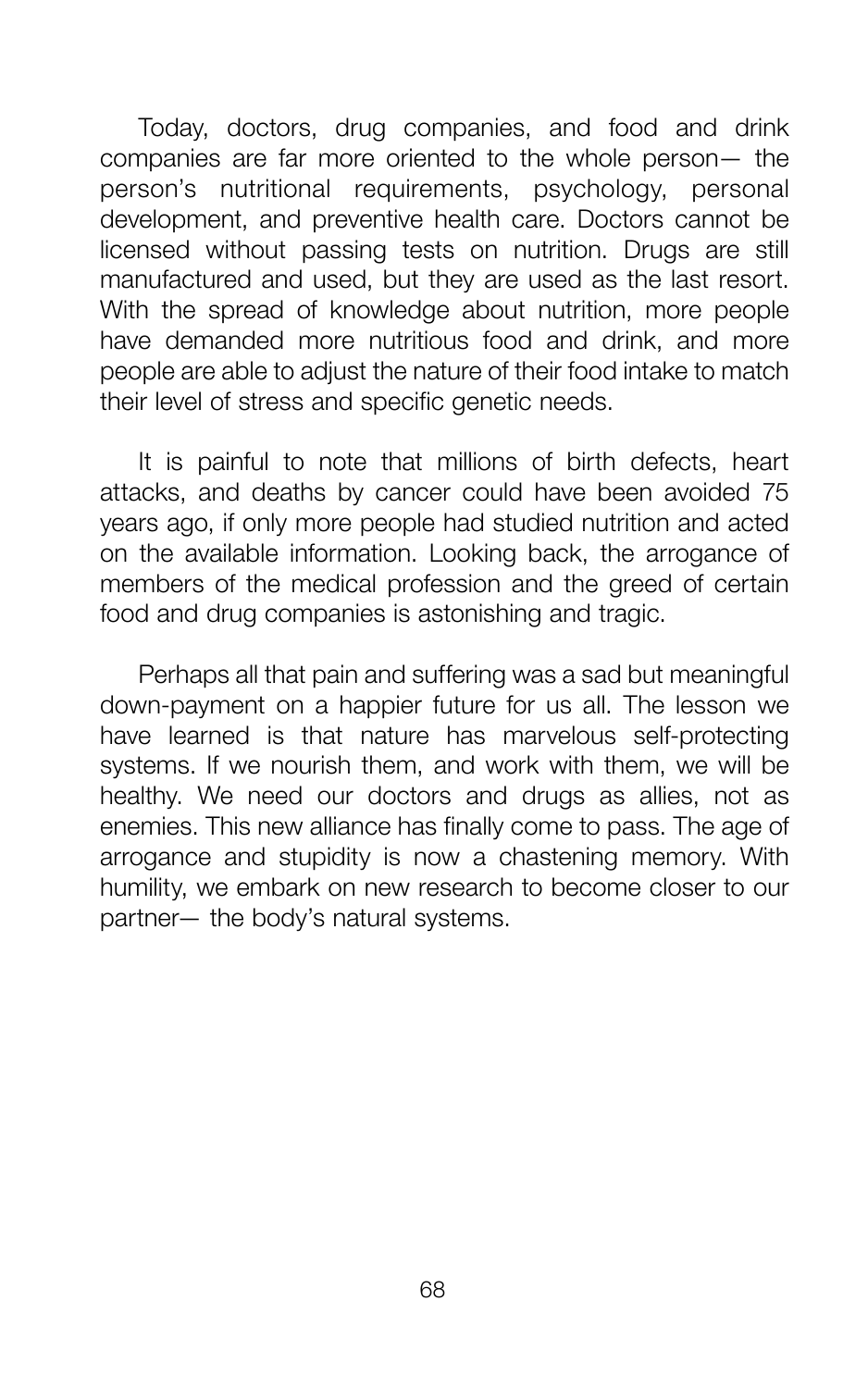Today, doctors, drug companies, and food and drink companies are far more oriented to the whole person— the person's nutritional requirements, psychology, personal development, and preventive health care. Doctors cannot be licensed without passing tests on nutrition. Drugs are still manufactured and used, but they are used as the last resort. With the spread of knowledge about nutrition, more people have demanded more nutritious food and drink, and more people are able to adjust the nature of their food intake to match their level of stress and specific genetic needs.

It is painful to note that millions of birth defects, heart attacks, and deaths by cancer could have been avoided 75 years ago, if only more people had studied nutrition and acted on the available information. Looking back, the arrogance of members of the medical profession and the greed of certain food and drug companies is astonishing and tragic.

Perhaps all that pain and suffering was a sad but meaningful down-payment on a happier future for us all. The lesson we have learned is that nature has marvelous self-protecting systems. If we nourish them, and work with them, we will be healthy. We need our doctors and drugs as allies, not as enemies. This new alliance has finally come to pass. The age of arrogance and stupidity is now a chastening memory. With humility, we embark on new research to become closer to our partner— the body's natural systems.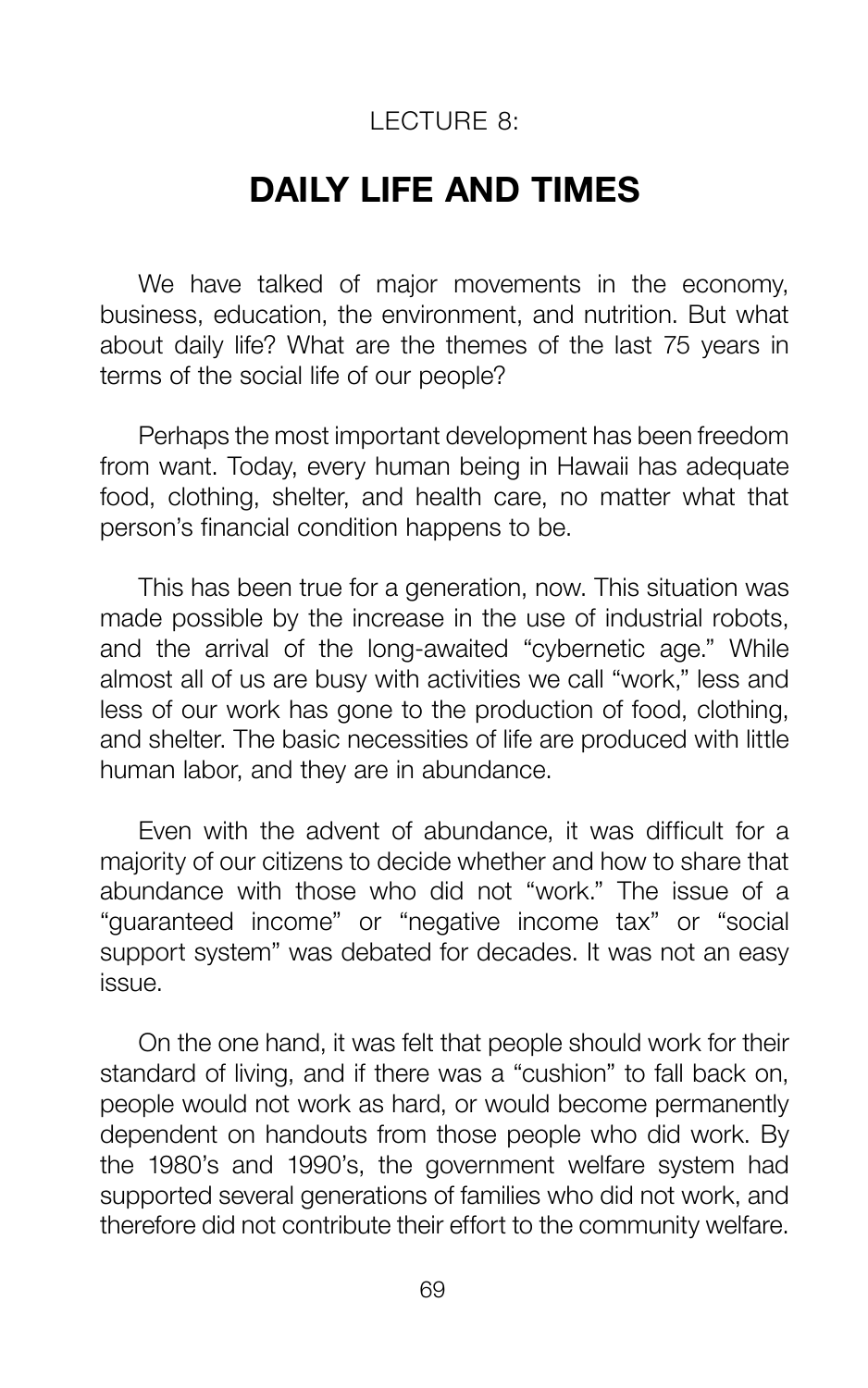## LECTURE 8:

## **DAILY LIFE AND TIMES**

We have talked of major movements in the economy, business, education, the environment, and nutrition. But what about daily life? What are the themes of the last 75 years in terms of the social life of our people?

Perhaps the most important development has been freedom from want. Today, every human being in Hawaii has adequate food, clothing, shelter, and health care, no matter what that person's financial condition happens to be.

This has been true for a generation, now. This situation was made possible by the increase in the use of industrial robots, and the arrival of the long-awaited "cybernetic age." While almost all of us are busy with activities we call "work," less and less of our work has gone to the production of food, clothing, and shelter. The basic necessities of life are produced with little human labor, and they are in abundance.

Even with the advent of abundance, it was difficult for a majority of our citizens to decide whether and how to share that abundance with those who did not "work." The issue of a "guaranteed income" or "negative income tax" or "social support system" was debated for decades. It was not an easy issue.

On the one hand, it was felt that people should work for their standard of living, and if there was a "cushion" to fall back on, people would not work as hard, or would become permanently dependent on handouts from those people who did work. By the 1980's and 1990's, the government welfare system had supported several generations of families who did not work, and therefore did not contribute their effort to the community welfare.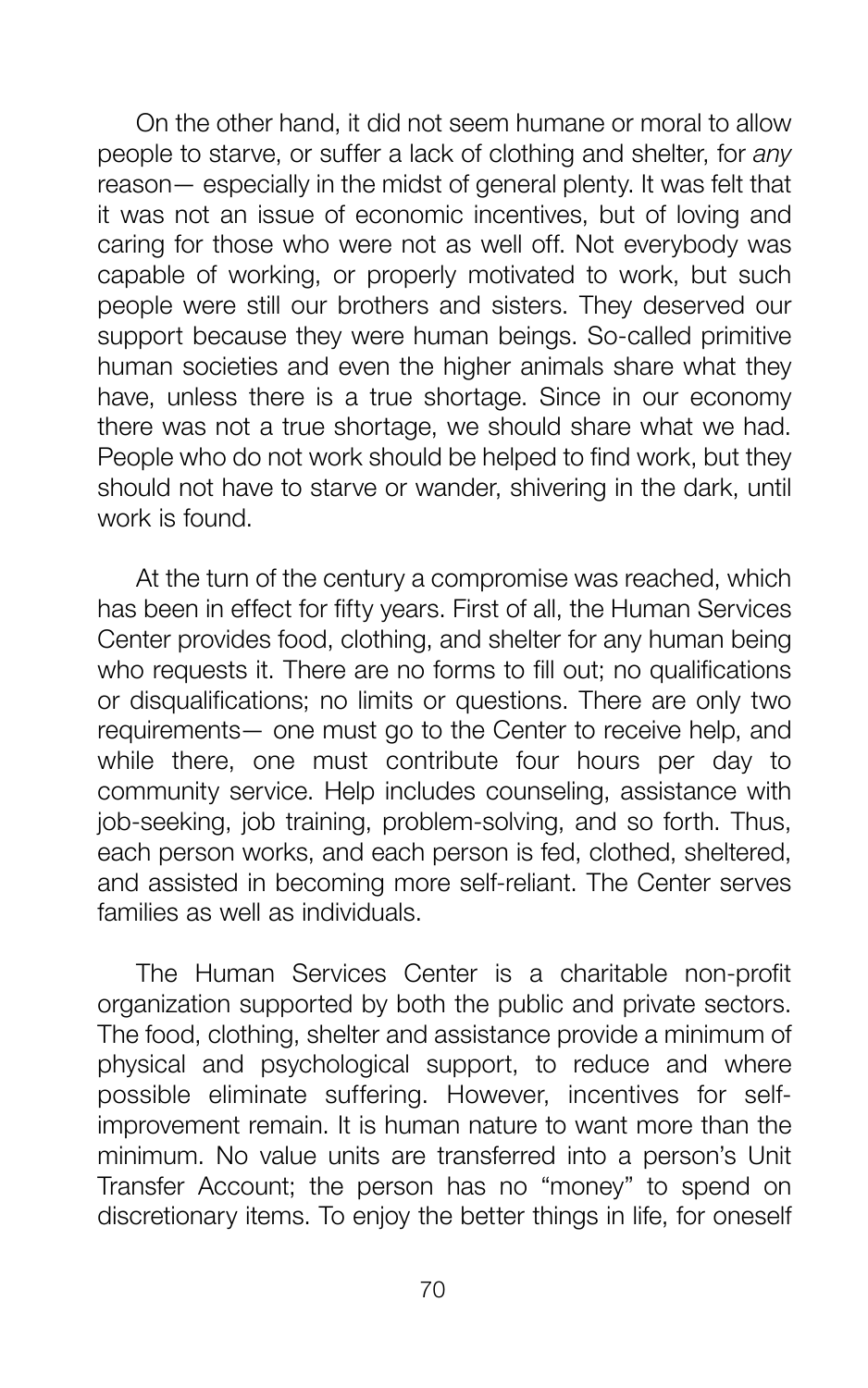On the other hand, it did not seem humane or moral to allow people to starve, or suffer a lack of clothing and shelter, for *any* reason— especially in the midst of general plenty. It was felt that it was not an issue of economic incentives, but of loving and caring for those who were not as well off. Not everybody was capable of working, or properly motivated to work, but such people were still our brothers and sisters. They deserved our support because they were human beings. So-called primitive human societies and even the higher animals share what they have, unless there is a true shortage. Since in our economy there was not a true shortage, we should share what we had. People who do not work should be helped to find work, but they should not have to starve or wander, shivering in the dark, until work is found.

At the turn of the century a compromise was reached, which has been in effect for fifty years. First of all, the Human Services Center provides food, clothing, and shelter for any human being who requests it. There are no forms to fill out; no qualifications or disqualifications; no limits or questions. There are only two requirements— one must go to the Center to receive help, and while there, one must contribute four hours per day to community service. Help includes counseling, assistance with job-seeking, job training, problem-solving, and so forth. Thus, each person works, and each person is fed, clothed, sheltered, and assisted in becoming more self-reliant. The Center serves families as well as individuals.

The Human Services Center is a charitable non-profit organization supported by both the public and private sectors. The food, clothing, shelter and assistance provide a minimum of physical and psychological support, to reduce and where possible eliminate suffering. However, incentives for selfimprovement remain. It is human nature to want more than the minimum. No value units are transferred into a person's Unit Transfer Account; the person has no "money" to spend on discretionary items. To enjoy the better things in life, for oneself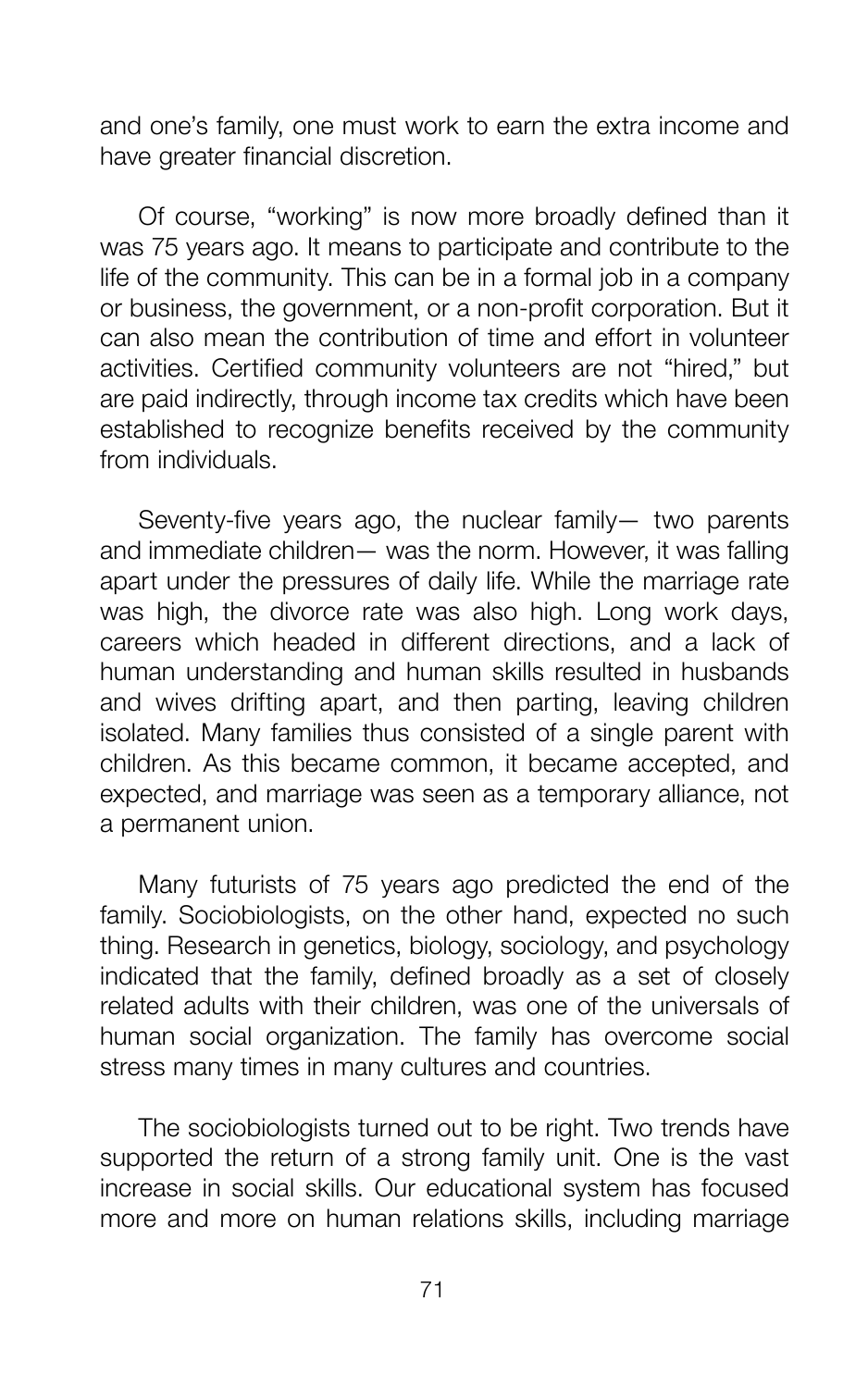and one's family, one must work to earn the extra income and have greater financial discretion.

Of course, "working" is now more broadly defined than it was 75 years ago. It means to participate and contribute to the life of the community. This can be in a formal job in a company or business, the government, or a non-profit corporation. But it can also mean the contribution of time and effort in volunteer activities. Certified community volunteers are not "hired," but are paid indirectly, through income tax credits which have been established to recognize benefits received by the community from individuals.

Seventy-five years ago, the nuclear family— two parents and immediate children— was the norm. However, it was falling apart under the pressures of daily life. While the marriage rate was high, the divorce rate was also high. Long work days, careers which headed in different directions, and a lack of human understanding and human skills resulted in husbands and wives drifting apart, and then parting, leaving children isolated. Many families thus consisted of a single parent with children. As this became common, it became accepted, and expected, and marriage was seen as a temporary alliance, not a permanent union.

Many futurists of 75 years ago predicted the end of the family. Sociobiologists, on the other hand, expected no such thing. Research in genetics, biology, sociology, and psychology indicated that the family, defined broadly as a set of closely related adults with their children, was one of the universals of human social organization. The family has overcome social stress many times in many cultures and countries.

The sociobiologists turned out to be right. Two trends have supported the return of a strong family unit. One is the vast increase in social skills. Our educational system has focused more and more on human relations skills, including marriage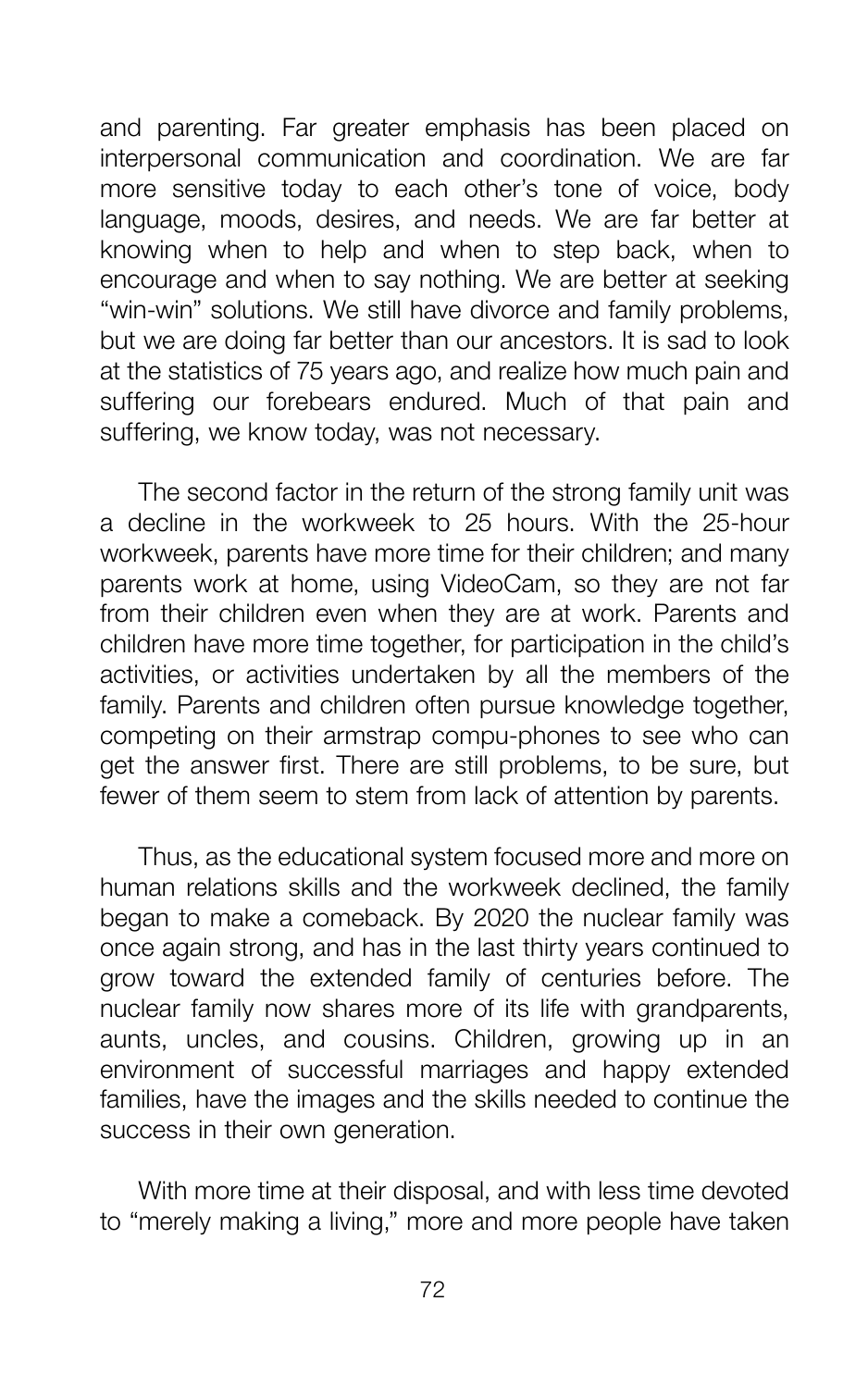and parenting. Far greater emphasis has been placed on interpersonal communication and coordination. We are far more sensitive today to each other's tone of voice, body language, moods, desires, and needs. We are far better at knowing when to help and when to step back, when to encourage and when to say nothing. We are better at seeking "win-win" solutions. We still have divorce and family problems, but we are doing far better than our ancestors. It is sad to look at the statistics of 75 years ago, and realize how much pain and suffering our forebears endured. Much of that pain and suffering, we know today, was not necessary.

The second factor in the return of the strong family unit was a decline in the workweek to 25 hours. With the 25-hour workweek, parents have more time for their children; and many parents work at home, using VideoCam, so they are not far from their children even when they are at work. Parents and children have more time together, for participation in the child's activities, or activities undertaken by all the members of the family. Parents and children often pursue knowledge together, competing on their armstrap compu-phones to see who can get the answer first. There are still problems, to be sure, but fewer of them seem to stem from lack of attention by parents.

Thus, as the educational system focused more and more on human relations skills and the workweek declined, the family began to make a comeback. By 2020 the nuclear family was once again strong, and has in the last thirty years continued to grow toward the extended family of centuries before. The nuclear family now shares more of its life with grandparents, aunts, uncles, and cousins. Children, growing up in an environment of successful marriages and happy extended families, have the images and the skills needed to continue the success in their own generation.

With more time at their disposal, and with less time devoted to "merely making a living," more and more people have taken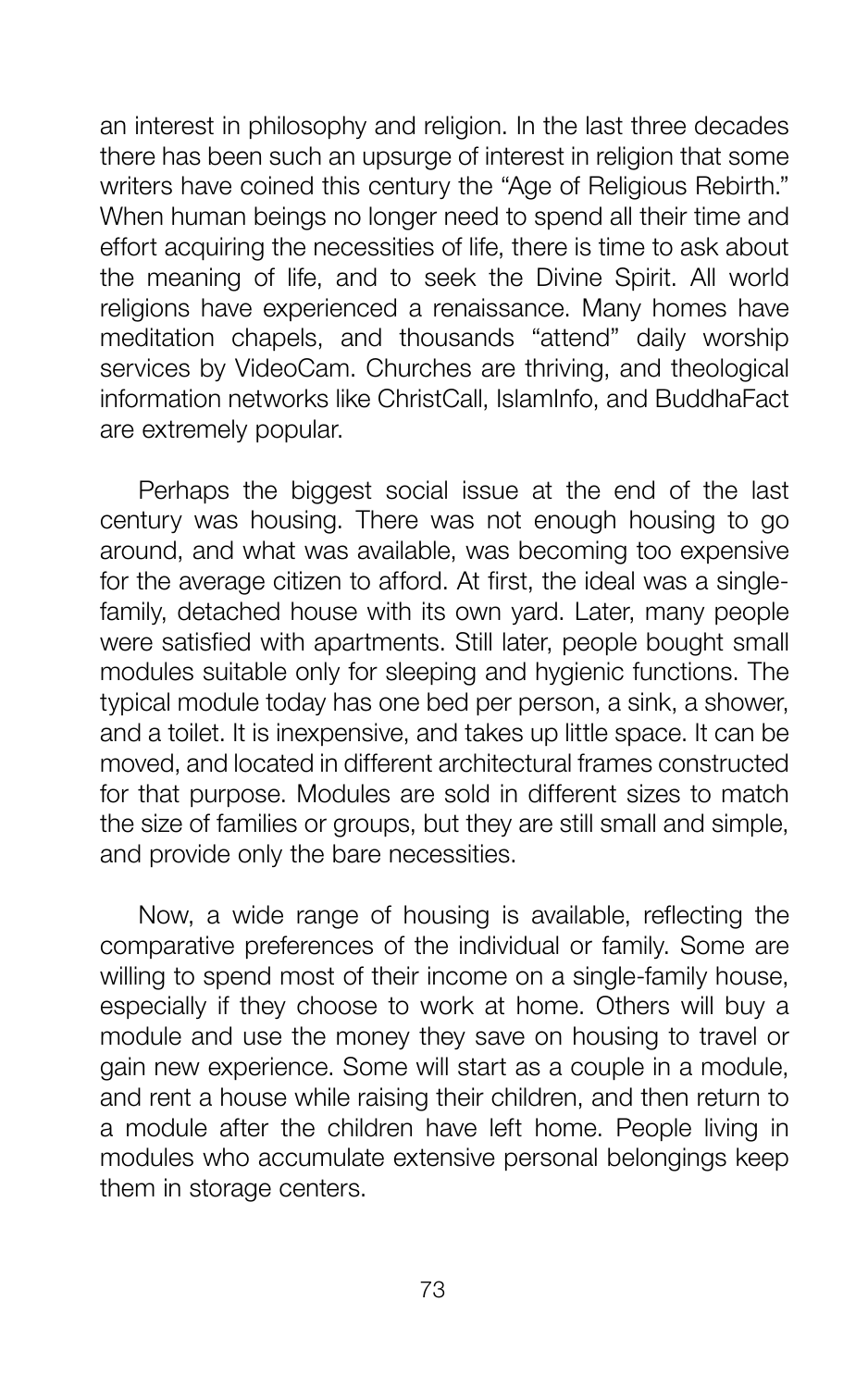an interest in philosophy and religion. In the last three decades there has been such an upsurge of interest in religion that some writers have coined this century the "Age of Religious Rebirth." When human beings no longer need to spend all their time and effort acquiring the necessities of life, there is time to ask about the meaning of life, and to seek the Divine Spirit. All world religions have experienced a renaissance. Many homes have meditation chapels, and thousands "attend" daily worship services by VideoCam. Churches are thriving, and theological information networks like ChristCall, IslamInfo, and BuddhaFact are extremely popular.

Perhaps the biggest social issue at the end of the last century was housing. There was not enough housing to go around, and what was available, was becoming too expensive for the average citizen to afford. At first, the ideal was a singlefamily, detached house with its own yard. Later, many people were satisfied with apartments. Still later, people bought small modules suitable only for sleeping and hygienic functions. The typical module today has one bed per person, a sink, a shower, and a toilet. It is inexpensive, and takes up little space. It can be moved, and located in different architectural frames constructed for that purpose. Modules are sold in different sizes to match the size of families or groups, but they are still small and simple, and provide only the bare necessities.

Now, a wide range of housing is available, reflecting the comparative preferences of the individual or family. Some are willing to spend most of their income on a single-family house, especially if they choose to work at home. Others will buy a module and use the money they save on housing to travel or gain new experience. Some will start as a couple in a module, and rent a house while raising their children, and then return to a module after the children have left home. People living in modules who accumulate extensive personal belongings keep them in storage centers.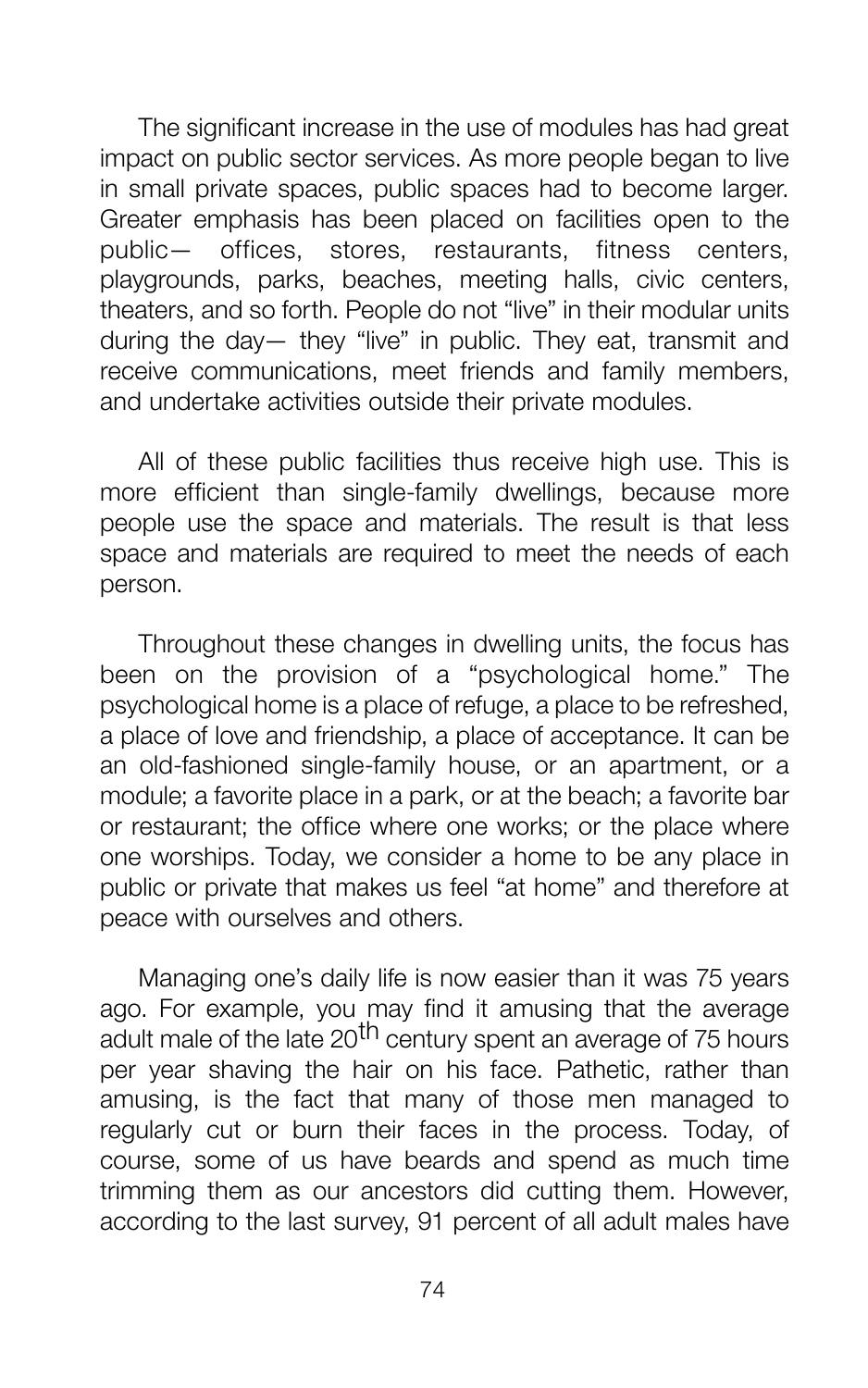The significant increase in the use of modules has had great impact on public sector services. As more people began to live in small private spaces, public spaces had to become larger. Greater emphasis has been placed on facilities open to the public— offices, stores, restaurants, fitness centers, playgrounds, parks, beaches, meeting halls, civic centers, theaters, and so forth. People do not "live" in their modular units during the day— they "live" in public. They eat, transmit and receive communications, meet friends and family members, and undertake activities outside their private modules.

All of these public facilities thus receive high use. This is more efficient than single-family dwellings, because more people use the space and materials. The result is that less space and materials are required to meet the needs of each person.

Throughout these changes in dwelling units, the focus has been on the provision of a "psychological home." The psychological home is a place of refuge, a place to be refreshed, a place of love and friendship, a place of acceptance. It can be an old-fashioned single-family house, or an apartment, or a module; a favorite place in a park, or at the beach; a favorite bar or restaurant; the office where one works; or the place where one worships. Today, we consider a home to be any place in public or private that makes us feel "at home" and therefore at peace with ourselves and others.

Managing one's daily life is now easier than it was 75 years ago. For example, you may find it amusing that the average adult male of the late 20<sup>th</sup> century spent an average of 75 hours per year shaving the hair on his face. Pathetic, rather than amusing, is the fact that many of those men managed to regularly cut or burn their faces in the process. Today, of course, some of us have beards and spend as much time trimming them as our ancestors did cutting them. However, according to the last survey, 91 percent of all adult males have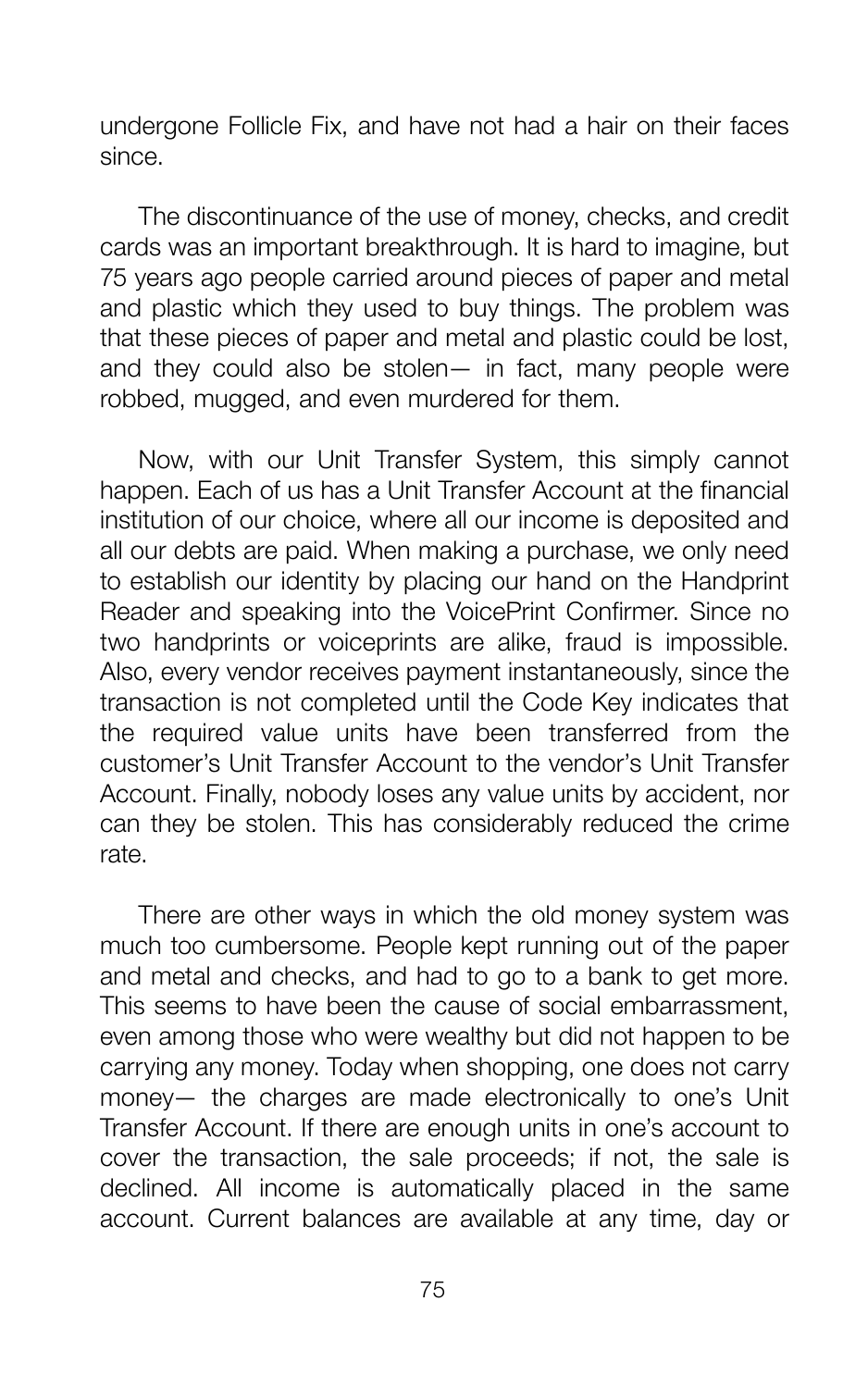undergone Follicle Fix, and have not had a hair on their faces since.

The discontinuance of the use of money, checks, and credit cards was an important breakthrough. It is hard to imagine, but 75 years ago people carried around pieces of paper and metal and plastic which they used to buy things. The problem was that these pieces of paper and metal and plastic could be lost, and they could also be stolen— in fact, many people were robbed, mugged, and even murdered for them.

Now, with our Unit Transfer System, this simply cannot happen. Each of us has a Unit Transfer Account at the financial institution of our choice, where all our income is deposited and all our debts are paid. When making a purchase, we only need to establish our identity by placing our hand on the Handprint Reader and speaking into the VoicePrint Confirmer. Since no two handprints or voiceprints are alike, fraud is impossible. Also, every vendor receives payment instantaneously, since the transaction is not completed until the Code Key indicates that the required value units have been transferred from the customer's Unit Transfer Account to the vendor's Unit Transfer Account. Finally, nobody loses any value units by accident, nor can they be stolen. This has considerably reduced the crime rate.

There are other ways in which the old money system was much too cumbersome. People kept running out of the paper and metal and checks, and had to go to a bank to get more. This seems to have been the cause of social embarrassment, even among those who were wealthy but did not happen to be carrying any money. Today when shopping, one does not carry money— the charges are made electronically to one's Unit Transfer Account. If there are enough units in one's account to cover the transaction, the sale proceeds; if not, the sale is declined. All income is automatically placed in the same account. Current balances are available at any time, day or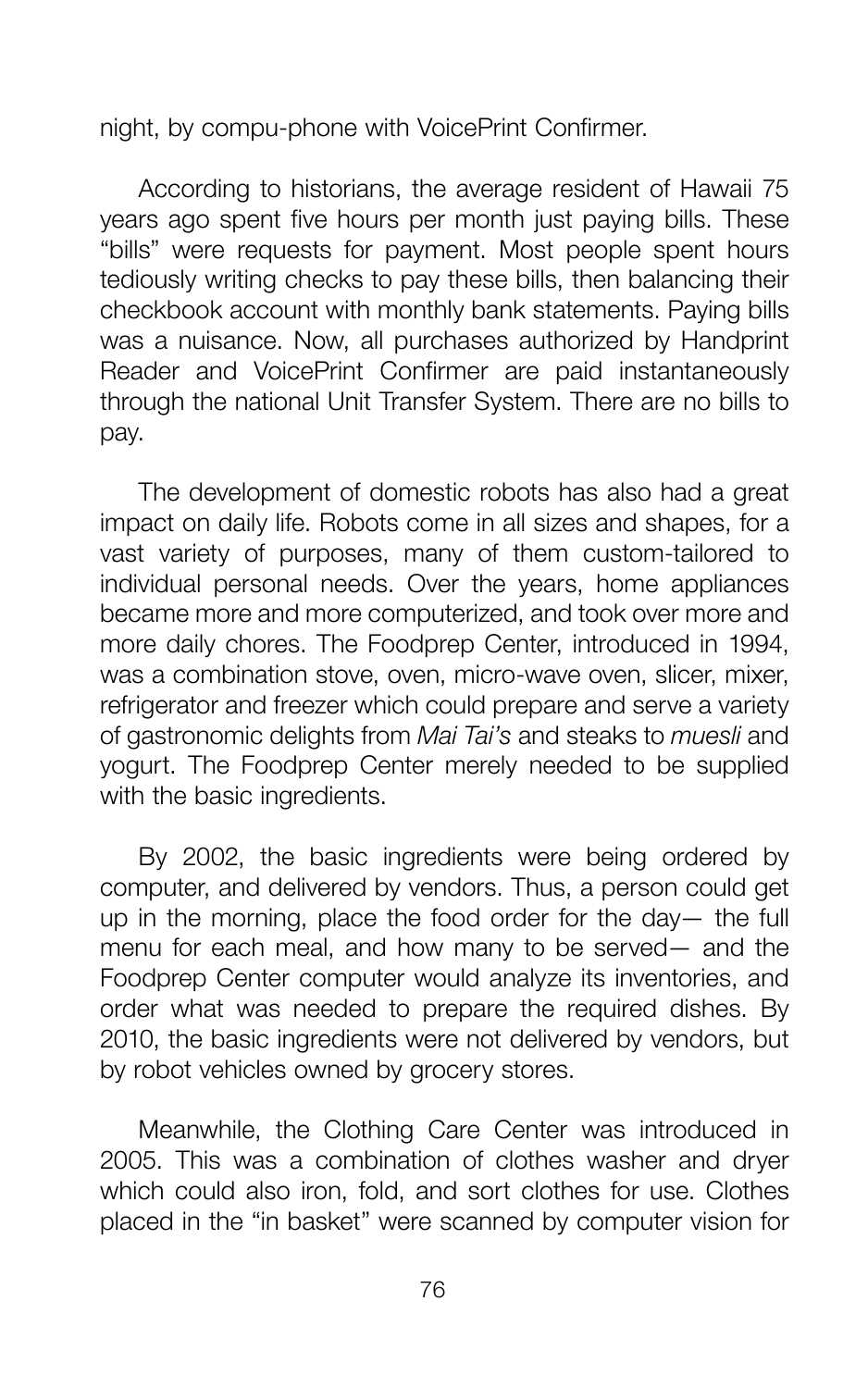night, by compu-phone with VoicePrint Confirmer.

According to historians, the average resident of Hawaii 75 years ago spent five hours per month just paying bills. These "bills" were requests for payment. Most people spent hours tediously writing checks to pay these bills, then balancing their checkbook account with monthly bank statements. Paying bills was a nuisance. Now, all purchases authorized by Handprint Reader and VoicePrint Confirmer are paid instantaneously through the national Unit Transfer System. There are no bills to pay.

The development of domestic robots has also had a great impact on daily life. Robots come in all sizes and shapes, for a vast variety of purposes, many of them custom-tailored to individual personal needs. Over the years, home appliances became more and more computerized, and took over more and more daily chores. The Foodprep Center, introduced in 1994, was a combination stove, oven, micro-wave oven, slicer, mixer, refrigerator and freezer which could prepare and serve a variety of gastronomic delights from *Mai Tai's* and steaks to *muesli* and yogurt. The Foodprep Center merely needed to be supplied with the basic ingredients.

By 2002, the basic ingredients were being ordered by computer, and delivered by vendors. Thus, a person could get up in the morning, place the food order for the day— the full menu for each meal, and how many to be served— and the Foodprep Center computer would analyze its inventories, and order what was needed to prepare the required dishes. By 2010, the basic ingredients were not delivered by vendors, but by robot vehicles owned by grocery stores.

Meanwhile, the Clothing Care Center was introduced in 2005. This was a combination of clothes washer and dryer which could also iron, fold, and sort clothes for use. Clothes placed in the "in basket" were scanned by computer vision for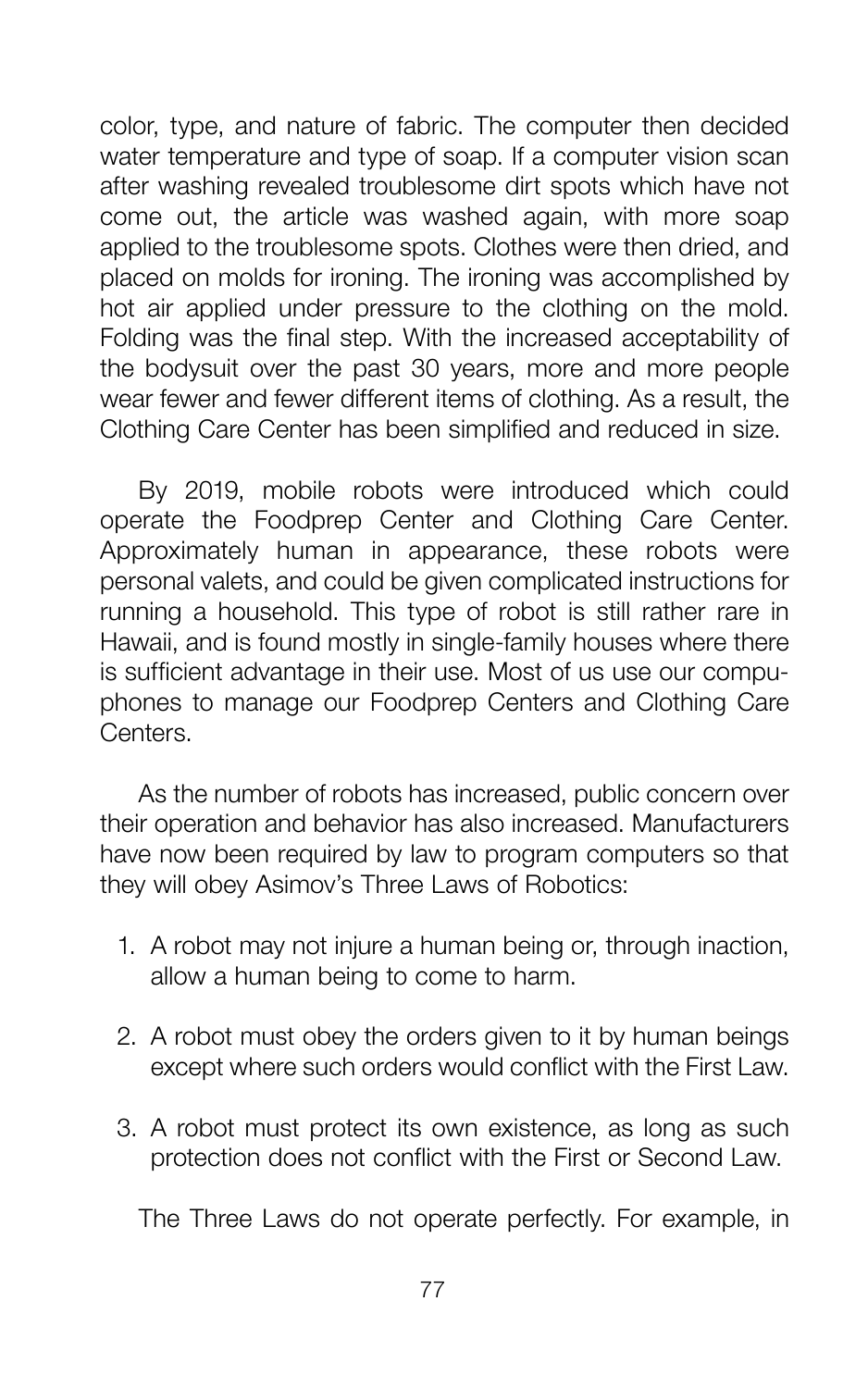color, type, and nature of fabric. The computer then decided water temperature and type of soap. If a computer vision scan after washing revealed troublesome dirt spots which have not come out, the article was washed again, with more soap applied to the troublesome spots. Clothes were then dried, and placed on molds for ironing. The ironing was accomplished by hot air applied under pressure to the clothing on the mold. Folding was the final step. With the increased acceptability of the bodysuit over the past 30 years, more and more people wear fewer and fewer different items of clothing. As a result, the Clothing Care Center has been simplified and reduced in size.

By 2019, mobile robots were introduced which could operate the Foodprep Center and Clothing Care Center. Approximately human in appearance, these robots were personal valets, and could be given complicated instructions for running a household. This type of robot is still rather rare in Hawaii, and is found mostly in single-family houses where there is sufficient advantage in their use. Most of us use our compuphones to manage our Foodprep Centers and Clothing Care **Centers** 

As the number of robots has increased, public concern over their operation and behavior has also increased. Manufacturers have now been required by law to program computers so that they will obey Asimov's Three Laws of Robotics:

- 1. A robot may not injure a human being or, through inaction, allow a human being to come to harm.
- 2. A robot must obey the orders given to it by human beings except where such orders would conflict with the First Law.
- 3. A robot must protect its own existence, as long as such protection does not conflict with the First or Second Law.

The Three Laws do not operate perfectly. For example, in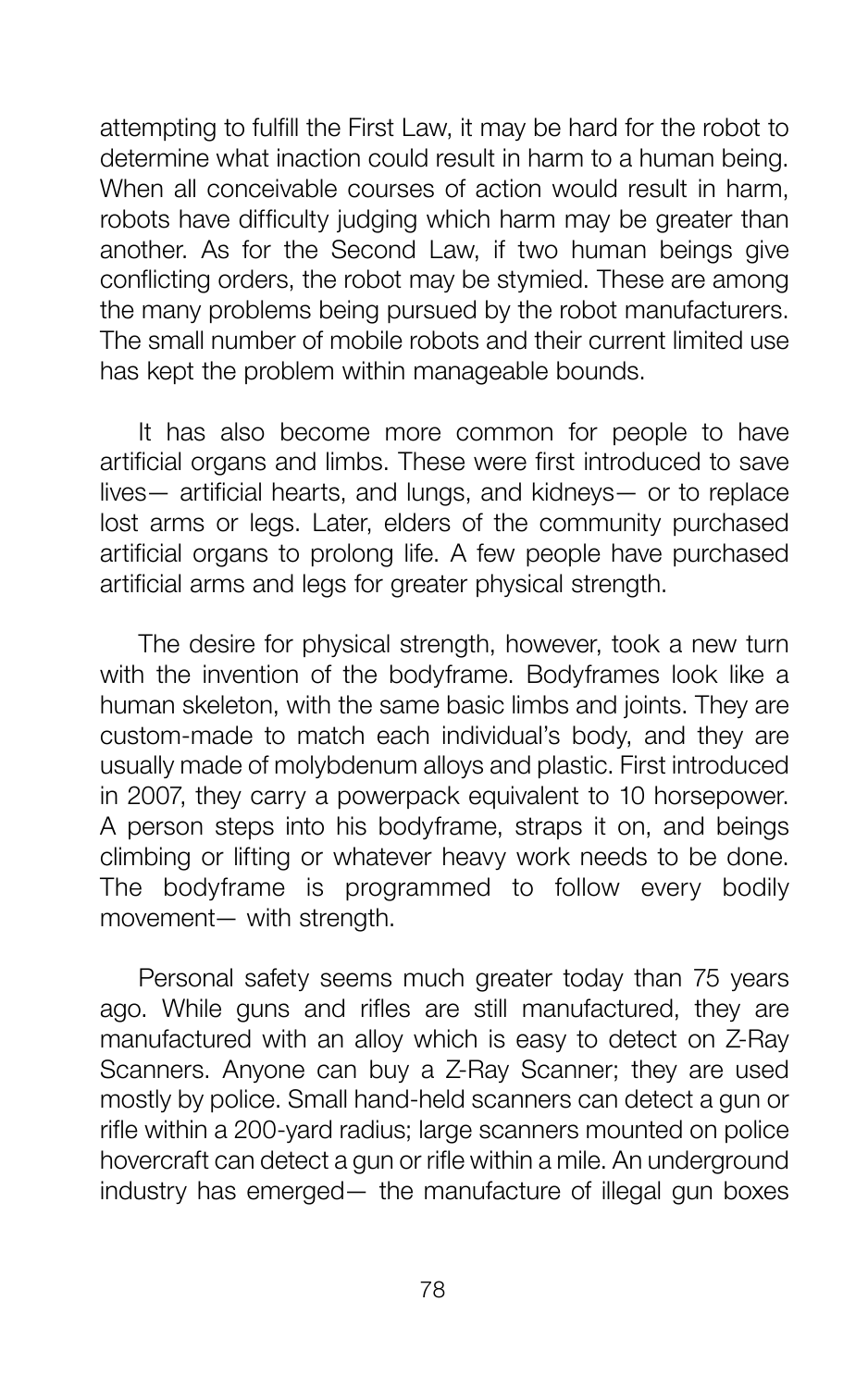attempting to fulfill the First Law, it may be hard for the robot to determine what inaction could result in harm to a human being. When all conceivable courses of action would result in harm, robots have difficulty judging which harm may be greater than another. As for the Second Law, if two human beings give conflicting orders, the robot may be stymied. These are among the many problems being pursued by the robot manufacturers. The small number of mobile robots and their current limited use has kept the problem within manageable bounds.

It has also become more common for people to have artificial organs and limbs. These were first introduced to save lives— artificial hearts, and lungs, and kidneys— or to replace lost arms or legs. Later, elders of the community purchased artificial organs to prolong life. A few people have purchased artificial arms and legs for greater physical strength.

The desire for physical strength, however, took a new turn with the invention of the bodyframe. Bodyframes look like a human skeleton, with the same basic limbs and joints. They are custom-made to match each individual's body, and they are usually made of molybdenum alloys and plastic. First introduced in 2007, they carry a powerpack equivalent to 10 horsepower. A person steps into his bodyframe, straps it on, and beings climbing or lifting or whatever heavy work needs to be done. The bodyframe is programmed to follow every bodily movement— with strength.

Personal safety seems much greater today than 75 years ago. While guns and rifles are still manufactured, they are manufactured with an alloy which is easy to detect on Z-Ray Scanners. Anyone can buy a Z-Ray Scanner; they are used mostly by police. Small hand-held scanners can detect a gun or rifle within a 200-yard radius; large scanners mounted on police hovercraft can detect a gun or rifle within a mile. An underground industry has emerged— the manufacture of illegal gun boxes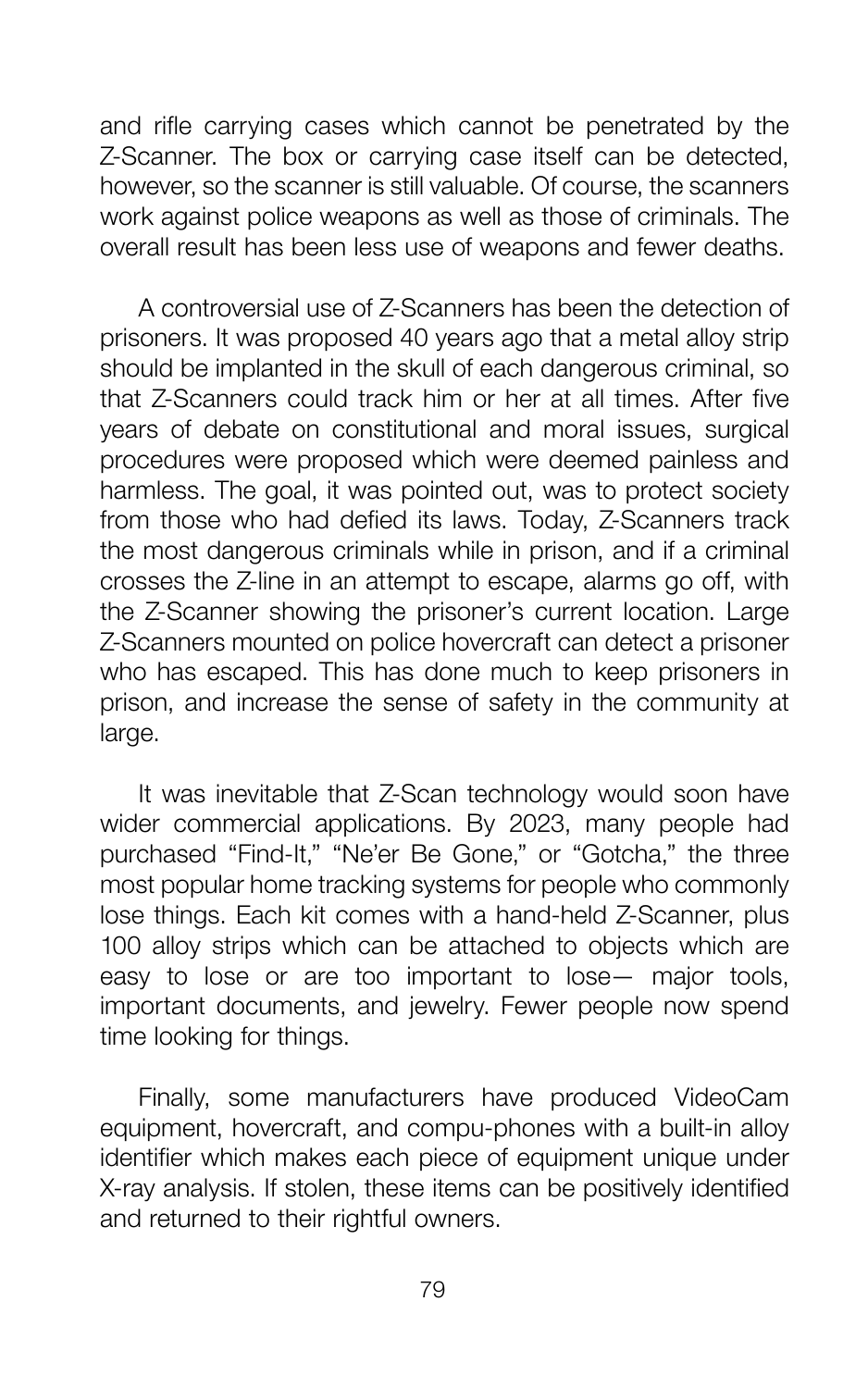and rifle carrying cases which cannot be penetrated by the Z-Scanner. The box or carrying case itself can be detected, however, so the scanner is still valuable. Of course, the scanners work against police weapons as well as those of criminals. The overall result has been less use of weapons and fewer deaths.

A controversial use of Z-Scanners has been the detection of prisoners. It was proposed 40 years ago that a metal alloy strip should be implanted in the skull of each dangerous criminal, so that Z-Scanners could track him or her at all times. After five years of debate on constitutional and moral issues, surgical procedures were proposed which were deemed painless and harmless. The goal, it was pointed out, was to protect society from those who had defied its laws. Today, Z-Scanners track the most dangerous criminals while in prison, and if a criminal crosses the Z-line in an attempt to escape, alarms go off, with the Z-Scanner showing the prisoner's current location. Large Z-Scanners mounted on police hovercraft can detect a prisoner who has escaped. This has done much to keep prisoners in prison, and increase the sense of safety in the community at large.

It was inevitable that Z-Scan technology would soon have wider commercial applications. By 2023, many people had purchased "Find-It," "Ne'er Be Gone," or "Gotcha," the three most popular home tracking systems for people who commonly lose things. Each kit comes with a hand-held Z-Scanner, plus 100 alloy strips which can be attached to objects which are easy to lose or are too important to lose— major tools, important documents, and jewelry. Fewer people now spend time looking for things.

Finally, some manufacturers have produced VideoCam equipment, hovercraft, and compu-phones with a built-in alloy identifier which makes each piece of equipment unique under X-ray analysis. If stolen, these items can be positively identified and returned to their rightful owners.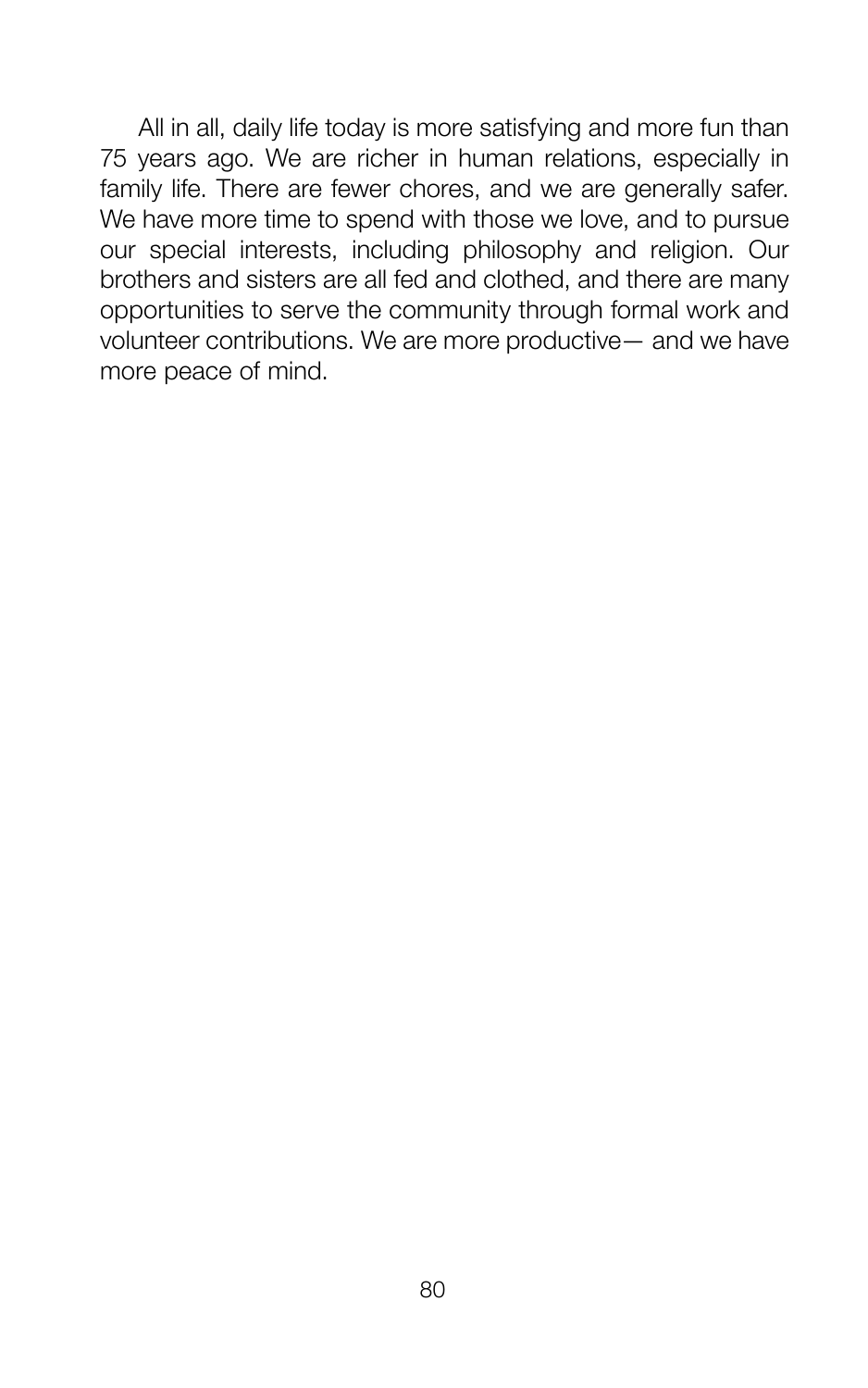All in all, daily life today is more satisfying and more fun than 75 years ago. We are richer in human relations, especially in family life. There are fewer chores, and we are generally safer. We have more time to spend with those we love, and to pursue our special interests, including philosophy and religion. Our brothers and sisters are all fed and clothed, and there are many opportunities to serve the community through formal work and volunteer contributions. We are more productive— and we have more peace of mind.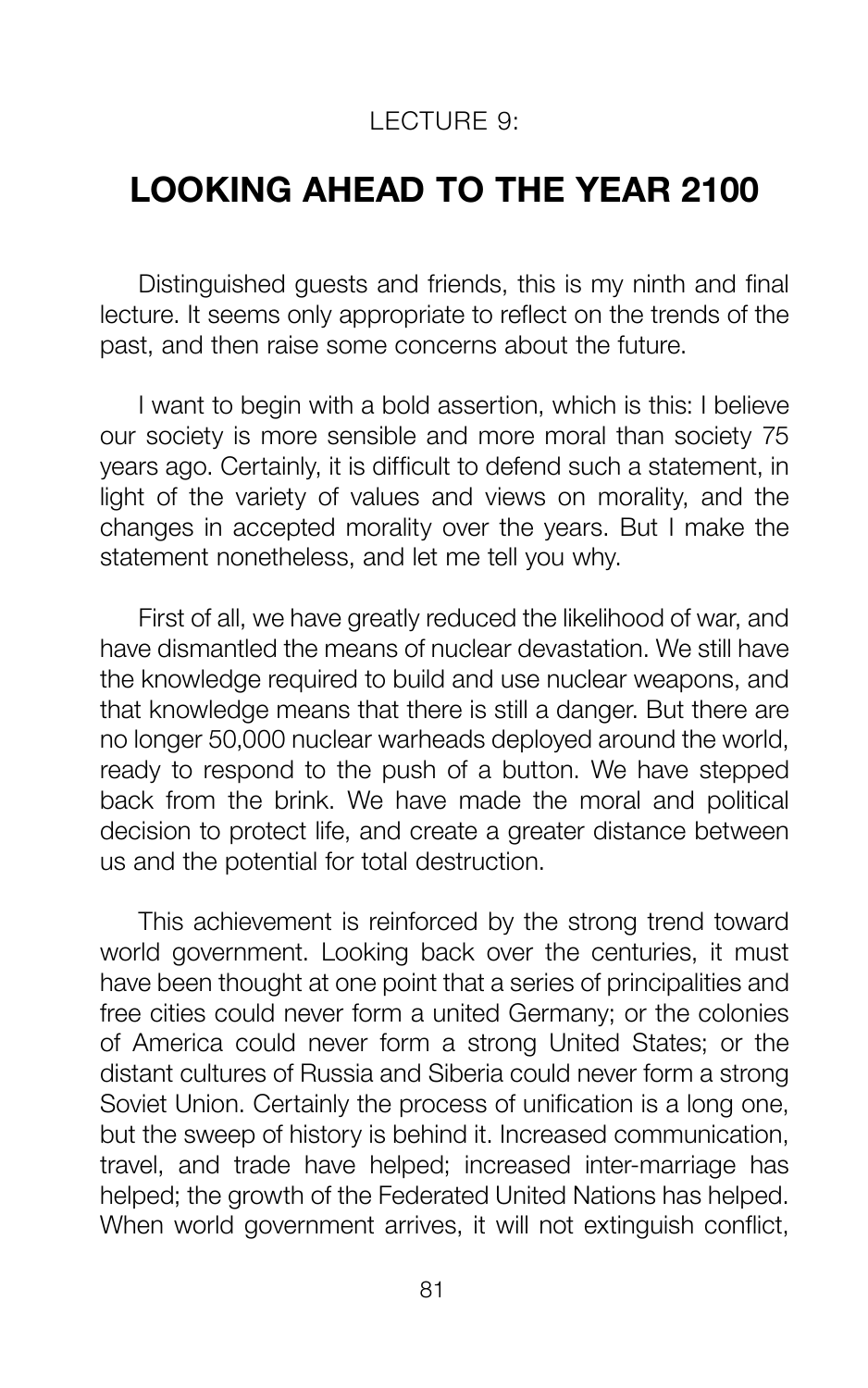## LECTURE 9:

## **LOOKING AHEAD TO THE YEAR 2100**

Distinguished guests and friends, this is my ninth and final lecture. It seems only appropriate to reflect on the trends of the past, and then raise some concerns about the future.

I want to begin with a bold assertion, which is this: I believe our society is more sensible and more moral than society 75 years ago. Certainly, it is difficult to defend such a statement, in light of the variety of values and views on morality, and the changes in accepted morality over the years. But I make the statement nonetheless, and let me tell you why.

First of all, we have greatly reduced the likelihood of war, and have dismantled the means of nuclear devastation. We still have the knowledge required to build and use nuclear weapons, and that knowledge means that there is still a danger. But there are no longer 50,000 nuclear warheads deployed around the world, ready to respond to the push of a button. We have stepped back from the brink. We have made the moral and political decision to protect life, and create a greater distance between us and the potential for total destruction.

This achievement is reinforced by the strong trend toward world government. Looking back over the centuries, it must have been thought at one point that a series of principalities and free cities could never form a united Germany; or the colonies of America could never form a strong United States; or the distant cultures of Russia and Siberia could never form a strong Soviet Union. Certainly the process of unification is a long one, but the sweep of history is behind it. Increased communication, travel, and trade have helped; increased inter-marriage has helped; the growth of the Federated United Nations has helped. When world government arrives, it will not extinguish conflict,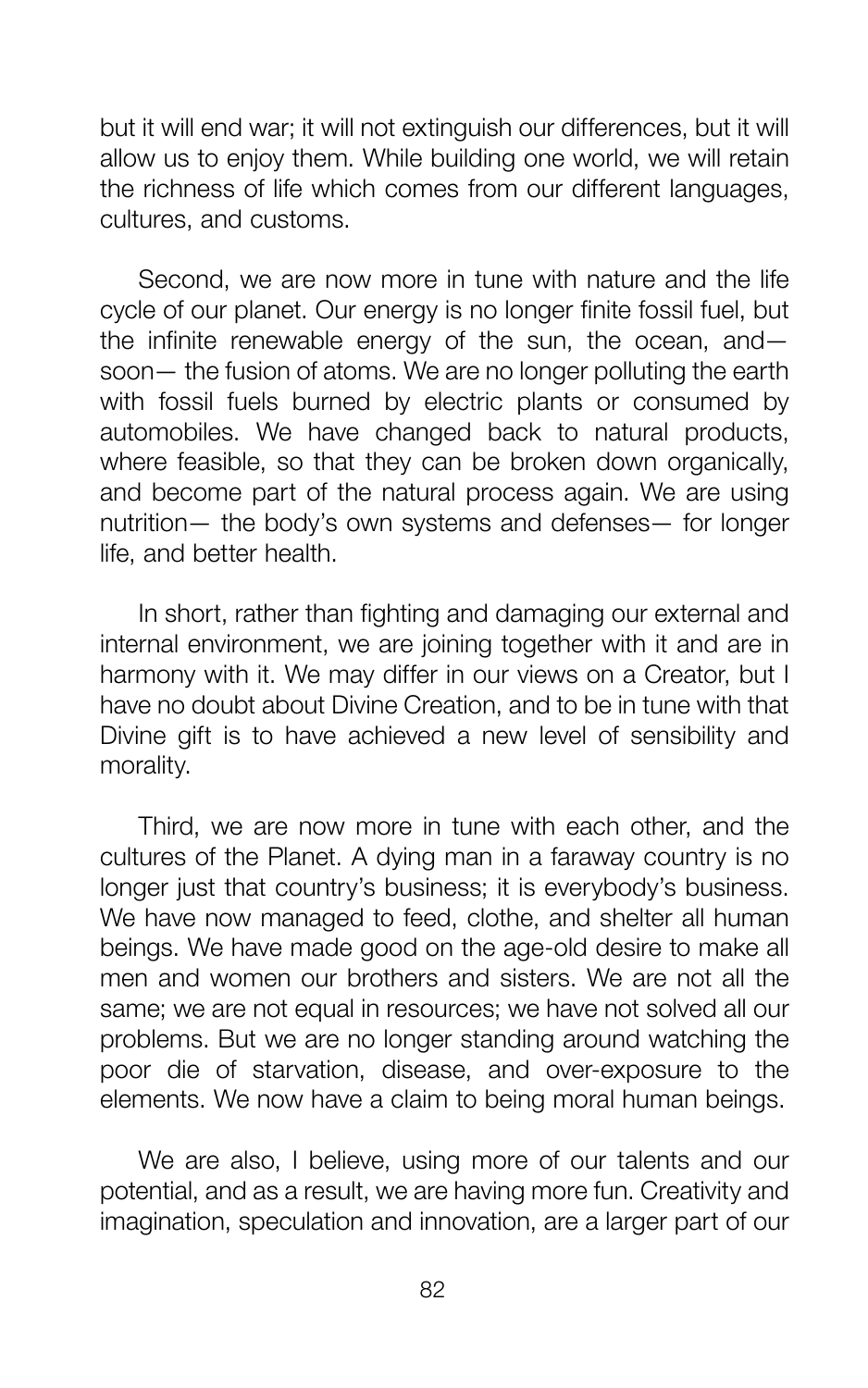but it will end war; it will not extinguish our differences, but it will allow us to enjoy them. While building one world, we will retain the richness of life which comes from our different languages, cultures, and customs.

Second, we are now more in tune with nature and the life cycle of our planet. Our energy is no longer finite fossil fuel, but the infinite renewable energy of the sun, the ocean, and soon— the fusion of atoms. We are no longer polluting the earth with fossil fuels burned by electric plants or consumed by automobiles. We have changed back to natural products, where feasible, so that they can be broken down organically, and become part of the natural process again. We are using nutrition— the body's own systems and defenses— for longer life, and better health.

In short, rather than fighting and damaging our external and internal environment, we are joining together with it and are in harmony with it. We may differ in our views on a Creator, but I have no doubt about Divine Creation, and to be in tune with that Divine gift is to have achieved a new level of sensibility and morality.

Third, we are now more in tune with each other, and the cultures of the Planet. A dying man in a faraway country is no longer just that country's business; it is everybody's business. We have now managed to feed, clothe, and shelter all human beings. We have made good on the age-old desire to make all men and women our brothers and sisters. We are not all the same; we are not equal in resources; we have not solved all our problems. But we are no longer standing around watching the poor die of starvation, disease, and over-exposure to the elements. We now have a claim to being moral human beings.

We are also, I believe, using more of our talents and our potential, and as a result, we are having more fun. Creativity and imagination, speculation and innovation, are a larger part of our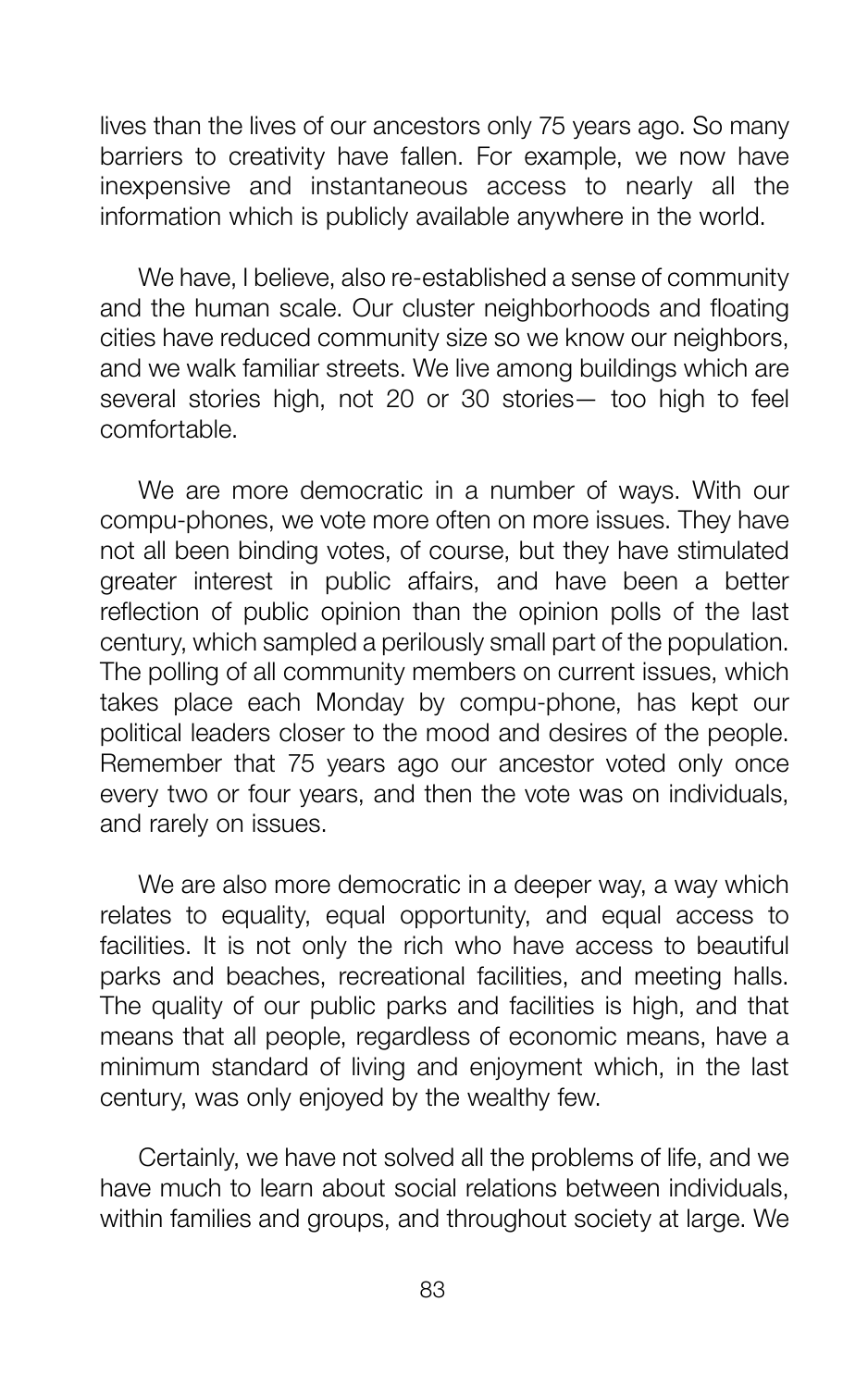lives than the lives of our ancestors only 75 years ago. So many barriers to creativity have fallen. For example, we now have inexpensive and instantaneous access to nearly all the information which is publicly available anywhere in the world.

We have, I believe, also re-established a sense of community and the human scale. Our cluster neighborhoods and floating cities have reduced community size so we know our neighbors, and we walk familiar streets. We live among buildings which are several stories high, not 20 or 30 stories— too high to feel comfortable.

We are more democratic in a number of ways. With our compu-phones, we vote more often on more issues. They have not all been binding votes, of course, but they have stimulated greater interest in public affairs, and have been a better reflection of public opinion than the opinion polls of the last century, which sampled a perilously small part of the population. The polling of all community members on current issues, which takes place each Monday by compu-phone, has kept our political leaders closer to the mood and desires of the people. Remember that 75 years ago our ancestor voted only once every two or four years, and then the vote was on individuals, and rarely on issues.

We are also more democratic in a deeper way, a way which relates to equality, equal opportunity, and equal access to facilities. It is not only the rich who have access to beautiful parks and beaches, recreational facilities, and meeting halls. The quality of our public parks and facilities is high, and that means that all people, regardless of economic means, have a minimum standard of living and enjoyment which, in the last century, was only enjoyed by the wealthy few.

Certainly, we have not solved all the problems of life, and we have much to learn about social relations between individuals, within families and groups, and throughout society at large. We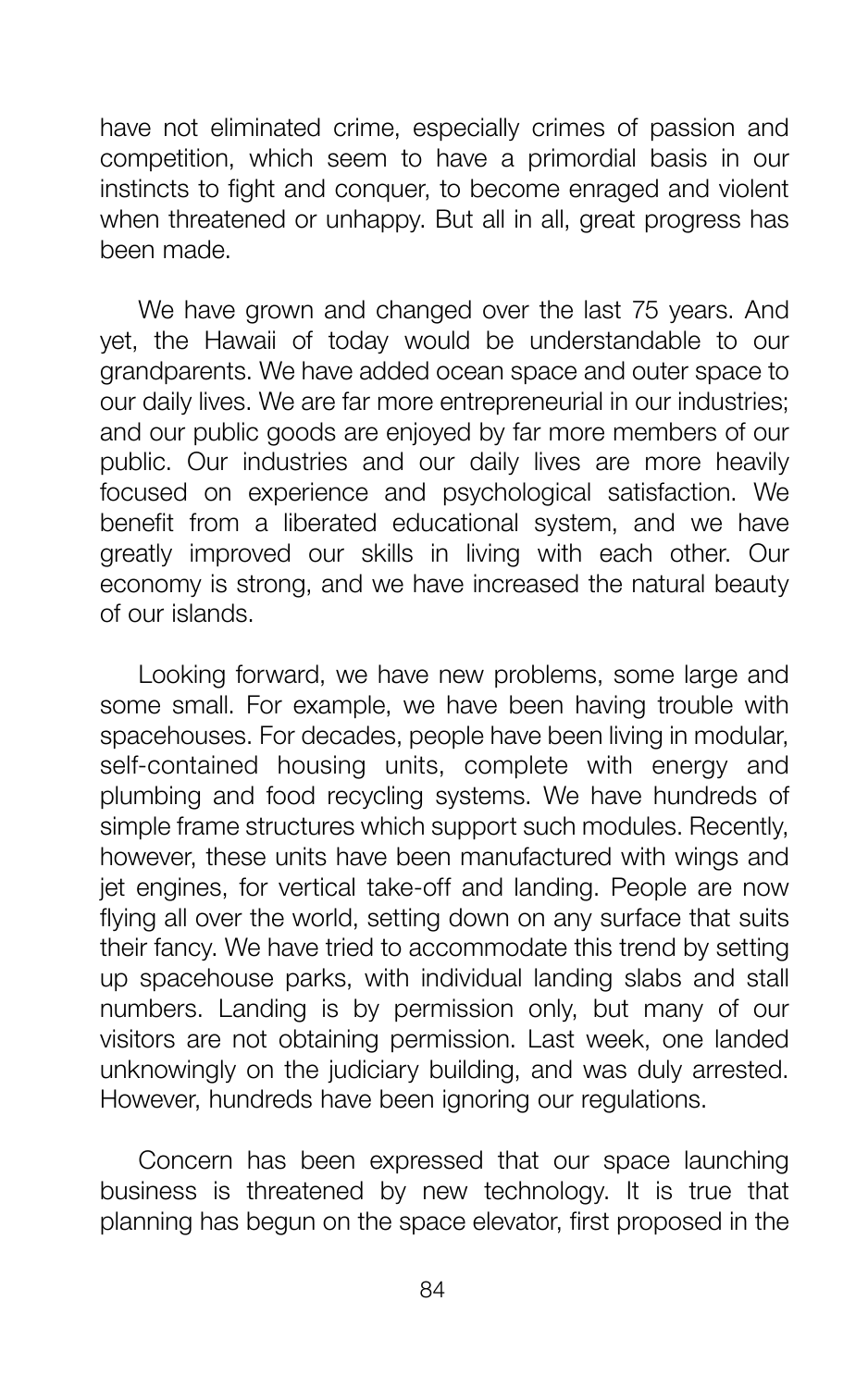have not eliminated crime, especially crimes of passion and competition, which seem to have a primordial basis in our instincts to fight and conquer, to become enraged and violent when threatened or unhappy. But all in all, great progress has been made.

We have grown and changed over the last 75 years. And yet, the Hawaii of today would be understandable to our grandparents. We have added ocean space and outer space to our daily lives. We are far more entrepreneurial in our industries; and our public goods are enjoyed by far more members of our public. Our industries and our daily lives are more heavily focused on experience and psychological satisfaction. We benefit from a liberated educational system, and we have greatly improved our skills in living with each other. Our economy is strong, and we have increased the natural beauty of our islands.

Looking forward, we have new problems, some large and some small. For example, we have been having trouble with spacehouses. For decades, people have been living in modular, self-contained housing units, complete with energy and plumbing and food recycling systems. We have hundreds of simple frame structures which support such modules. Recently, however, these units have been manufactured with wings and jet engines, for vertical take-off and landing. People are now flying all over the world, setting down on any surface that suits their fancy. We have tried to accommodate this trend by setting up spacehouse parks, with individual landing slabs and stall numbers. Landing is by permission only, but many of our visitors are not obtaining permission. Last week, one landed unknowingly on the judiciary building, and was duly arrested. However, hundreds have been ignoring our regulations.

Concern has been expressed that our space launching business is threatened by new technology. It is true that planning has begun on the space elevator, first proposed in the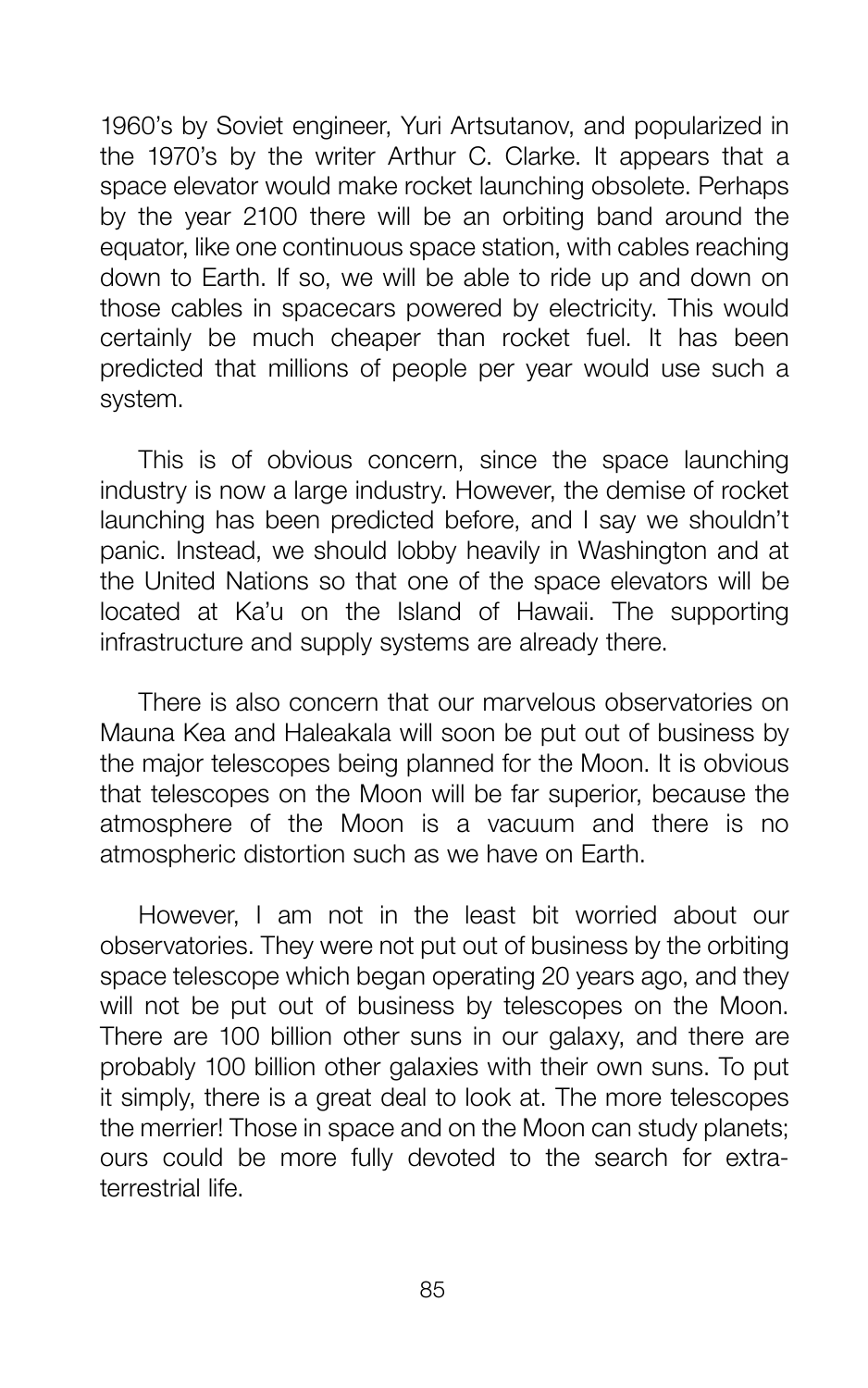1960's by Soviet engineer, Yuri Artsutanov, and popularized in the 1970's by the writer Arthur C. Clarke. It appears that a space elevator would make rocket launching obsolete. Perhaps by the year 2100 there will be an orbiting band around the equator, like one continuous space station, with cables reaching down to Earth. If so, we will be able to ride up and down on those cables in spacecars powered by electricity. This would certainly be much cheaper than rocket fuel. It has been predicted that millions of people per year would use such a system.

This is of obvious concern, since the space launching industry is now a large industry. However, the demise of rocket launching has been predicted before, and I say we shouldn't panic. Instead, we should lobby heavily in Washington and at the United Nations so that one of the space elevators will be located at Ka'u on the Island of Hawaii. The supporting infrastructure and supply systems are already there.

There is also concern that our marvelous observatories on Mauna Kea and Haleakala will soon be put out of business by the major telescopes being planned for the Moon. It is obvious that telescopes on the Moon will be far superior, because the atmosphere of the Moon is a vacuum and there is no atmospheric distortion such as we have on Earth.

However, I am not in the least bit worried about our observatories. They were not put out of business by the orbiting space telescope which began operating 20 years ago, and they will not be put out of business by telescopes on the Moon. There are 100 billion other suns in our galaxy, and there are probably 100 billion other galaxies with their own suns. To put it simply, there is a great deal to look at. The more telescopes the merrier! Those in space and on the Moon can study planets; ours could be more fully devoted to the search for extraterrestrial life.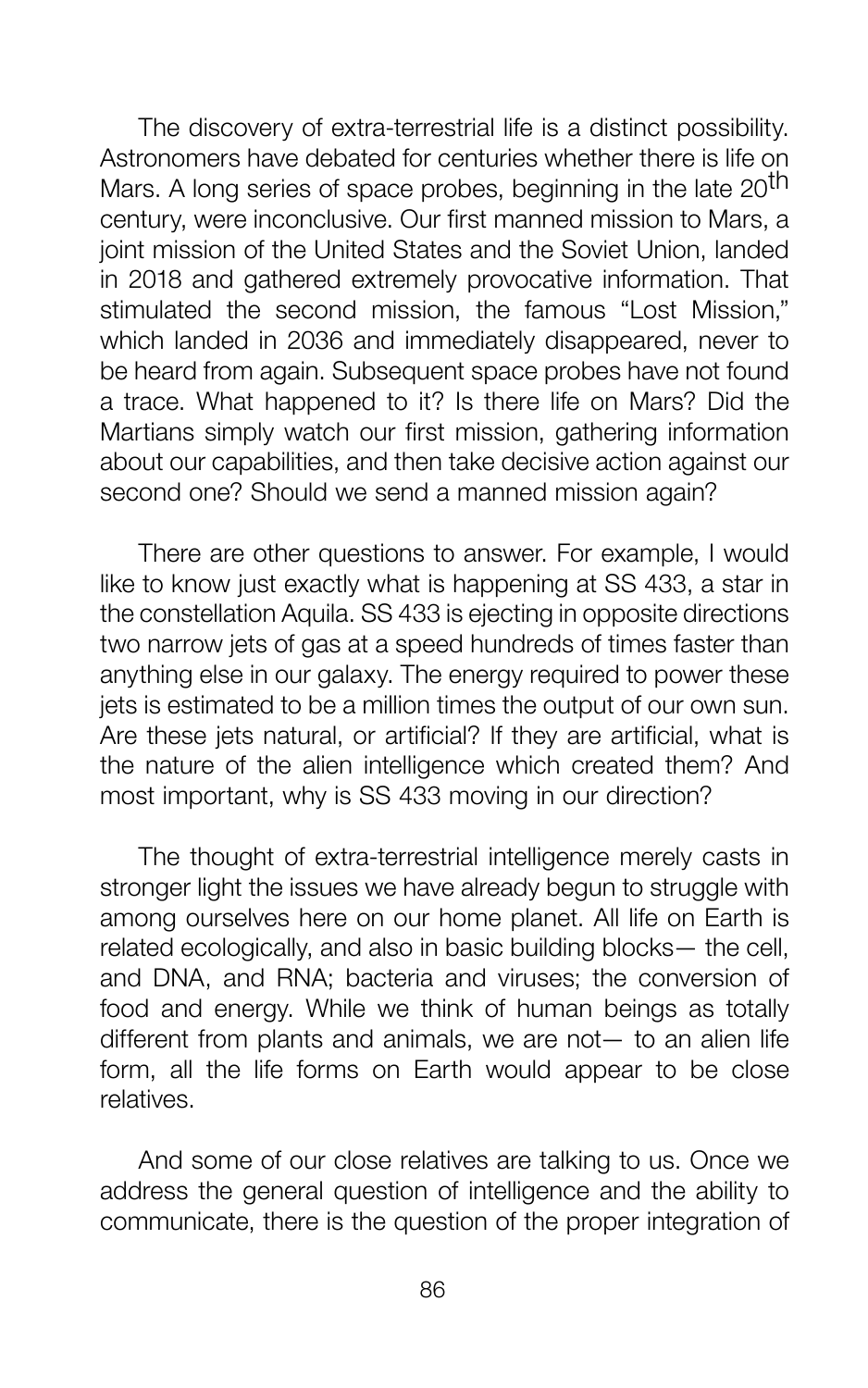The discovery of extra-terrestrial life is a distinct possibility. Astronomers have debated for centuries whether there is life on Mars. A long series of space probes, beginning in the late 20<sup>th</sup> century, were inconclusive. Our first manned mission to Mars, a joint mission of the United States and the Soviet Union, landed in 2018 and gathered extremely provocative information. That stimulated the second mission, the famous "Lost Mission," which landed in 2036 and immediately disappeared, never to be heard from again. Subsequent space probes have not found a trace. What happened to it? Is there life on Mars? Did the Martians simply watch our first mission, gathering information about our capabilities, and then take decisive action against our second one? Should we send a manned mission again?

There are other questions to answer. For example, I would like to know just exactly what is happening at SS 433, a star in the constellation Aquila. SS 433 is ejecting in opposite directions two narrow jets of gas at a speed hundreds of times faster than anything else in our galaxy. The energy required to power these jets is estimated to be a million times the output of our own sun. Are these jets natural, or artificial? If they are artificial, what is the nature of the alien intelligence which created them? And most important, why is SS 433 moving in our direction?

The thought of extra-terrestrial intelligence merely casts in stronger light the issues we have already begun to struggle with among ourselves here on our home planet. All life on Earth is related ecologically, and also in basic building blocks— the cell, and DNA, and RNA; bacteria and viruses; the conversion of food and energy. While we think of human beings as totally different from plants and animals, we are not— to an alien life form, all the life forms on Earth would appear to be close relatives.

And some of our close relatives are talking to us. Once we address the general question of intelligence and the ability to communicate, there is the question of the proper integration of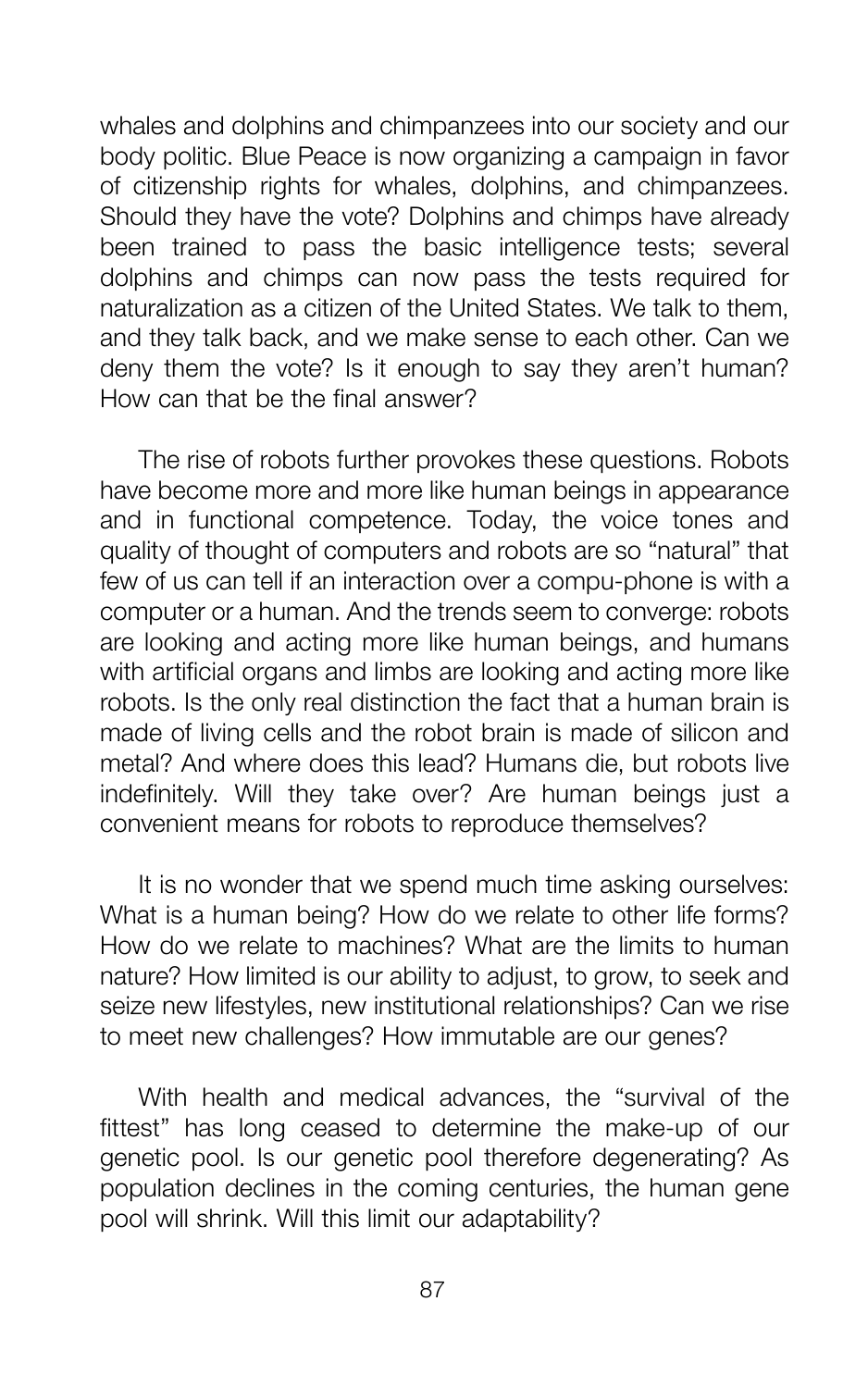whales and dolphins and chimpanzees into our society and our body politic. Blue Peace is now organizing a campaign in favor of citizenship rights for whales, dolphins, and chimpanzees. Should they have the vote? Dolphins and chimps have already been trained to pass the basic intelligence tests; several dolphins and chimps can now pass the tests required for naturalization as a citizen of the United States. We talk to them, and they talk back, and we make sense to each other. Can we deny them the vote? Is it enough to say they aren't human? How can that be the final answer?

The rise of robots further provokes these questions. Robots have become more and more like human beings in appearance and in functional competence. Today, the voice tones and quality of thought of computers and robots are so "natural" that few of us can tell if an interaction over a compu-phone is with a computer or a human. And the trends seem to converge: robots are looking and acting more like human beings, and humans with artificial organs and limbs are looking and acting more like robots. Is the only real distinction the fact that a human brain is made of living cells and the robot brain is made of silicon and metal? And where does this lead? Humans die, but robots live indefinitely. Will they take over? Are human beings just a convenient means for robots to reproduce themselves?

It is no wonder that we spend much time asking ourselves: What is a human being? How do we relate to other life forms? How do we relate to machines? What are the limits to human nature? How limited is our ability to adjust, to grow, to seek and seize new lifestyles, new institutional relationships? Can we rise to meet new challenges? How immutable are our genes?

With health and medical advances, the "survival of the fittest" has long ceased to determine the make-up of our genetic pool. Is our genetic pool therefore degenerating? As population declines in the coming centuries, the human gene pool will shrink. Will this limit our adaptability?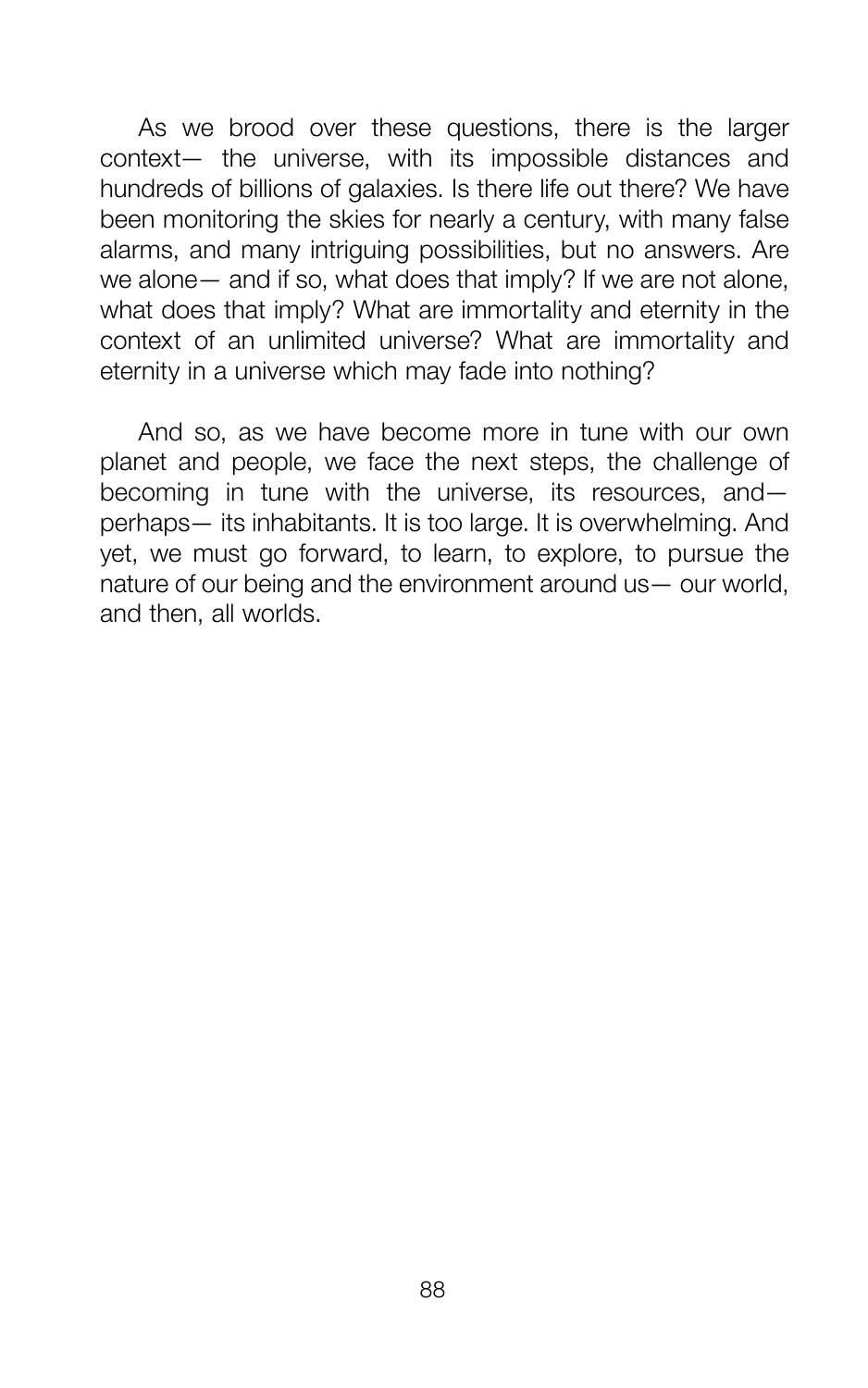As we brood over these questions, there is the larger context— the universe, with its impossible distances and hundreds of billions of galaxies. Is there life out there? We have been monitoring the skies for nearly a century, with many false alarms, and many intriguing possibilities, but no answers. Are we alone— and if so, what does that imply? If we are not alone, what does that imply? What are immortality and eternity in the context of an unlimited universe? What are immortality and eternity in a universe which may fade into nothing?

And so, as we have become more in tune with our own planet and people, we face the next steps, the challenge of becoming in tune with the universe, its resources, and perhaps— its inhabitants. It is too large. It is overwhelming. And yet, we must go forward, to learn, to explore, to pursue the nature of our being and the environment around us— our world, and then, all worlds.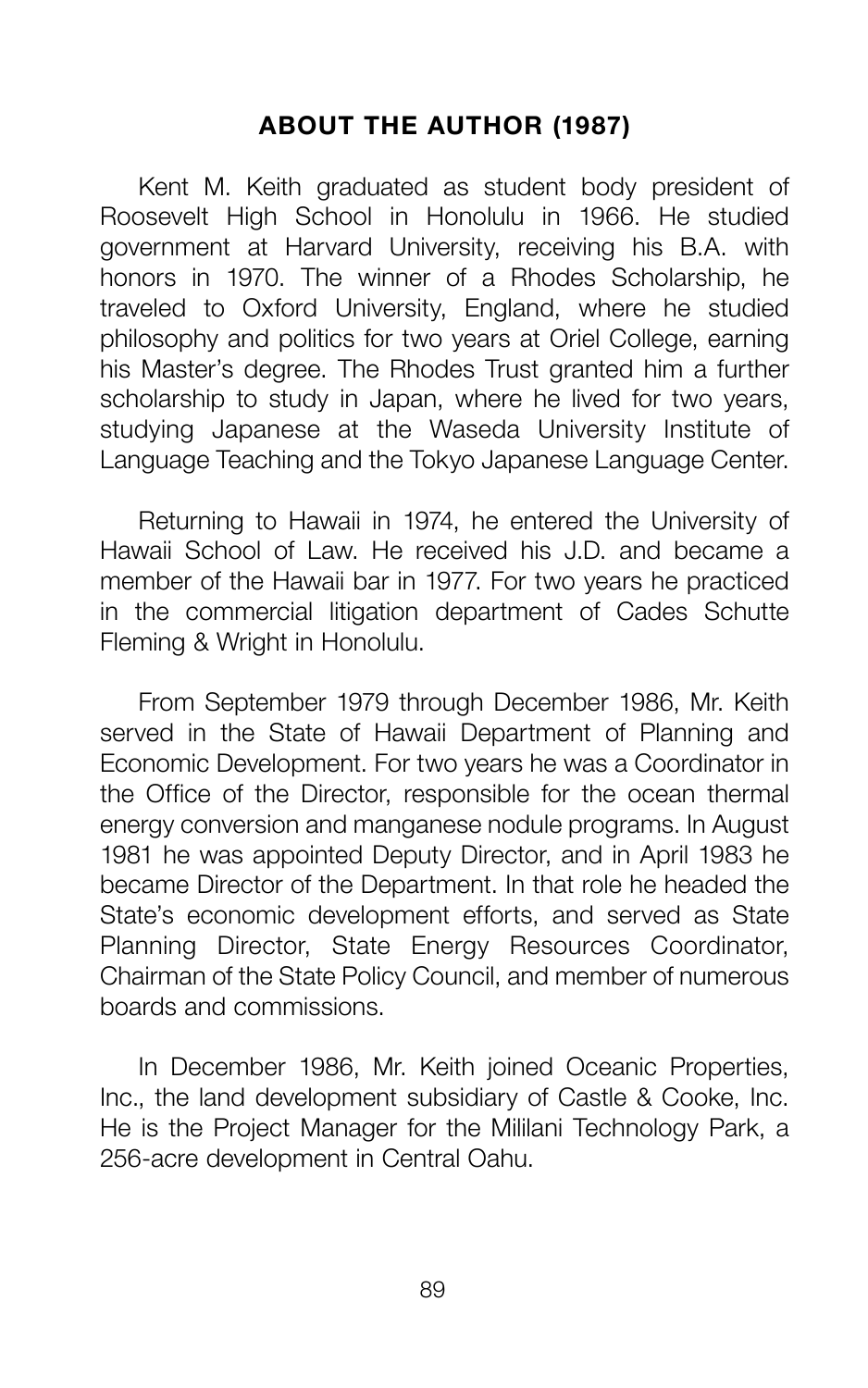## **ABOUT THE AUTHOR (1987)**

Kent M. Keith graduated as student body president of Roosevelt High School in Honolulu in 1966. He studied government at Harvard University, receiving his B.A. with honors in 1970. The winner of a Rhodes Scholarship, he traveled to Oxford University, England, where he studied philosophy and politics for two years at Oriel College, earning his Master's degree. The Rhodes Trust granted him a further scholarship to study in Japan, where he lived for two years, studying Japanese at the Waseda University Institute of Language Teaching and the Tokyo Japanese Language Center.

Returning to Hawaii in 1974, he entered the University of Hawaii School of Law. He received his J.D. and became a member of the Hawaii bar in 1977. For two years he practiced in the commercial litigation department of Cades Schutte Fleming & Wright in Honolulu.

From September 1979 through December 1986, Mr. Keith served in the State of Hawaii Department of Planning and Economic Development. For two years he was a Coordinator in the Office of the Director, responsible for the ocean thermal energy conversion and manganese nodule programs. In August 1981 he was appointed Deputy Director, and in April 1983 he became Director of the Department. In that role he headed the State's economic development efforts, and served as State Planning Director, State Energy Resources Coordinator, Chairman of the State Policy Council, and member of numerous boards and commissions.

In December 1986, Mr. Keith joined Oceanic Properties, Inc., the land development subsidiary of Castle & Cooke, Inc. He is the Project Manager for the Mililani Technology Park, a 256-acre development in Central Oahu.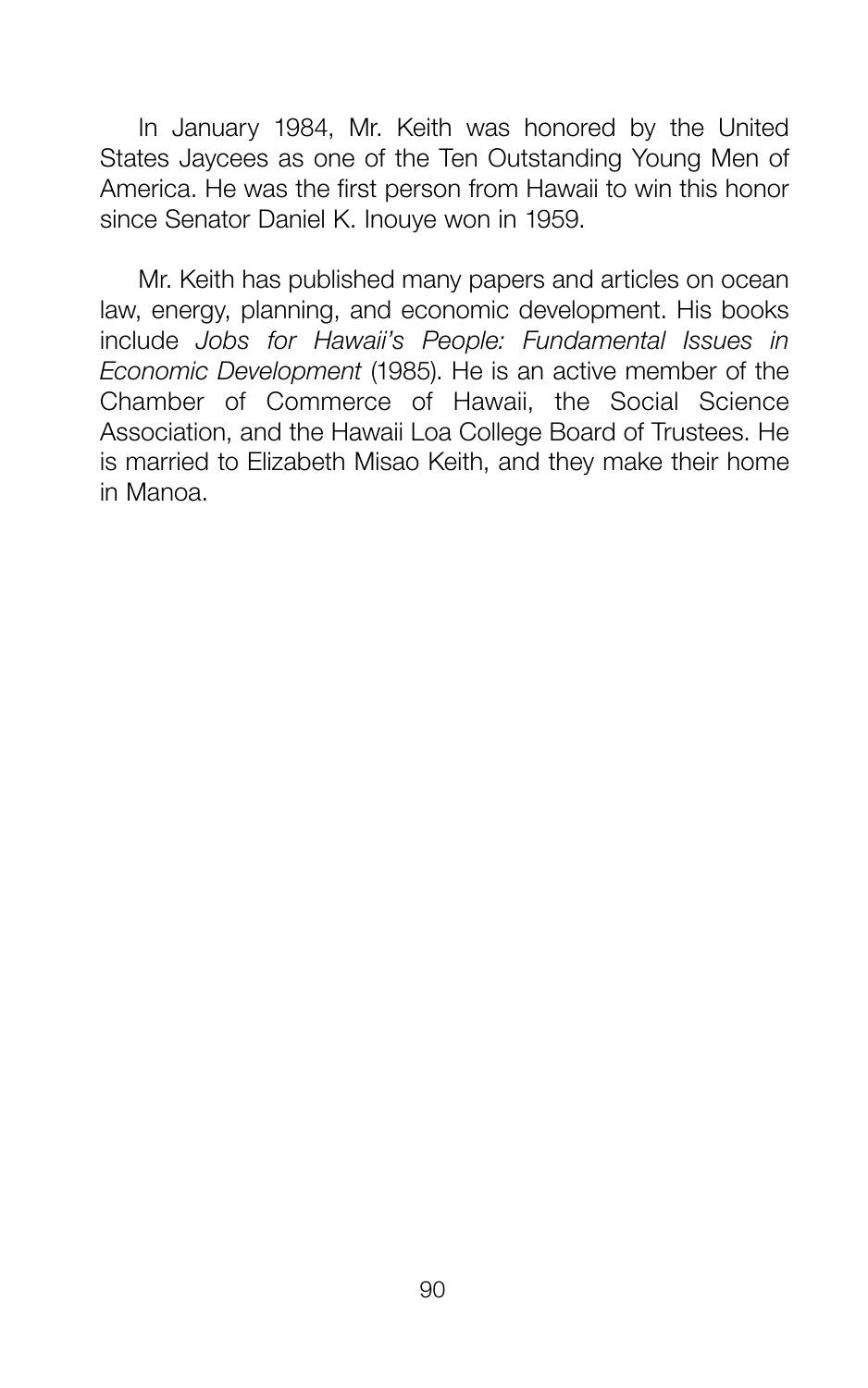In January 1984, Mr. Keith was honored by the United States Jaycees as one of the Ten Outstanding Young Men of America. He was the first person from Hawaii to win this honor since Senator Daniel K. Inouye won in 1959.

Mr. Keith has published many papers and articles on ocean law, energy, planning, and economic development. His books include *Jobs for Hawaii's People: Fundamental Issues in Economic Development* (1985). He is an active member of the Chamber of Commerce of Hawaii, the Social Science Association, and the Hawaii Loa College Board of Trustees. He is married to Elizabeth Misao Keith, and they make their home in Manoa.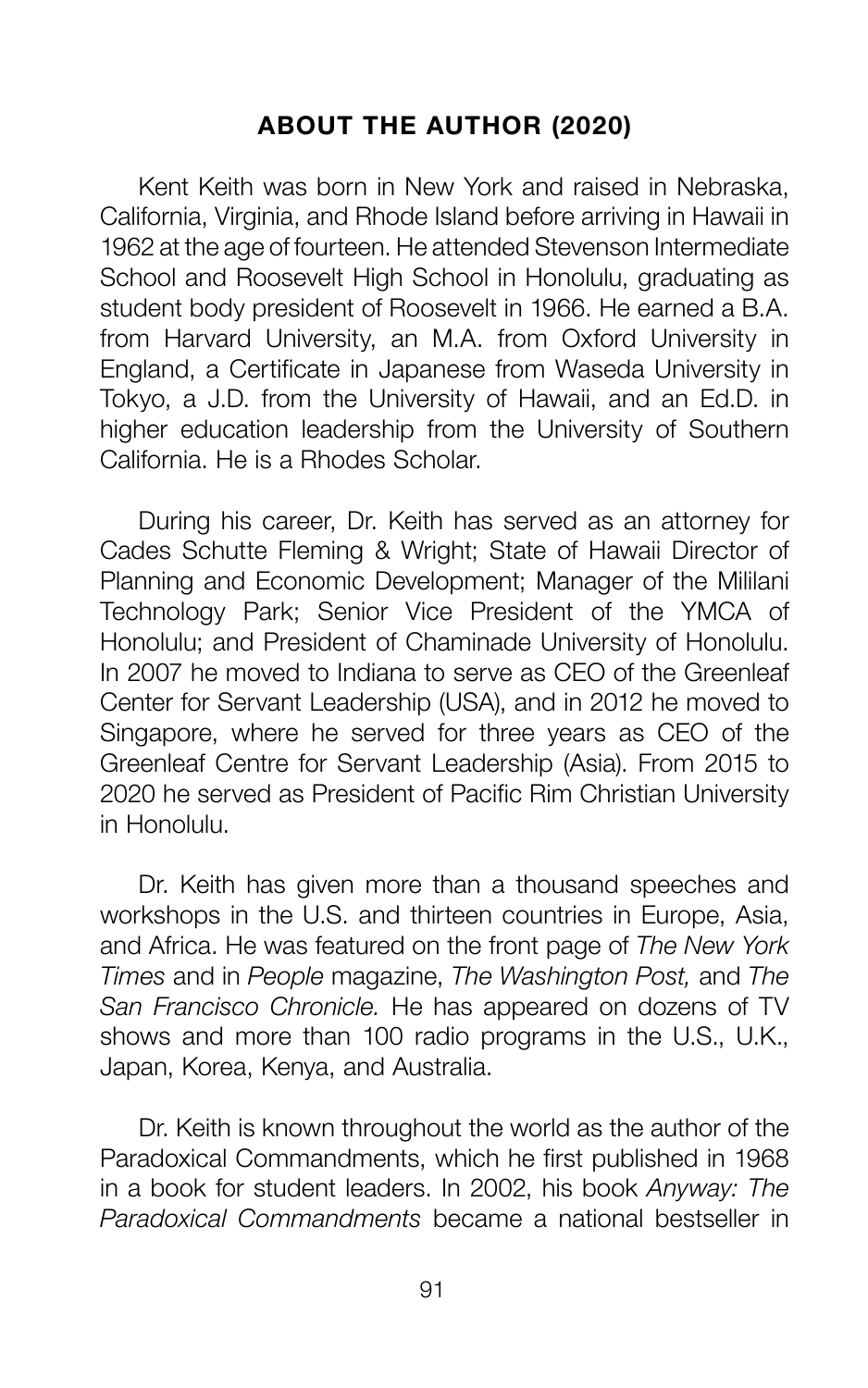#### **ABOUT THE AUTHOR (2020)**

Kent Keith was born in New York and raised in Nebraska, California, Virginia, and Rhode Island before arriving in Hawaii in 1962 at the age of fourteen. He attended Stevenson Intermediate School and Roosevelt High School in Honolulu, graduating as student body president of Roosevelt in 1966. He earned a B.A. from Harvard University, an M.A. from Oxford University in England, a Certificate in Japanese from Waseda University in Tokyo, a J.D. from the University of Hawaii, and an Ed.D. in higher education leadership from the University of Southern California. He is a Rhodes Scholar.

During his career, Dr. Keith has served as an attorney for Cades Schutte Fleming & Wright; State of Hawaii Director of Planning and Economic Development; Manager of the Mililani Technology Park; Senior Vice President of the YMCA of Honolulu; and President of Chaminade University of Honolulu. In 2007 he moved to Indiana to serve as CEO of the Greenleaf Center for Servant Leadership (USA), and in 2012 he moved to Singapore, where he served for three years as CEO of the Greenleaf Centre for Servant Leadership (Asia). From 2015 to 2020 he served as President of Pacific Rim Christian University in Honolulu.

Dr. Keith has given more than a thousand speeches and workshops in the U.S. and thirteen countries in Europe, Asia, and Africa. He was featured on the front page of *The New York Times* and in *People* magazine, *The Washington Post,* and *The San Francisco Chronicle.* He has appeared on dozens of TV shows and more than 100 radio programs in the U.S., U.K., Japan, Korea, Kenya, and Australia.

Dr. Keith is known throughout the world as the author of the Paradoxical Commandments, which he first published in 1968 in a book for student leaders. In 2002, his book *Anyway: The Paradoxical Commandments* became a national bestseller in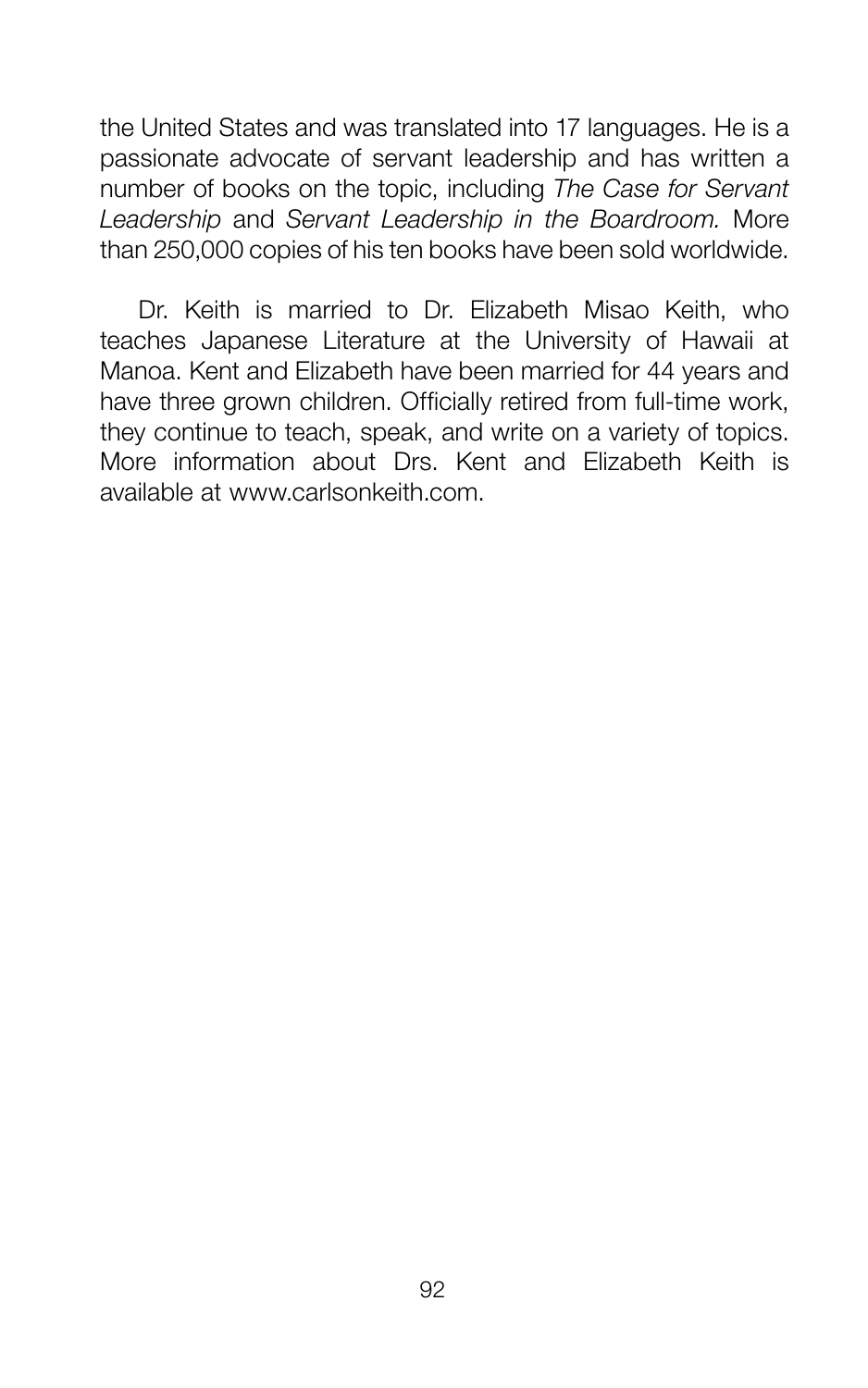the United States and was translated into 17 languages. He is a passionate advocate of servant leadership and has written a number of books on the topic, including *The Case for Servant Leadership* and *Servant Leadership in the Boardroom.* More than 250,000 copies of his ten books have been sold worldwide.

Dr. Keith is married to Dr. Elizabeth Misao Keith, who teaches Japanese Literature at the University of Hawaii at Manoa. Kent and Elizabeth have been married for 44 years and have three grown children. Officially retired from full-time work, they continue to teach, speak, and write on a variety of topics. More information about Drs. Kent and Elizabeth Keith is available at www.carlsonkeith.com.